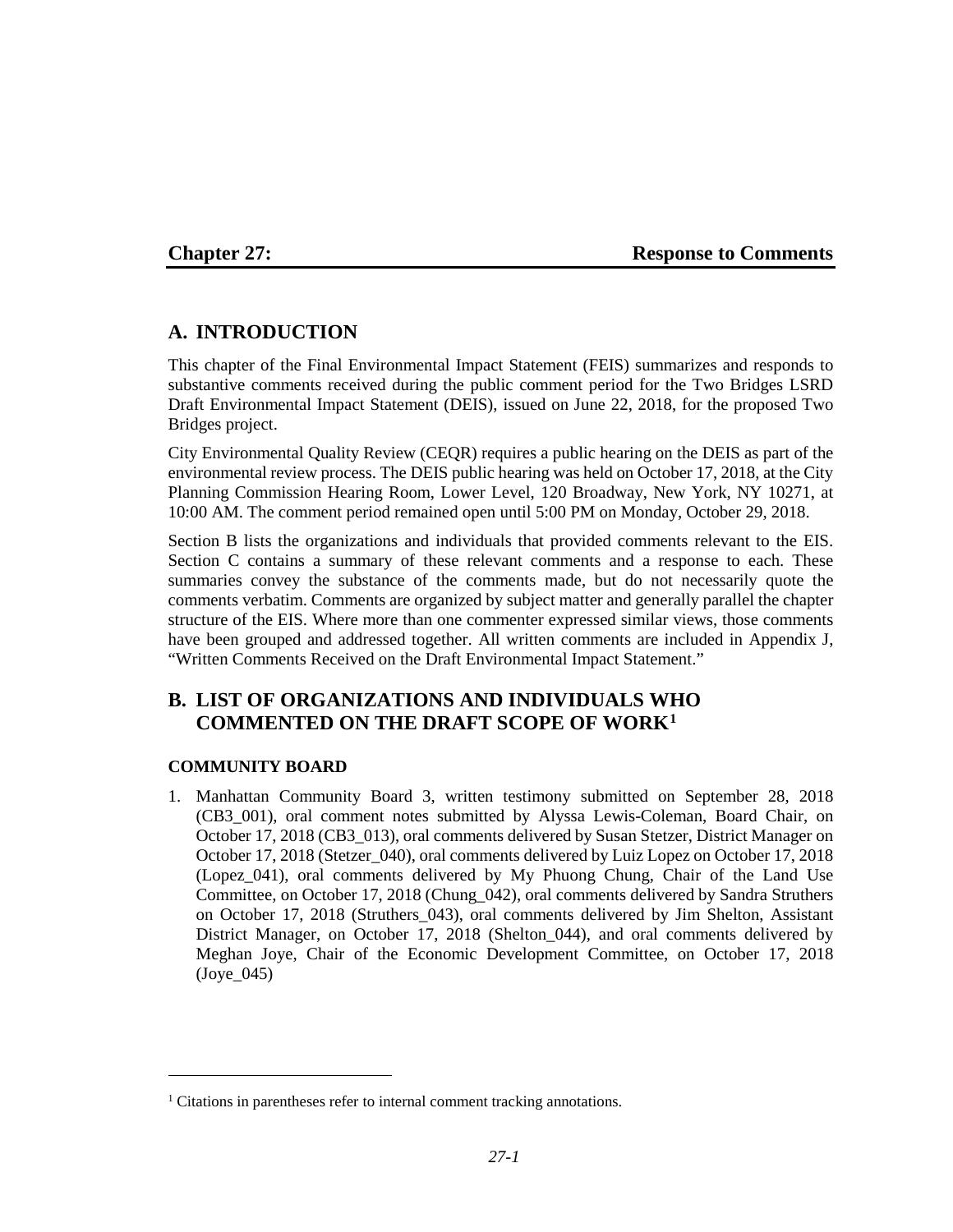## **Chapter 27: Response to Comments**

# **A. INTRODUCTION**

This chapter of the Final Environmental Impact Statement (FEIS) summarizes and responds to substantive comments received during the public comment period for the Two Bridges LSRD Draft Environmental Impact Statement (DEIS), issued on June 22, 2018, for the proposed Two Bridges project.

City Environmental Quality Review (CEQR) requires a public hearing on the DEIS as part of the environmental review process. The DEIS public hearing was held on October 17, 2018, at the City Planning Commission Hearing Room, Lower Level, 120 Broadway, New York, NY 10271, at 10:00 AM. The comment period remained open until 5:00 PM on Monday, October 29, 2018.

Section B lists the organizations and individuals that provided comments relevant to the EIS. Section C contains a summary of these relevant comments and a response to each. These summaries convey the substance of the comments made, but do not necessarily quote the comments verbatim. Comments are organized by subject matter and generally parallel the chapter structure of the EIS. Where more than one commenter expressed similar views, those comments have been grouped and addressed together. All written comments are included in Appendix J, "Written Comments Received on the Draft Environmental Impact Statement."

# **B. LIST OF ORGANIZATIONS AND INDIVIDUALS WHO COMMENTED ON THE DRAFT SCOPE OF WORK[1](#page-0-0)**

## **COMMUNITY BOARD**

 $\overline{a}$ 

1. Manhattan Community Board 3, written testimony submitted on September 28, 2018 (CB3\_001), oral comment notes submitted by Alyssa Lewis-Coleman, Board Chair, on October 17, 2018 (CB3\_013), oral comments delivered by Susan Stetzer, District Manager on October 17, 2018 (Stetzer\_040), oral comments delivered by Luiz Lopez on October 17, 2018 (Lopez\_041), oral comments delivered by My Phuong Chung, Chair of the Land Use Committee, on October 17, 2018 (Chung\_042), oral comments delivered by Sandra Struthers on October 17, 2018 (Struthers\_043), oral comments delivered by Jim Shelton, Assistant District Manager, on October 17, 2018 (Shelton\_044), and oral comments delivered by Meghan Joye, Chair of the Economic Development Committee, on October 17, 2018  $($ Joye $045)$ 

<span id="page-0-0"></span><sup>&</sup>lt;sup>1</sup> Citations in parentheses refer to internal comment tracking annotations.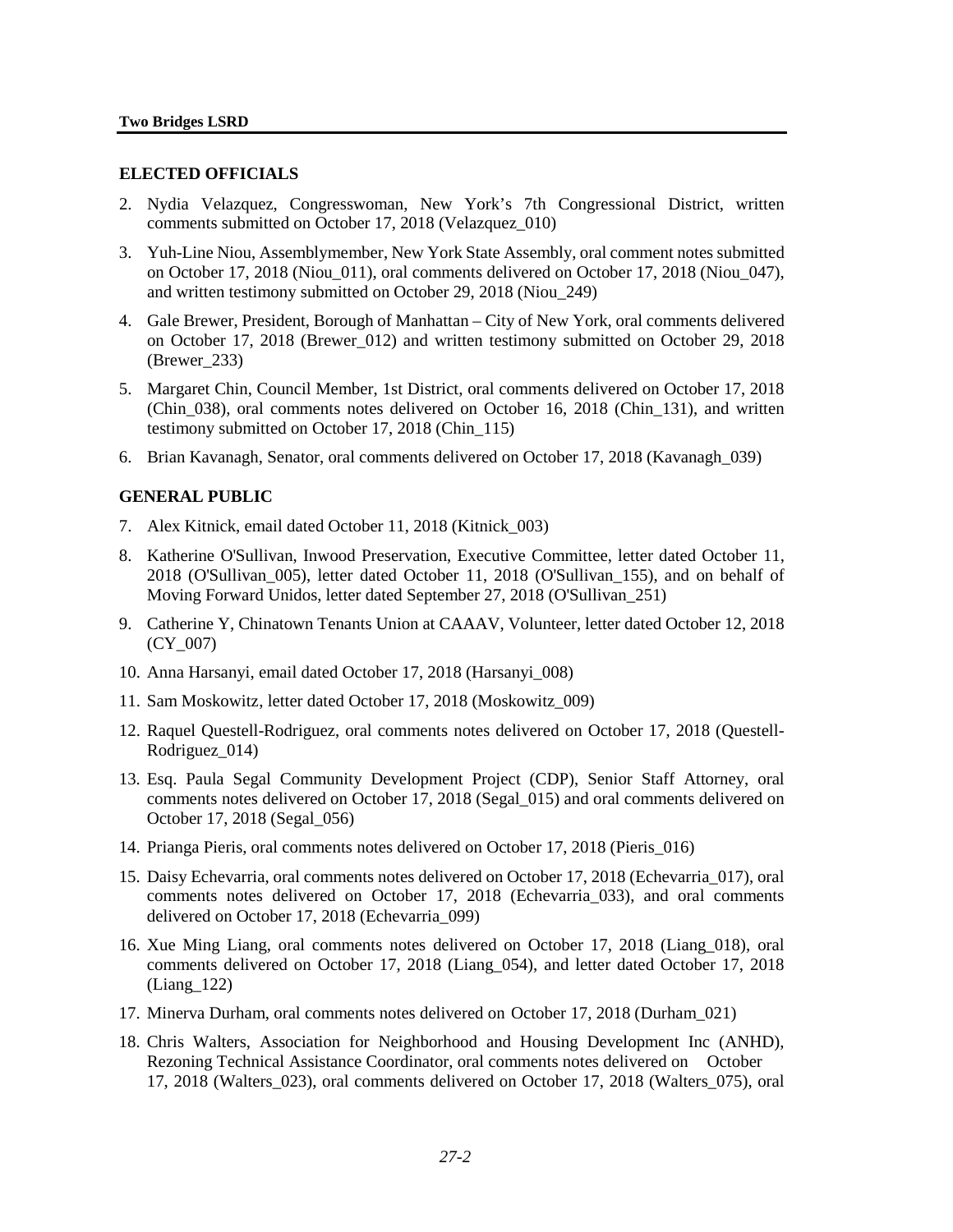## **ELECTED OFFICIALS**

- 2. Nydia Velazquez, Congresswoman, New York's 7th Congressional District, written comments submitted on October 17, 2018 (Velazquez\_010)
- 3. Yuh-Line Niou, Assemblymember, New York State Assembly, oral comment notes submitted on October 17, 2018 (Niou\_011), oral comments delivered on October 17, 2018 (Niou\_047), and written testimony submitted on October 29, 2018 (Niou\_249)
- 4. Gale Brewer, President, Borough of Manhattan City of New York, oral comments delivered on October 17, 2018 (Brewer\_012) and written testimony submitted on October 29, 2018 (Brewer\_233)
- 5. Margaret Chin, Council Member, 1st District, oral comments delivered on October 17, 2018 (Chin\_038), oral comments notes delivered on October 16, 2018 (Chin\_131), and written testimony submitted on October 17, 2018 (Chin\_115)
- 6. Brian Kavanagh, Senator, oral comments delivered on October 17, 2018 (Kavanagh\_039)

## **GENERAL PUBLIC**

- 7. Alex Kitnick, email dated October 11, 2018 (Kitnick\_003)
- 8. Katherine O'Sullivan, Inwood Preservation, Executive Committee, letter dated October 11, 2018 (O'Sullivan\_005), letter dated October 11, 2018 (O'Sullivan\_155), and on behalf of Moving Forward Unidos, letter dated September 27, 2018 (O'Sullivan\_251)
- 9. Catherine Y, Chinatown Tenants Union at CAAAV, Volunteer, letter dated October 12, 2018 (CY\_007)
- 10. Anna Harsanyi, email dated October 17, 2018 (Harsanyi\_008)
- 11. Sam Moskowitz, letter dated October 17, 2018 (Moskowitz\_009)
- 12. Raquel Questell-Rodriguez, oral comments notes delivered on October 17, 2018 (Questell-Rodriguez\_014)
- 13. Esq. Paula Segal Community Development Project (CDP), Senior Staff Attorney, oral comments notes delivered on October 17, 2018 (Segal\_015) and oral comments delivered on October 17, 2018 (Segal\_056)
- 14. Prianga Pieris, oral comments notes delivered on October 17, 2018 (Pieris\_016)
- 15. Daisy Echevarria, oral comments notes delivered on October 17, 2018 (Echevarria\_017), oral comments notes delivered on October 17, 2018 (Echevarria\_033), and oral comments delivered on October 17, 2018 (Echevarria\_099)
- 16. Xue Ming Liang, oral comments notes delivered on October 17, 2018 (Liang\_018), oral comments delivered on October 17, 2018 (Liang\_054), and letter dated October 17, 2018 (Liang\_122)
- 17. Minerva Durham, oral comments notes delivered on October 17, 2018 (Durham\_021)
- 18. Chris Walters, Association for Neighborhood and Housing Development Inc (ANHD), Rezoning Technical Assistance Coordinator, oral comments notes delivered on October 17, 2018 (Walters\_023), oral comments delivered on October 17, 2018 (Walters\_075), oral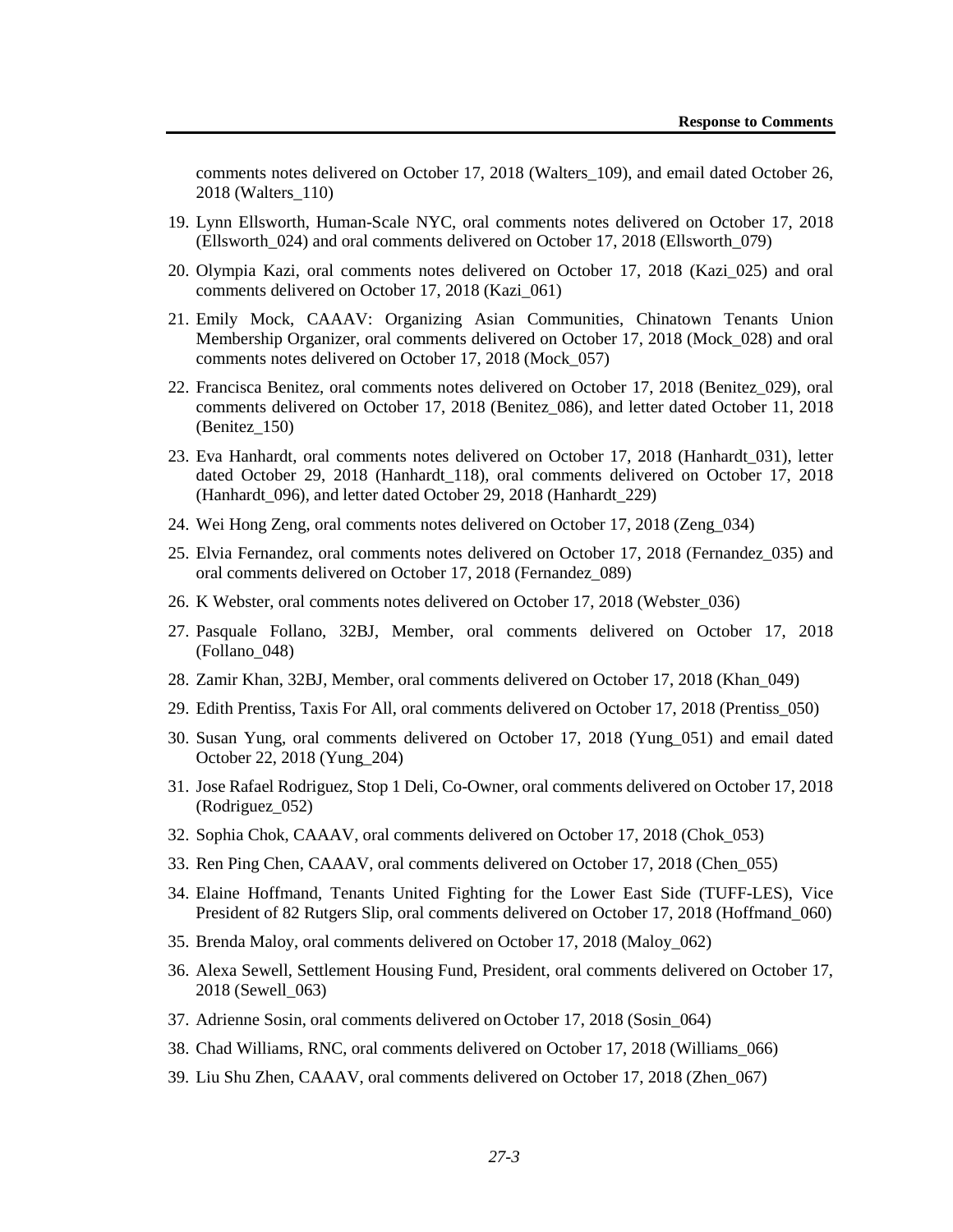comments notes delivered on October 17, 2018 (Walters\_109), and email dated October 26, 2018 (Walters\_110)

- 19. Lynn Ellsworth, Human-Scale NYC, oral comments notes delivered on October 17, 2018 (Ellsworth\_024) and oral comments delivered on October 17, 2018 (Ellsworth\_079)
- 20. Olympia Kazi, oral comments notes delivered on October 17, 2018 (Kazi\_025) and oral comments delivered on October 17, 2018 (Kazi\_061)
- 21. Emily Mock, CAAAV: Organizing Asian Communities, Chinatown Tenants Union Membership Organizer, oral comments delivered on October 17, 2018 (Mock\_028) and oral comments notes delivered on October 17, 2018 (Mock\_057)
- 22. Francisca Benitez, oral comments notes delivered on October 17, 2018 (Benitez\_029), oral comments delivered on October 17, 2018 (Benitez\_086), and letter dated October 11, 2018 (Benitez\_150)
- 23. Eva Hanhardt, oral comments notes delivered on October 17, 2018 (Hanhardt\_031), letter dated October 29, 2018 (Hanhardt\_118), oral comments delivered on October 17, 2018 (Hanhardt 096), and letter dated October 29, 2018 (Hanhardt 229)
- 24. Wei Hong Zeng, oral comments notes delivered on October 17, 2018 (Zeng\_034)
- 25. Elvia Fernandez, oral comments notes delivered on October 17, 2018 (Fernandez\_035) and oral comments delivered on October 17, 2018 (Fernandez\_089)
- 26. K Webster, oral comments notes delivered on October 17, 2018 (Webster\_036)
- 27. Pasquale Follano, 32BJ, Member, oral comments delivered on October 17, 2018 (Follano\_048)
- 28. Zamir Khan, 32BJ, Member, oral comments delivered on October 17, 2018 (Khan\_049)
- 29. Edith Prentiss, Taxis For All, oral comments delivered on October 17, 2018 (Prentiss\_050)
- 30. Susan Yung, oral comments delivered on October 17, 2018 (Yung\_051) and email dated October 22, 2018 (Yung\_204)
- 31. Jose Rafael Rodriguez, Stop 1 Deli, Co-Owner, oral comments delivered on October 17, 2018 (Rodriguez\_052)
- 32. Sophia Chok, CAAAV, oral comments delivered on October 17, 2018 (Chok\_053)
- 33. Ren Ping Chen, CAAAV, oral comments delivered on October 17, 2018 (Chen\_055)
- 34. Elaine Hoffmand, Tenants United Fighting for the Lower East Side (TUFF-LES), Vice President of 82 Rutgers Slip, oral comments delivered on October 17, 2018 (Hoffmand\_060)
- 35. Brenda Maloy, oral comments delivered on October 17, 2018 (Maloy\_062)
- 36. Alexa Sewell, Settlement Housing Fund, President, oral comments delivered on October 17, 2018 (Sewell\_063)
- 37. Adrienne Sosin, oral comments delivered on October 17, 2018 (Sosin\_064)
- 38. Chad Williams, RNC, oral comments delivered on October 17, 2018 (Williams\_066)
- 39. Liu Shu Zhen, CAAAV, oral comments delivered on October 17, 2018 (Zhen\_067)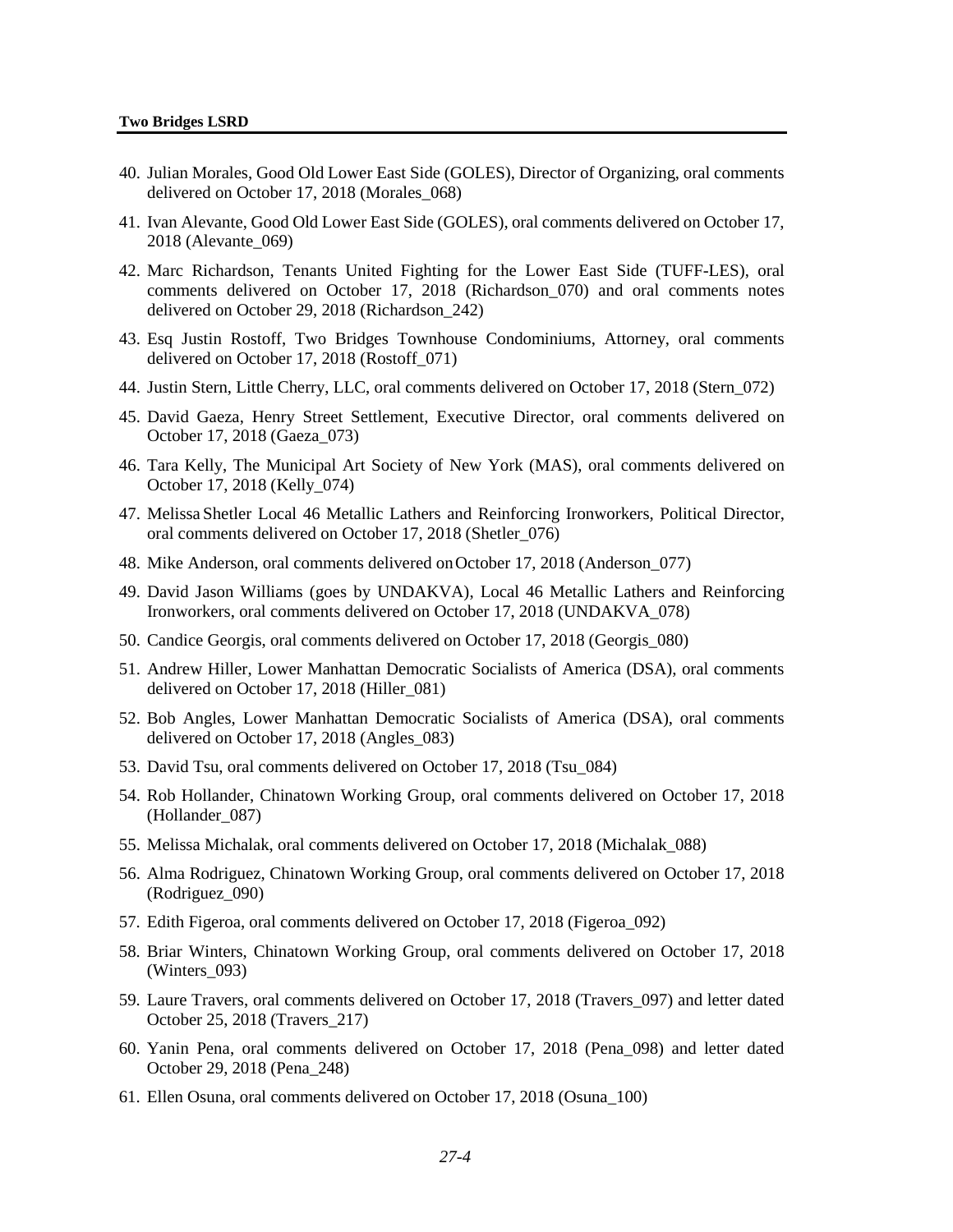- 40. Julian Morales, Good Old Lower East Side (GOLES), Director of Organizing, oral comments delivered on October 17, 2018 (Morales\_068)
- 41. Ivan Alevante, Good Old Lower East Side (GOLES), oral comments delivered on October 17, 2018 (Alevante\_069)
- 42. Marc Richardson, Tenants United Fighting for the Lower East Side (TUFF-LES), oral comments delivered on October 17, 2018 (Richardson\_070) and oral comments notes delivered on October 29, 2018 (Richardson\_242)
- 43. Esq Justin Rostoff, Two Bridges Townhouse Condominiums, Attorney, oral comments delivered on October 17, 2018 (Rostoff\_071)
- 44. Justin Stern, Little Cherry, LLC, oral comments delivered on October 17, 2018 (Stern\_072)
- 45. David Gaeza, Henry Street Settlement, Executive Director, oral comments delivered on October 17, 2018 (Gaeza\_073)
- 46. Tara Kelly, The Municipal Art Society of New York (MAS), oral comments delivered on October 17, 2018 (Kelly\_074)
- 47. Melissa Shetler Local 46 Metallic Lathers and Reinforcing Ironworkers, Political Director, oral comments delivered on October 17, 2018 (Shetler\_076)
- 48. Mike Anderson, oral comments delivered onOctober 17, 2018 (Anderson\_077)
- 49. David Jason Williams (goes by UNDAKVA), Local 46 Metallic Lathers and Reinforcing Ironworkers, oral comments delivered on October 17, 2018 (UNDAKVA\_078)
- 50. Candice Georgis, oral comments delivered on October 17, 2018 (Georgis\_080)
- 51. Andrew Hiller, Lower Manhattan Democratic Socialists of America (DSA), oral comments delivered on October 17, 2018 (Hiller\_081)
- 52. Bob Angles, Lower Manhattan Democratic Socialists of America (DSA), oral comments delivered on October 17, 2018 (Angles\_083)
- 53. David Tsu, oral comments delivered on October 17, 2018 (Tsu\_084)
- 54. Rob Hollander, Chinatown Working Group, oral comments delivered on October 17, 2018 (Hollander\_087)
- 55. Melissa Michalak, oral comments delivered on October 17, 2018 (Michalak\_088)
- 56. Alma Rodriguez, Chinatown Working Group, oral comments delivered on October 17, 2018 (Rodriguez\_090)
- 57. Edith Figeroa, oral comments delivered on October 17, 2018 (Figeroa\_092)
- 58. Briar Winters, Chinatown Working Group, oral comments delivered on October 17, 2018 (Winters 093)
- 59. Laure Travers, oral comments delivered on October 17, 2018 (Travers\_097) and letter dated October 25, 2018 (Travers\_217)
- 60. Yanin Pena, oral comments delivered on October 17, 2018 (Pena\_098) and letter dated October 29, 2018 (Pena\_248)
- 61. Ellen Osuna, oral comments delivered on October 17, 2018 (Osuna\_100)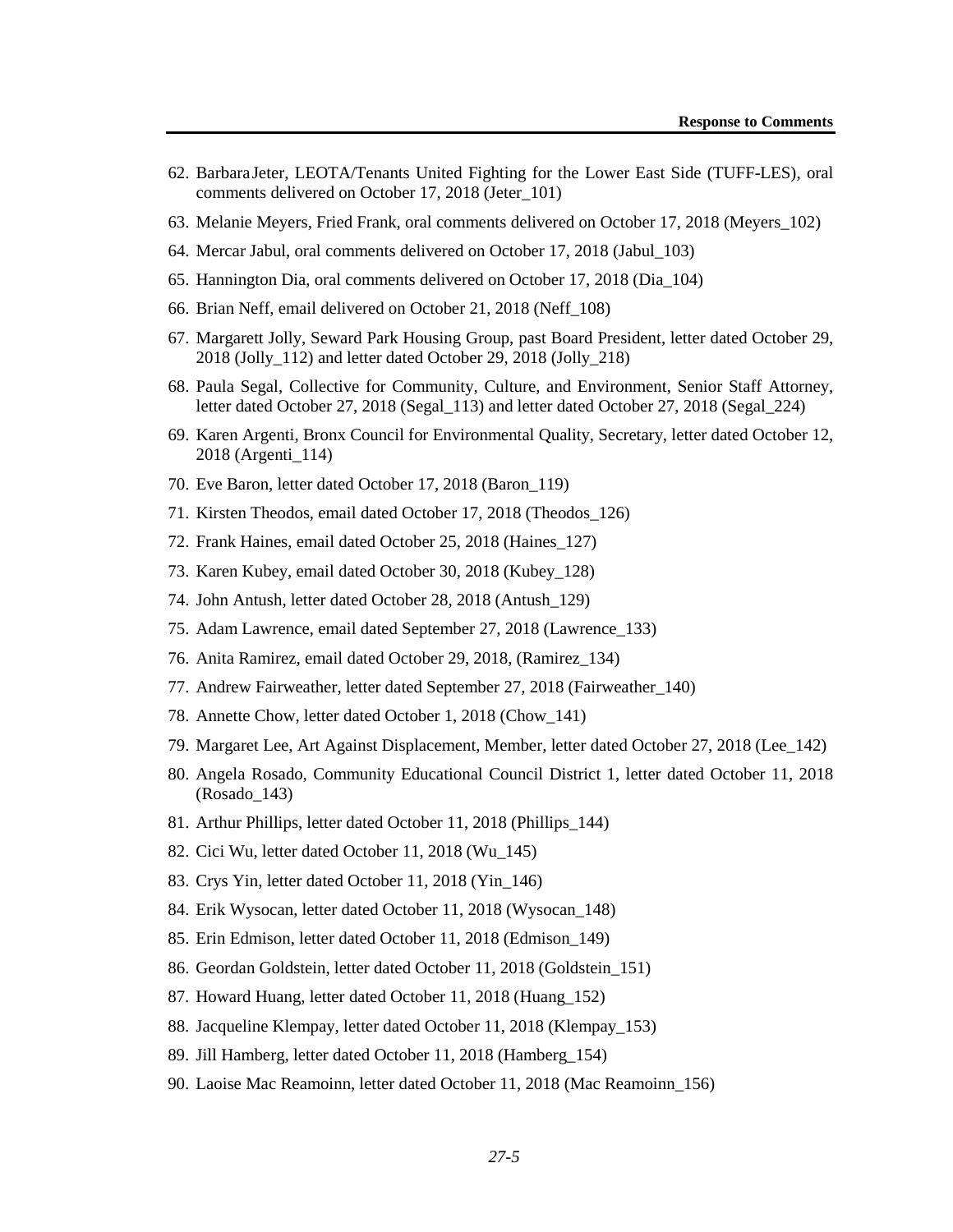- 62. BarbaraJeter, LEOTA/Tenants United Fighting for the Lower East Side (TUFF-LES), oral comments delivered on October 17, 2018 (Jeter\_101)
- 63. Melanie Meyers, Fried Frank, oral comments delivered on October 17, 2018 (Meyers\_102)
- 64. Mercar Jabul, oral comments delivered on October 17, 2018 (Jabul\_103)
- 65. Hannington Dia, oral comments delivered on October 17, 2018 (Dia\_104)
- 66. Brian Neff, email delivered on October 21, 2018 (Neff\_108)
- 67. Margarett Jolly, Seward Park Housing Group, past Board President, letter dated October 29, 2018 (Jolly\_112) and letter dated October 29, 2018 (Jolly\_218)
- 68. Paula Segal, Collective for Community, Culture, and Environment, Senior Staff Attorney, letter dated October 27, 2018 (Segal\_113) and letter dated October 27, 2018 (Segal\_224)
- 69. Karen Argenti, Bronx Council for Environmental Quality, Secretary, letter dated October 12, 2018 (Argenti\_114)
- 70. Eve Baron, letter dated October 17, 2018 (Baron\_119)
- 71. Kirsten Theodos, email dated October 17, 2018 (Theodos\_126)
- 72. Frank Haines, email dated October 25, 2018 (Haines\_127)
- 73. Karen Kubey, email dated October 30, 2018 (Kubey\_128)
- 74. John Antush, letter dated October 28, 2018 (Antush\_129)
- 75. Adam Lawrence, email dated September 27, 2018 (Lawrence\_133)
- 76. Anita Ramirez, email dated October 29, 2018, (Ramirez\_134)
- 77. Andrew Fairweather, letter dated September 27, 2018 (Fairweather\_140)
- 78. Annette Chow, letter dated October 1, 2018 (Chow\_141)
- 79. Margaret Lee, Art Against Displacement, Member, letter dated October 27, 2018 (Lee\_142)
- 80. Angela Rosado, Community Educational Council District 1, letter dated October 11, 2018 (Rosado\_143)
- 81. Arthur Phillips, letter dated October 11, 2018 (Phillips\_144)
- 82. Cici Wu, letter dated October 11, 2018 (Wu\_145)
- 83. Crys Yin, letter dated October 11, 2018 (Yin\_146)
- 84. Erik Wysocan, letter dated October 11, 2018 (Wysocan\_148)
- 85. Erin Edmison, letter dated October 11, 2018 (Edmison\_149)
- 86. Geordan Goldstein, letter dated October 11, 2018 (Goldstein\_151)
- 87. Howard Huang, letter dated October 11, 2018 (Huang\_152)
- 88. Jacqueline Klempay, letter dated October 11, 2018 (Klempay\_153)
- 89. Jill Hamberg, letter dated October 11, 2018 (Hamberg\_154)
- 90. Laoise Mac Reamoinn, letter dated October 11, 2018 (Mac Reamoinn\_156)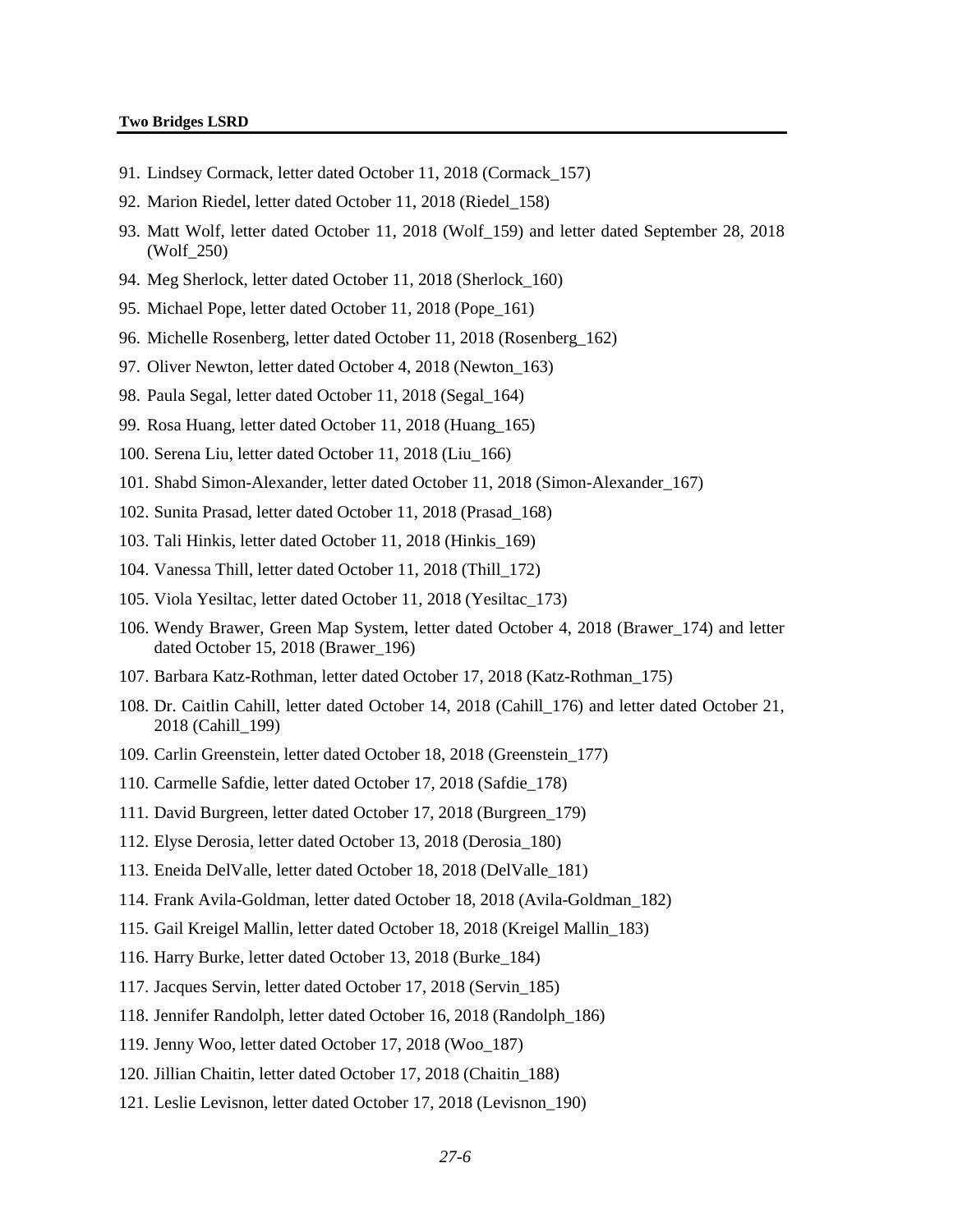#### **Two Bridges LSRD**

- 91. Lindsey Cormack, letter dated October 11, 2018 (Cormack\_157)
- 92. Marion Riedel, letter dated October 11, 2018 (Riedel\_158)
- 93. Matt Wolf, letter dated October 11, 2018 (Wolf\_159) and letter dated September 28, 2018 (Wolf\_250)
- 94. Meg Sherlock, letter dated October 11, 2018 (Sherlock\_160)
- 95. Michael Pope, letter dated October 11, 2018 (Pope\_161)
- 96. Michelle Rosenberg, letter dated October 11, 2018 (Rosenberg\_162)
- 97. Oliver Newton, letter dated October 4, 2018 (Newton\_163)
- 98. Paula Segal, letter dated October 11, 2018 (Segal\_164)
- 99. Rosa Huang, letter dated October 11, 2018 (Huang\_165)
- 100. Serena Liu, letter dated October 11, 2018 (Liu\_166)
- 101. Shabd Simon-Alexander, letter dated October 11, 2018 (Simon-Alexander\_167)
- 102. Sunita Prasad, letter dated October 11, 2018 (Prasad\_168)
- 103. Tali Hinkis, letter dated October 11, 2018 (Hinkis\_169)
- 104. Vanessa Thill, letter dated October 11, 2018 (Thill\_172)
- 105. Viola Yesiltac, letter dated October 11, 2018 (Yesiltac\_173)
- 106. Wendy Brawer, Green Map System, letter dated October 4, 2018 (Brawer\_174) and letter dated October 15, 2018 (Brawer\_196)
- 107. Barbara Katz-Rothman, letter dated October 17, 2018 (Katz-Rothman\_175)
- 108. Dr. Caitlin Cahill, letter dated October 14, 2018 (Cahill\_176) and letter dated October 21, 2018 (Cahill\_199)
- 109. Carlin Greenstein, letter dated October 18, 2018 (Greenstein\_177)
- 110. Carmelle Safdie, letter dated October 17, 2018 (Safdie\_178)
- 111. David Burgreen, letter dated October 17, 2018 (Burgreen\_179)
- 112. Elyse Derosia, letter dated October 13, 2018 (Derosia\_180)
- 113. Eneida DelValle, letter dated October 18, 2018 (DelValle\_181)
- 114. Frank Avila-Goldman, letter dated October 18, 2018 (Avila-Goldman\_182)
- 115. Gail Kreigel Mallin, letter dated October 18, 2018 (Kreigel Mallin\_183)
- 116. Harry Burke, letter dated October 13, 2018 (Burke\_184)
- 117. Jacques Servin, letter dated October 17, 2018 (Servin\_185)
- 118. Jennifer Randolph, letter dated October 16, 2018 (Randolph\_186)
- 119. Jenny Woo, letter dated October 17, 2018 (Woo\_187)
- 120. Jillian Chaitin, letter dated October 17, 2018 (Chaitin\_188)
- 121. Leslie Levisnon, letter dated October 17, 2018 (Levisnon\_190)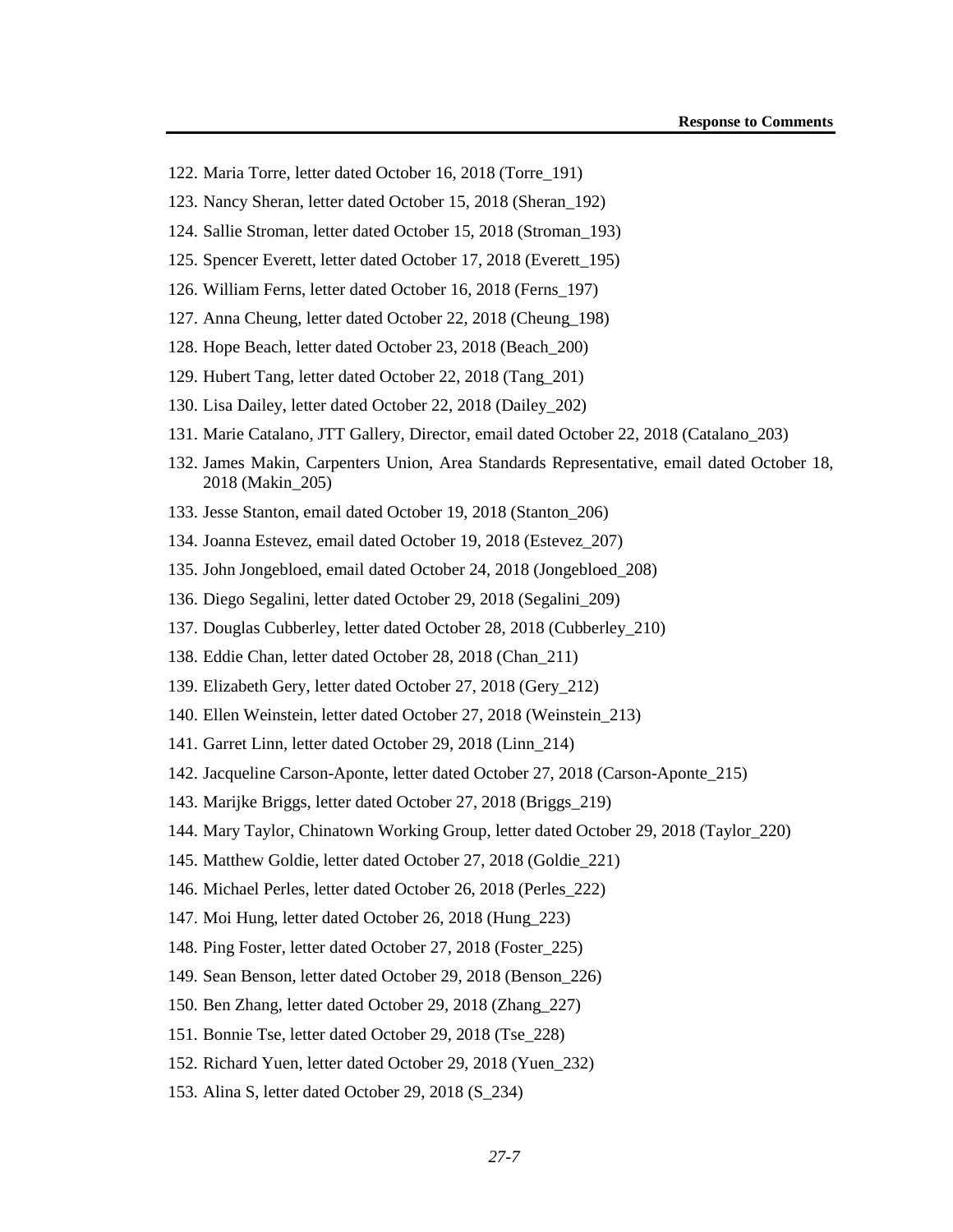- 122. Maria Torre, letter dated October 16, 2018 (Torre\_191)
- 123. Nancy Sheran, letter dated October 15, 2018 (Sheran\_192)
- 124. Sallie Stroman, letter dated October 15, 2018 (Stroman\_193)
- 125. Spencer Everett, letter dated October 17, 2018 (Everett\_195)
- 126. William Ferns, letter dated October 16, 2018 (Ferns\_197)
- 127. Anna Cheung, letter dated October 22, 2018 (Cheung\_198)
- 128. Hope Beach, letter dated October 23, 2018 (Beach\_200)
- 129. Hubert Tang, letter dated October 22, 2018 (Tang\_201)
- 130. Lisa Dailey, letter dated October 22, 2018 (Dailey\_202)
- 131. Marie Catalano, JTT Gallery, Director, email dated October 22, 2018 (Catalano\_203)
- 132. James Makin, Carpenters Union, Area Standards Representative, email dated October 18, 2018 (Makin\_205)
- 133. Jesse Stanton, email dated October 19, 2018 (Stanton\_206)
- 134. Joanna Estevez, email dated October 19, 2018 (Estevez\_207)
- 135. John Jongebloed, email dated October 24, 2018 (Jongebloed\_208)
- 136. Diego Segalini, letter dated October 29, 2018 (Segalini\_209)
- 137. Douglas Cubberley, letter dated October 28, 2018 (Cubberley\_210)
- 138. Eddie Chan, letter dated October 28, 2018 (Chan\_211)
- 139. Elizabeth Gery, letter dated October 27, 2018 (Gery\_212)
- 140. Ellen Weinstein, letter dated October 27, 2018 (Weinstein\_213)
- 141. Garret Linn, letter dated October 29, 2018 (Linn\_214)
- 142. Jacqueline Carson-Aponte, letter dated October 27, 2018 (Carson-Aponte\_215)
- 143. Marijke Briggs, letter dated October 27, 2018 (Briggs\_219)
- 144. Mary Taylor, Chinatown Working Group, letter dated October 29, 2018 (Taylor\_220)
- 145. Matthew Goldie, letter dated October 27, 2018 (Goldie\_221)
- 146. Michael Perles, letter dated October 26, 2018 (Perles\_222)
- 147. Moi Hung, letter dated October 26, 2018 (Hung\_223)
- 148. Ping Foster, letter dated October 27, 2018 (Foster\_225)
- 149. Sean Benson, letter dated October 29, 2018 (Benson\_226)
- 150. Ben Zhang, letter dated October 29, 2018 (Zhang\_227)
- 151. Bonnie Tse, letter dated October 29, 2018 (Tse\_228)
- 152. Richard Yuen, letter dated October 29, 2018 (Yuen\_232)
- 153. Alina S, letter dated October 29, 2018 (S\_234)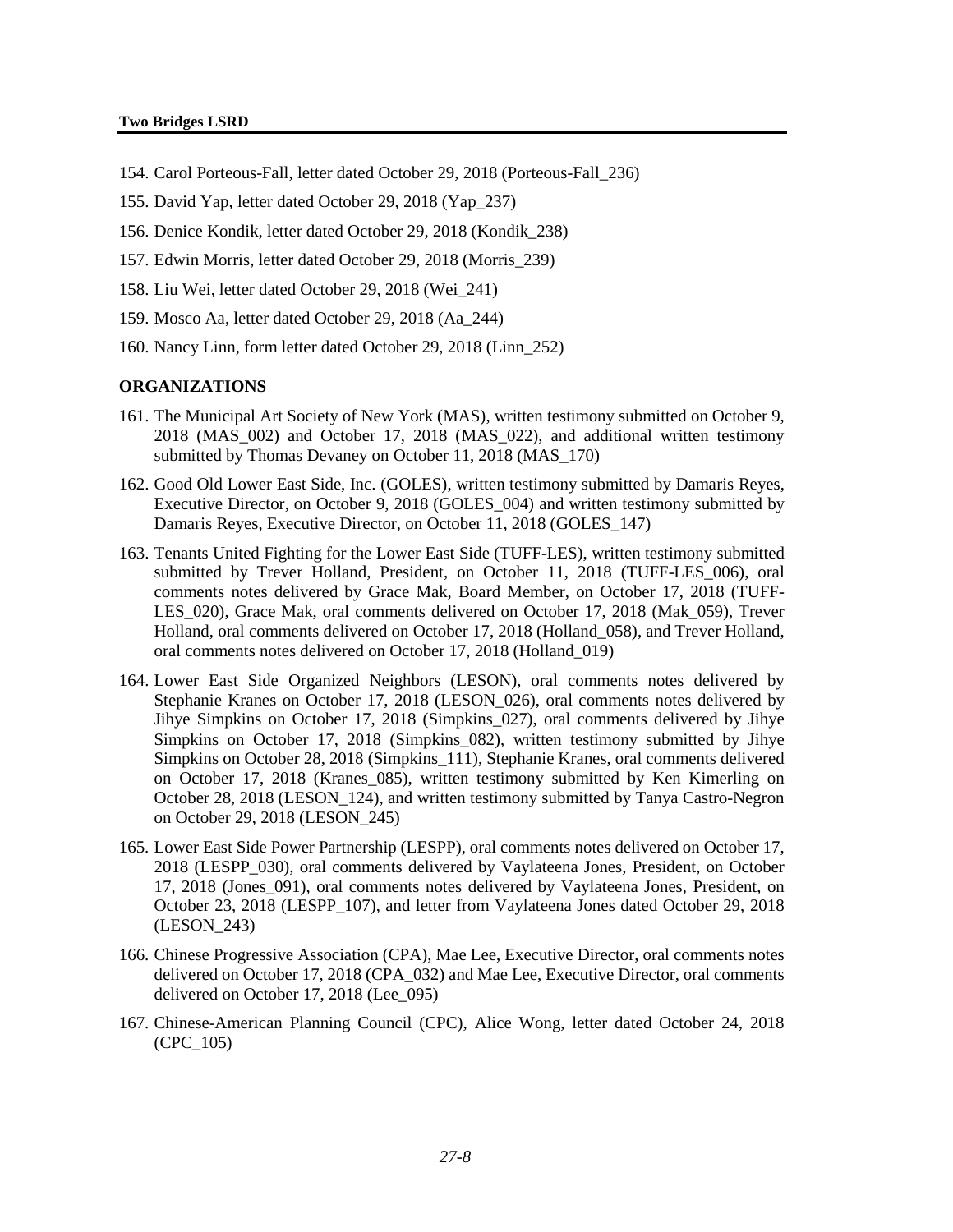#### **Two Bridges LSRD**

- 154. Carol Porteous-Fall, letter dated October 29, 2018 (Porteous-Fall\_236)
- 155. David Yap, letter dated October 29, 2018 (Yap\_237)
- 156. Denice Kondik, letter dated October 29, 2018 (Kondik\_238)
- 157. Edwin Morris, letter dated October 29, 2018 (Morris\_239)
- 158. Liu Wei, letter dated October 29, 2018 (Wei\_241)
- 159. Mosco Aa, letter dated October 29, 2018 (Aa\_244)
- 160. Nancy Linn, form letter dated October 29, 2018 (Linn\_252)

### **ORGANIZATIONS**

- 161. The Municipal Art Society of New York (MAS), written testimony submitted on October 9, 2018 (MAS\_002) and October 17, 2018 (MAS\_022), and additional written testimony submitted by Thomas Devaney on October 11, 2018 (MAS 170)
- 162. Good Old Lower East Side, Inc. (GOLES), written testimony submitted by Damaris Reyes, Executive Director, on October 9, 2018 (GOLES\_004) and written testimony submitted by Damaris Reyes, Executive Director, on October 11, 2018 (GOLES\_147)
- 163. Tenants United Fighting for the Lower East Side (TUFF-LES), written testimony submitted submitted by Trever Holland, President, on October 11, 2018 (TUFF-LES\_006), oral comments notes delivered by Grace Mak, Board Member, on October 17, 2018 (TUFF-LES 020), Grace Mak, oral comments delivered on October 17, 2018 (Mak 059), Trever Holland, oral comments delivered on October 17, 2018 (Holland\_058), and Trever Holland, oral comments notes delivered on October 17, 2018 (Holland\_019)
- 164. Lower East Side Organized Neighbors (LESON), oral comments notes delivered by Stephanie Kranes on October 17, 2018 (LESON\_026), oral comments notes delivered by Jihye Simpkins on October 17, 2018 (Simpkins\_027), oral comments delivered by Jihye Simpkins on October 17, 2018 (Simpkins\_082), written testimony submitted by Jihye Simpkins on October 28, 2018 (Simpkins\_111), Stephanie Kranes, oral comments delivered on October 17, 2018 (Kranes\_085), written testimony submitted by Ken Kimerling on October 28, 2018 (LESON\_124), and written testimony submitted by Tanya Castro-Negron on October 29, 2018 (LESON\_245)
- 165. Lower East Side Power Partnership (LESPP), oral comments notes delivered on October 17, 2018 (LESPP\_030), oral comments delivered by Vaylateena Jones, President, on October 17, 2018 (Jones\_091), oral comments notes delivered by Vaylateena Jones, President, on October 23, 2018 (LESPP\_107), and letter from Vaylateena Jones dated October 29, 2018 (LESON\_243)
- 166. Chinese Progressive Association (CPA), Mae Lee, Executive Director, oral comments notes delivered on October 17, 2018 (CPA\_032) and Mae Lee, Executive Director, oral comments delivered on October 17, 2018 (Lee\_095)
- 167. Chinese-American Planning Council (CPC), Alice Wong, letter dated October 24, 2018 (CPC\_105)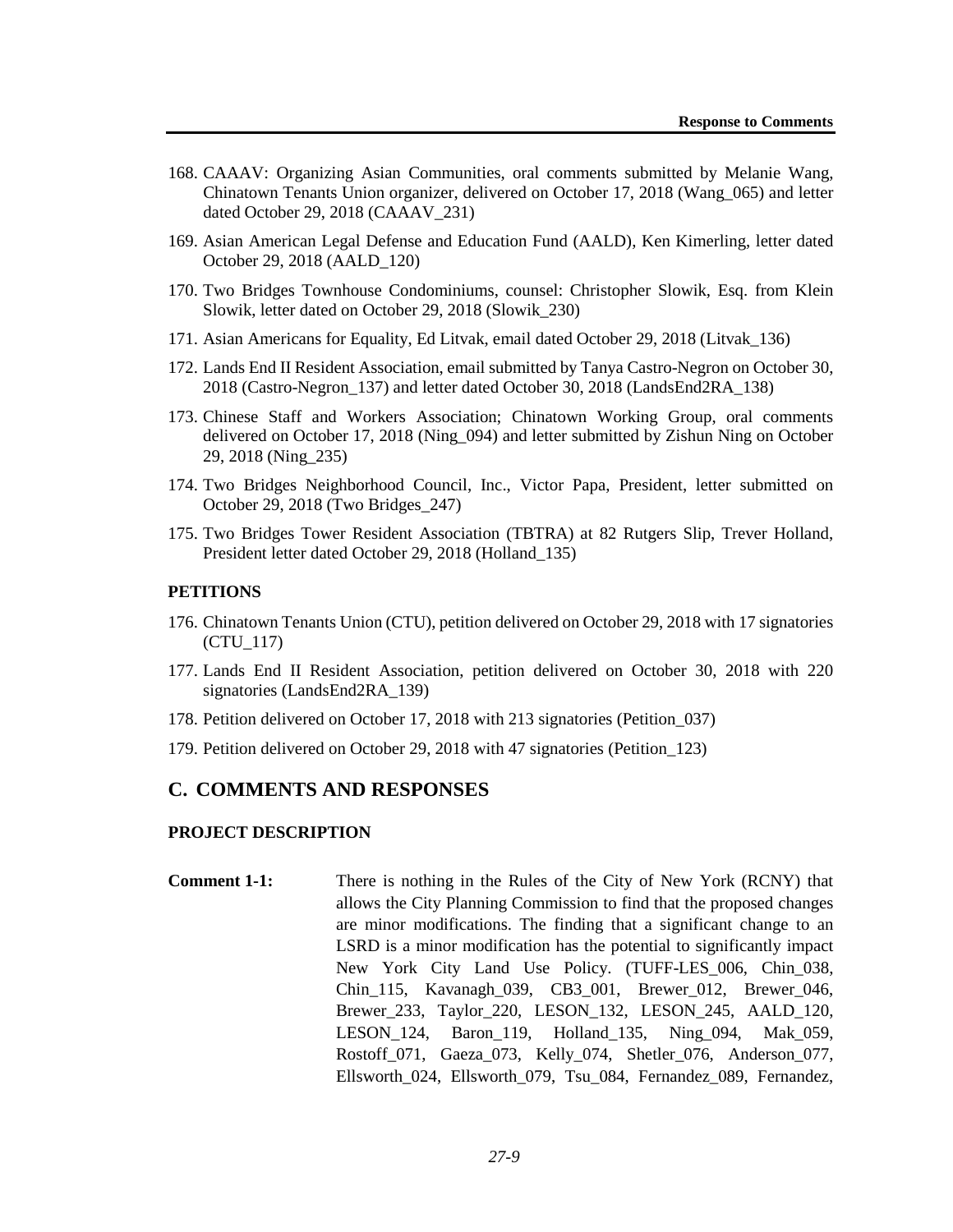- 168. CAAAV: Organizing Asian Communities, oral comments submitted by Melanie Wang, Chinatown Tenants Union organizer, delivered on October 17, 2018 (Wang\_065) and letter dated October 29, 2018 (CAAAV\_231)
- 169. Asian American Legal Defense and Education Fund (AALD), Ken Kimerling, letter dated October 29, 2018 (AALD\_120)
- 170. Two Bridges Townhouse Condominiums, counsel: Christopher Slowik, Esq. from Klein Slowik, letter dated on October 29, 2018 (Slowik\_230)
- 171. Asian Americans for Equality, Ed Litvak, email dated October 29, 2018 (Litvak\_136)
- 172. Lands End II Resident Association, email submitted by Tanya Castro-Negron on October 30, 2018 (Castro-Negron\_137) and letter dated October 30, 2018 (LandsEnd2RA\_138)
- 173. Chinese Staff and Workers Association; Chinatown Working Group, oral comments delivered on October 17, 2018 (Ning\_094) and letter submitted by Zishun Ning on October 29, 2018 (Ning\_235)
- 174. Two Bridges Neighborhood Council, Inc., Victor Papa, President, letter submitted on October 29, 2018 (Two Bridges\_247)
- 175. Two Bridges Tower Resident Association (TBTRA) at 82 Rutgers Slip, Trever Holland, President letter dated October 29, 2018 (Holland\_135)

#### **PETITIONS**

- 176. Chinatown Tenants Union (CTU), petition delivered on October 29, 2018 with 17 signatories (CTU\_117)
- 177. Lands End II Resident Association, petition delivered on October 30, 2018 with 220 signatories (LandsEnd2RA\_139)
- 178. Petition delivered on October 17, 2018 with 213 signatories (Petition\_037)
- 179. Petition delivered on October 29, 2018 with 47 signatories (Petition\_123)

## **C. COMMENTS AND RESPONSES**

## **PROJECT DESCRIPTION**

**Comment 1-1:** There is nothing in the Rules of the City of New York (RCNY) that allows the City Planning Commission to find that the proposed changes are minor modifications. The finding that a significant change to an LSRD is a minor modification has the potential to significantly impact New York City Land Use Policy. (TUFF-LES\_006, Chin\_038, Chin\_115, Kavanagh\_039, CB3\_001, Brewer\_012, Brewer\_046, Brewer\_233, Taylor\_220, LESON\_132, LESON\_245, AALD\_120, LESON\_124, Baron\_119, Holland\_135, Ning\_094, Mak\_059, Rostoff\_071, Gaeza\_073, Kelly\_074, Shetler\_076, Anderson\_077, Ellsworth\_024, Ellsworth\_079, Tsu\_084, Fernandez\_089, Fernandez,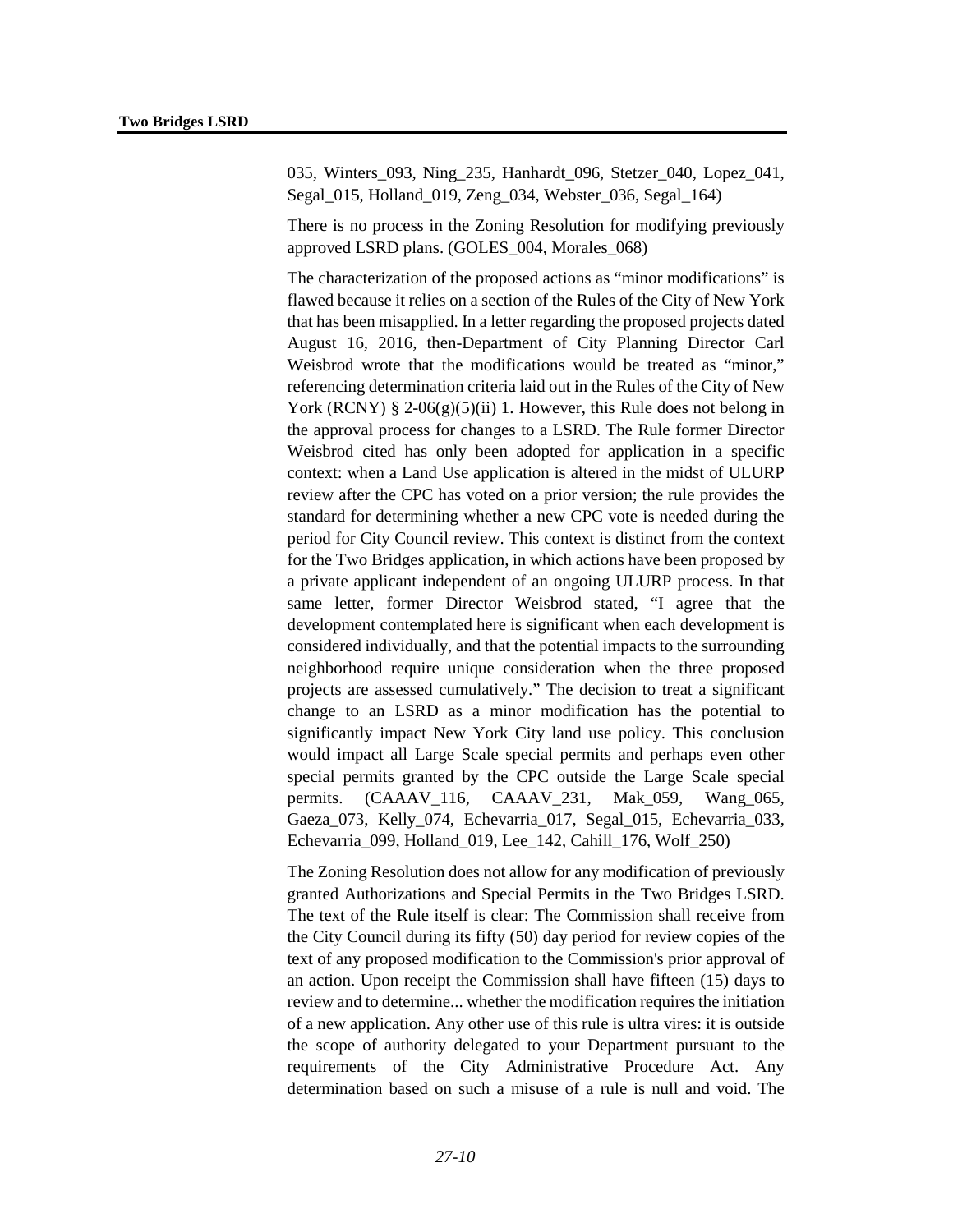035, Winters 093, Ning 235, Hanhardt 096, Stetzer 040, Lopez 041, Segal\_015, Holland\_019, Zeng\_034, Webster\_036, Segal\_164)

There is no process in the Zoning Resolution for modifying previously approved LSRD plans. (GOLES\_004, Morales\_068)

The characterization of the proposed actions as "minor modifications" is flawed because it relies on a section of the Rules of the City of New York that has been misapplied. In a letter regarding the proposed projects dated August 16, 2016, then-Department of City Planning Director Carl Weisbrod wrote that the modifications would be treated as "minor," referencing determination criteria laid out in the Rules of the City of New York (RCNY) § 2-06(g)(5)(ii) 1. However, this Rule does not belong in the approval process for changes to a LSRD. The Rule former Director Weisbrod cited has only been adopted for application in a specific context: when a Land Use application is altered in the midst of ULURP review after the CPC has voted on a prior version; the rule provides the standard for determining whether a new CPC vote is needed during the period for City Council review. This context is distinct from the context for the Two Bridges application, in which actions have been proposed by a private applicant independent of an ongoing ULURP process. In that same letter, former Director Weisbrod stated, "I agree that the development contemplated here is significant when each development is considered individually, and that the potential impacts to the surrounding neighborhood require unique consideration when the three proposed projects are assessed cumulatively." The decision to treat a significant change to an LSRD as a minor modification has the potential to significantly impact New York City land use policy. This conclusion would impact all Large Scale special permits and perhaps even other special permits granted by the CPC outside the Large Scale special permits. (CAAAV\_116, CAAAV\_231, Mak\_059, Wang\_065, Gaeza\_073, Kelly\_074, Echevarria\_017, Segal\_015, Echevarria\_033, Echevarria\_099, Holland\_019, Lee\_142, Cahill\_176, Wolf\_250)

The Zoning Resolution does not allow for any modification of previously granted Authorizations and Special Permits in the Two Bridges LSRD. The text of the Rule itself is clear: The Commission shall receive from the City Council during its fifty (50) day period for review copies of the text of any proposed modification to the Commission's prior approval of an action. Upon receipt the Commission shall have fifteen (15) days to review and to determine... whether the modification requires the initiation of a new application. Any other use of this rule is ultra vires: it is outside the scope of authority delegated to your Department pursuant to the requirements of the City Administrative Procedure Act. Any determination based on such a misuse of a rule is null and void. The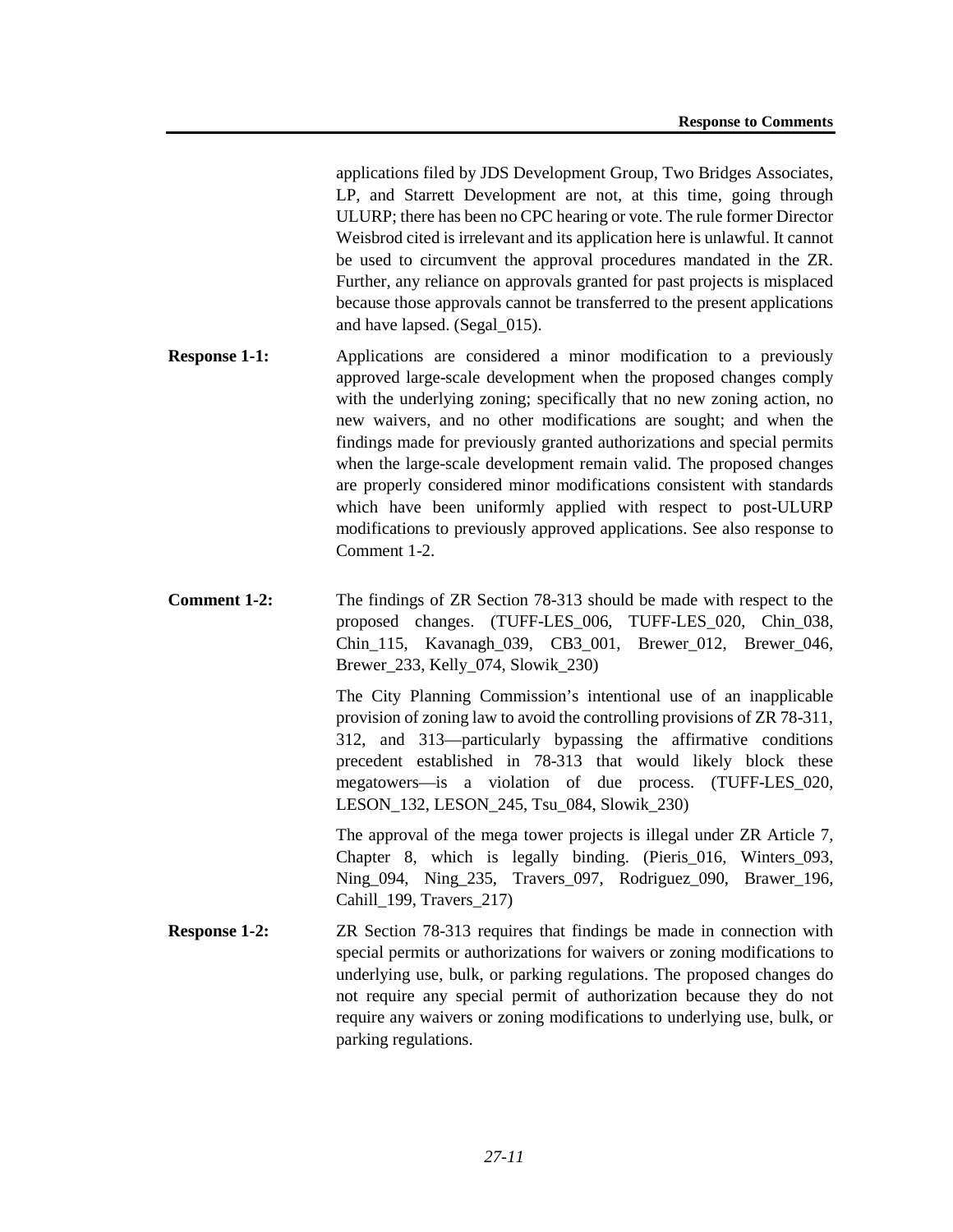applications filed by JDS Development Group, Two Bridges Associates, LP, and Starrett Development are not, at this time, going through ULURP; there has been no CPC hearing or vote. The rule former Director Weisbrod cited is irrelevant and its application here is unlawful. It cannot be used to circumvent the approval procedures mandated in the ZR. Further, any reliance on approvals granted for past projects is misplaced because those approvals cannot be transferred to the present applications and have lapsed. (Segal\_015).

- **Response 1-1:** Applications are considered a minor modification to a previously approved large-scale development when the proposed changes comply with the underlying zoning; specifically that no new zoning action, no new waivers, and no other modifications are sought; and when the findings made for previously granted authorizations and special permits when the large-scale development remain valid. The proposed changes are properly considered minor modifications consistent with standards which have been uniformly applied with respect to post-ULURP modifications to previously approved applications. See also response to Comment 1-2.
- **Comment 1-2:** The findings of ZR Section 78-313 should be made with respect to the proposed changes. (TUFF-LES\_006, TUFF-LES\_020, Chin\_038, Chin 115, Kavanagh 039, CB3 001, Brewer 012, Brewer 046, Brewer\_233, Kelly\_074, Slowik\_230)

The City Planning Commission's intentional use of an inapplicable provision of zoning law to avoid the controlling provisions of ZR 78-311, 312, and 313—particularly bypassing the affirmative conditions precedent established in 78-313 that would likely block these megatowers—is a violation of due process. (TUFF-LES\_020, LESON\_132, LESON\_245, Tsu\_084, Slowik\_230)

The approval of the mega tower projects is illegal under ZR Article 7, Chapter 8, which is legally binding. (Pieris\_016, Winters\_093, Ning\_094, Ning\_235, Travers\_097, Rodriguez\_090, Brawer\_196, Cahill 199, Travers 217)

**Response 1-2:** ZR Section 78-313 requires that findings be made in connection with special permits or authorizations for waivers or zoning modifications to underlying use, bulk, or parking regulations. The proposed changes do not require any special permit of authorization because they do not require any waivers or zoning modifications to underlying use, bulk, or parking regulations.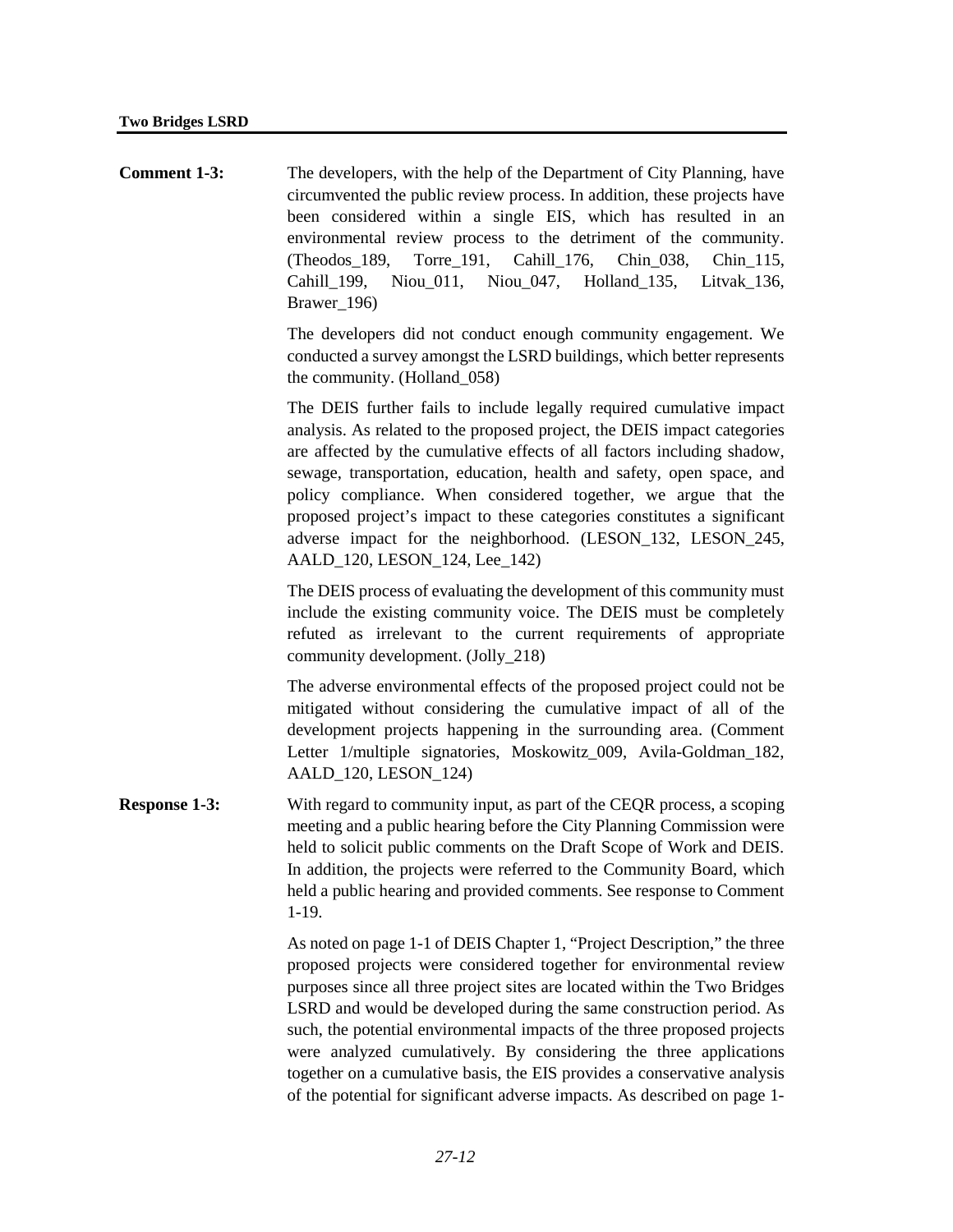**Comment 1-3:** The developers, with the help of the Department of City Planning, have circumvented the public review process. In addition, these projects have been considered within a single EIS, which has resulted in an environmental review process to the detriment of the community. (Theodos\_189, Torre\_191, Cahill\_176, Chin\_038, Chin\_115, Cahill\_199, Niou\_011, Niou\_047, Holland\_135, Litvak\_136, Brawer 196)

> The developers did not conduct enough community engagement. We conducted a survey amongst the LSRD buildings, which better represents the community. (Holland\_058)

> The DEIS further fails to include legally required cumulative impact analysis. As related to the proposed project, the DEIS impact categories are affected by the cumulative effects of all factors including shadow, sewage, transportation, education, health and safety, open space, and policy compliance. When considered together, we argue that the proposed project's impact to these categories constitutes a significant adverse impact for the neighborhood. (LESON\_132, LESON\_245, AALD\_120, LESON\_124, Lee\_142)

> The DEIS process of evaluating the development of this community must include the existing community voice. The DEIS must be completely refuted as irrelevant to the current requirements of appropriate community development. (Jolly\_218)

> The adverse environmental effects of the proposed project could not be mitigated without considering the cumulative impact of all of the development projects happening in the surrounding area. (Comment Letter 1/multiple signatories, Moskowitz\_009, Avila-Goldman\_182, AALD\_120, LESON\_124)

**Response 1-3:** With regard to community input, as part of the CEQR process, a scoping meeting and a public hearing before the City Planning Commission were held to solicit public comments on the Draft Scope of Work and DEIS. In addition, the projects were referred to the Community Board, which held a public hearing and provided comments. See response to Comment 1-19.

> As noted on page 1-1 of DEIS Chapter 1, "Project Description," the three proposed projects were considered together for environmental review purposes since all three project sites are located within the Two Bridges LSRD and would be developed during the same construction period. As such, the potential environmental impacts of the three proposed projects were analyzed cumulatively. By considering the three applications together on a cumulative basis, the EIS provides a conservative analysis of the potential for significant adverse impacts. As described on page 1-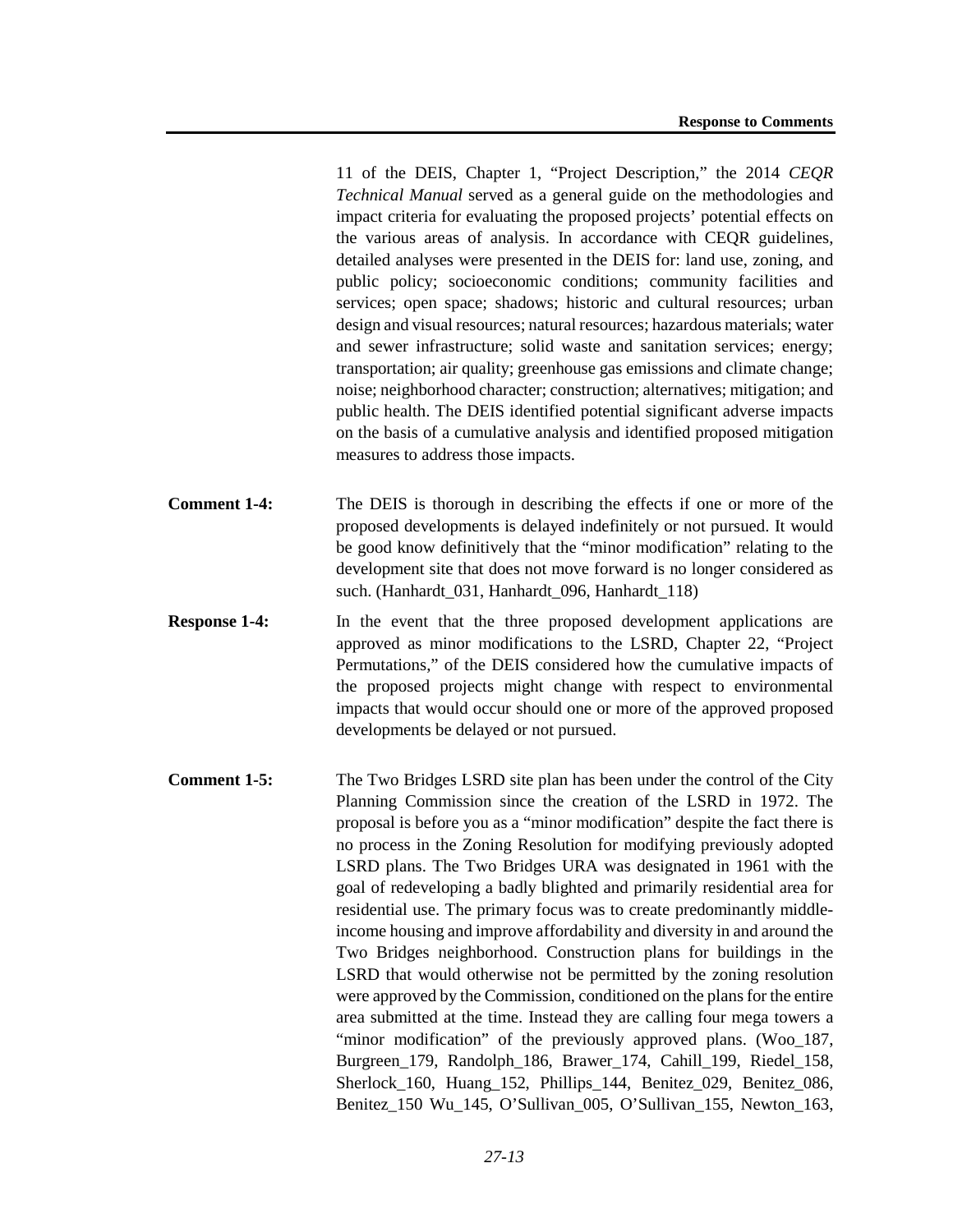11 of the DEIS, Chapter 1, "Project Description," the 2014 *CEQR Technical Manual* served as a general guide on the methodologies and impact criteria for evaluating the proposed projects' potential effects on the various areas of analysis. In accordance with CEQR guidelines, detailed analyses were presented in the DEIS for: land use, zoning, and public policy; socioeconomic conditions; community facilities and services; open space; shadows; historic and cultural resources; urban design and visual resources; natural resources; hazardous materials; water and sewer infrastructure; solid waste and sanitation services; energy; transportation; air quality; greenhouse gas emissions and climate change; noise; neighborhood character; construction; alternatives; mitigation; and public health. The DEIS identified potential significant adverse impacts on the basis of a cumulative analysis and identified proposed mitigation measures to address those impacts.

- **Comment 1-4:** The DEIS is thorough in describing the effects if one or more of the proposed developments is delayed indefinitely or not pursued. It would be good know definitively that the "minor modification" relating to the development site that does not move forward is no longer considered as such. (Hanhardt\_031, Hanhardt\_096, Hanhardt\_118)
- **Response 1-4:** In the event that the three proposed development applications are approved as minor modifications to the LSRD, Chapter 22, "Project Permutations," of the DEIS considered how the cumulative impacts of the proposed projects might change with respect to environmental impacts that would occur should one or more of the approved proposed developments be delayed or not pursued.
- **Comment 1-5:** The Two Bridges LSRD site plan has been under the control of the City Planning Commission since the creation of the LSRD in 1972. The proposal is before you as a "minor modification" despite the fact there is no process in the Zoning Resolution for modifying previously adopted LSRD plans. The Two Bridges URA was designated in 1961 with the goal of redeveloping a badly blighted and primarily residential area for residential use. The primary focus was to create predominantly middleincome housing and improve affordability and diversity in and around the Two Bridges neighborhood. Construction plans for buildings in the LSRD that would otherwise not be permitted by the zoning resolution were approved by the Commission, conditioned on the plans for the entire area submitted at the time. Instead they are calling four mega towers a "minor modification" of the previously approved plans. (Woo\_187, Burgreen\_179, Randolph\_186, Brawer\_174, Cahill\_199, Riedel\_158, Sherlock 160, Huang 152, Phillips 144, Benitez 029, Benitez 086, Benitez\_150 Wu\_145, O'Sullivan\_005, O'Sullivan\_155, Newton\_163,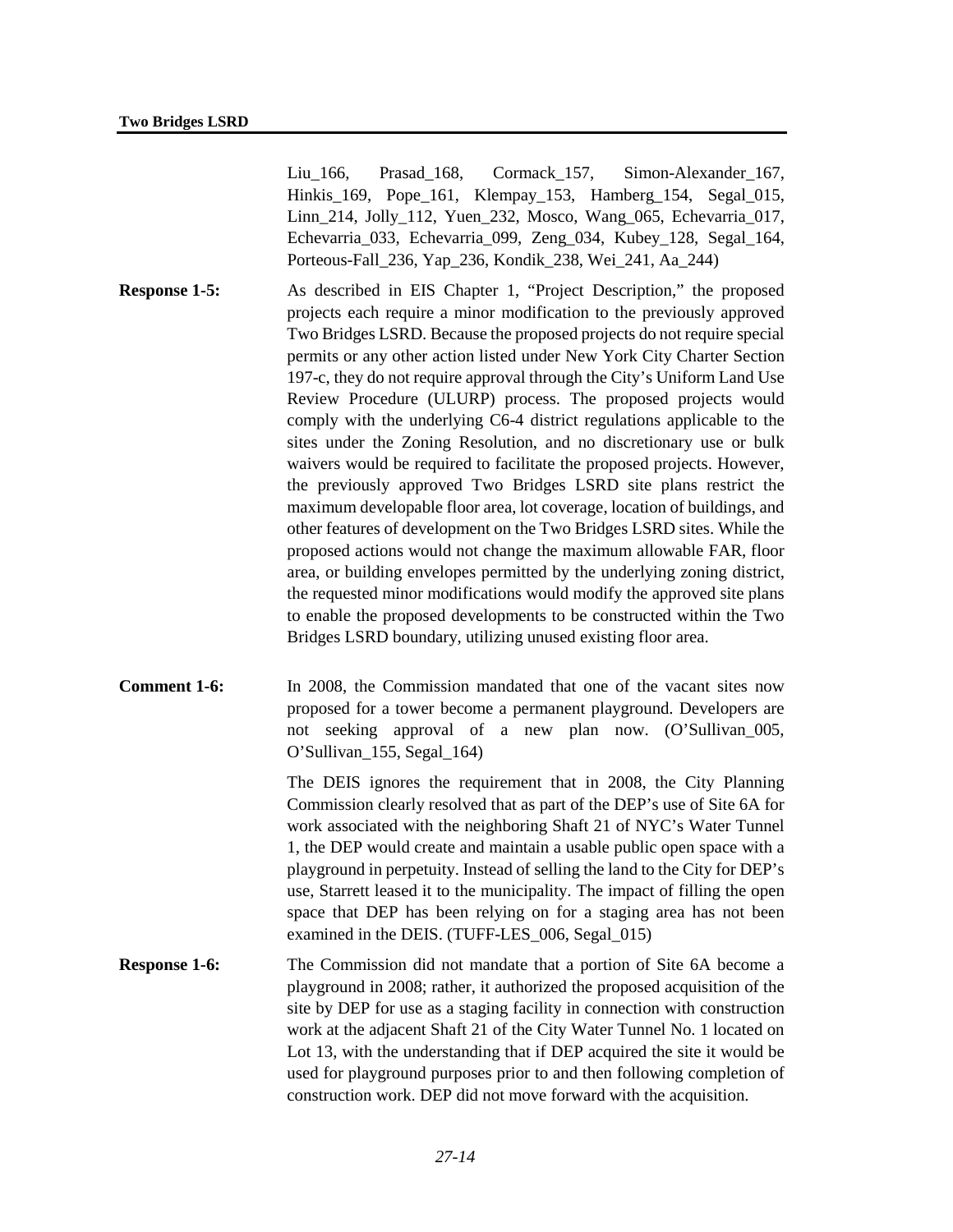Liu 166, Prasad 168, Cormack 157, Simon-Alexander 167, Hinkis\_169, Pope\_161, Klempay\_153, Hamberg\_154, Segal\_015, Linn\_214, Jolly\_112, Yuen\_232, Mosco, Wang\_065, Echevarria\_017, Echevarria\_033, Echevarria\_099, Zeng\_034, Kubey\_128, Segal\_164, Porteous-Fall\_236, Yap\_236, Kondik\_238, Wei\_241, Aa\_244)

- **Response 1-5:** As described in EIS Chapter 1, "Project Description," the proposed projects each require a minor modification to the previously approved Two Bridges LSRD. Because the proposed projects do not require special permits or any other action listed under New York City Charter Section 197-c, they do not require approval through the City's Uniform Land Use Review Procedure (ULURP) process. The proposed projects would comply with the underlying C6-4 district regulations applicable to the sites under the Zoning Resolution, and no discretionary use or bulk waivers would be required to facilitate the proposed projects. However, the previously approved Two Bridges LSRD site plans restrict the maximum developable floor area, lot coverage, location of buildings, and other features of development on the Two Bridges LSRD sites. While the proposed actions would not change the maximum allowable FAR, floor area, or building envelopes permitted by the underlying zoning district, the requested minor modifications would modify the approved site plans to enable the proposed developments to be constructed within the Two Bridges LSRD boundary, utilizing unused existing floor area.
- **Comment 1-6:** In 2008, the Commission mandated that one of the vacant sites now proposed for a tower become a permanent playground. Developers are not seeking approval of a new plan now. (O'Sullivan\_005, O'Sullivan\_155, Segal\_164)

The DEIS ignores the requirement that in 2008, the City Planning Commission clearly resolved that as part of the DEP's use of Site 6A for work associated with the neighboring Shaft 21 of NYC's Water Tunnel 1, the DEP would create and maintain a usable public open space with a playground in perpetuity. Instead of selling the land to the City for DEP's use, Starrett leased it to the municipality. The impact of filling the open space that DEP has been relying on for a staging area has not been examined in the DEIS. (TUFF-LES 006, Segal 015)

**Response 1-6:** The Commission did not mandate that a portion of Site 6A become a playground in 2008; rather, it authorized the proposed acquisition of the site by DEP for use as a staging facility in connection with construction work at the adjacent Shaft 21 of the City Water Tunnel No. 1 located on Lot 13, with the understanding that if DEP acquired the site it would be used for playground purposes prior to and then following completion of construction work. DEP did not move forward with the acquisition.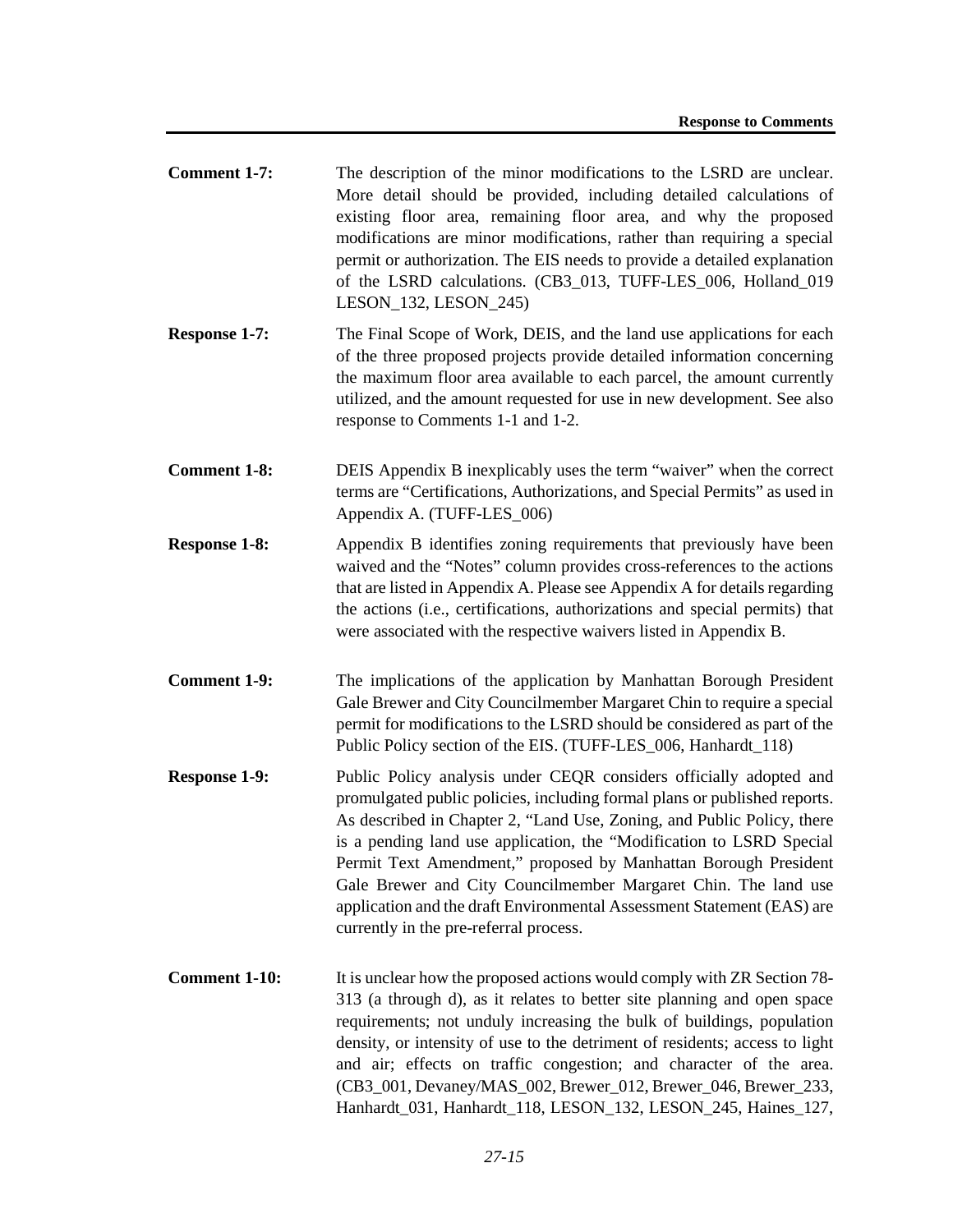- **Comment 1-7:** The description of the minor modifications to the LSRD are unclear. More detail should be provided, including detailed calculations of existing floor area, remaining floor area, and why the proposed modifications are minor modifications, rather than requiring a special permit or authorization. The EIS needs to provide a detailed explanation of the LSRD calculations. (CB3\_013, TUFF-LES\_006, Holland\_019 LESON\_132, LESON\_245)
- **Response 1-7:** The Final Scope of Work, DEIS, and the land use applications for each of the three proposed projects provide detailed information concerning the maximum floor area available to each parcel, the amount currently utilized, and the amount requested for use in new development. See also response to Comments 1-1 and 1-2.
- **Comment 1-8:** DEIS Appendix B inexplicably uses the term "waiver" when the correct terms are "Certifications, Authorizations, and Special Permits" as used in Appendix A. (TUFF-LES\_006)
- **Response 1-8:** Appendix B identifies zoning requirements that previously have been waived and the "Notes" column provides cross-references to the actions that are listed in Appendix A. Please see Appendix A for details regarding the actions (i.e., certifications, authorizations and special permits) that were associated with the respective waivers listed in Appendix B.
- **Comment 1-9:** The implications of the application by Manhattan Borough President Gale Brewer and City Councilmember Margaret Chin to require a special permit for modifications to the LSRD should be considered as part of the Public Policy section of the EIS. (TUFF-LES 006, Hanhardt 118)
- **Response 1-9:** Public Policy analysis under CEQR considers officially adopted and promulgated public policies, including formal plans or published reports. As described in Chapter 2, "Land Use, Zoning, and Public Policy, there is a pending land use application, the "Modification to LSRD Special Permit Text Amendment," proposed by Manhattan Borough President Gale Brewer and City Councilmember Margaret Chin. The land use application and the draft Environmental Assessment Statement (EAS) are currently in the pre-referral process.
- **Comment 1-10:** It is unclear how the proposed actions would comply with ZR Section 78-313 (a through d), as it relates to better site planning and open space requirements; not unduly increasing the bulk of buildings, population density, or intensity of use to the detriment of residents; access to light and air; effects on traffic congestion; and character of the area. (CB3\_001, Devaney/MAS\_002, Brewer\_012, Brewer\_046, Brewer\_233, Hanhardt\_031, Hanhardt\_118, LESON\_132, LESON\_245, Haines\_127,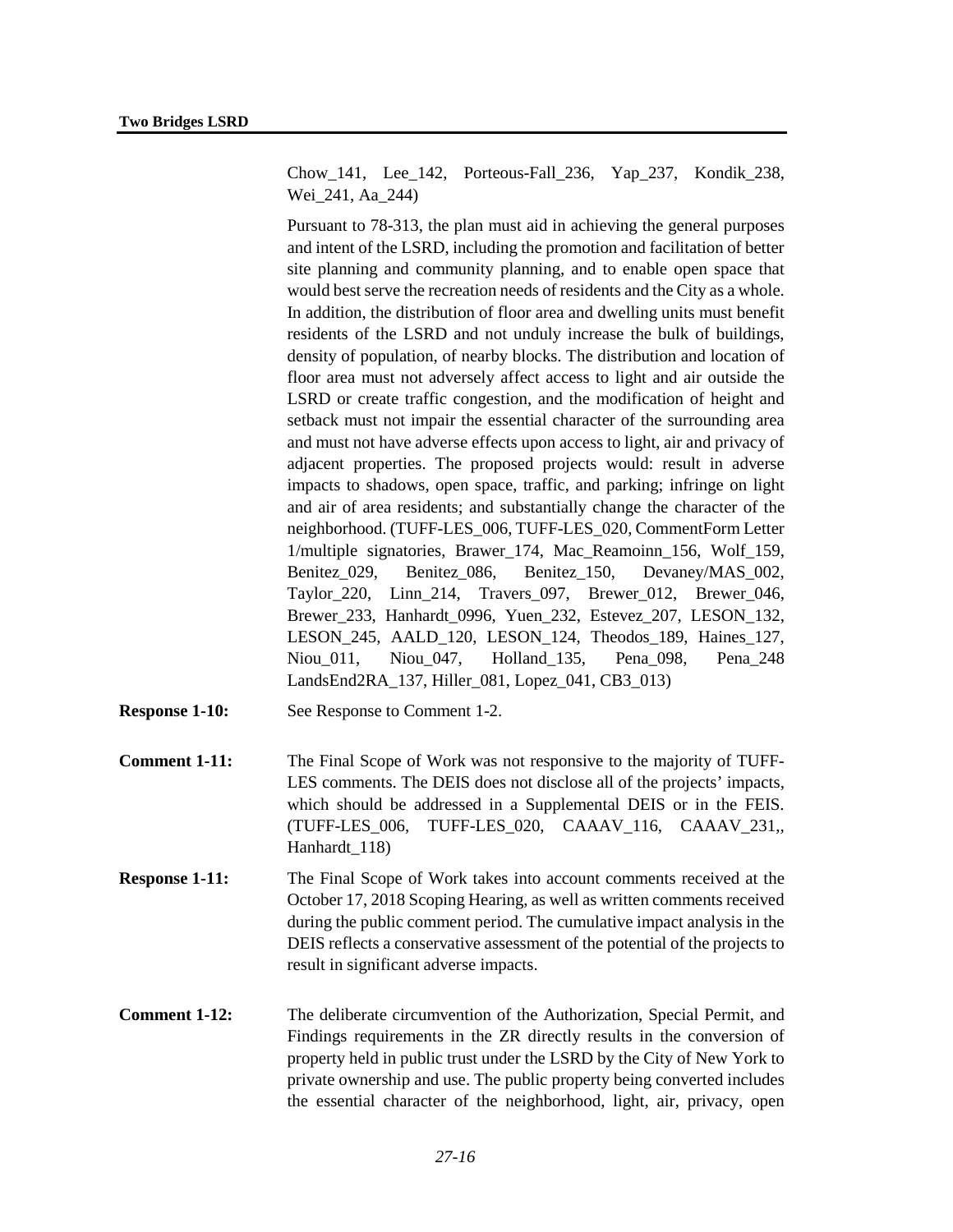Chow\_141, Lee\_142, Porteous-Fall\_236, Yap\_237, Kondik\_238, Wei\_241, Aa\_244)

Pursuant to 78-313, the plan must aid in achieving the general purposes and intent of the LSRD, including the promotion and facilitation of better site planning and community planning, and to enable open space that would best serve the recreation needs of residents and the City as a whole. In addition, the distribution of floor area and dwelling units must benefit residents of the LSRD and not unduly increase the bulk of buildings, density of population, of nearby blocks. The distribution and location of floor area must not adversely affect access to light and air outside the LSRD or create traffic congestion, and the modification of height and setback must not impair the essential character of the surrounding area and must not have adverse effects upon access to light, air and privacy of adjacent properties. The proposed projects would: result in adverse impacts to shadows, open space, traffic, and parking; infringe on light and air of area residents; and substantially change the character of the neighborhood. (TUFF-LES\_006, TUFF-LES\_020, CommentForm Letter 1/multiple signatories, Brawer\_174, Mac\_Reamoinn\_156, Wolf\_159, Benitez\_029, Benitez\_086, Benitez\_150, Devaney/MAS\_002, Taylor 220, Linn 214, Travers 097, Brewer 012, Brewer 046, Brewer\_233, Hanhardt\_0996, Yuen\_232, Estevez\_207, LESON\_132, LESON\_245, AALD\_120, LESON\_124, Theodos\_189, Haines\_127, Niou\_011, Niou\_047, Holland\_135, Pena\_098, Pena\_248 LandsEnd2RA\_137, Hiller\_081, Lopez\_041, CB3\_013)

- **Response 1-10:** See Response to Comment 1-2.
- **Comment 1-11:** The Final Scope of Work was not responsive to the majority of TUFF-LES comments. The DEIS does not disclose all of the projects' impacts, which should be addressed in a Supplemental DEIS or in the FEIS. (TUFF-LES\_006, TUFF-LES\_020, CAAAV\_116, CAAAV\_231,, Hanhardt\_118)
- **Response 1-11:** The Final Scope of Work takes into account comments received at the October 17, 2018 Scoping Hearing, as well as written comments received during the public comment period. The cumulative impact analysis in the DEIS reflects a conservative assessment of the potential of the projects to result in significant adverse impacts.
- **Comment 1-12:** The deliberate circumvention of the Authorization, Special Permit, and Findings requirements in the ZR directly results in the conversion of property held in public trust under the LSRD by the City of New York to private ownership and use. The public property being converted includes the essential character of the neighborhood, light, air, privacy, open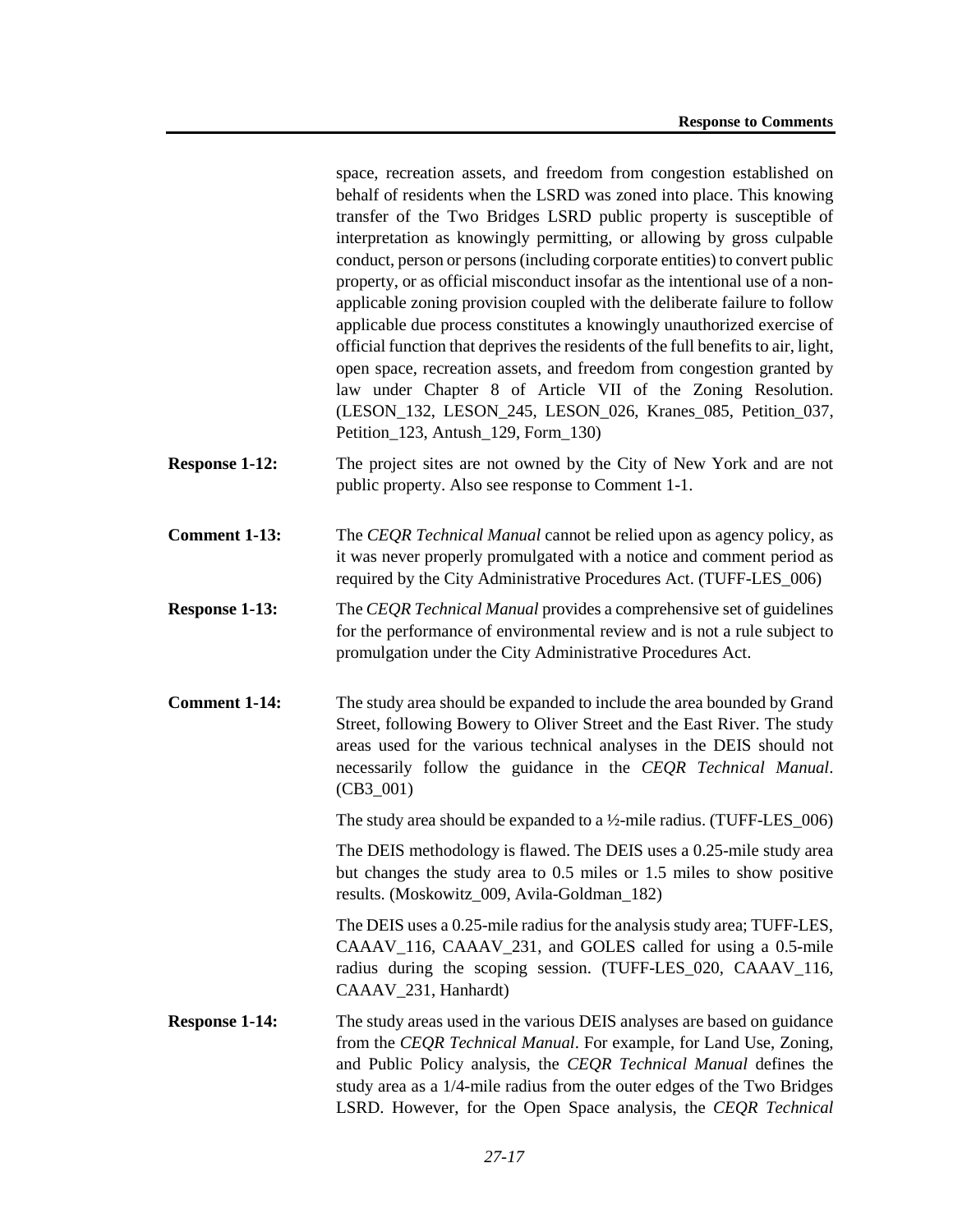space, recreation assets, and freedom from congestion established on behalf of residents when the LSRD was zoned into place. This knowing transfer of the Two Bridges LSRD public property is susceptible of interpretation as knowingly permitting, or allowing by gross culpable conduct, person or persons (including corporate entities) to convert public property, or as official misconduct insofar as the intentional use of a nonapplicable zoning provision coupled with the deliberate failure to follow applicable due process constitutes a knowingly unauthorized exercise of official function that deprives the residents of the full benefits to air, light, open space, recreation assets, and freedom from congestion granted by law under Chapter 8 of Article VII of the Zoning Resolution. (LESON\_132, LESON\_245, LESON\_026, Kranes\_085, Petition\_037, Petition\_123, Antush\_129, Form\_130)

- **Response 1-12:** The project sites are not owned by the City of New York and are not public property. Also see response to Comment 1-1.
- **Comment 1-13:** The *CEQR Technical Manual* cannot be relied upon as agency policy, as it was never properly promulgated with a notice and comment period as required by the City Administrative Procedures Act. (TUFF-LES\_006)
- **Response 1-13:** The *CEQR Technical Manual* provides a comprehensive set of guidelines for the performance of environmental review and is not a rule subject to promulgation under the City Administrative Procedures Act.
- **Comment 1-14:** The study area should be expanded to include the area bounded by Grand Street, following Bowery to Oliver Street and the East River. The study areas used for the various technical analyses in the DEIS should not necessarily follow the guidance in the *CEQR Technical Manual*. (CB3\_001)

The study area should be expanded to a ½-mile radius. (TUFF-LES\_006)

The DEIS methodology is flawed. The DEIS uses a 0.25-mile study area but changes the study area to 0.5 miles or 1.5 miles to show positive results. (Moskowitz\_009, Avila-Goldman\_182)

The DEIS uses a 0.25-mile radius for the analysis study area; TUFF-LES, CAAAV\_116, CAAAV\_231, and GOLES called for using a 0.5-mile radius during the scoping session. (TUFF-LES\_020, CAAAV\_116, CAAAV\_231, Hanhardt)

**Response 1-14:** The study areas used in the various DEIS analyses are based on guidance from the *CEQR Technical Manual*. For example, for Land Use, Zoning, and Public Policy analysis, the *CEQR Technical Manual* defines the study area as a 1/4-mile radius from the outer edges of the Two Bridges LSRD. However, for the Open Space analysis, the *CEQR Technical*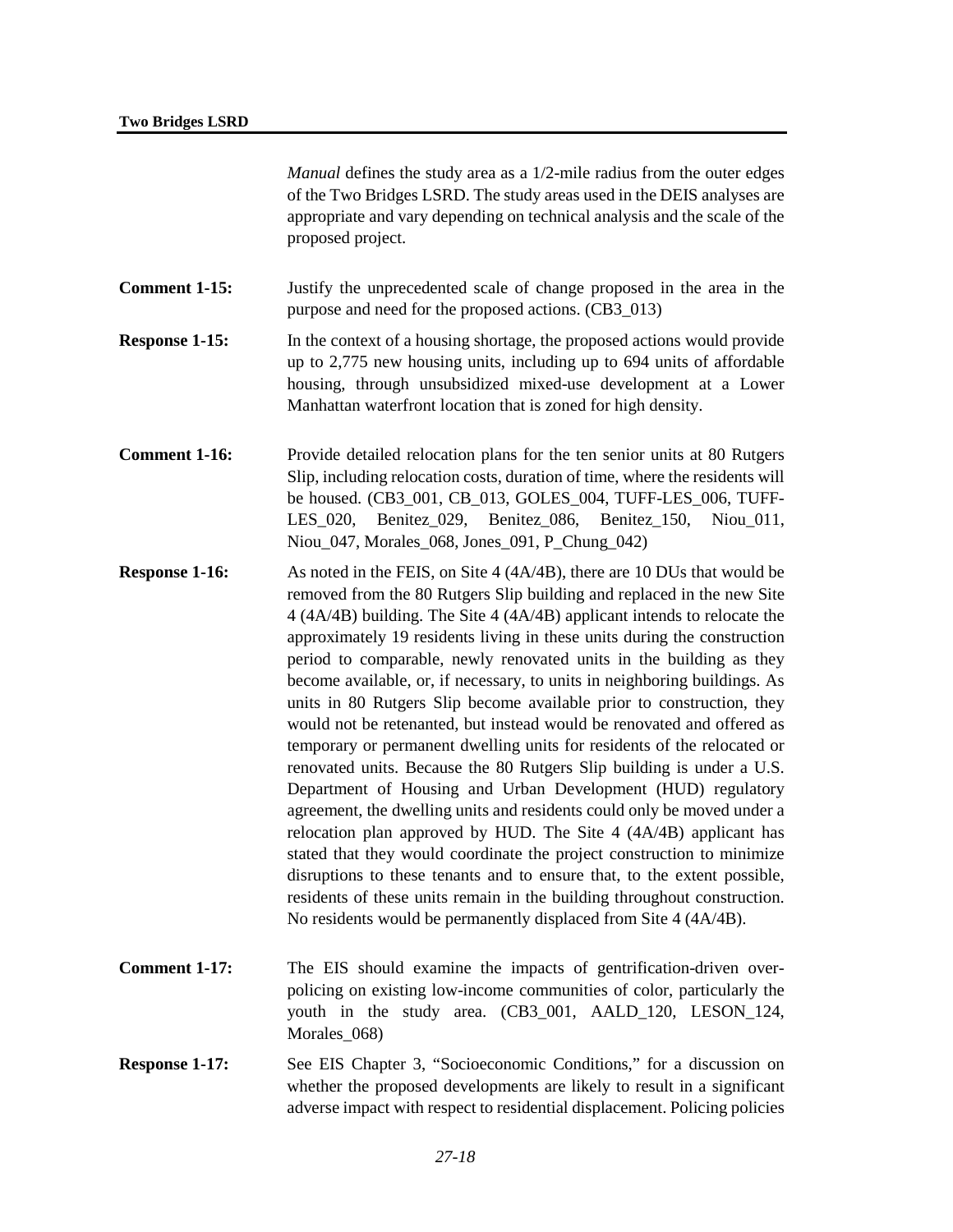*Manual* defines the study area as a 1/2-mile radius from the outer edges of the Two Bridges LSRD. The study areas used in the DEIS analyses are appropriate and vary depending on technical analysis and the scale of the proposed project.

- **Comment 1-15:** Justify the unprecedented scale of change proposed in the area in the purpose and need for the proposed actions. (CB3\_013)
- **Response 1-15:** In the context of a housing shortage, the proposed actions would provide up to 2,775 new housing units, including up to 694 units of affordable housing, through unsubsidized mixed-use development at a Lower Manhattan waterfront location that is zoned for high density.
- **Comment 1-16:** Provide detailed relocation plans for the ten senior units at 80 Rutgers Slip, including relocation costs, duration of time, where the residents will be housed. (CB3\_001, CB\_013, GOLES\_004, TUFF-LES\_006, TUFF-LES 020, Benitez 029, Benitez 086, Benitez 150, Niou 011, Niou 047, Morales 068, Jones 091, P\_Chung\_042)
- **Response 1-16:** As noted in the FEIS, on Site 4 (4A/4B), there are 10 DUs that would be removed from the 80 Rutgers Slip building and replaced in the new Site 4 (4A/4B) building. The Site 4 (4A/4B) applicant intends to relocate the approximately 19 residents living in these units during the construction period to comparable, newly renovated units in the building as they become available, or, if necessary, to units in neighboring buildings. As units in 80 Rutgers Slip become available prior to construction, they would not be retenanted, but instead would be renovated and offered as temporary or permanent dwelling units for residents of the relocated or renovated units. Because the 80 Rutgers Slip building is under a U.S. Department of Housing and Urban Development (HUD) regulatory agreement, the dwelling units and residents could only be moved under a relocation plan approved by HUD. The Site 4 (4A/4B) applicant has stated that they would coordinate the project construction to minimize disruptions to these tenants and to ensure that, to the extent possible, residents of these units remain in the building throughout construction. No residents would be permanently displaced from Site 4 (4A/4B).
- **Comment 1-17:** The EIS should examine the impacts of gentrification-driven overpolicing on existing low-income communities of color, particularly the youth in the study area. (CB3\_001, AALD\_120, LESON\_124, Morales\_068)
- **Response 1-17:** See EIS Chapter 3, "Socioeconomic Conditions," for a discussion on whether the proposed developments are likely to result in a significant adverse impact with respect to residential displacement. Policing policies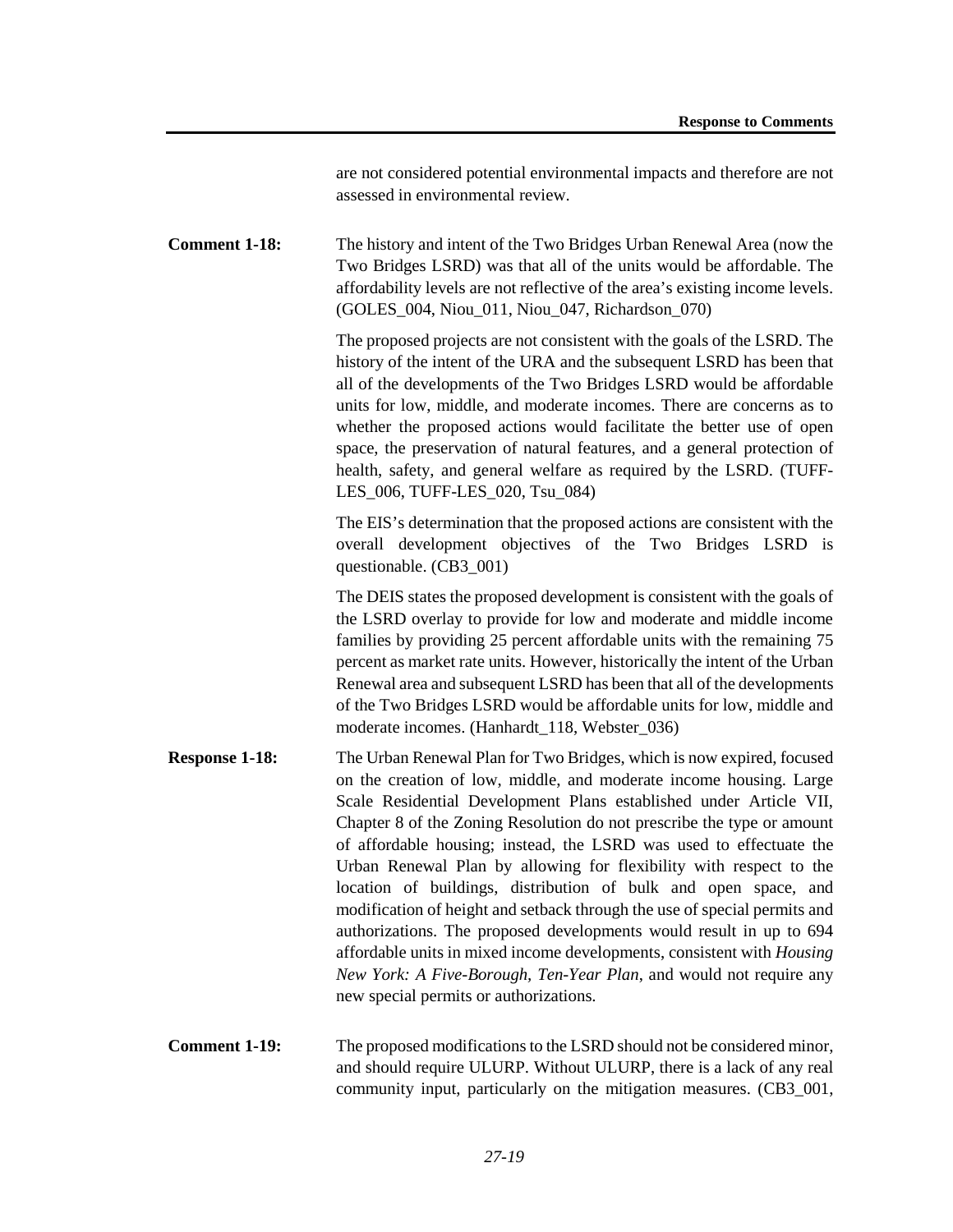are not considered potential environmental impacts and therefore are not assessed in environmental review.

**Comment 1-18:** The history and intent of the Two Bridges Urban Renewal Area (now the Two Bridges LSRD) was that all of the units would be affordable. The affordability levels are not reflective of the area's existing income levels. (GOLES\_004, Niou\_011, Niou\_047, Richardson\_070)

> The proposed projects are not consistent with the goals of the LSRD. The history of the intent of the URA and the subsequent LSRD has been that all of the developments of the Two Bridges LSRD would be affordable units for low, middle, and moderate incomes. There are concerns as to whether the proposed actions would facilitate the better use of open space, the preservation of natural features, and a general protection of health, safety, and general welfare as required by the LSRD. (TUFF-LES 006, TUFF-LES 020, Tsu 084)

The EIS's determination that the proposed actions are consistent with the overall development objectives of the Two Bridges LSRD is questionable. (CB3\_001)

The DEIS states the proposed development is consistent with the goals of the LSRD overlay to provide for low and moderate and middle income families by providing 25 percent affordable units with the remaining 75 percent as market rate units. However, historically the intent of the Urban Renewal area and subsequent LSRD has been that all of the developments of the Two Bridges LSRD would be affordable units for low, middle and moderate incomes. (Hanhardt\_118, Webster\_036)

- **Response 1-18:** The Urban Renewal Plan for Two Bridges, which is now expired, focused on the creation of low, middle, and moderate income housing. Large Scale Residential Development Plans established under Article VII, Chapter 8 of the Zoning Resolution do not prescribe the type or amount of affordable housing; instead, the LSRD was used to effectuate the Urban Renewal Plan by allowing for flexibility with respect to the location of buildings, distribution of bulk and open space, and modification of height and setback through the use of special permits and authorizations. The proposed developments would result in up to 694 affordable units in mixed income developments, consistent with *Housing New York: A Five-Borough, Ten-Year Plan*, and would not require any new special permits or authorizations.
- **Comment 1-19:** The proposed modifications to the LSRD should not be considered minor, and should require ULURP. Without ULURP, there is a lack of any real community input, particularly on the mitigation measures. (CB3\_001,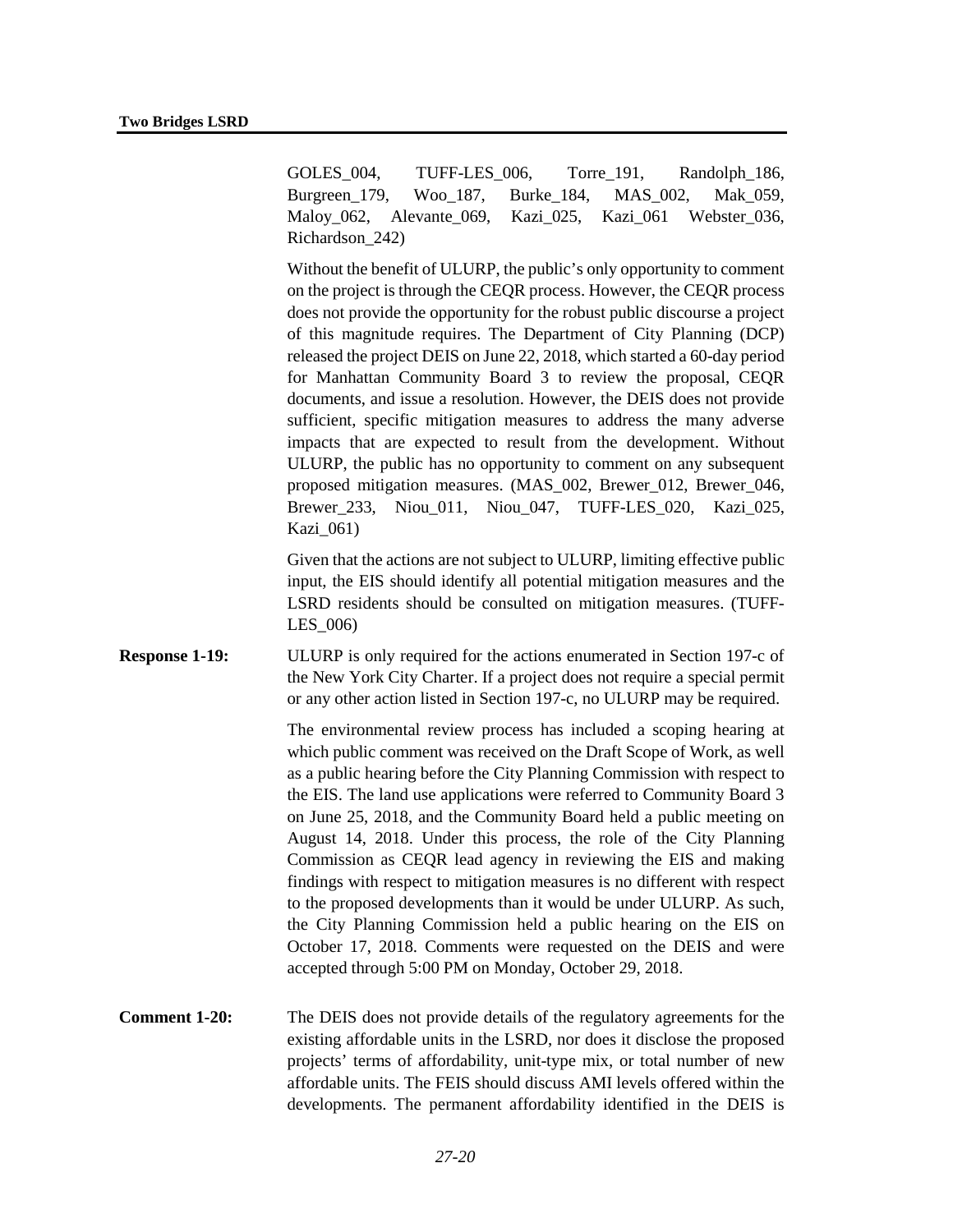GOLES 004, TUFF-LES 006, Torre 191, Randolph 186, Burgreen 179, Woo 187, Burke 184, MAS 002, Mak 059, Maloy 062, Alevante 069, Kazi 025, Kazi 061 Webster 036, Richardson\_242)

Without the benefit of ULURP, the public's only opportunity to comment on the project is through the CEQR process. However, the CEQR process does not provide the opportunity for the robust public discourse a project of this magnitude requires. The Department of City Planning (DCP) released the project DEIS on June 22, 2018, which started a 60-day period for Manhattan Community Board 3 to review the proposal, CEQR documents, and issue a resolution. However, the DEIS does not provide sufficient, specific mitigation measures to address the many adverse impacts that are expected to result from the development. Without ULURP, the public has no opportunity to comment on any subsequent proposed mitigation measures. (MAS\_002, Brewer\_012, Brewer\_046, Brewer\_233, Niou\_011, Niou\_047, TUFF-LES\_020, Kazi\_025, Kazi\_061)

Given that the actions are not subject to ULURP, limiting effective public input, the EIS should identify all potential mitigation measures and the LSRD residents should be consulted on mitigation measures. (TUFF-LES\_006)

**Response 1-19:** ULURP is only required for the actions enumerated in Section 197-c of the New York City Charter. If a project does not require a special permit or any other action listed in Section 197-c, no ULURP may be required.

> The environmental review process has included a scoping hearing at which public comment was received on the Draft Scope of Work, as well as a public hearing before the City Planning Commission with respect to the EIS. The land use applications were referred to Community Board 3 on June 25, 2018, and the Community Board held a public meeting on August 14, 2018. Under this process, the role of the City Planning Commission as CEQR lead agency in reviewing the EIS and making findings with respect to mitigation measures is no different with respect to the proposed developments than it would be under ULURP. As such, the City Planning Commission held a public hearing on the EIS on October 17, 2018. Comments were requested on the DEIS and were accepted through 5:00 PM on Monday, October 29, 2018.

**Comment 1-20:** The DEIS does not provide details of the regulatory agreements for the existing affordable units in the LSRD, nor does it disclose the proposed projects' terms of affordability, unit-type mix, or total number of new affordable units. The FEIS should discuss AMI levels offered within the developments. The permanent affordability identified in the DEIS is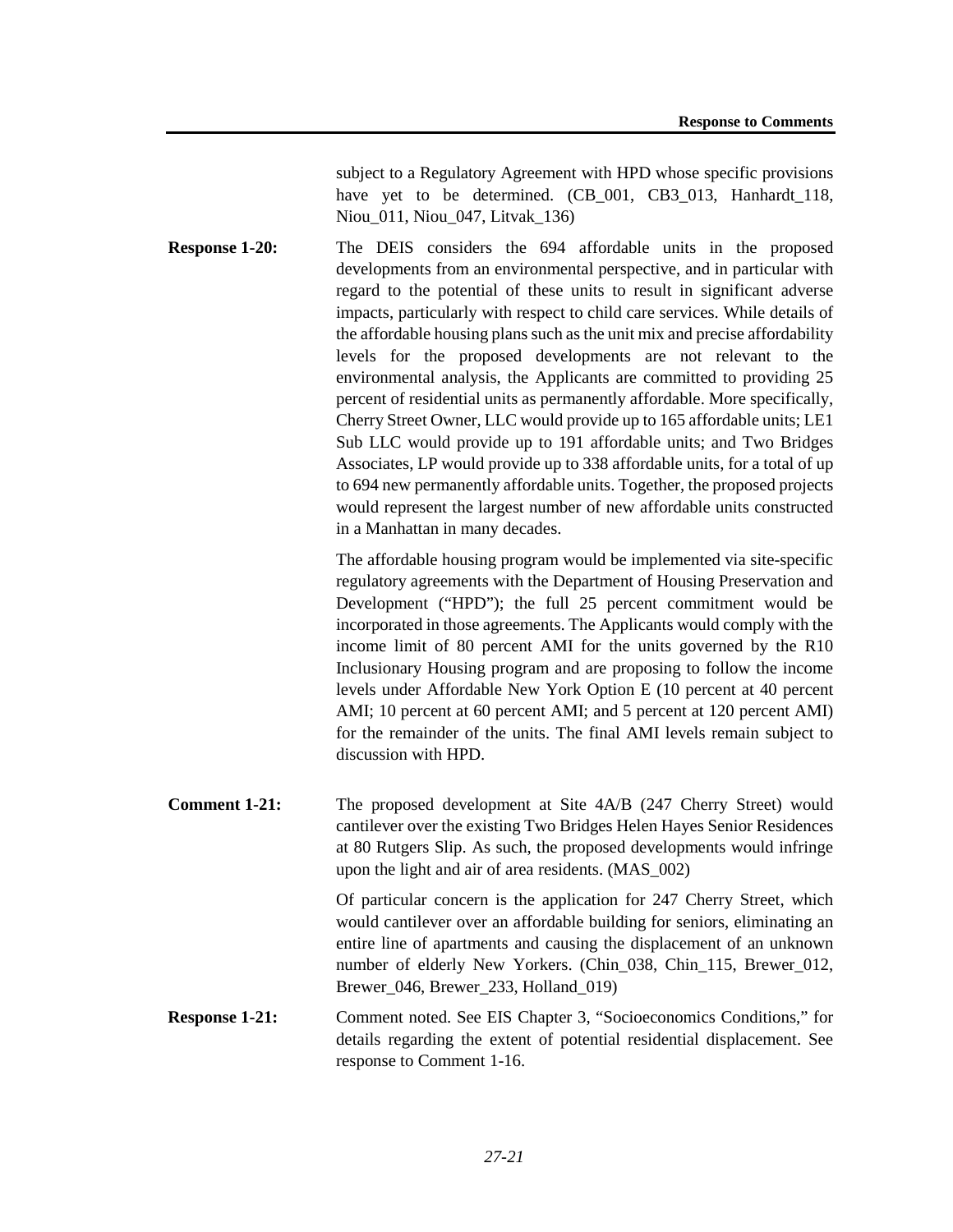subject to a Regulatory Agreement with HPD whose specific provisions have yet to be determined. (CB\_001, CB3\_013, Hanhardt\_118, Niou\_011, Niou\_047, Litvak\_136)

**Response 1-20:** The DEIS considers the 694 affordable units in the proposed developments from an environmental perspective, and in particular with regard to the potential of these units to result in significant adverse impacts, particularly with respect to child care services. While details of the affordable housing plans such as the unit mix and precise affordability levels for the proposed developments are not relevant to the environmental analysis, the Applicants are committed to providing 25 percent of residential units as permanently affordable. More specifically, Cherry Street Owner, LLC would provide up to 165 affordable units; LE1 Sub LLC would provide up to 191 affordable units; and Two Bridges Associates, LP would provide up to 338 affordable units, for a total of up to 694 new permanently affordable units. Together, the proposed projects would represent the largest number of new affordable units constructed in a Manhattan in many decades.

> The affordable housing program would be implemented via site-specific regulatory agreements with the Department of Housing Preservation and Development ("HPD"); the full 25 percent commitment would be incorporated in those agreements. The Applicants would comply with the income limit of 80 percent AMI for the units governed by the R10 Inclusionary Housing program and are proposing to follow the income levels under Affordable New York Option E (10 percent at 40 percent AMI; 10 percent at 60 percent AMI; and 5 percent at 120 percent AMI) for the remainder of the units. The final AMI levels remain subject to discussion with HPD.

**Comment 1-21:** The proposed development at Site 4A/B (247 Cherry Street) would cantilever over the existing Two Bridges Helen Hayes Senior Residences at 80 Rutgers Slip. As such, the proposed developments would infringe upon the light and air of area residents. (MAS\_002)

> Of particular concern is the application for 247 Cherry Street, which would cantilever over an affordable building for seniors, eliminating an entire line of apartments and causing the displacement of an unknown number of elderly New Yorkers. (Chin\_038, Chin\_115, Brewer\_012, Brewer\_046, Brewer\_233, Holland\_019)

**Response 1-21:** Comment noted. See EIS Chapter 3, "Socioeconomics Conditions," for details regarding the extent of potential residential displacement. See response to Comment 1-16.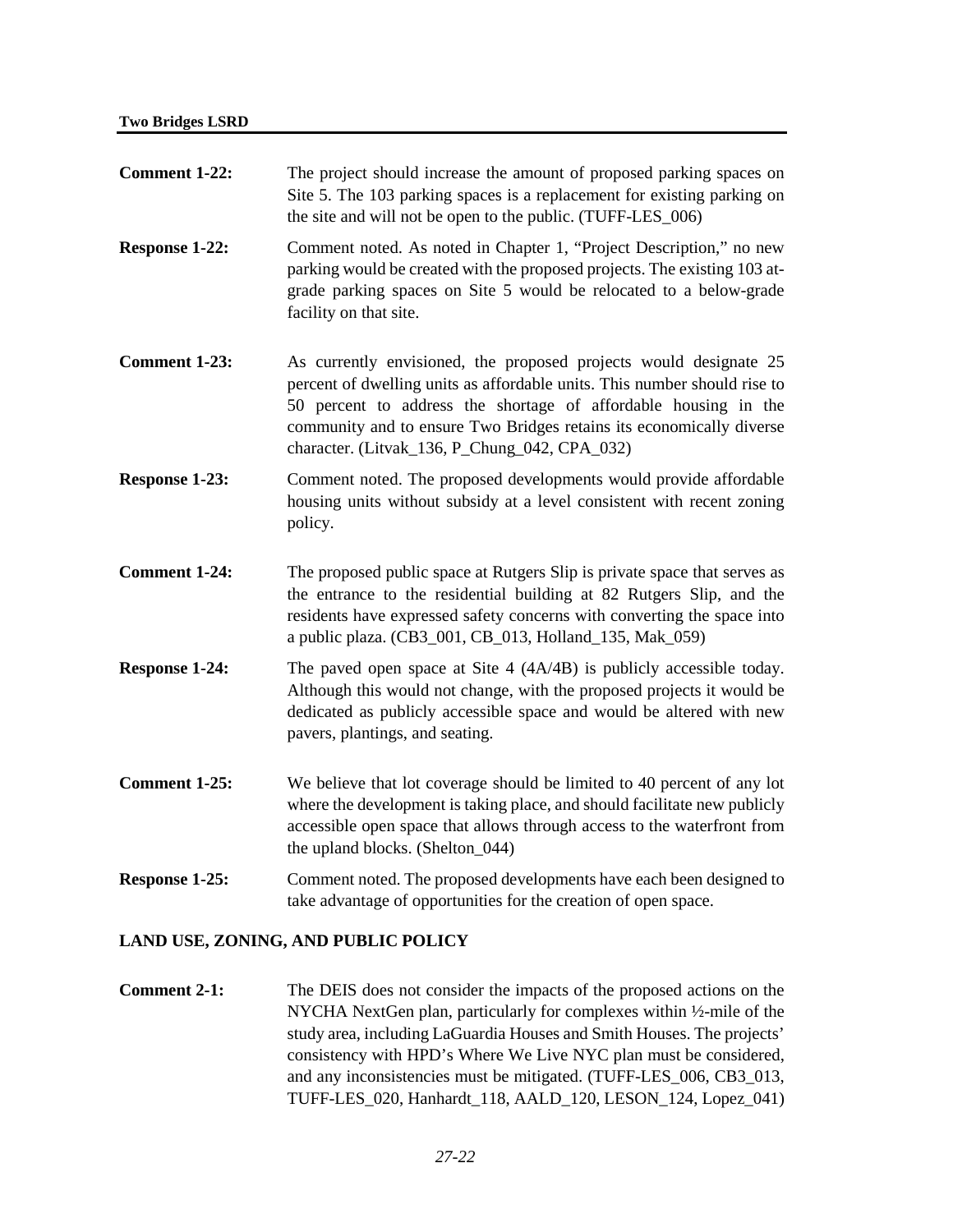| <b>Comment 1-22:</b>                | The project should increase the amount of proposed parking spaces on<br>Site 5. The 103 parking spaces is a replacement for existing parking on<br>the site and will not be open to the public. (TUFF-LES_006)                                                                                                                             |
|-------------------------------------|--------------------------------------------------------------------------------------------------------------------------------------------------------------------------------------------------------------------------------------------------------------------------------------------------------------------------------------------|
| Response 1-22:                      | Comment noted. As noted in Chapter 1, "Project Description," no new<br>parking would be created with the proposed projects. The existing 103 at-<br>grade parking spaces on Site 5 would be relocated to a below-grade<br>facility on that site.                                                                                           |
| <b>Comment 1-23:</b>                | As currently envisioned, the proposed projects would designate 25<br>percent of dwelling units as affordable units. This number should rise to<br>50 percent to address the shortage of affordable housing in the<br>community and to ensure Two Bridges retains its economically diverse<br>character. (Litvak_136, P_Chung_042, CPA_032) |
| <b>Response 1-23:</b>               | Comment noted. The proposed developments would provide affordable<br>housing units without subsidy at a level consistent with recent zoning<br>policy.                                                                                                                                                                                     |
| <b>Comment 1-24:</b>                | The proposed public space at Rutgers Slip is private space that serves as<br>the entrance to the residential building at 82 Rutgers Slip, and the<br>residents have expressed safety concerns with converting the space into<br>a public plaza. (CB3_001, CB_013, Holland_135, Mak_059)                                                    |
| <b>Response 1-24:</b>               | The paved open space at Site $4(4A/4B)$ is publicly accessible today.<br>Although this would not change, with the proposed projects it would be<br>dedicated as publicly accessible space and would be altered with new<br>pavers, plantings, and seating.                                                                                 |
| <b>Comment 1-25:</b>                | We believe that lot coverage should be limited to 40 percent of any lot<br>where the development is taking place, and should facilitate new publicly<br>accessible open space that allows through access to the waterfront from<br>the upland blocks. (Shelton_044)                                                                        |
| Response 1-25:                      | Comment noted. The proposed developments have each been designed to<br>take advantage of opportunities for the creation of open space.                                                                                                                                                                                                     |
| LAND USE, ZONING, AND PUBLIC POLICY |                                                                                                                                                                                                                                                                                                                                            |
| <b>Comment 2-1:</b>                 | The DEIS does not consider the impacts of the proposed actions on the<br>NYCHA NextGen plan, particularly for complexes within 1/2-mile of the<br>study area, including LaGuardia Houses and Smith Houses. The projects'                                                                                                                   |

consistency with HPD's Where We Live NYC plan must be considered, and any inconsistencies must be mitigated. (TUFF-LES\_006, CB3\_013, TUFF-LES\_020, Hanhardt\_118, AALD\_120, LESON\_124, Lopez\_041)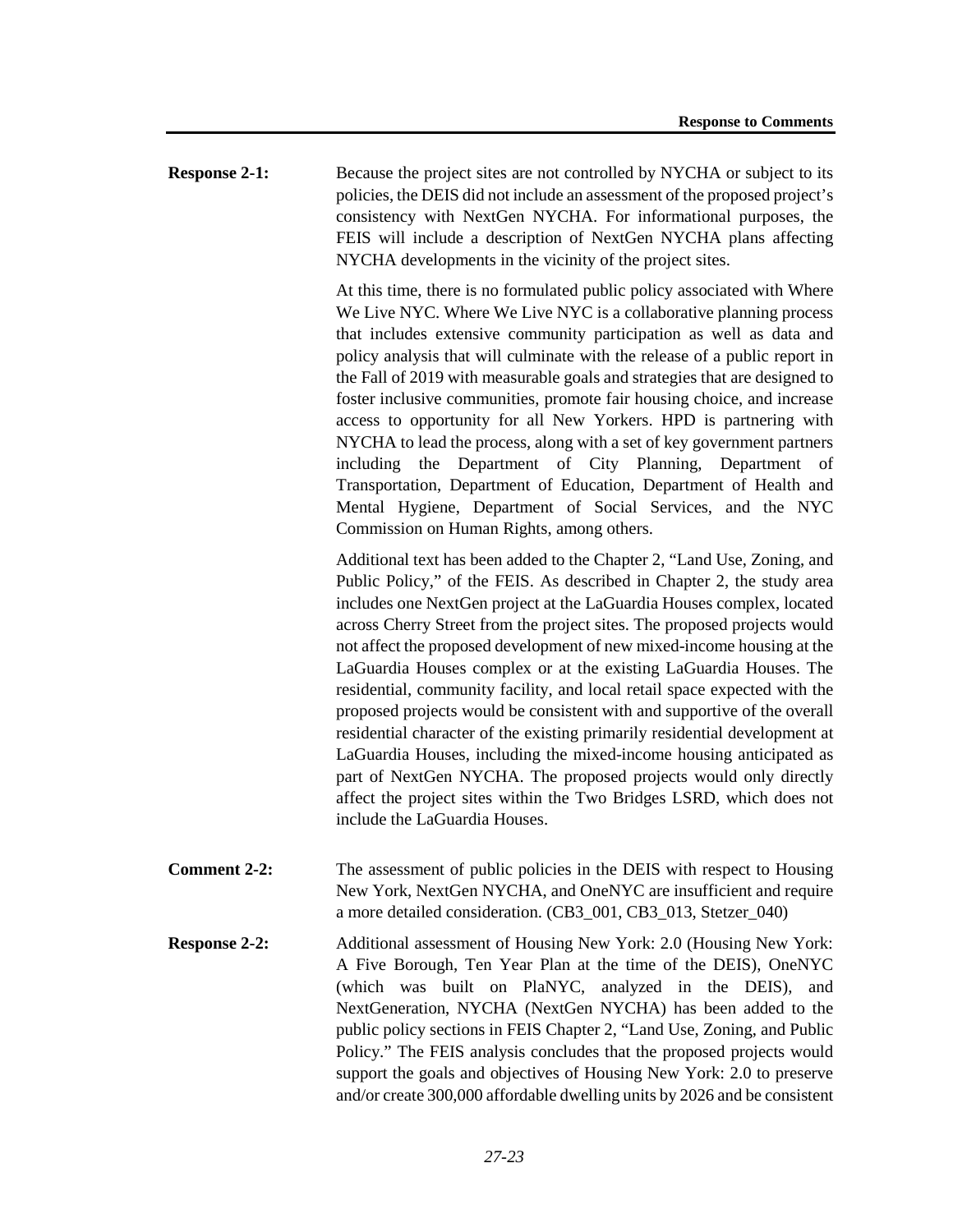**Response 2-1:** Because the project sites are not controlled by NYCHA or subject to its policies, the DEIS did not include an assessment of the proposed project's consistency with NextGen NYCHA. For informational purposes, the FEIS will include a description of NextGen NYCHA plans affecting NYCHA developments in the vicinity of the project sites.

> At this time, there is no formulated public policy associated with Where We Live NYC. Where We Live NYC is a collaborative planning process that includes extensive community participation as well as data and policy analysis that will culminate with the release of a public report in the Fall of 2019 with measurable goals and strategies that are designed to foster inclusive communities, promote fair housing choice, and increase access to opportunity for all New Yorkers. HPD is partnering with NYCHA to lead the process, along with a set of key government partners including the Department of City Planning, Department of Transportation, Department of Education, Department of Health and Mental Hygiene, Department of Social Services, and the NYC Commission on Human Rights, among others.

> Additional text has been added to the Chapter 2, "Land Use, Zoning, and Public Policy," of the FEIS. As described in Chapter 2, the study area includes one NextGen project at the LaGuardia Houses complex, located across Cherry Street from the project sites. The proposed projects would not affect the proposed development of new mixed-income housing at the LaGuardia Houses complex or at the existing LaGuardia Houses. The residential, community facility, and local retail space expected with the proposed projects would be consistent with and supportive of the overall residential character of the existing primarily residential development at LaGuardia Houses, including the mixed-income housing anticipated as part of NextGen NYCHA. The proposed projects would only directly affect the project sites within the Two Bridges LSRD, which does not include the LaGuardia Houses.

- **Comment 2-2:** The assessment of public policies in the DEIS with respect to Housing New York, NextGen NYCHA, and OneNYC are insufficient and require a more detailed consideration. (CB3\_001, CB3\_013, Stetzer\_040)
- **Response 2-2:** Additional assessment of Housing New York: 2.0 (Housing New York: A Five Borough, Ten Year Plan at the time of the DEIS), OneNYC (which was built on PlaNYC, analyzed in the DEIS), and NextGeneration, NYCHA (NextGen NYCHA) has been added to the public policy sections in FEIS Chapter 2, "Land Use, Zoning, and Public Policy." The FEIS analysis concludes that the proposed projects would support the goals and objectives of Housing New York: 2.0 to preserve and/or create 300,000 affordable dwelling units by 2026 and be consistent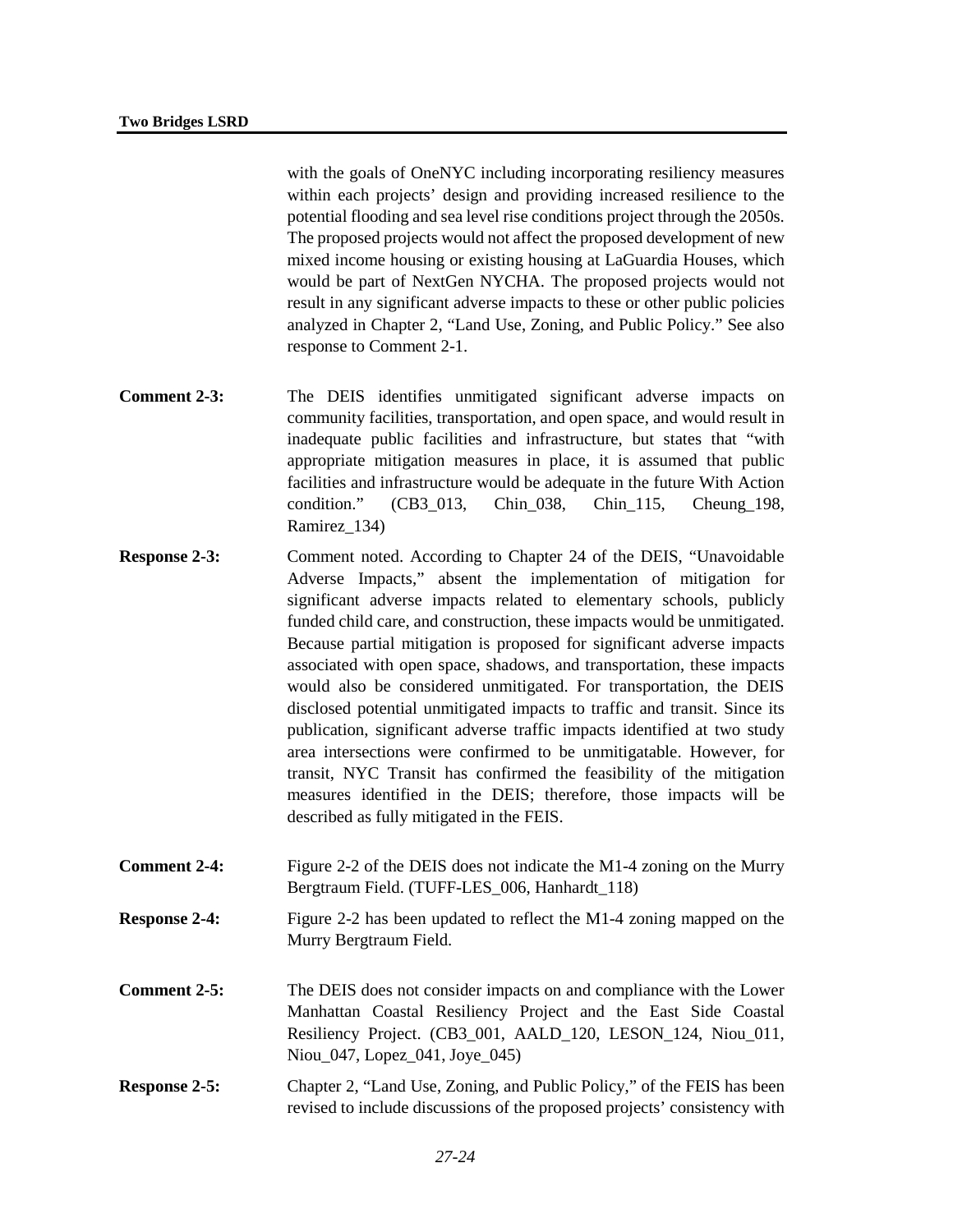with the goals of OneNYC including incorporating resiliency measures within each projects' design and providing increased resilience to the potential flooding and sea level rise conditions project through the 2050s. The proposed projects would not affect the proposed development of new mixed income housing or existing housing at LaGuardia Houses, which would be part of NextGen NYCHA. The proposed projects would not result in any significant adverse impacts to these or other public policies analyzed in Chapter 2, "Land Use, Zoning, and Public Policy." See also response to Comment 2-1.

- **Comment 2-3:** The DEIS identifies unmitigated significant adverse impacts on community facilities, transportation, and open space, and would result in inadequate public facilities and infrastructure, but states that "with appropriate mitigation measures in place, it is assumed that public facilities and infrastructure would be adequate in the future With Action condition." (CB3\_013, Chin\_038, Chin\_115, Cheung\_198, Ramirez\_134)
- **Response 2-3:** Comment noted. According to Chapter 24 of the DEIS, "Unavoidable Adverse Impacts," absent the implementation of mitigation for significant adverse impacts related to elementary schools, publicly funded child care, and construction, these impacts would be unmitigated. Because partial mitigation is proposed for significant adverse impacts associated with open space, shadows, and transportation, these impacts would also be considered unmitigated. For transportation, the DEIS disclosed potential unmitigated impacts to traffic and transit. Since its publication, significant adverse traffic impacts identified at two study area intersections were confirmed to be unmitigatable. However, for transit, NYC Transit has confirmed the feasibility of the mitigation measures identified in the DEIS; therefore, those impacts will be described as fully mitigated in the FEIS.
- **Comment 2-4:** Figure 2-2 of the DEIS does not indicate the M1-4 zoning on the Murry Bergtraum Field. (TUFF-LES\_006, Hanhardt\_118)
- **Response 2-4:** Figure 2-2 has been updated to reflect the M1-4 zoning mapped on the Murry Bergtraum Field.
- **Comment 2-5:** The DEIS does not consider impacts on and compliance with the Lower Manhattan Coastal Resiliency Project and the East Side Coastal Resiliency Project. (CB3\_001, AALD\_120, LESON\_124, Niou\_011, Niou 047, Lopez 041, Joye 045)
- **Response 2-5:** Chapter 2, "Land Use, Zoning, and Public Policy," of the FEIS has been revised to include discussions of the proposed projects' consistency with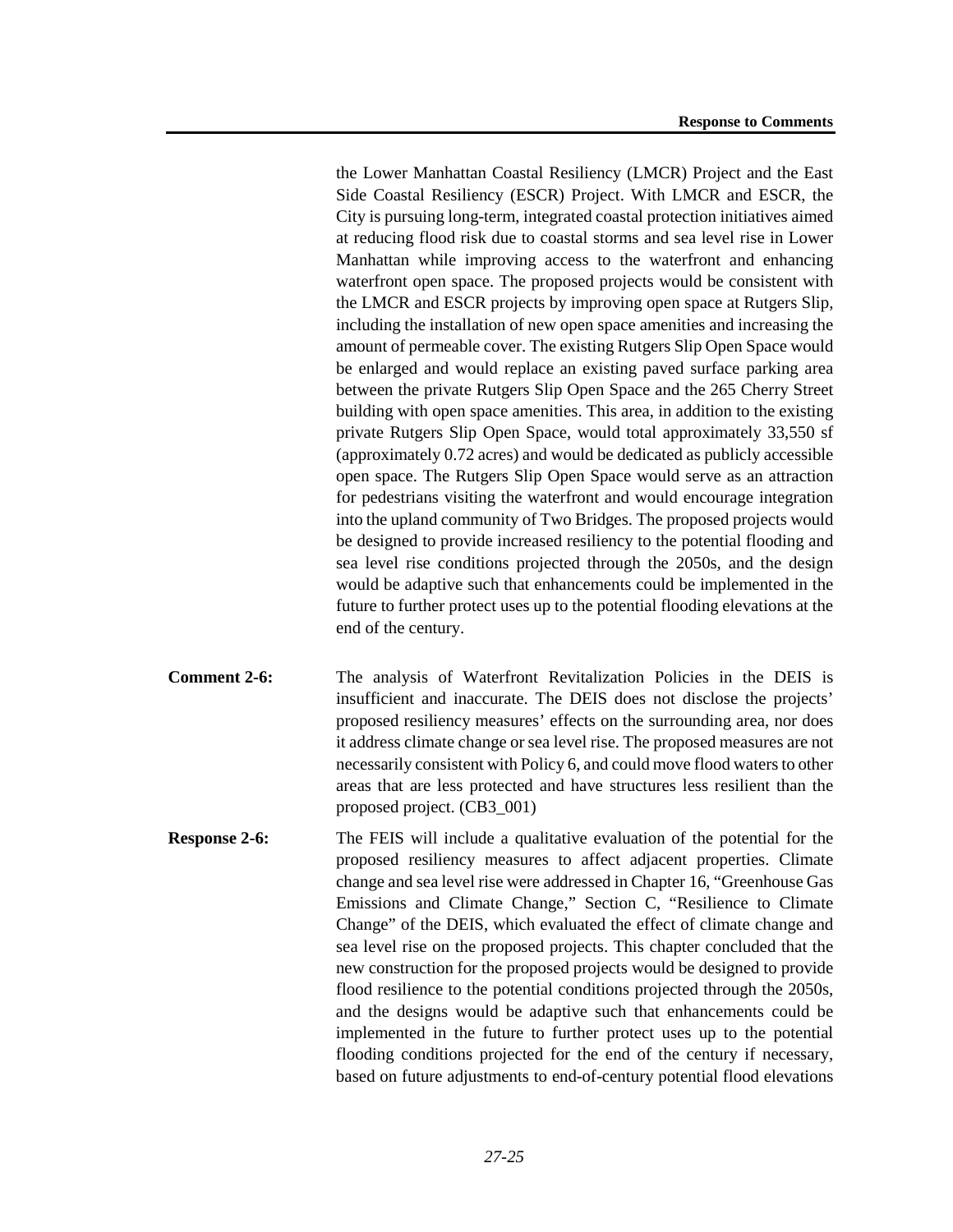the Lower Manhattan Coastal Resiliency (LMCR) Project and the East Side Coastal Resiliency (ESCR) Project. With LMCR and ESCR, the City is pursuing long-term, integrated coastal protection initiatives aimed at reducing flood risk due to coastal storms and sea level rise in Lower Manhattan while improving access to the waterfront and enhancing waterfront open space. The proposed projects would be consistent with the LMCR and ESCR projects by improving open space at Rutgers Slip, including the installation of new open space amenities and increasing the amount of permeable cover. The existing Rutgers Slip Open Space would be enlarged and would replace an existing paved surface parking area between the private Rutgers Slip Open Space and the 265 Cherry Street building with open space amenities. This area, in addition to the existing private Rutgers Slip Open Space, would total approximately 33,550 sf (approximately 0.72 acres) and would be dedicated as publicly accessible open space. The Rutgers Slip Open Space would serve as an attraction for pedestrians visiting the waterfront and would encourage integration into the upland community of Two Bridges. The proposed projects would be designed to provide increased resiliency to the potential flooding and sea level rise conditions projected through the 2050s, and the design would be adaptive such that enhancements could be implemented in the future to further protect uses up to the potential flooding elevations at the end of the century.

- **Comment 2-6:** The analysis of Waterfront Revitalization Policies in the DEIS is insufficient and inaccurate. The DEIS does not disclose the projects' proposed resiliency measures' effects on the surrounding area, nor does it address climate change or sea level rise. The proposed measures are not necessarily consistent with Policy 6, and could move flood waters to other areas that are less protected and have structures less resilient than the proposed project. (CB3\_001)
- **Response 2-6:** The FEIS will include a qualitative evaluation of the potential for the proposed resiliency measures to affect adjacent properties. Climate change and sea level rise were addressed in Chapter 16, "Greenhouse Gas Emissions and Climate Change," Section C, "Resilience to Climate Change" of the DEIS, which evaluated the effect of climate change and sea level rise on the proposed projects. This chapter concluded that the new construction for the proposed projects would be designed to provide flood resilience to the potential conditions projected through the 2050s, and the designs would be adaptive such that enhancements could be implemented in the future to further protect uses up to the potential flooding conditions projected for the end of the century if necessary, based on future adjustments to end-of-century potential flood elevations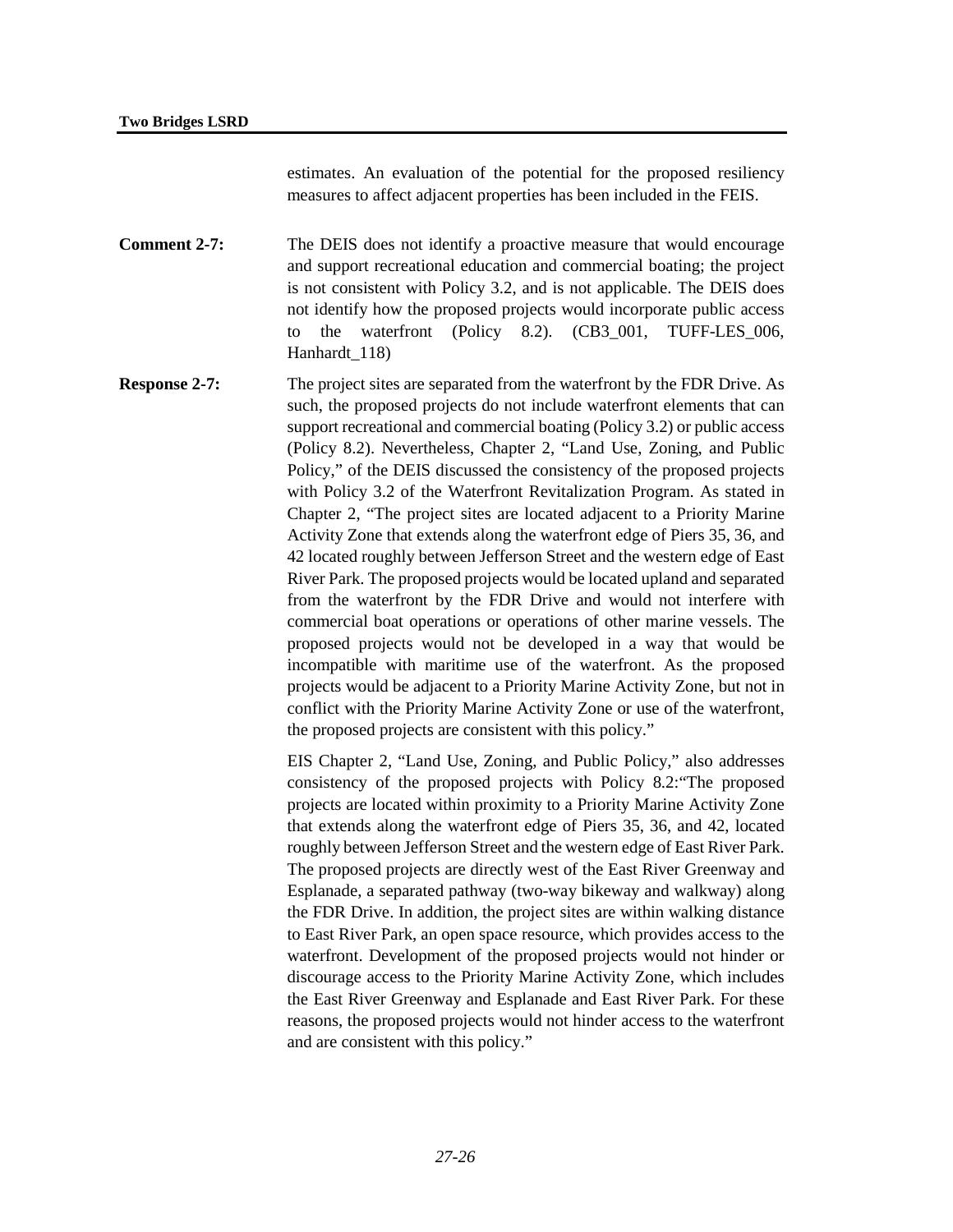estimates. An evaluation of the potential for the proposed resiliency measures to affect adjacent properties has been included in the FEIS.

**Comment 2-7:** The DEIS does not identify a proactive measure that would encourage and support recreational education and commercial boating; the project is not consistent with Policy 3.2, and is not applicable. The DEIS does not identify how the proposed projects would incorporate public access to the waterfront (Policy 8.2). (CB3\_001, TUFF-LES\_006, Hanhardt\_118)

**Response 2-7:** The project sites are separated from the waterfront by the FDR Drive. As such, the proposed projects do not include waterfront elements that can support recreational and commercial boating (Policy 3.2) or public access (Policy 8.2). Nevertheless, Chapter 2, "Land Use, Zoning, and Public Policy," of the DEIS discussed the consistency of the proposed projects with Policy 3.2 of the Waterfront Revitalization Program. As stated in Chapter 2, "The project sites are located adjacent to a Priority Marine Activity Zone that extends along the waterfront edge of Piers 35, 36, and 42 located roughly between Jefferson Street and the western edge of East River Park. The proposed projects would be located upland and separated from the waterfront by the FDR Drive and would not interfere with commercial boat operations or operations of other marine vessels. The proposed projects would not be developed in a way that would be incompatible with maritime use of the waterfront. As the proposed projects would be adjacent to a Priority Marine Activity Zone, but not in conflict with the Priority Marine Activity Zone or use of the waterfront, the proposed projects are consistent with this policy."

> EIS Chapter 2, "Land Use, Zoning, and Public Policy," also addresses consistency of the proposed projects with Policy 8.2:"The proposed projects are located within proximity to a Priority Marine Activity Zone that extends along the waterfront edge of Piers 35, 36, and 42, located roughly between Jefferson Street and the western edge of East River Park. The proposed projects are directly west of the East River Greenway and Esplanade, a separated pathway (two-way bikeway and walkway) along the FDR Drive. In addition, the project sites are within walking distance to East River Park, an open space resource, which provides access to the waterfront. Development of the proposed projects would not hinder or discourage access to the Priority Marine Activity Zone, which includes the East River Greenway and Esplanade and East River Park. For these reasons, the proposed projects would not hinder access to the waterfront and are consistent with this policy."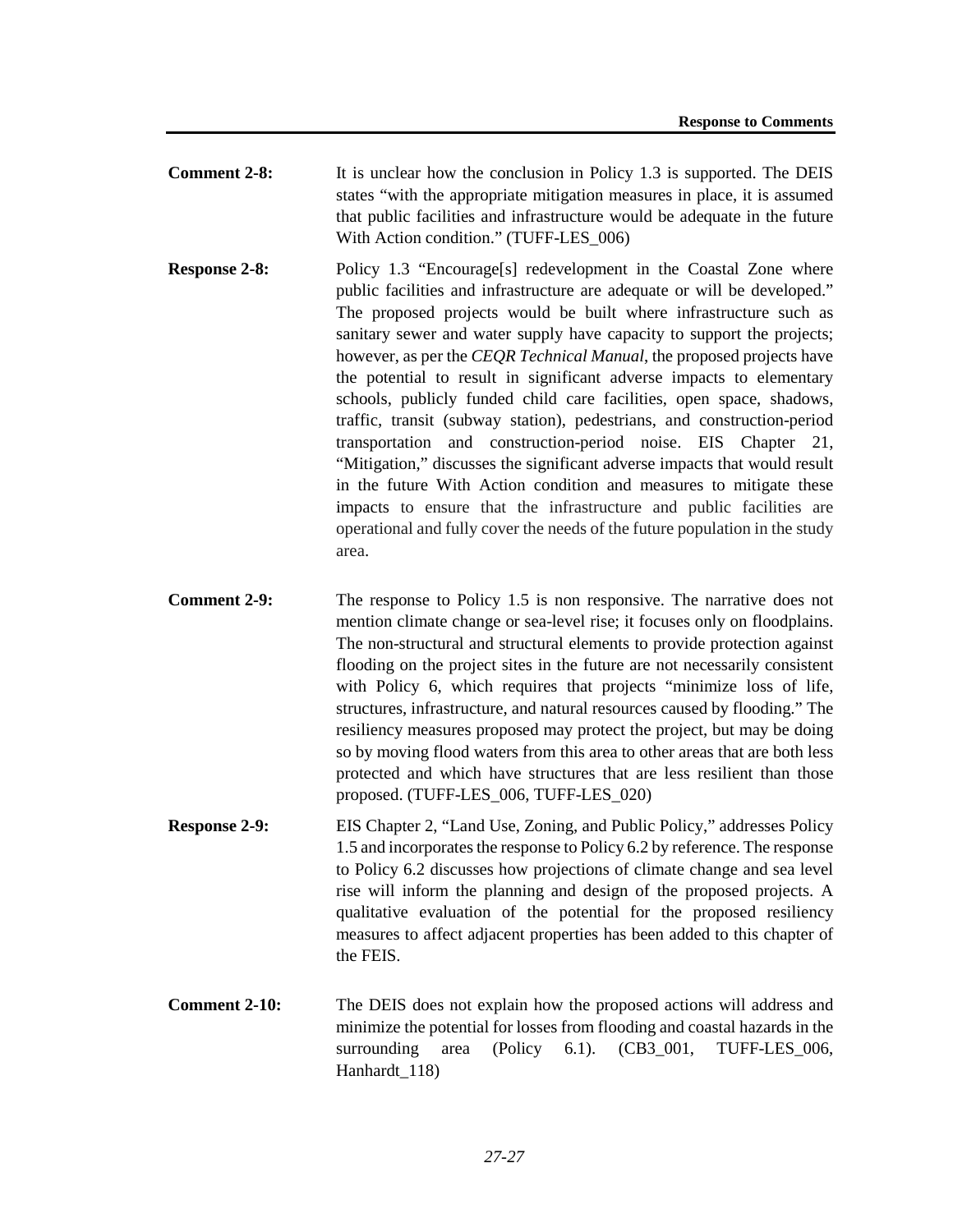- **Comment 2-8:** It is unclear how the conclusion in Policy 1.3 is supported. The DEIS states "with the appropriate mitigation measures in place, it is assumed that public facilities and infrastructure would be adequate in the future With Action condition." (TUFF-LES\_006)
- **Response 2-8:** Policy 1.3 "Encourage[s] redevelopment in the Coastal Zone where public facilities and infrastructure are adequate or will be developed." The proposed projects would be built where infrastructure such as sanitary sewer and water supply have capacity to support the projects; however, as per the *CEQR Technical Manual*, the proposed projects have the potential to result in significant adverse impacts to elementary schools, publicly funded child care facilities, open space, shadows, traffic, transit (subway station), pedestrians, and construction-period transportation and construction-period noise. EIS Chapter 21, "Mitigation," discusses the significant adverse impacts that would result in the future With Action condition and measures to mitigate these impacts to ensure that the infrastructure and public facilities are operational and fully cover the needs of the future population in the study area.
- **Comment 2-9:** The response to Policy 1.5 is non responsive. The narrative does not mention climate change or sea-level rise; it focuses only on floodplains. The non-structural and structural elements to provide protection against flooding on the project sites in the future are not necessarily consistent with Policy 6, which requires that projects "minimize loss of life, structures, infrastructure, and natural resources caused by flooding." The resiliency measures proposed may protect the project, but may be doing so by moving flood waters from this area to other areas that are both less protected and which have structures that are less resilient than those proposed. (TUFF-LES\_006, TUFF-LES\_020)
- **Response 2-9:** EIS Chapter 2, "Land Use, Zoning, and Public Policy," addresses Policy 1.5 and incorporates the response to Policy 6.2 by reference. The response to Policy 6.2 discusses how projections of climate change and sea level rise will inform the planning and design of the proposed projects. A qualitative evaluation of the potential for the proposed resiliency measures to affect adjacent properties has been added to this chapter of the FEIS.
- **Comment 2-10:** The DEIS does not explain how the proposed actions will address and minimize the potential for losses from flooding and coastal hazards in the surrounding area (Policy 6.1). (CB3\_001, TUFF-LES\_006, Hanhardt\_118)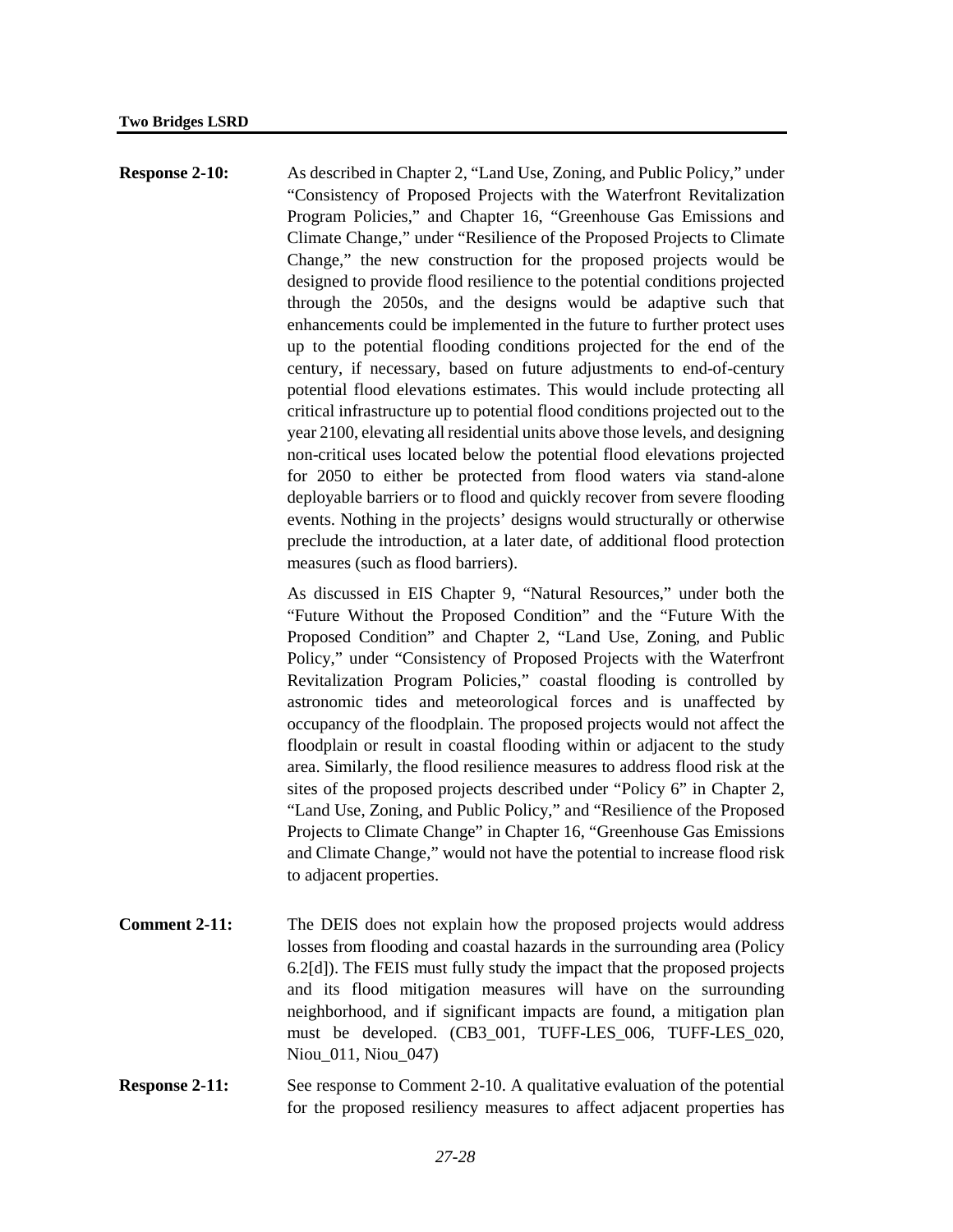**Response 2-10:** As described in Chapter 2, "Land Use, Zoning, and Public Policy," under "Consistency of Proposed Projects with the Waterfront Revitalization Program Policies," and Chapter 16, "Greenhouse Gas Emissions and Climate Change," under "Resilience of the Proposed Projects to Climate Change," the new construction for the proposed projects would be designed to provide flood resilience to the potential conditions projected through the 2050s, and the designs would be adaptive such that enhancements could be implemented in the future to further protect uses up to the potential flooding conditions projected for the end of the century, if necessary, based on future adjustments to end-of-century potential flood elevations estimates. This would include protecting all critical infrastructure up to potential flood conditions projected out to the year 2100, elevating all residential units above those levels, and designing non-critical uses located below the potential flood elevations projected for 2050 to either be protected from flood waters via stand-alone deployable barriers or to flood and quickly recover from severe flooding events. Nothing in the projects' designs would structurally or otherwise preclude the introduction, at a later date, of additional flood protection measures (such as flood barriers).

> As discussed in EIS Chapter 9, "Natural Resources," under both the "Future Without the Proposed Condition" and the "Future With the Proposed Condition" and Chapter 2, "Land Use, Zoning, and Public Policy," under "Consistency of Proposed Projects with the Waterfront Revitalization Program Policies," coastal flooding is controlled by astronomic tides and meteorological forces and is unaffected by occupancy of the floodplain. The proposed projects would not affect the floodplain or result in coastal flooding within or adjacent to the study area. Similarly, the flood resilience measures to address flood risk at the sites of the proposed projects described under "Policy 6" in Chapter 2, "Land Use, Zoning, and Public Policy," and "Resilience of the Proposed Projects to Climate Change" in Chapter 16, "Greenhouse Gas Emissions and Climate Change," would not have the potential to increase flood risk to adjacent properties.

- **Comment 2-11:** The DEIS does not explain how the proposed projects would address losses from flooding and coastal hazards in the surrounding area (Policy 6.2[d]). The FEIS must fully study the impact that the proposed projects and its flood mitigation measures will have on the surrounding neighborhood, and if significant impacts are found, a mitigation plan must be developed. (CB3\_001, TUFF-LES\_006, TUFF-LES\_020, Niou\_011, Niou\_047)
- **Response 2-11:** See response to Comment 2-10. A qualitative evaluation of the potential for the proposed resiliency measures to affect adjacent properties has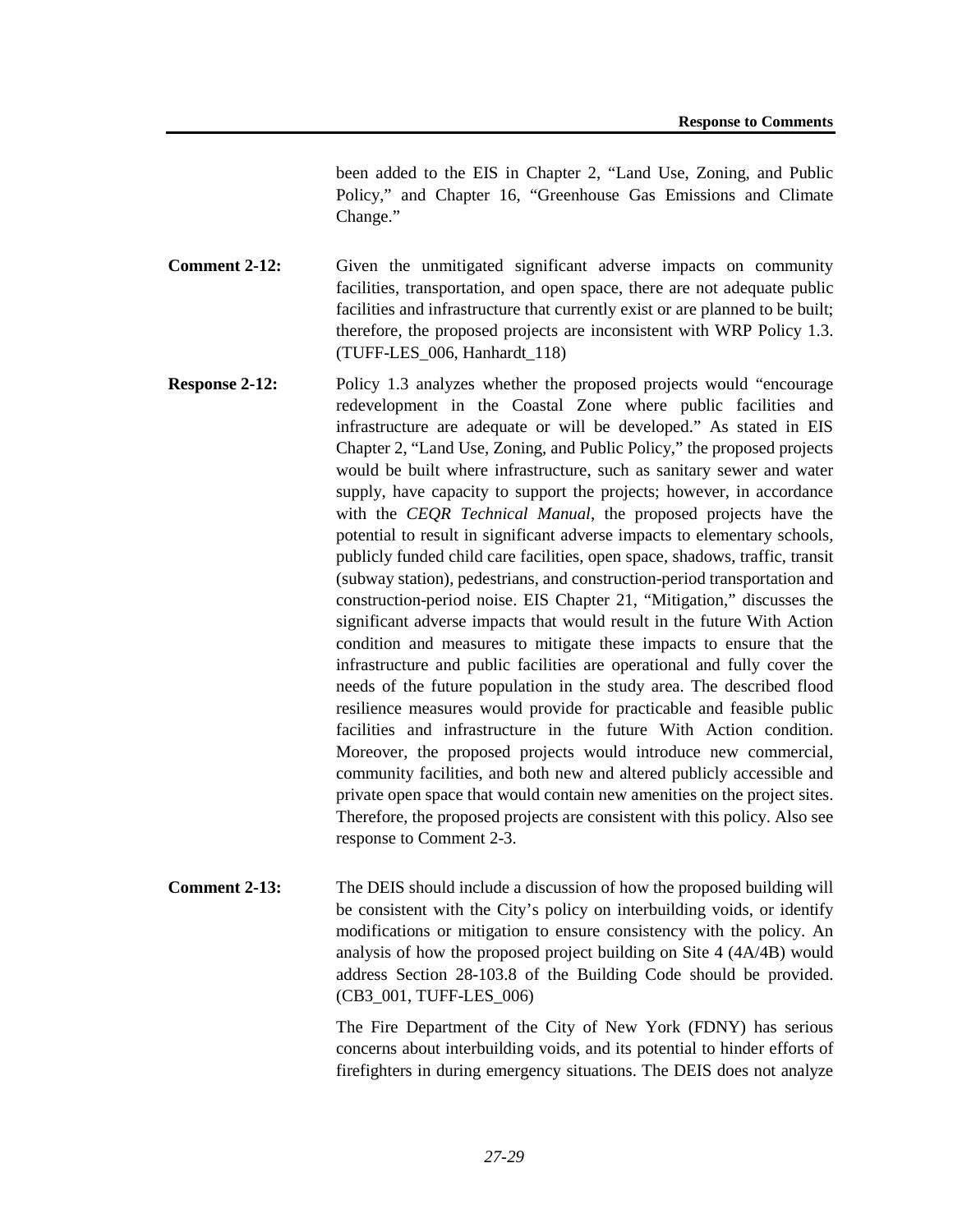been added to the EIS in Chapter 2, "Land Use, Zoning, and Public Policy," and Chapter 16, "Greenhouse Gas Emissions and Climate Change."

**Comment 2-12:** Given the unmitigated significant adverse impacts on community facilities, transportation, and open space, there are not adequate public facilities and infrastructure that currently exist or are planned to be built; therefore, the proposed projects are inconsistent with WRP Policy 1.3. (TUFF-LES\_006, Hanhardt\_118)

- **Response 2-12:** Policy 1.3 analyzes whether the proposed projects would "encourage" redevelopment in the Coastal Zone where public facilities and infrastructure are adequate or will be developed." As stated in EIS Chapter 2, "Land Use, Zoning, and Public Policy," the proposed projects would be built where infrastructure, such as sanitary sewer and water supply, have capacity to support the projects; however, in accordance with the *CEQR Technical Manual*, the proposed projects have the potential to result in significant adverse impacts to elementary schools, publicly funded child care facilities, open space, shadows, traffic, transit (subway station), pedestrians, and construction-period transportation and construction-period noise. EIS Chapter 21, "Mitigation," discusses the significant adverse impacts that would result in the future With Action condition and measures to mitigate these impacts to ensure that the infrastructure and public facilities are operational and fully cover the needs of the future population in the study area. The described flood resilience measures would provide for practicable and feasible public facilities and infrastructure in the future With Action condition. Moreover, the proposed projects would introduce new commercial, community facilities, and both new and altered publicly accessible and private open space that would contain new amenities on the project sites. Therefore, the proposed projects are consistent with this policy. Also see response to Comment 2-3.
- **Comment 2-13:** The DEIS should include a discussion of how the proposed building will be consistent with the City's policy on interbuilding voids, or identify modifications or mitigation to ensure consistency with the policy. An analysis of how the proposed project building on Site 4 (4A/4B) would address Section 28-103.8 of the Building Code should be provided. (CB3\_001, TUFF-LES\_006)

The Fire Department of the City of New York (FDNY) has serious concerns about interbuilding voids, and its potential to hinder efforts of firefighters in during emergency situations. The DEIS does not analyze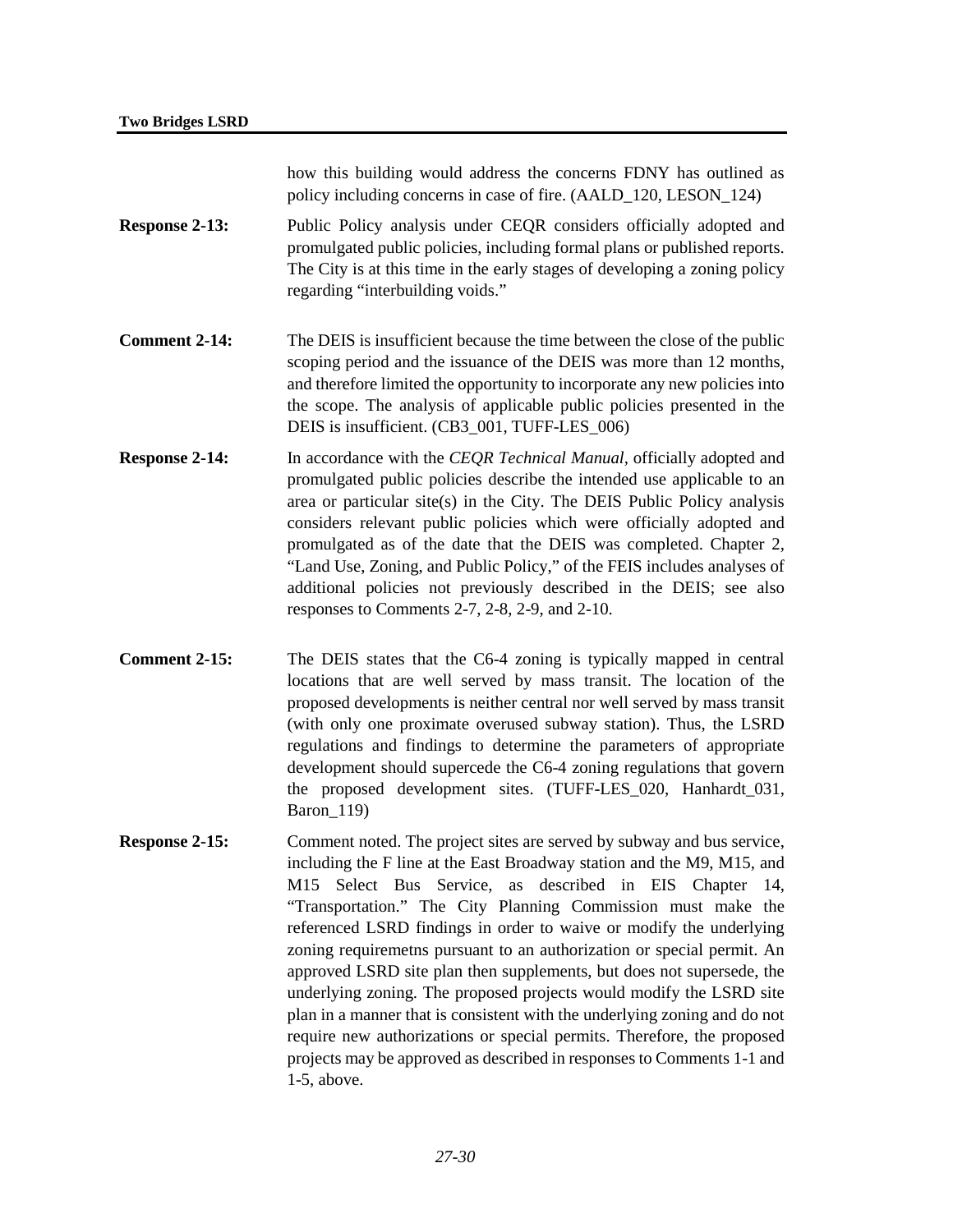how this building would address the concerns FDNY has outlined as policy including concerns in case of fire. (AALD\_120, LESON\_124)

- **Response 2-13:** Public Policy analysis under CEQR considers officially adopted and promulgated public policies, including formal plans or published reports. The City is at this time in the early stages of developing a zoning policy regarding "interbuilding voids."
- **Comment 2-14:** The DEIS is insufficient because the time between the close of the public scoping period and the issuance of the DEIS was more than 12 months, and therefore limited the opportunity to incorporate any new policies into the scope. The analysis of applicable public policies presented in the DEIS is insufficient. (CB3\_001, TUFF-LES\_006)
- **Response 2-14:** In accordance with the *CEQR Technical Manual*, officially adopted and promulgated public policies describe the intended use applicable to an area or particular site(s) in the City. The DEIS Public Policy analysis considers relevant public policies which were officially adopted and promulgated as of the date that the DEIS was completed. Chapter 2, "Land Use, Zoning, and Public Policy," of the FEIS includes analyses of additional policies not previously described in the DEIS; see also responses to Comments 2-7, 2-8, 2-9, and 2-10.
- **Comment 2-15:** The DEIS states that the C6-4 zoning is typically mapped in central locations that are well served by mass transit. The location of the proposed developments is neither central nor well served by mass transit (with only one proximate overused subway station). Thus, the LSRD regulations and findings to determine the parameters of appropriate development should supercede the C6-4 zoning regulations that govern the proposed development sites. (TUFF-LES\_020, Hanhardt\_031, Baron\_119)
- **Response 2-15:** Comment noted. The project sites are served by subway and bus service, including the F line at the East Broadway station and the M9, M15, and M15 Select Bus Service, as described in EIS Chapter 14, "Transportation." The City Planning Commission must make the referenced LSRD findings in order to waive or modify the underlying zoning requiremetns pursuant to an authorization or special permit. An approved LSRD site plan then supplements, but does not supersede, the underlying zoning. The proposed projects would modify the LSRD site plan in a manner that is consistent with the underlying zoning and do not require new authorizations or special permits. Therefore, the proposed projects may be approved as described in responses to Comments 1-1 and 1-5, above.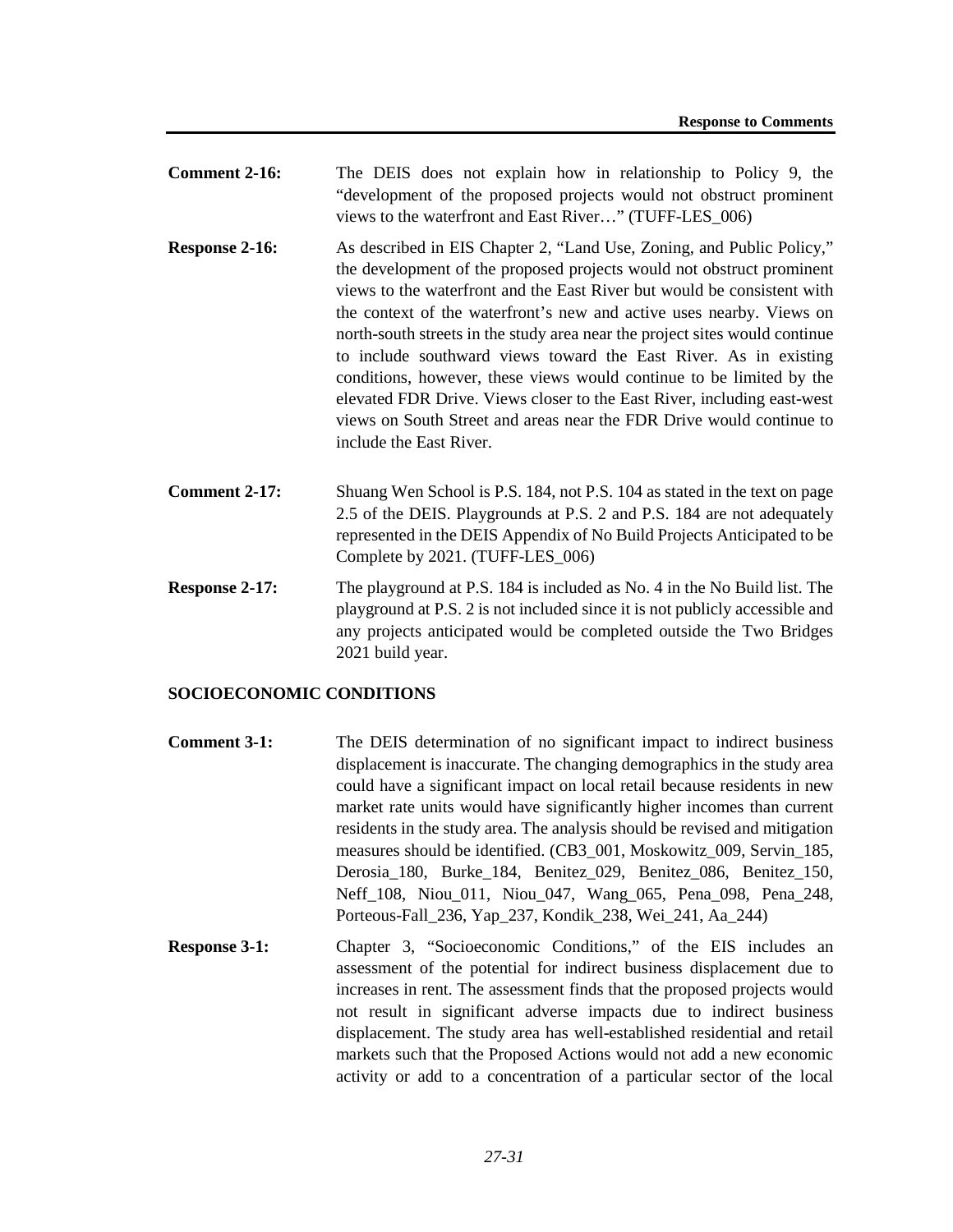- **Comment 2-16:** The DEIS does not explain how in relationship to Policy 9, the "development of the proposed projects would not obstruct prominent views to the waterfront and East River…" (TUFF-LES\_006)
- **Response 2-16:** As described in EIS Chapter 2, "Land Use, Zoning, and Public Policy," the development of the proposed projects would not obstruct prominent views to the waterfront and the East River but would be consistent with the context of the waterfront's new and active uses nearby. Views on north-south streets in the study area near the project sites would continue to include southward views toward the East River. As in existing conditions, however, these views would continue to be limited by the elevated FDR Drive. Views closer to the East River, including east-west views on South Street and areas near the FDR Drive would continue to include the East River.
- **Comment 2-17:** Shuang Wen School is P.S. 184, not P.S. 104 as stated in the text on page 2.5 of the DEIS. Playgrounds at P.S. 2 and P.S. 184 are not adequately represented in the DEIS Appendix of No Build Projects Anticipated to be Complete by 2021. (TUFF-LES\_006)
- **Response 2-17:** The playground at P.S. 184 is included as No. 4 in the No Build list. The playground at P.S. 2 is not included since it is not publicly accessible and any projects anticipated would be completed outside the Two Bridges 2021 build year.

## **SOCIOECONOMIC CONDITIONS**

- **Comment 3-1:** The DEIS determination of no significant impact to indirect business displacement is inaccurate. The changing demographics in the study area could have a significant impact on local retail because residents in new market rate units would have significantly higher incomes than current residents in the study area. The analysis should be revised and mitigation measures should be identified. (CB3\_001, Moskowitz\_009, Servin\_185, Derosia\_180, Burke\_184, Benitez\_029, Benitez\_086, Benitez\_150, Neff 108, Niou 011, Niou 047, Wang 065, Pena 098, Pena 248, Porteous-Fall\_236, Yap\_237, Kondik\_238, Wei\_241, Aa\_244)
- **Response 3-1:** Chapter 3, "Socioeconomic Conditions," of the EIS includes an assessment of the potential for indirect business displacement due to increases in rent. The assessment finds that the proposed projects would not result in significant adverse impacts due to indirect business displacement. The study area has well-established residential and retail markets such that the Proposed Actions would not add a new economic activity or add to a concentration of a particular sector of the local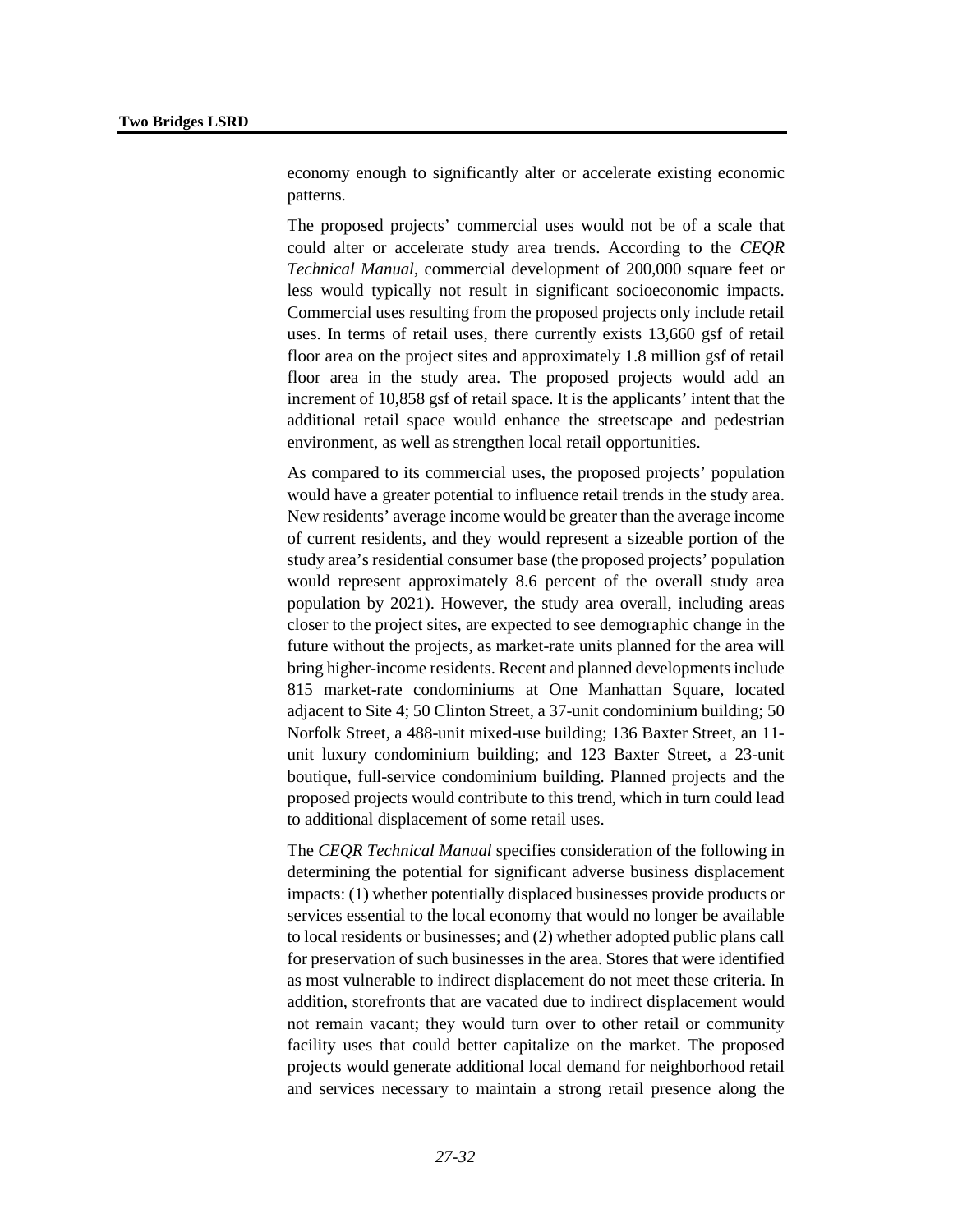economy enough to significantly alter or accelerate existing economic patterns.

The proposed projects' commercial uses would not be of a scale that could alter or accelerate study area trends. According to the *CEQR Technical Manual*, commercial development of 200,000 square feet or less would typically not result in significant socioeconomic impacts. Commercial uses resulting from the proposed projects only include retail uses. In terms of retail uses, there currently exists 13,660 gsf of retail floor area on the project sites and approximately 1.8 million gsf of retail floor area in the study area. The proposed projects would add an increment of 10,858 gsf of retail space. It is the applicants' intent that the additional retail space would enhance the streetscape and pedestrian environment, as well as strengthen local retail opportunities.

As compared to its commercial uses, the proposed projects' population would have a greater potential to influence retail trends in the study area. New residents' average income would be greater than the average income of current residents, and they would represent a sizeable portion of the study area's residential consumer base (the proposed projects' population would represent approximately 8.6 percent of the overall study area population by 2021). However, the study area overall, including areas closer to the project sites, are expected to see demographic change in the future without the projects, as market-rate units planned for the area will bring higher-income residents. Recent and planned developments include 815 market-rate condominiums at One Manhattan Square, located adjacent to Site 4; 50 Clinton Street, a 37-unit condominium building; 50 Norfolk Street, a 488-unit mixed-use building; 136 Baxter Street, an 11 unit luxury condominium building; and 123 Baxter Street, a 23-unit boutique, full-service condominium building. Planned projects and the proposed projects would contribute to this trend, which in turn could lead to additional displacement of some retail uses.

The *CEQR Technical Manual* specifies consideration of the following in determining the potential for significant adverse business displacement impacts: (1) whether potentially displaced businesses provide products or services essential to the local economy that would no longer be available to local residents or businesses; and (2) whether adopted public plans call for preservation of such businesses in the area. Stores that were identified as most vulnerable to indirect displacement do not meet these criteria. In addition, storefronts that are vacated due to indirect displacement would not remain vacant; they would turn over to other retail or community facility uses that could better capitalize on the market. The proposed projects would generate additional local demand for neighborhood retail and services necessary to maintain a strong retail presence along the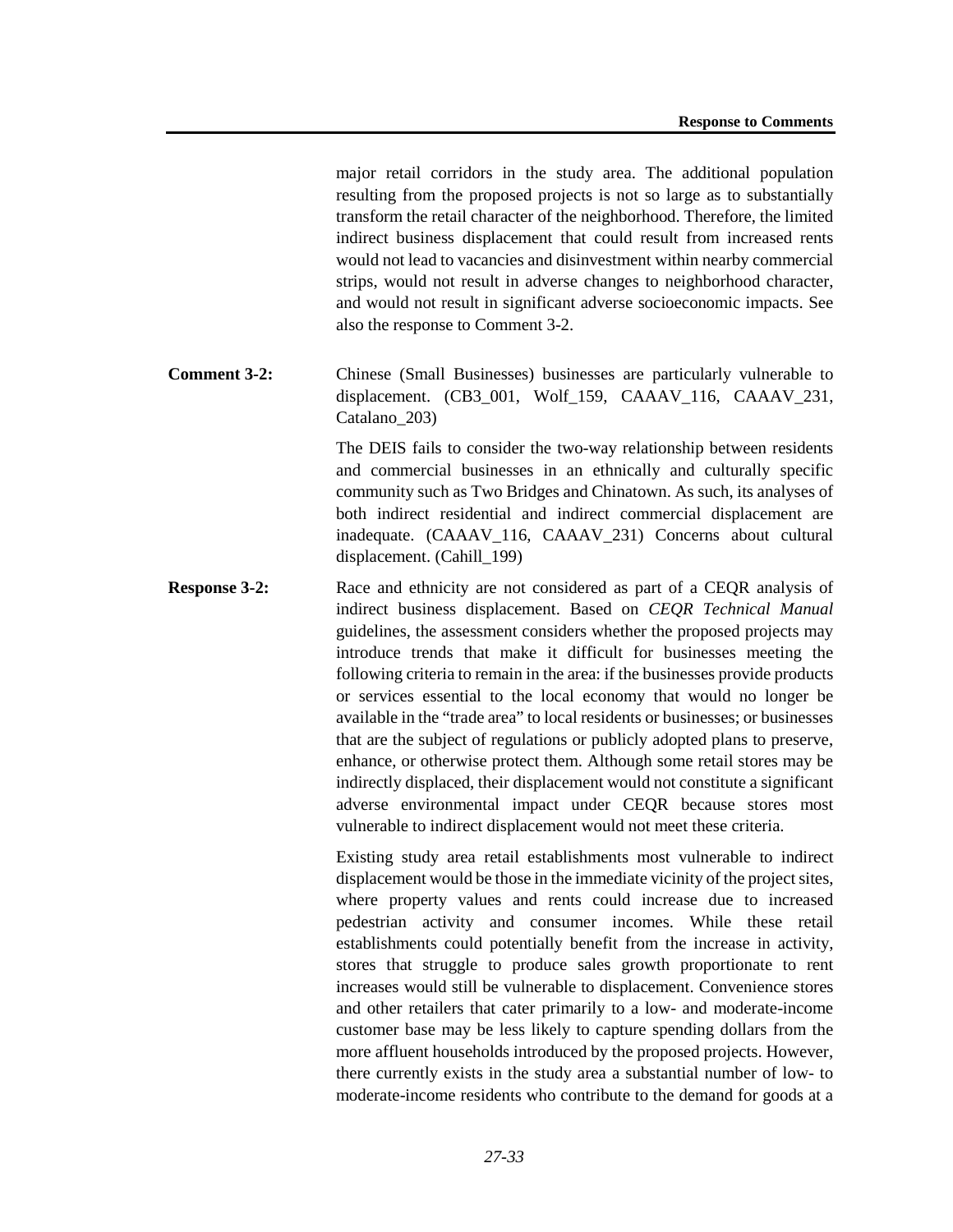major retail corridors in the study area. The additional population resulting from the proposed projects is not so large as to substantially transform the retail character of the neighborhood. Therefore, the limited indirect business displacement that could result from increased rents would not lead to vacancies and disinvestment within nearby commercial strips, would not result in adverse changes to neighborhood character, and would not result in significant adverse socioeconomic impacts. See also the response to Comment 3-2.

**Comment 3-2:** Chinese (Small Businesses) businesses are particularly vulnerable to displacement. (CB3\_001, Wolf\_159, CAAAV\_116, CAAAV\_231, Catalano\_203)

> The DEIS fails to consider the two-way relationship between residents and commercial businesses in an ethnically and culturally specific community such as Two Bridges and Chinatown. As such, its analyses of both indirect residential and indirect commercial displacement are inadequate. (CAAAV\_116, CAAAV\_231) Concerns about cultural displacement. (Cahill\_199)

**Response 3-2:** Race and ethnicity are not considered as part of a CEQR analysis of indirect business displacement. Based on *CEQR Technical Manual* guidelines, the assessment considers whether the proposed projects may introduce trends that make it difficult for businesses meeting the following criteria to remain in the area: if the businesses provide products or services essential to the local economy that would no longer be available in the "trade area" to local residents or businesses; or businesses that are the subject of regulations or publicly adopted plans to preserve, enhance, or otherwise protect them. Although some retail stores may be indirectly displaced, their displacement would not constitute a significant adverse environmental impact under CEQR because stores most vulnerable to indirect displacement would not meet these criteria.

> Existing study area retail establishments most vulnerable to indirect displacement would be those in the immediate vicinity of the project sites, where property values and rents could increase due to increased pedestrian activity and consumer incomes. While these retail establishments could potentially benefit from the increase in activity, stores that struggle to produce sales growth proportionate to rent increases would still be vulnerable to displacement. Convenience stores and other retailers that cater primarily to a low- and moderate-income customer base may be less likely to capture spending dollars from the more affluent households introduced by the proposed projects. However, there currently exists in the study area a substantial number of low- to moderate-income residents who contribute to the demand for goods at a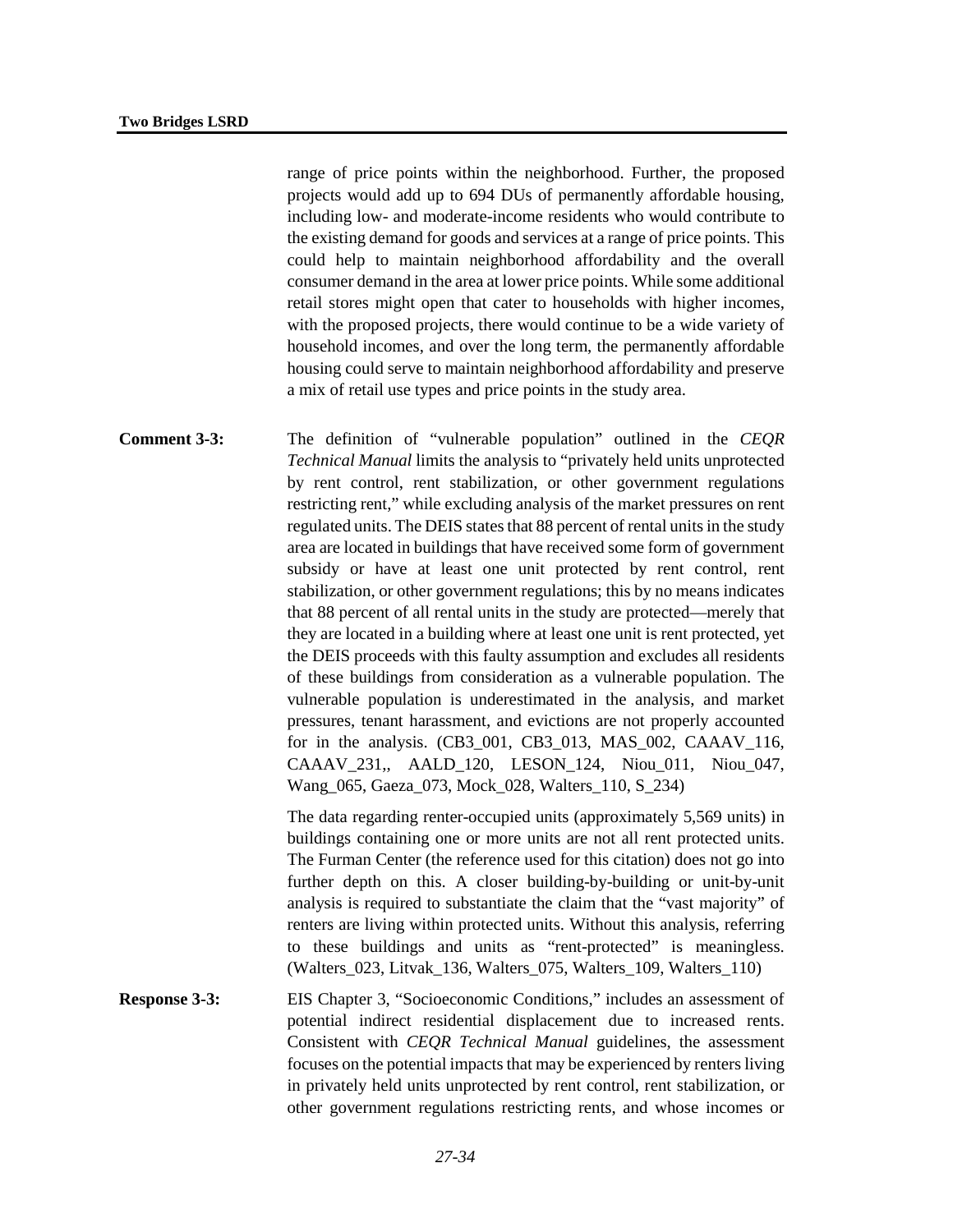range of price points within the neighborhood. Further, the proposed projects would add up to 694 DUs of permanently affordable housing, including low- and moderate-income residents who would contribute to the existing demand for goods and services at a range of price points. This could help to maintain neighborhood affordability and the overall consumer demand in the area at lower price points. While some additional retail stores might open that cater to households with higher incomes, with the proposed projects, there would continue to be a wide variety of household incomes, and over the long term, the permanently affordable housing could serve to maintain neighborhood affordability and preserve a mix of retail use types and price points in the study area.

**Comment 3-3:** The definition of "vulnerable population" outlined in the *CEQR Technical Manual* limits the analysis to "privately held units unprotected by rent control, rent stabilization, or other government regulations restricting rent," while excluding analysis of the market pressures on rent regulated units. The DEIS states that 88 percent of rental units in the study area are located in buildings that have received some form of government subsidy or have at least one unit protected by rent control, rent stabilization, or other government regulations; this by no means indicates that 88 percent of all rental units in the study are protected—merely that they are located in a building where at least one unit is rent protected, yet the DEIS proceeds with this faulty assumption and excludes all residents of these buildings from consideration as a vulnerable population. The vulnerable population is underestimated in the analysis, and market pressures, tenant harassment, and evictions are not properly accounted for in the analysis. (CB3\_001, CB3\_013, MAS\_002, CAAAV\_116, CAAAV\_231,, AALD\_120, LESON\_124, Niou\_011, Niou\_047, Wang\_065, Gaeza\_073, Mock\_028, Walters\_110, S\_234)

> The data regarding renter-occupied units (approximately 5,569 units) in buildings containing one or more units are not all rent protected units. The Furman Center (the reference used for this citation) does not go into further depth on this. A closer building-by-building or unit-by-unit analysis is required to substantiate the claim that the "vast majority" of renters are living within protected units. Without this analysis, referring to these buildings and units as "rent-protected" is meaningless. (Walters\_023, Litvak\_136, Walters\_075, Walters\_109, Walters\_110)

**Response 3-3:** EIS Chapter 3, "Socioeconomic Conditions," includes an assessment of potential indirect residential displacement due to increased rents. Consistent with *CEQR Technical Manual* guidelines, the assessment focuses on the potential impacts that may be experienced by renters living in privately held units unprotected by rent control, rent stabilization, or other government regulations restricting rents, and whose incomes or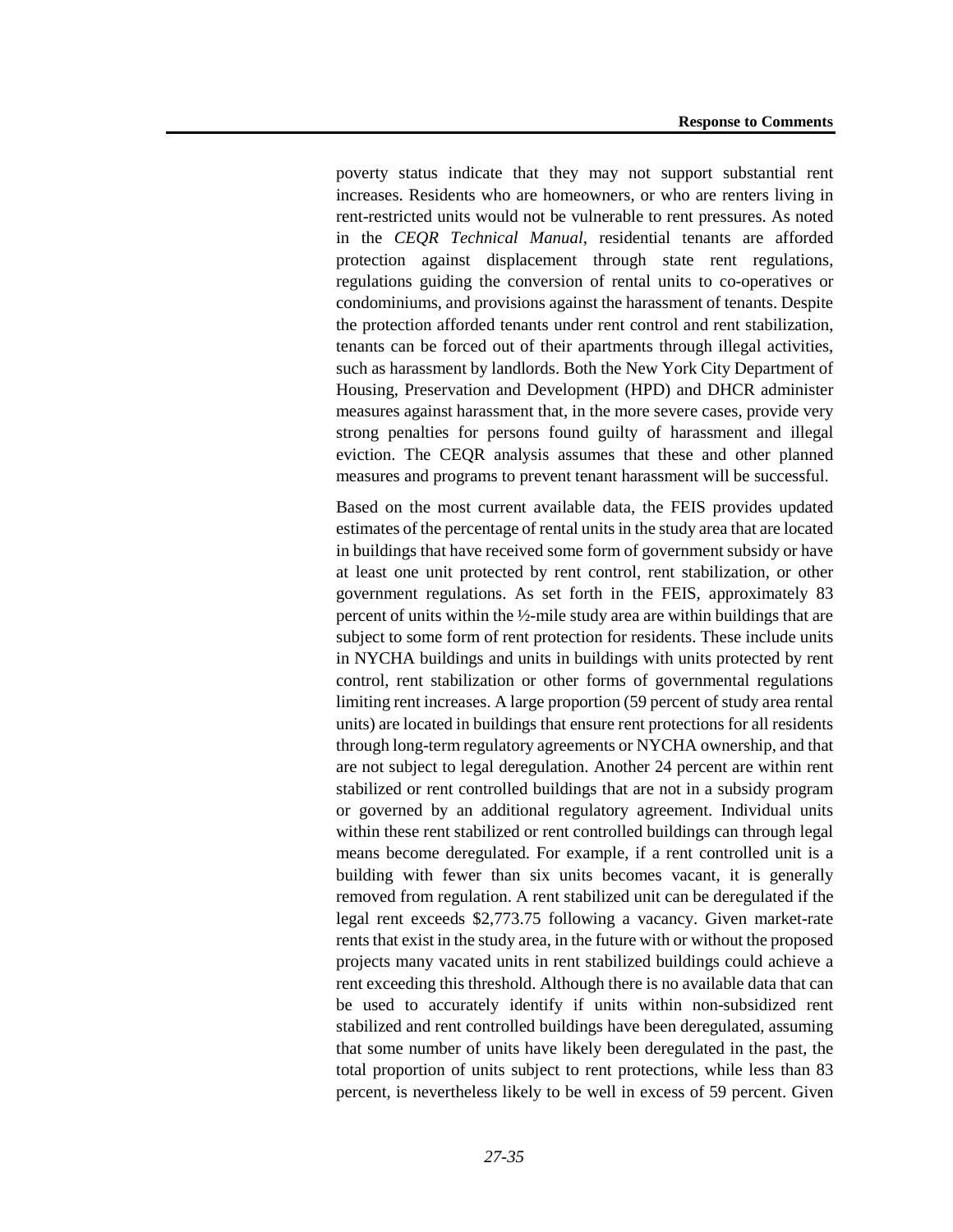poverty status indicate that they may not support substantial rent increases. Residents who are homeowners, or who are renters living in rent-restricted units would not be vulnerable to rent pressures. As noted in the *CEQR Technical Manual*, residential tenants are afforded protection against displacement through state rent regulations, regulations guiding the conversion of rental units to co-operatives or condominiums, and provisions against the harassment of tenants. Despite the protection afforded tenants under rent control and rent stabilization, tenants can be forced out of their apartments through illegal activities, such as harassment by landlords. Both the New York City Department of Housing, Preservation and Development (HPD) and DHCR administer measures against harassment that, in the more severe cases, provide very strong penalties for persons found guilty of harassment and illegal eviction. The CEQR analysis assumes that these and other planned measures and programs to prevent tenant harassment will be successful.

Based on the most current available data, the FEIS provides updated estimates of the percentage of rental units in the study area that are located in buildings that have received some form of government subsidy or have at least one unit protected by rent control, rent stabilization, or other government regulations. As set forth in the FEIS, approximately 83 percent of units within the ½-mile study area are within buildings that are subject to some form of rent protection for residents. These include units in NYCHA buildings and units in buildings with units protected by rent control, rent stabilization or other forms of governmental regulations limiting rent increases. A large proportion (59 percent of study area rental units) are located in buildings that ensure rent protections for all residents through long-term regulatory agreements or NYCHA ownership, and that are not subject to legal deregulation. Another 24 percent are within rent stabilized or rent controlled buildings that are not in a subsidy program or governed by an additional regulatory agreement. Individual units within these rent stabilized or rent controlled buildings can through legal means become deregulated. For example, if a rent controlled unit is a building with fewer than six units becomes vacant, it is generally removed from regulation. A rent stabilized unit can be deregulated if the legal rent exceeds \$2,773.75 following a vacancy. Given market-rate rents that exist in the study area, in the future with or without the proposed projects many vacated units in rent stabilized buildings could achieve a rent exceeding this threshold. Although there is no available data that can be used to accurately identify if units within non-subsidized rent stabilized and rent controlled buildings have been deregulated, assuming that some number of units have likely been deregulated in the past, the total proportion of units subject to rent protections, while less than 83 percent, is nevertheless likely to be well in excess of 59 percent. Given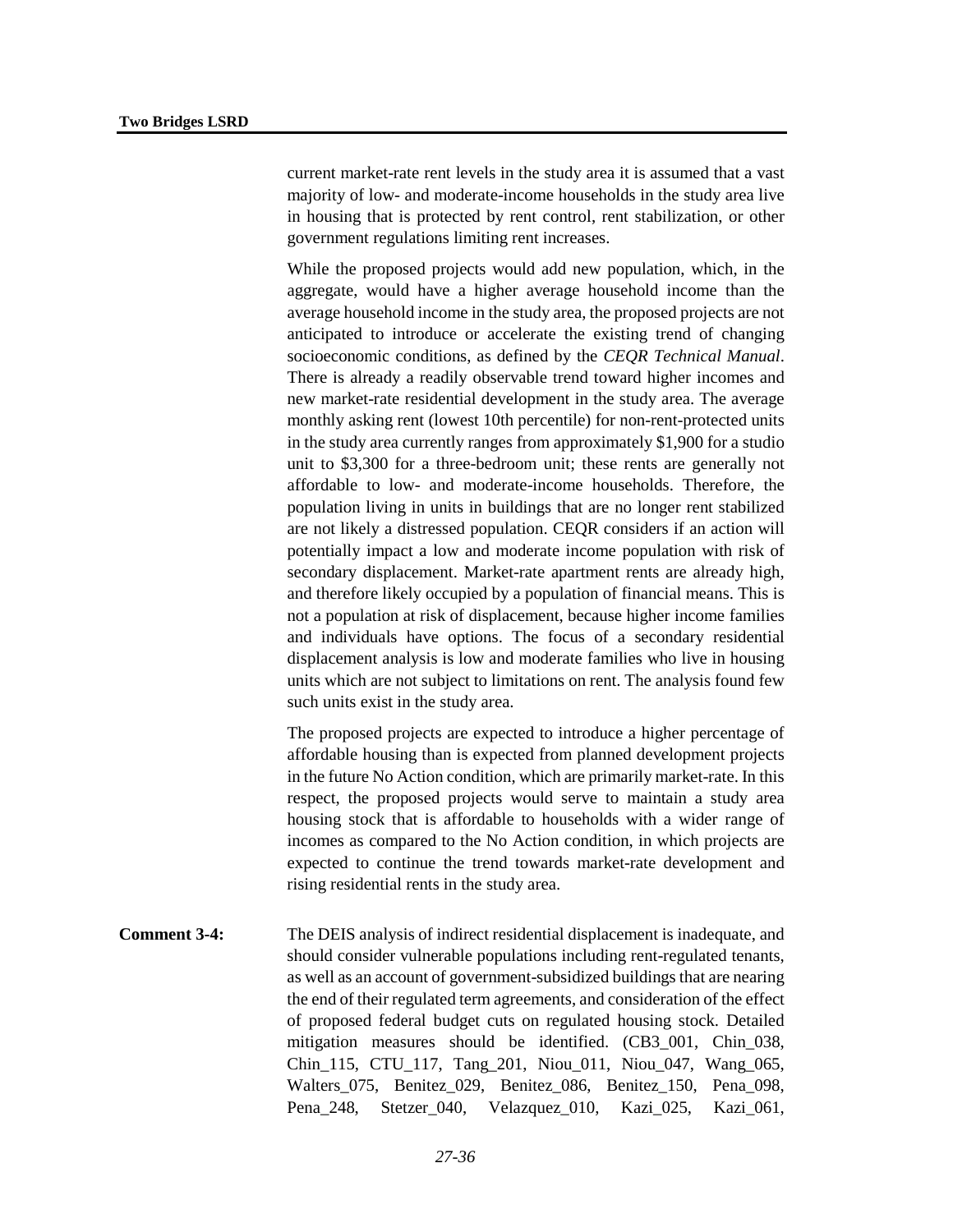current market-rate rent levels in the study area it is assumed that a vast majority of low- and moderate-income households in the study area live in housing that is protected by rent control, rent stabilization, or other government regulations limiting rent increases.

While the proposed projects would add new population, which, in the aggregate, would have a higher average household income than the average household income in the study area, the proposed projects are not anticipated to introduce or accelerate the existing trend of changing socioeconomic conditions, as defined by the *CEQR Technical Manual*. There is already a readily observable trend toward higher incomes and new market-rate residential development in the study area. The average monthly asking rent (lowest 10th percentile) for non-rent-protected units in the study area currently ranges from approximately \$1,900 for a studio unit to \$3,300 for a three-bedroom unit; these rents are generally not affordable to low- and moderate-income households. Therefore, the population living in units in buildings that are no longer rent stabilized are not likely a distressed population. CEQR considers if an action will potentially impact a low and moderate income population with risk of secondary displacement. Market-rate apartment rents are already high, and therefore likely occupied by a population of financial means. This is not a population at risk of displacement, because higher income families and individuals have options. The focus of a secondary residential displacement analysis is low and moderate families who live in housing units which are not subject to limitations on rent. The analysis found few such units exist in the study area.

The proposed projects are expected to introduce a higher percentage of affordable housing than is expected from planned development projects in the future No Action condition, which are primarily market-rate. In this respect, the proposed projects would serve to maintain a study area housing stock that is affordable to households with a wider range of incomes as compared to the No Action condition, in which projects are expected to continue the trend towards market-rate development and rising residential rents in the study area.

**Comment 3-4:** The DEIS analysis of indirect residential displacement is inadequate, and should consider vulnerable populations including rent-regulated tenants, as well as an account of government-subsidized buildings that are nearing the end of their regulated term agreements, and consideration of the effect of proposed federal budget cuts on regulated housing stock. Detailed mitigation measures should be identified. (CB3\_001, Chin\_038, Chin\_115, CTU\_117, Tang\_201, Niou\_011, Niou\_047, Wang\_065, Walters\_075, Benitez\_029, Benitez\_086, Benitez\_150, Pena\_098, Pena 248, Stetzer 040, Velazquez 010, Kazi 025, Kazi 061,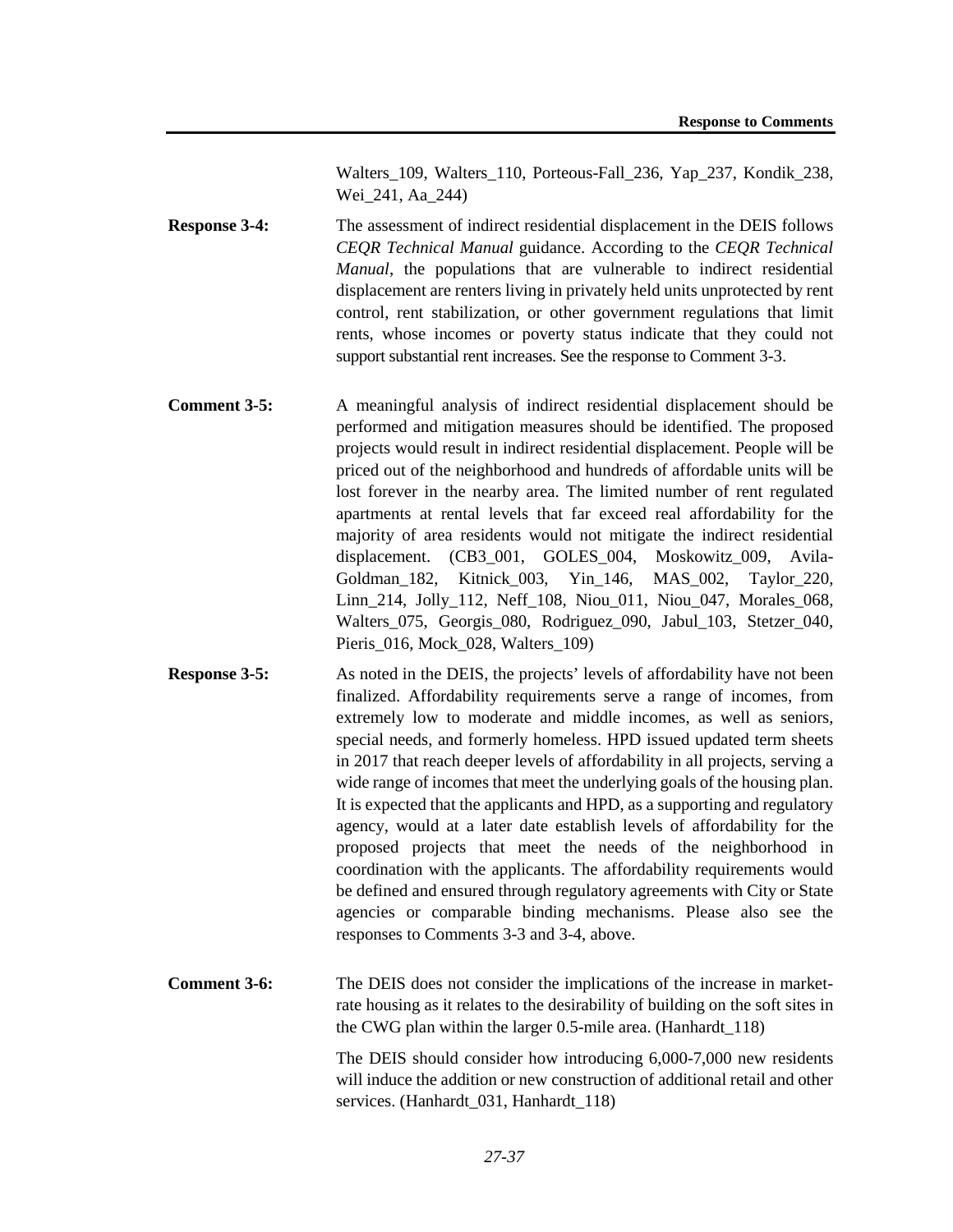Walters 109, Walters 110, Porteous-Fall 236, Yap 237, Kondik 238, Wei\_241, Aa\_244)

- **Response 3-4:** The assessment of indirect residential displacement in the DEIS follows *CEQR Technical Manual* guidance. According to the *CEQR Technical Manual*, the populations that are vulnerable to indirect residential displacement are renters living in privately held units unprotected by rent control, rent stabilization, or other government regulations that limit rents, whose incomes or poverty status indicate that they could not support substantial rent increases. See the response to Comment 3-3.
- **Comment 3-5:** A meaningful analysis of indirect residential displacement should be performed and mitigation measures should be identified. The proposed projects would result in indirect residential displacement. People will be priced out of the neighborhood and hundreds of affordable units will be lost forever in the nearby area. The limited number of rent regulated apartments at rental levels that far exceed real affordability for the majority of area residents would not mitigate the indirect residential displacement. (CB3\_001, GOLES\_004, Moskowitz\_009, Avila-Goldman\_182, Kitnick\_003, Yin\_146, MAS\_002, Taylor\_220, Linn\_214, Jolly\_112, Neff\_108, Niou\_011, Niou\_047, Morales\_068, Walters\_075, Georgis\_080, Rodriguez\_090, Jabul\_103, Stetzer\_040, Pieris\_016, Mock\_028, Walters\_109)
- **Response 3-5:** As noted in the DEIS, the projects' levels of affordability have not been finalized. Affordability requirements serve a range of incomes, from extremely low to moderate and middle incomes, as well as seniors, special needs, and formerly homeless. HPD issued updated term sheets in 2017 that reach deeper levels of affordability in all projects, serving a wide range of incomes that meet the underlying goals of the housing plan. It is expected that the applicants and HPD, as a supporting and regulatory agency, would at a later date establish levels of affordability for the proposed projects that meet the needs of the neighborhood in coordination with the applicants. The affordability requirements would be defined and ensured through regulatory agreements with City or State agencies or comparable binding mechanisms. Please also see the responses to Comments 3-3 and 3-4, above.
- **Comment 3-6:** The DEIS does not consider the implications of the increase in marketrate housing as it relates to the desirability of building on the soft sites in the CWG plan within the larger 0.5-mile area. (Hanhardt\_118)

The DEIS should consider how introducing 6,000-7,000 new residents will induce the addition or new construction of additional retail and other services. (Hanhardt 031, Hanhardt 118)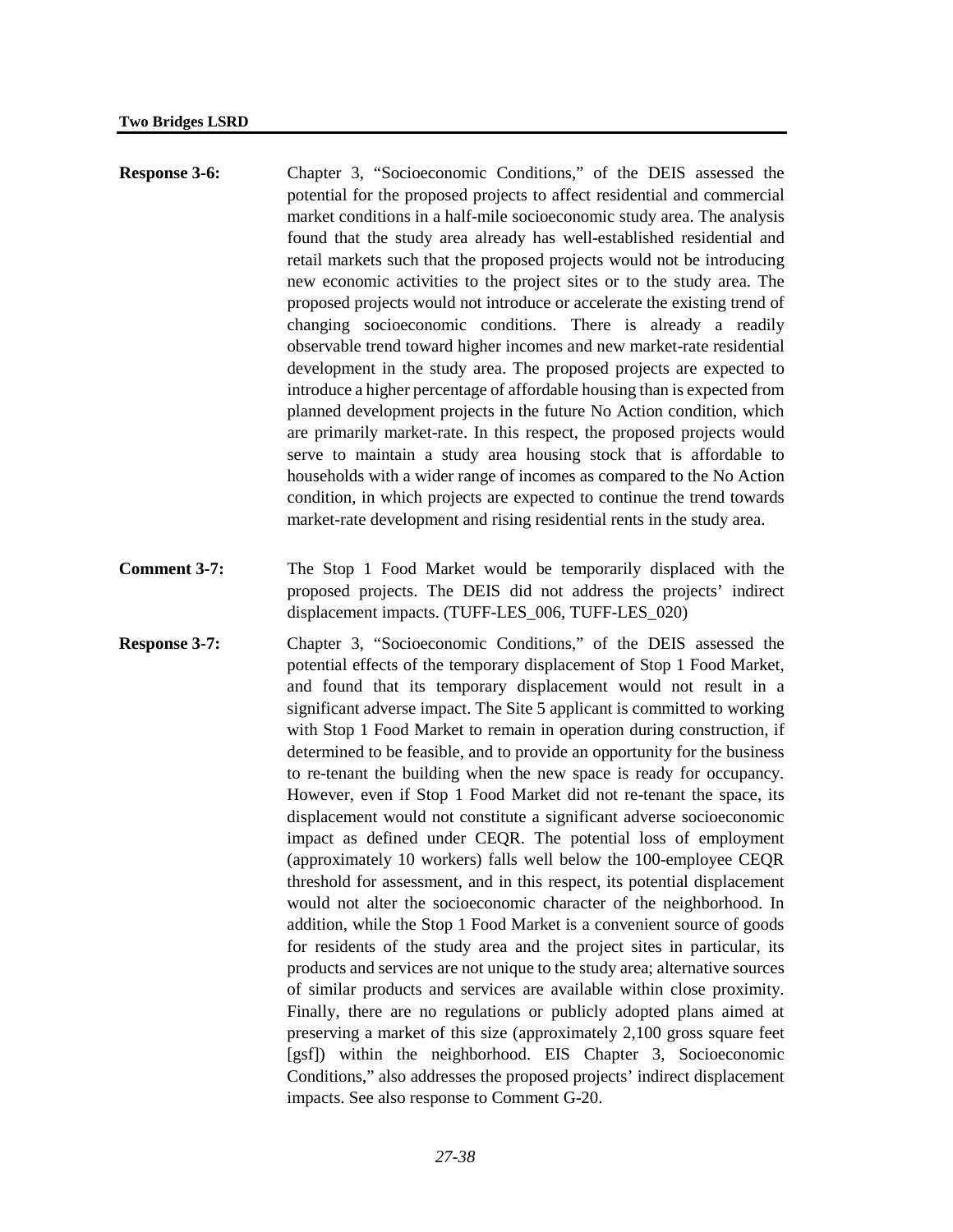| <b>Response 3-6:</b> | Chapter 3, "Socioeconomic Conditions," of the DEIS assessed the<br>potential for the proposed projects to affect residential and commercial<br>market conditions in a half-mile socioeconomic study area. The analysis<br>found that the study area already has well-established residential and<br>retail markets such that the proposed projects would not be introducing<br>new economic activities to the project sites or to the study area. The<br>proposed projects would not introduce or accelerate the existing trend of<br>changing socioeconomic conditions. There is already a readily<br>observable trend toward higher incomes and new market-rate residential<br>development in the study area. The proposed projects are expected to<br>introduce a higher percentage of affordable housing than is expected from<br>planned development projects in the future No Action condition, which<br>are primarily market-rate. In this respect, the proposed projects would<br>serve to maintain a study area housing stock that is affordable to<br>households with a wider range of incomes as compared to the No Action<br>condition, in which projects are expected to continue the trend towards |
|----------------------|------------------------------------------------------------------------------------------------------------------------------------------------------------------------------------------------------------------------------------------------------------------------------------------------------------------------------------------------------------------------------------------------------------------------------------------------------------------------------------------------------------------------------------------------------------------------------------------------------------------------------------------------------------------------------------------------------------------------------------------------------------------------------------------------------------------------------------------------------------------------------------------------------------------------------------------------------------------------------------------------------------------------------------------------------------------------------------------------------------------------------------------------------------------------------------------------------------------|
|                      | market-rate development and rising residential rents in the study area.                                                                                                                                                                                                                                                                                                                                                                                                                                                                                                                                                                                                                                                                                                                                                                                                                                                                                                                                                                                                                                                                                                                                          |

- **Comment 3-7:** The Stop 1 Food Market would be temporarily displaced with the proposed projects. The DEIS did not address the projects' indirect displacement impacts. (TUFF-LES\_006, TUFF-LES\_020)
- **Response 3-7:** Chapter 3, "Socioeconomic Conditions," of the DEIS assessed the potential effects of the temporary displacement of Stop 1 Food Market, and found that its temporary displacement would not result in a significant adverse impact. The Site 5 applicant is committed to working with Stop 1 Food Market to remain in operation during construction, if determined to be feasible, and to provide an opportunity for the business to re-tenant the building when the new space is ready for occupancy. However, even if Stop 1 Food Market did not re-tenant the space, its displacement would not constitute a significant adverse socioeconomic impact as defined under CEQR. The potential loss of employment (approximately 10 workers) falls well below the 100-employee CEQR threshold for assessment, and in this respect, its potential displacement would not alter the socioeconomic character of the neighborhood. In addition, while the Stop 1 Food Market is a convenient source of goods for residents of the study area and the project sites in particular, its products and services are not unique to the study area; alternative sources of similar products and services are available within close proximity. Finally, there are no regulations or publicly adopted plans aimed at preserving a market of this size (approximately 2,100 gross square feet [gsf]) within the neighborhood. EIS Chapter 3, Socioeconomic Conditions," also addresses the proposed projects' indirect displacement impacts. See also response to Comment G-20.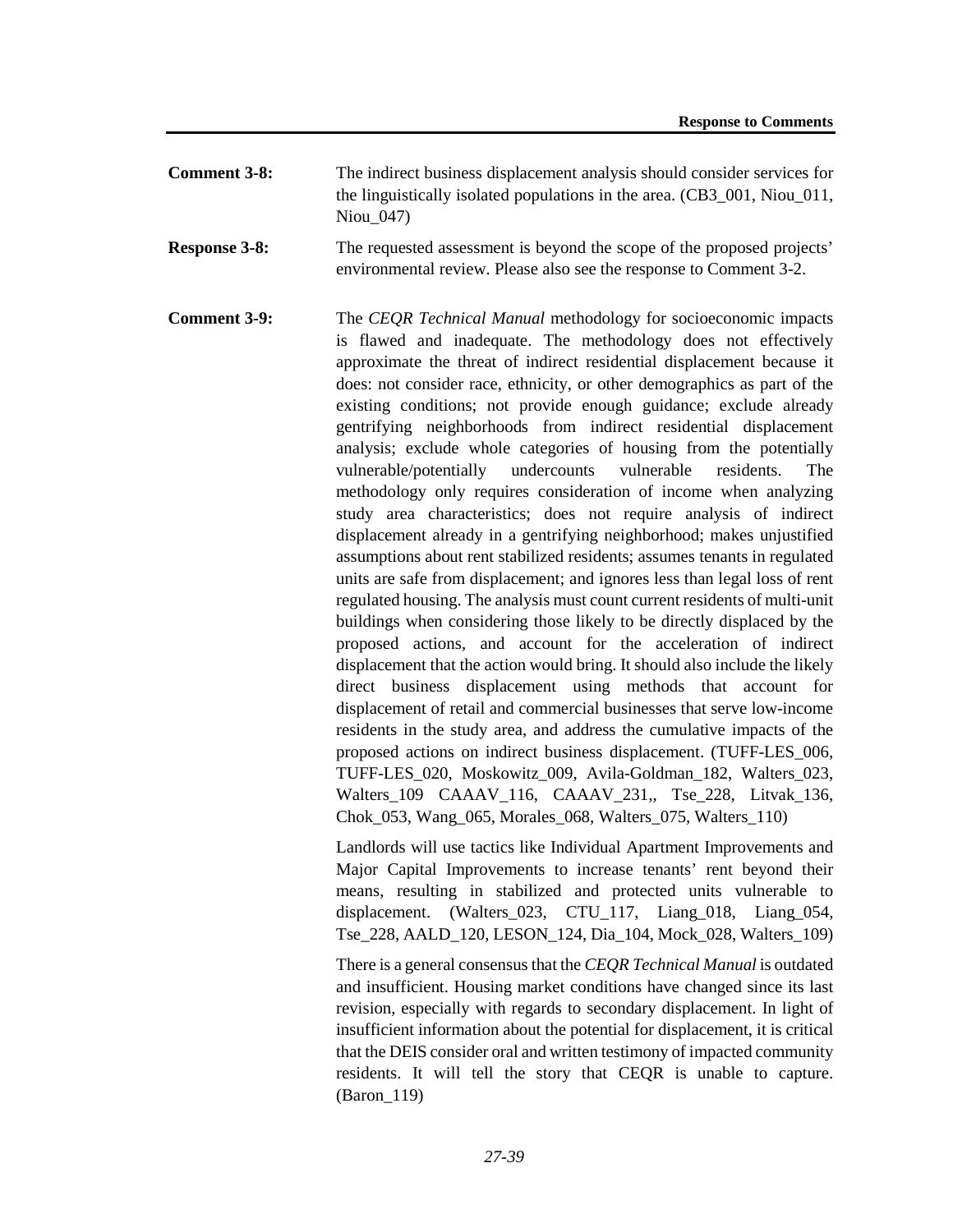- **Comment 3-8:** The indirect business displacement analysis should consider services for the linguistically isolated populations in the area. (CB3\_001, Niou\_011, Niou\_047)
- **Response 3-8:** The requested assessment is beyond the scope of the proposed projects' environmental review. Please also see the response to Comment 3-2.
- **Comment 3-9:** The *CEOR Technical Manual* methodology for socioeconomic impacts is flawed and inadequate. The methodology does not effectively approximate the threat of indirect residential displacement because it does: not consider race, ethnicity, or other demographics as part of the existing conditions; not provide enough guidance; exclude already gentrifying neighborhoods from indirect residential displacement analysis; exclude whole categories of housing from the potentially vulnerable/potentially undercounts vulnerable residents. The methodology only requires consideration of income when analyzing study area characteristics; does not require analysis of indirect displacement already in a gentrifying neighborhood; makes unjustified assumptions about rent stabilized residents; assumes tenants in regulated units are safe from displacement; and ignores less than legal loss of rent regulated housing. The analysis must count current residents of multi-unit buildings when considering those likely to be directly displaced by the proposed actions, and account for the acceleration of indirect displacement that the action would bring. It should also include the likely direct business displacement using methods that account for displacement of retail and commercial businesses that serve low-income residents in the study area, and address the cumulative impacts of the proposed actions on indirect business displacement. (TUFF-LES\_006, TUFF-LES\_020, Moskowitz\_009, Avila-Goldman\_182, Walters\_023, Walters\_109 CAAAV\_116, CAAAV\_231,, Tse\_228, Litvak\_136, Chok\_053, Wang\_065, Morales\_068, Walters\_075, Walters\_110)

Landlords will use tactics like Individual Apartment Improvements and Major Capital Improvements to increase tenants' rent beyond their means, resulting in stabilized and protected units vulnerable to displacement. (Walters\_023, CTU\_117, Liang\_018, Liang\_054, Tse\_228, AALD\_120, LESON\_124, Dia\_104, Mock\_028, Walters\_109)

There is a general consensus that the *CEQR Technical Manual* is outdated and insufficient. Housing market conditions have changed since its last revision, especially with regards to secondary displacement. In light of insufficient information about the potential for displacement, it is critical that the DEIS consider oral and written testimony of impacted community residents. It will tell the story that CEQR is unable to capture. (Baron\_119)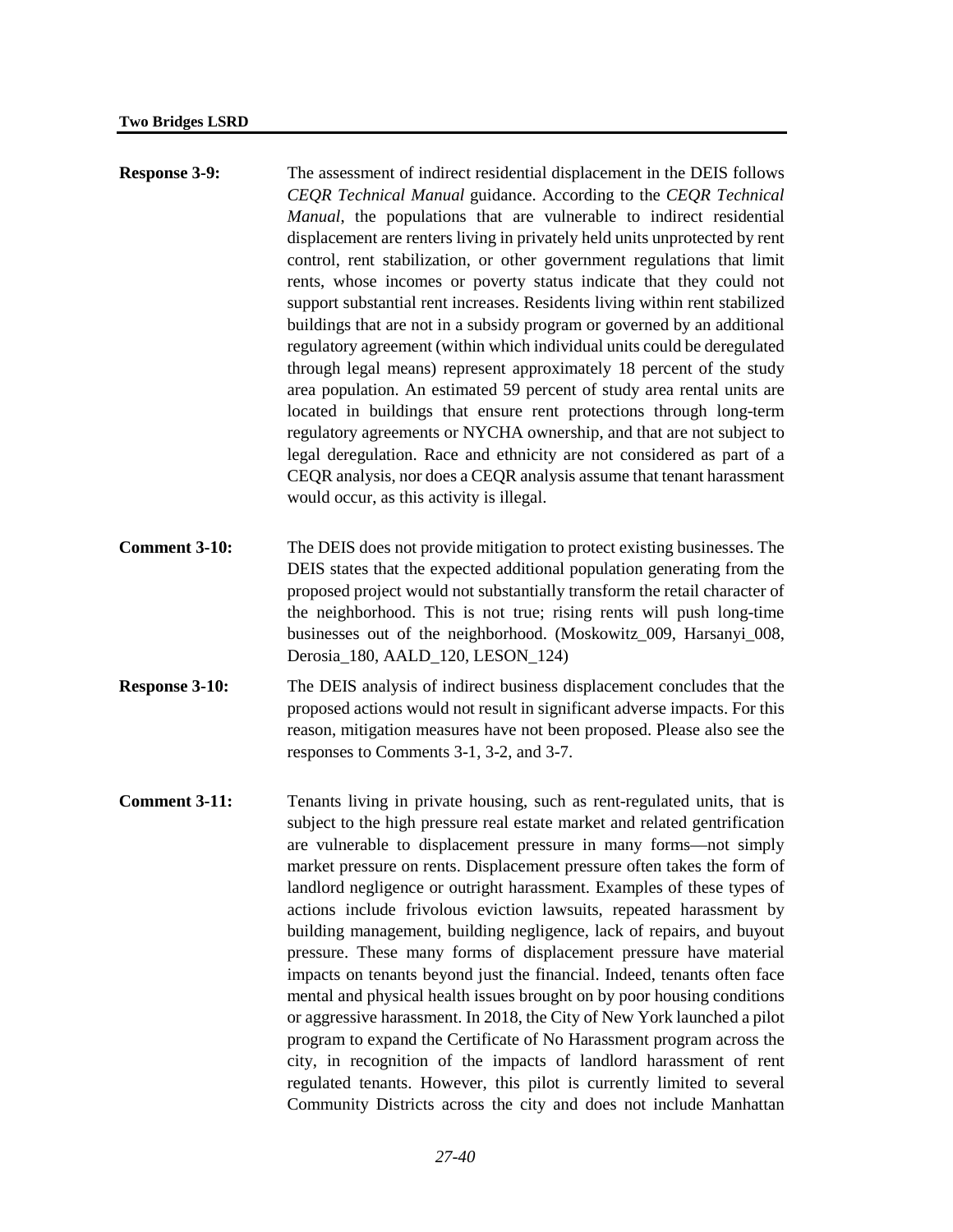| <b>Response 3-9:</b> | The assessment of indirect residential displacement in the DEIS follows     |
|----------------------|-----------------------------------------------------------------------------|
|                      | CEOR Technical Manual guidance. According to the CEOR Technical             |
|                      | <i>Manual</i> , the populations that are vulnerable to indirect residential |
|                      | displacement are renters living in privately held units unprotected by rent |
|                      | control, rent stabilization, or other government regulations that limit     |
|                      | rents, whose incomes or poverty status indicate that they could not         |
|                      | support substantial rent increases. Residents living within rent stabilized |
|                      | buildings that are not in a subsidy program or governed by an additional    |
|                      | regulatory agreement (within which individual units could be deregulated    |
|                      | through legal means) represent approximately 18 percent of the study        |
|                      | area population. An estimated 59 percent of study area rental units are     |
|                      | located in buildings that ensure rent protections through long-term         |
|                      | regulatory agreements or NYCHA ownership, and that are not subject to       |
|                      | legal deregulation. Race and ethnicity are not considered as part of a      |
|                      | CEQR analysis, nor does a CEQR analysis assume that tenant harassment       |
|                      | would occur, as this activity is illegal.                                   |

- **Comment 3-10:** The DEIS does not provide mitigation to protect existing businesses. The DEIS states that the expected additional population generating from the proposed project would not substantially transform the retail character of the neighborhood. This is not true; rising rents will push long-time businesses out of the neighborhood. (Moskowitz\_009, Harsanyi\_008, Derosia\_180, AALD\_120, LESON\_124)
- **Response 3-10:** The DEIS analysis of indirect business displacement concludes that the proposed actions would not result in significant adverse impacts. For this reason, mitigation measures have not been proposed. Please also see the responses to Comments 3-1, 3-2, and 3-7.
- **Comment 3-11:** Tenants living in private housing, such as rent-regulated units, that is subject to the high pressure real estate market and related gentrification are vulnerable to displacement pressure in many forms—not simply market pressure on rents. Displacement pressure often takes the form of landlord negligence or outright harassment. Examples of these types of actions include frivolous eviction lawsuits, repeated harassment by building management, building negligence, lack of repairs, and buyout pressure. These many forms of displacement pressure have material impacts on tenants beyond just the financial. Indeed, tenants often face mental and physical health issues brought on by poor housing conditions or aggressive harassment. In 2018, the City of New York launched a pilot program to expand the Certificate of No Harassment program across the city, in recognition of the impacts of landlord harassment of rent regulated tenants. However, this pilot is currently limited to several Community Districts across the city and does not include Manhattan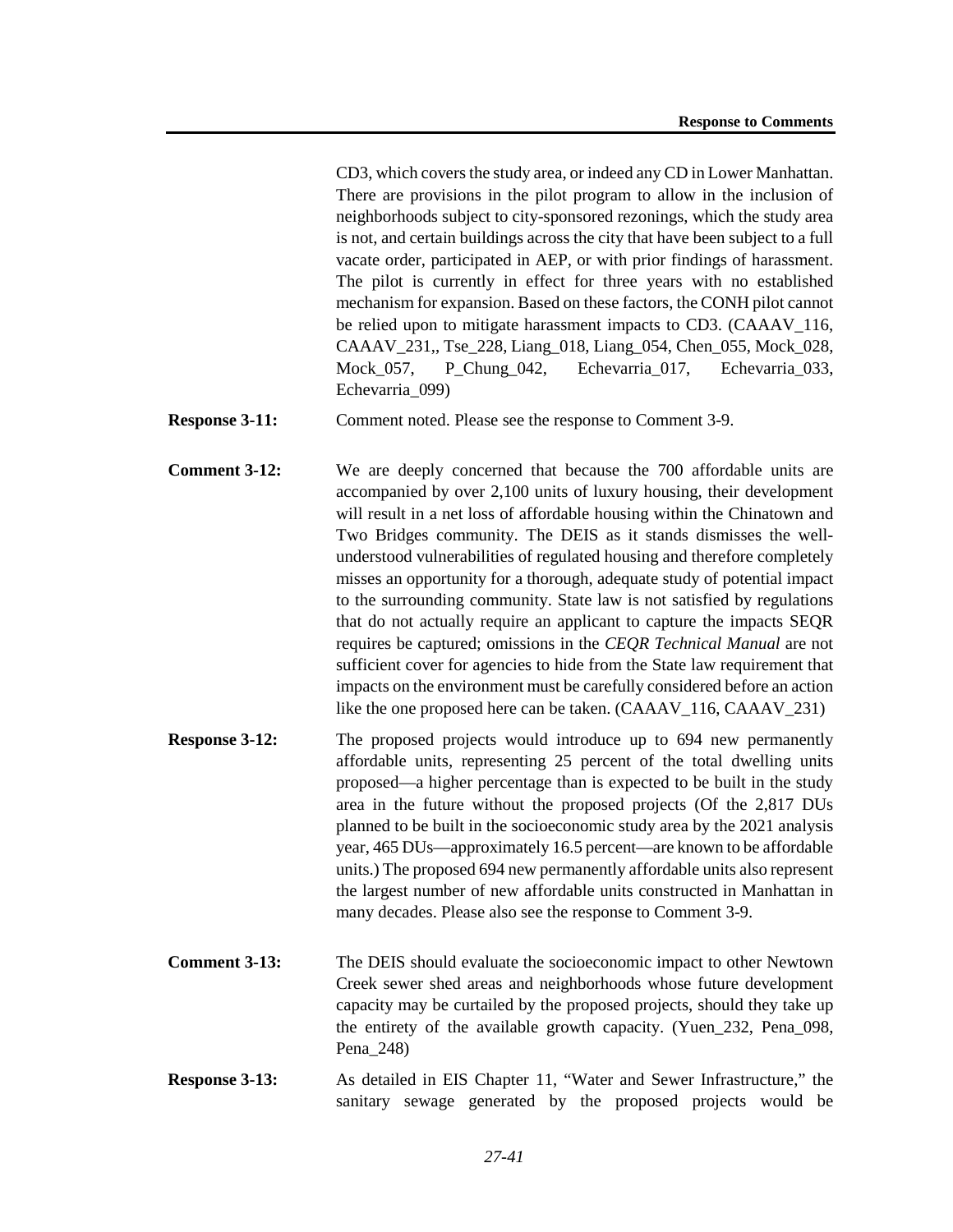CD3, which covers the study area, or indeed any CD in Lower Manhattan. There are provisions in the pilot program to allow in the inclusion of neighborhoods subject to city-sponsored rezonings, which the study area is not, and certain buildings across the city that have been subject to a full vacate order, participated in AEP, or with prior findings of harassment. The pilot is currently in effect for three years with no established mechanism for expansion. Based on these factors, the CONH pilot cannot be relied upon to mitigate harassment impacts to CD3. (CAAAV\_116, CAAAV\_231,, Tse\_228, Liang\_018, Liang\_054, Chen\_055, Mock\_028, Mock\_057, P\_Chung\_042, Echevarria\_017, Echevarria\_033, Echevarria\_099)

**Response 3-11:** Comment noted. Please see the response to Comment 3-9.

**Comment 3-12:** We are deeply concerned that because the 700 affordable units are accompanied by over 2,100 units of luxury housing, their development will result in a net loss of affordable housing within the Chinatown and Two Bridges community. The DEIS as it stands dismisses the wellunderstood vulnerabilities of regulated housing and therefore completely misses an opportunity for a thorough, adequate study of potential impact to the surrounding community. State law is not satisfied by regulations that do not actually require an applicant to capture the impacts SEQR requires be captured; omissions in the *CEQR Technical Manual* are not sufficient cover for agencies to hide from the State law requirement that impacts on the environment must be carefully considered before an action like the one proposed here can be taken. (CAAAV\_116, CAAAV\_231)

- **Response 3-12:** The proposed projects would introduce up to 694 new permanently affordable units, representing 25 percent of the total dwelling units proposed—a higher percentage than is expected to be built in the study area in the future without the proposed projects (Of the 2,817 DUs planned to be built in the socioeconomic study area by the 2021 analysis year, 465 DUs—approximately 16.5 percent—are known to be affordable units.) The proposed 694 new permanently affordable units also represent the largest number of new affordable units constructed in Manhattan in many decades. Please also see the response to Comment 3-9.
- **Comment 3-13:** The DEIS should evaluate the socioeconomic impact to other Newtown Creek sewer shed areas and neighborhoods whose future development capacity may be curtailed by the proposed projects, should they take up the entirety of the available growth capacity. (Yuen\_232, Pena\_098, Pena\_248)
- **Response 3-13:** As detailed in EIS Chapter 11, "Water and Sewer Infrastructure," the sanitary sewage generated by the proposed projects would be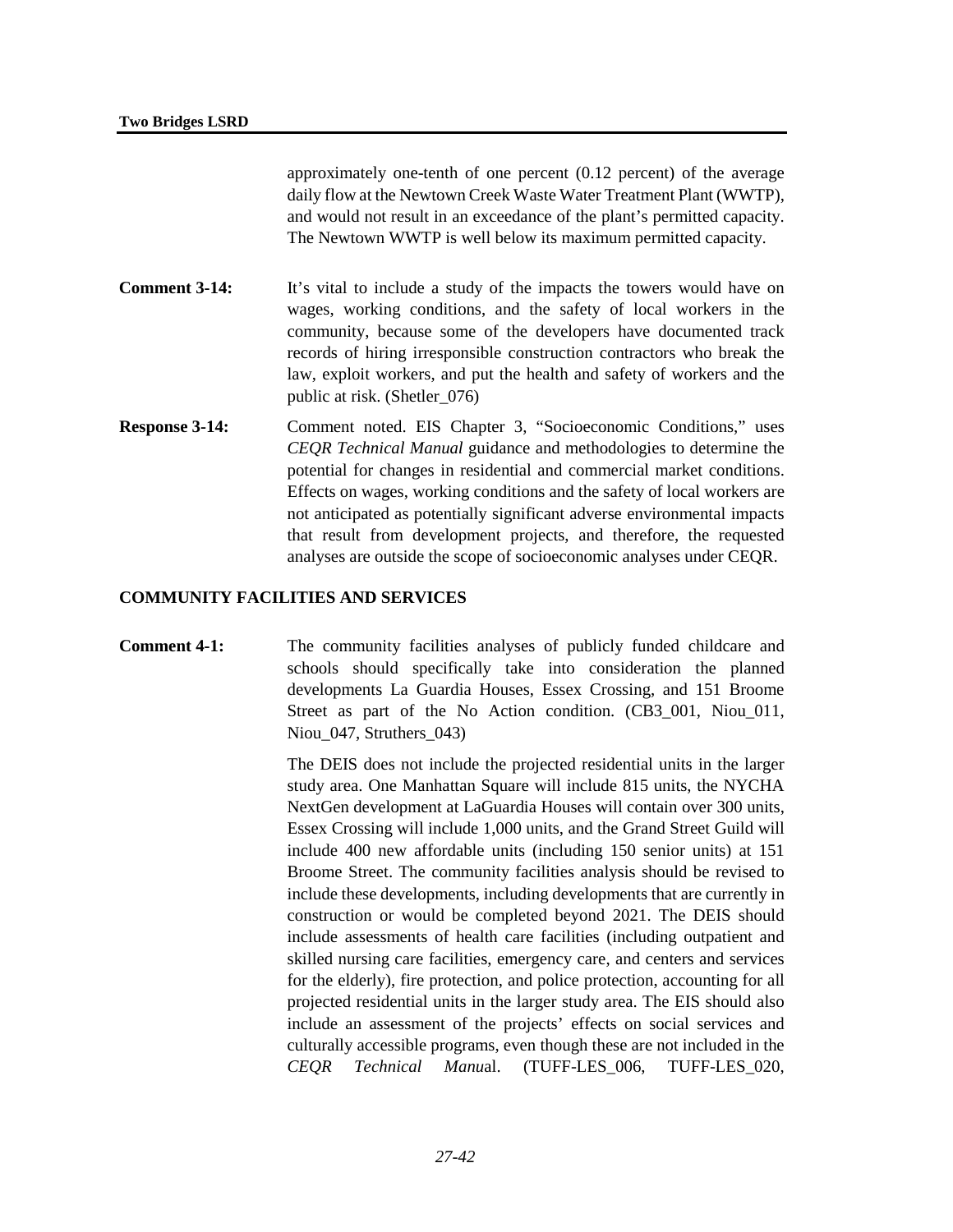approximately one-tenth of one percent (0.12 percent) of the average daily flow at the Newtown Creek Waste Water Treatment Plant (WWTP), and would not result in an exceedance of the plant's permitted capacity. The Newtown WWTP is well below its maximum permitted capacity.

- **Comment 3-14:** It's vital to include a study of the impacts the towers would have on wages, working conditions, and the safety of local workers in the community, because some of the developers have documented track records of hiring irresponsible construction contractors who break the law, exploit workers, and put the health and safety of workers and the public at risk. (Shetler\_076)
- **Response 3-14:** Comment noted. EIS Chapter 3, "Socioeconomic Conditions," uses *CEQR Technical Manual* guidance and methodologies to determine the potential for changes in residential and commercial market conditions. Effects on wages, working conditions and the safety of local workers are not anticipated as potentially significant adverse environmental impacts that result from development projects, and therefore, the requested analyses are outside the scope of socioeconomic analyses under CEQR.

### **COMMUNITY FACILITIES AND SERVICES**

# **Comment 4-1:** The community facilities analyses of publicly funded childcare and schools should specifically take into consideration the planned developments La Guardia Houses, Essex Crossing, and 151 Broome Street as part of the No Action condition. (CB3\_001, Niou\_011, Niou 047, Struthers 043)

The DEIS does not include the projected residential units in the larger study area. One Manhattan Square will include 815 units, the NYCHA NextGen development at LaGuardia Houses will contain over 300 units, Essex Crossing will include 1,000 units, and the Grand Street Guild will include 400 new affordable units (including 150 senior units) at 151 Broome Street. The community facilities analysis should be revised to include these developments, including developments that are currently in construction or would be completed beyond 2021. The DEIS should include assessments of health care facilities (including outpatient and skilled nursing care facilities, emergency care, and centers and services for the elderly), fire protection, and police protection, accounting for all projected residential units in the larger study area. The EIS should also include an assessment of the projects' effects on social services and culturally accessible programs, even though these are not included in the *CEQR Technical Manu*al. (TUFF-LES\_006, TUFF-LES\_020,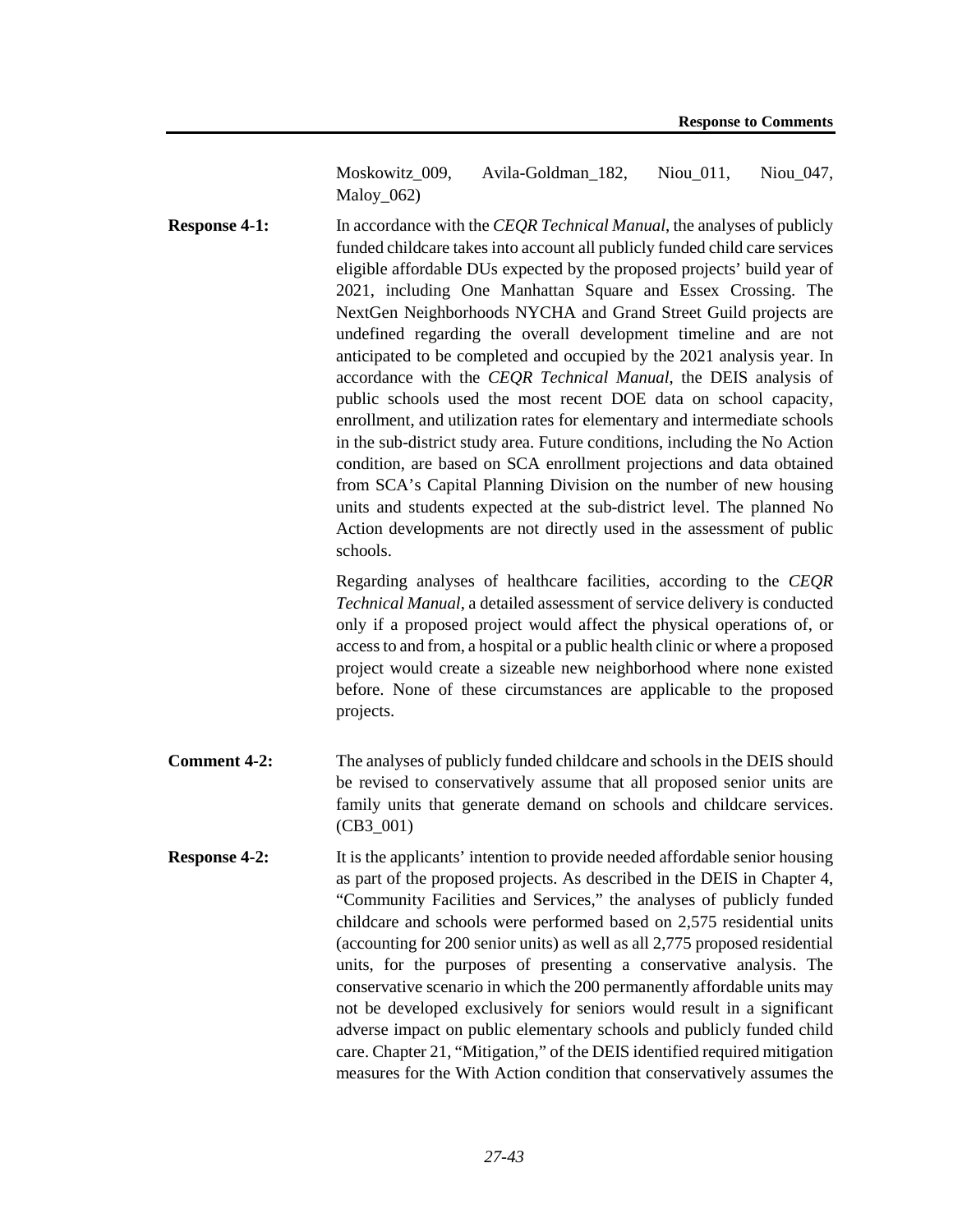Moskowitz 009, Avila-Goldman 182, Niou 011, Niou 047, Maloy\_062)

**Response 4-1:** In accordance with the *CEOR Technical Manual*, the analyses of publicly funded childcare takes into account all publicly funded child care services eligible affordable DUs expected by the proposed projects' build year of 2021, including One Manhattan Square and Essex Crossing. The NextGen Neighborhoods NYCHA and Grand Street Guild projects are undefined regarding the overall development timeline and are not anticipated to be completed and occupied by the 2021 analysis year. In accordance with the *CEQR Technical Manual*, the DEIS analysis of public schools used the most recent DOE data on school capacity, enrollment, and utilization rates for elementary and intermediate schools in the sub-district study area. Future conditions, including the No Action condition, are based on SCA enrollment projections and data obtained from SCA's Capital Planning Division on the number of new housing units and students expected at the sub-district level. The planned No Action developments are not directly used in the assessment of public schools.

> Regarding analyses of healthcare facilities, according to the *CEQR Technical Manual*, a detailed assessment of service delivery is conducted only if a proposed project would affect the physical operations of, or access to and from, a hospital or a public health clinic or where a proposed project would create a sizeable new neighborhood where none existed before. None of these circumstances are applicable to the proposed projects.

- **Comment 4-2:** The analyses of publicly funded childcare and schools in the DEIS should be revised to conservatively assume that all proposed senior units are family units that generate demand on schools and childcare services. (CB3\_001)
- **Response 4-2:** It is the applicants' intention to provide needed affordable senior housing as part of the proposed projects. As described in the DEIS in Chapter 4, "Community Facilities and Services," the analyses of publicly funded childcare and schools were performed based on 2,575 residential units (accounting for 200 senior units) as well as all 2,775 proposed residential units, for the purposes of presenting a conservative analysis. The conservative scenario in which the 200 permanently affordable units may not be developed exclusively for seniors would result in a significant adverse impact on public elementary schools and publicly funded child care. Chapter 21, "Mitigation," of the DEIS identified required mitigation measures for the With Action condition that conservatively assumes the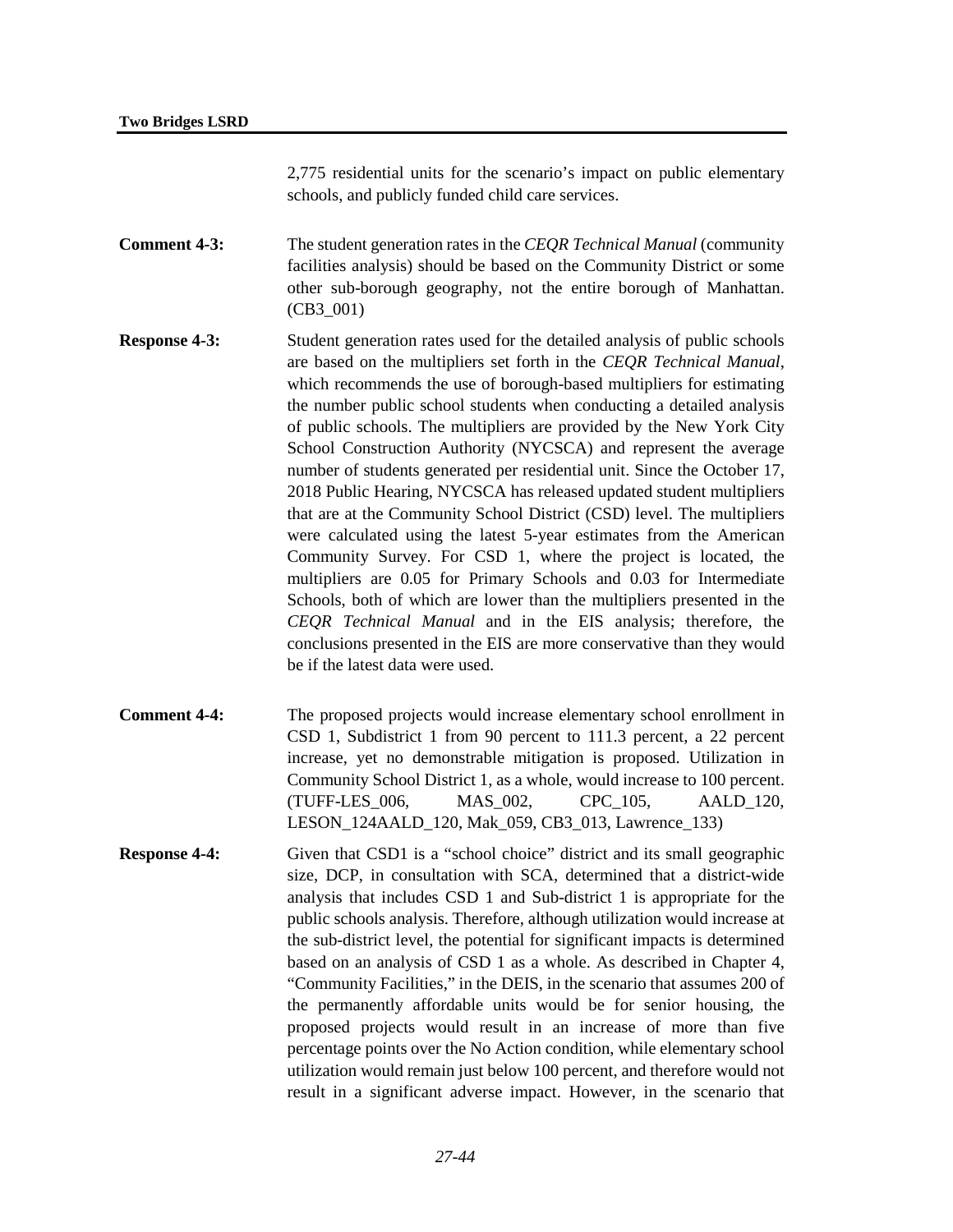2,775 residential units for the scenario's impact on public elementary schools, and publicly funded child care services.

**Comment 4-3:** The student generation rates in the *CEQR Technical Manual* (community facilities analysis) should be based on the Community District or some other sub-borough geography, not the entire borough of Manhattan. (CB3\_001)

- **Response 4-3:** Student generation rates used for the detailed analysis of public schools are based on the multipliers set forth in the *CEQR Technical Manual*, which recommends the use of borough-based multipliers for estimating the number public school students when conducting a detailed analysis of public schools. The multipliers are provided by the New York City School Construction Authority (NYCSCA) and represent the average number of students generated per residential unit. Since the October 17, 2018 Public Hearing, NYCSCA has released updated student multipliers that are at the Community School District (CSD) level. The multipliers were calculated using the latest 5-year estimates from the American Community Survey. For CSD 1, where the project is located, the multipliers are 0.05 for Primary Schools and 0.03 for Intermediate Schools, both of which are lower than the multipliers presented in the *CEQR Technical Manual* and in the EIS analysis; therefore, the conclusions presented in the EIS are more conservative than they would be if the latest data were used.
- **Comment 4-4:** The proposed projects would increase elementary school enrollment in CSD 1, Subdistrict 1 from 90 percent to 111.3 percent, a 22 percent increase, yet no demonstrable mitigation is proposed. Utilization in Community School District 1, as a whole, would increase to 100 percent. (TUFF-LES\_006, MAS\_002, CPC\_105, AALD\_120, LESON\_124AALD\_120, Mak\_059, CB3\_013, Lawrence\_133)
- **Response 4-4:** Given that CSD1 is a "school choice" district and its small geographic size, DCP, in consultation with SCA, determined that a district-wide analysis that includes CSD 1 and Sub-district 1 is appropriate for the public schools analysis. Therefore, although utilization would increase at the sub-district level, the potential for significant impacts is determined based on an analysis of CSD 1 as a whole. As described in Chapter 4, "Community Facilities," in the DEIS, in the scenario that assumes 200 of the permanently affordable units would be for senior housing, the proposed projects would result in an increase of more than five percentage points over the No Action condition, while elementary school utilization would remain just below 100 percent, and therefore would not result in a significant adverse impact. However, in the scenario that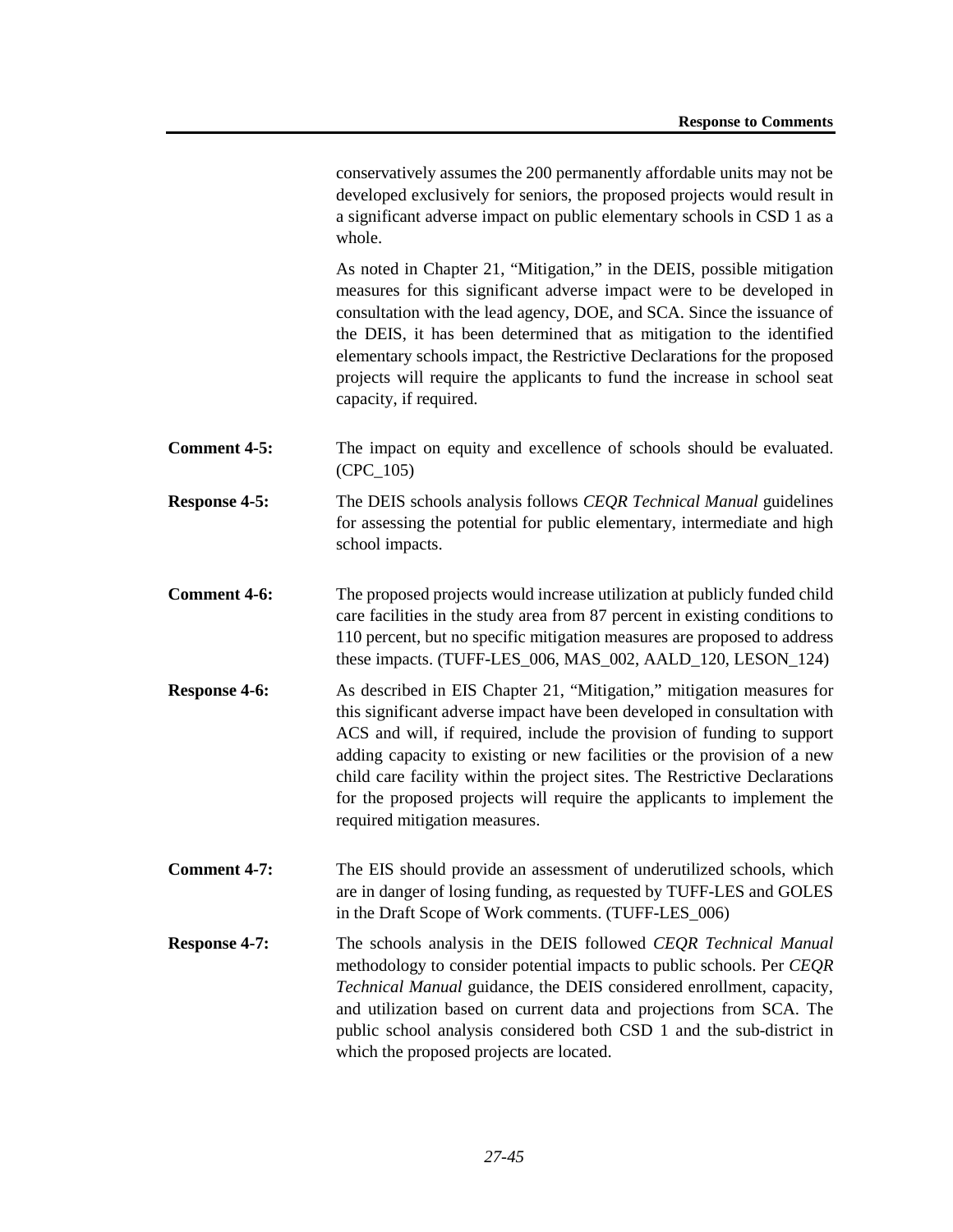conservatively assumes the 200 permanently affordable units may not be developed exclusively for seniors, the proposed projects would result in a significant adverse impact on public elementary schools in CSD 1 as a whole.

As noted in Chapter 21, "Mitigation," in the DEIS, possible mitigation measures for this significant adverse impact were to be developed in consultation with the lead agency, DOE, and SCA. Since the issuance of the DEIS, it has been determined that as mitigation to the identified elementary schools impact, the Restrictive Declarations for the proposed projects will require the applicants to fund the increase in school seat capacity, if required.

- **Comment 4-5:** The impact on equity and excellence of schools should be evaluated. (CPC\_105)
- **Response 4-5:** The DEIS schools analysis follows *CEQR Technical Manual* guidelines for assessing the potential for public elementary, intermediate and high school impacts.
- **Comment 4-6:** The proposed projects would increase utilization at publicly funded child care facilities in the study area from 87 percent in existing conditions to 110 percent, but no specific mitigation measures are proposed to address these impacts. (TUFF-LES\_006, MAS\_002, AALD\_120, LESON\_124)
- **Response 4-6:** As described in EIS Chapter 21, "Mitigation," mitigation measures for this significant adverse impact have been developed in consultation with ACS and will, if required, include the provision of funding to support adding capacity to existing or new facilities or the provision of a new child care facility within the project sites. The Restrictive Declarations for the proposed projects will require the applicants to implement the required mitigation measures.
- **Comment 4-7:** The EIS should provide an assessment of underutilized schools, which are in danger of losing funding, as requested by TUFF-LES and GOLES in the Draft Scope of Work comments. (TUFF-LES\_006)
- **Response 4-7:** The schools analysis in the DEIS followed *CEQR Technical Manual* methodology to consider potential impacts to public schools. Per *CEQR Technical Manual* guidance, the DEIS considered enrollment, capacity, and utilization based on current data and projections from SCA. The public school analysis considered both CSD 1 and the sub-district in which the proposed projects are located.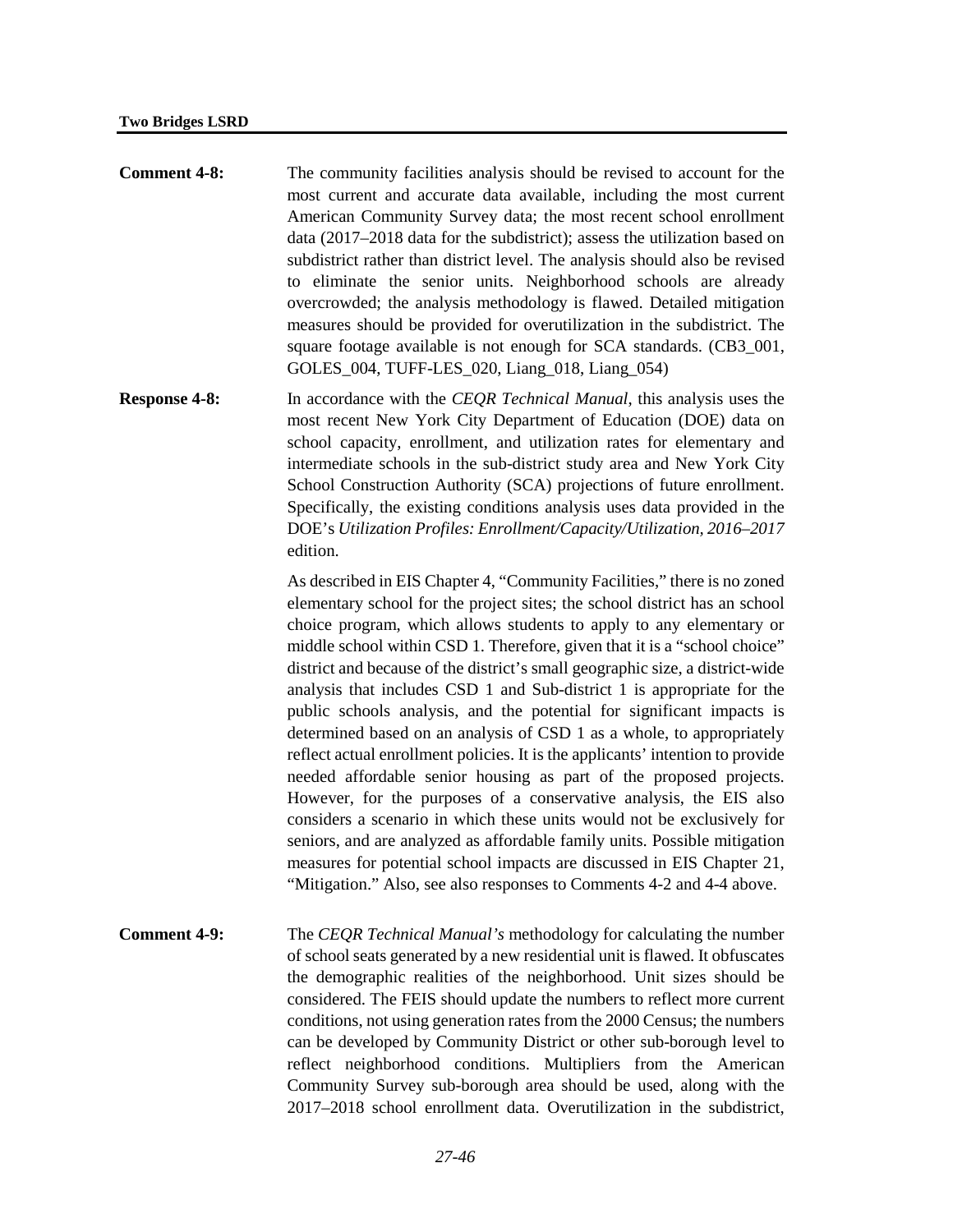- **Comment 4-8:** The community facilities analysis should be revised to account for the most current and accurate data available, including the most current American Community Survey data; the most recent school enrollment data (2017–2018 data for the subdistrict); assess the utilization based on subdistrict rather than district level. The analysis should also be revised to eliminate the senior units. Neighborhood schools are already overcrowded; the analysis methodology is flawed. Detailed mitigation measures should be provided for overutilization in the subdistrict. The square footage available is not enough for SCA standards. (CB3 001, GOLES\_004, TUFF-LES\_020, Liang\_018, Liang\_054)
- **Response 4-8:** In accordance with the *CEQR Technical Manual*, this analysis uses the most recent New York City Department of Education (DOE) data on school capacity, enrollment, and utilization rates for elementary and intermediate schools in the sub-district study area and New York City School Construction Authority (SCA) projections of future enrollment. Specifically, the existing conditions analysis uses data provided in the DOE's *Utilization Profiles: Enrollment/Capacity/Utilization, 2016–2017* edition.

As described in EIS Chapter 4, "Community Facilities," there is no zoned elementary school for the project sites; the school district has an school choice program, which allows students to apply to any elementary or middle school within CSD 1. Therefore, given that it is a "school choice" district and because of the district's small geographic size, a district-wide analysis that includes CSD 1 and Sub-district 1 is appropriate for the public schools analysis, and the potential for significant impacts is determined based on an analysis of CSD 1 as a whole, to appropriately reflect actual enrollment policies. It is the applicants' intention to provide needed affordable senior housing as part of the proposed projects. However, for the purposes of a conservative analysis, the EIS also considers a scenario in which these units would not be exclusively for seniors, and are analyzed as affordable family units. Possible mitigation measures for potential school impacts are discussed in EIS Chapter 21, "Mitigation." Also, see also responses to Comments 4-2 and 4-4 above.

**Comment 4-9:** The *CEQR Technical Manual's* methodology for calculating the number of school seats generated by a new residential unit is flawed. It obfuscates the demographic realities of the neighborhood. Unit sizes should be considered. The FEIS should update the numbers to reflect more current conditions, not using generation rates from the 2000 Census; the numbers can be developed by Community District or other sub-borough level to reflect neighborhood conditions. Multipliers from the American Community Survey sub-borough area should be used, along with the 2017–2018 school enrollment data. Overutilization in the subdistrict,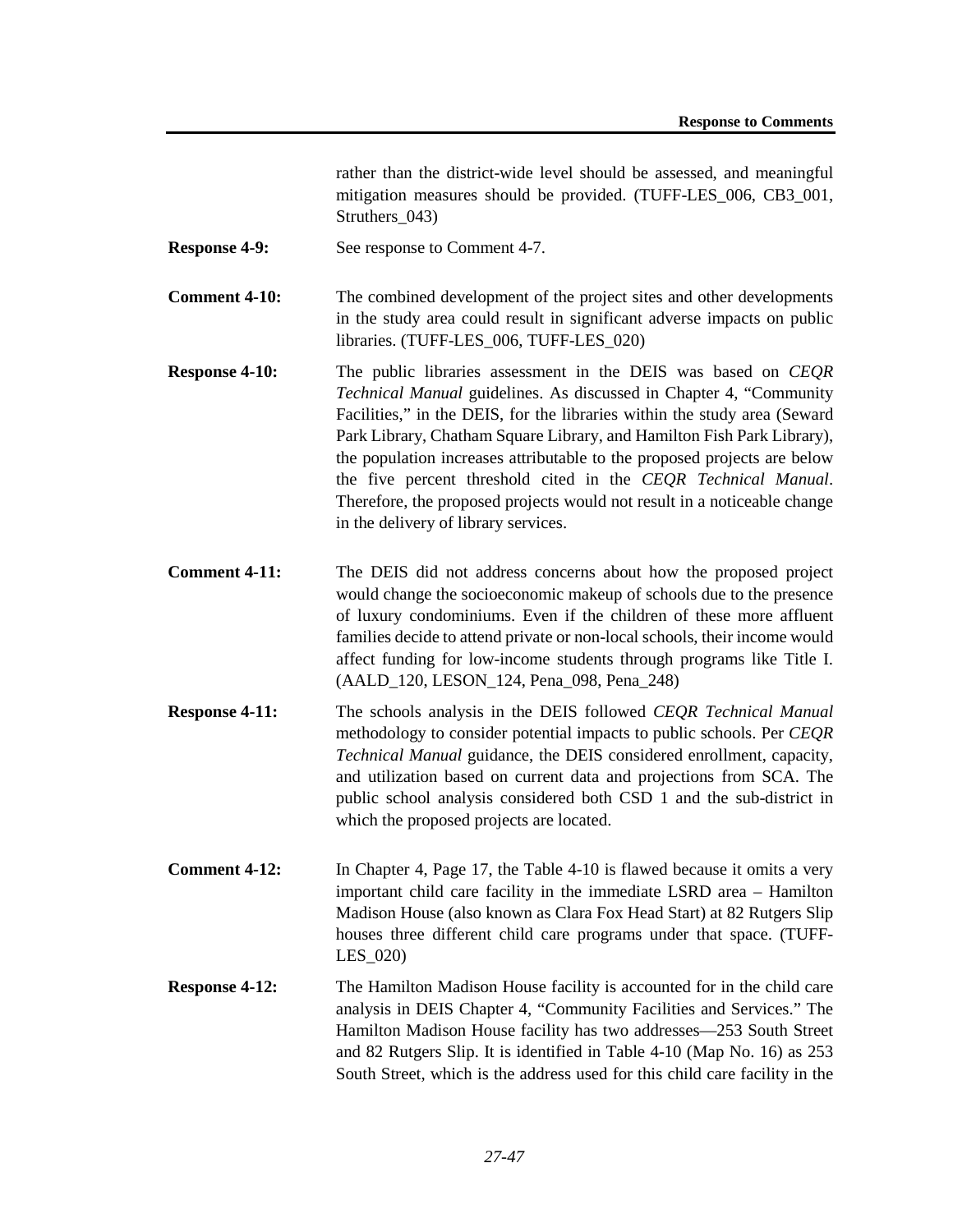rather than the district-wide level should be assessed, and meaningful mitigation measures should be provided. (TUFF-LES\_006, CB3\_001, Struthers 043)

- **Response 4-9:** See response to Comment 4-7.
- **Comment 4-10:** The combined development of the project sites and other developments in the study area could result in significant adverse impacts on public libraries. (TUFF-LES\_006, TUFF-LES\_020)
- **Response 4-10:** The public libraries assessment in the DEIS was based on *CEQR Technical Manual* guidelines. As discussed in Chapter 4, "Community Facilities," in the DEIS, for the libraries within the study area (Seward Park Library, Chatham Square Library, and Hamilton Fish Park Library), the population increases attributable to the proposed projects are below the five percent threshold cited in the *CEQR Technical Manual*. Therefore, the proposed projects would not result in a noticeable change in the delivery of library services.
- **Comment 4-11:** The DEIS did not address concerns about how the proposed project would change the socioeconomic makeup of schools due to the presence of luxury condominiums. Even if the children of these more affluent families decide to attend private or non-local schools, their income would affect funding for low-income students through programs like Title I. (AALD\_120, LESON\_124, Pena\_098, Pena\_248)
- **Response 4-11:** The schools analysis in the DEIS followed *CEQR Technical Manual* methodology to consider potential impacts to public schools. Per *CEQR Technical Manual* guidance, the DEIS considered enrollment, capacity, and utilization based on current data and projections from SCA. The public school analysis considered both CSD 1 and the sub-district in which the proposed projects are located.
- **Comment 4-12:** In Chapter 4, Page 17, the Table 4-10 is flawed because it omits a very important child care facility in the immediate LSRD area – Hamilton Madison House (also known as Clara Fox Head Start) at 82 Rutgers Slip houses three different child care programs under that space. (TUFF-LES\_020)
- **Response 4-12:** The Hamilton Madison House facility is accounted for in the child care analysis in DEIS Chapter 4, "Community Facilities and Services." The Hamilton Madison House facility has two addresses—253 South Street and 82 Rutgers Slip. It is identified in Table 4-10 (Map No. 16) as 253 South Street, which is the address used for this child care facility in the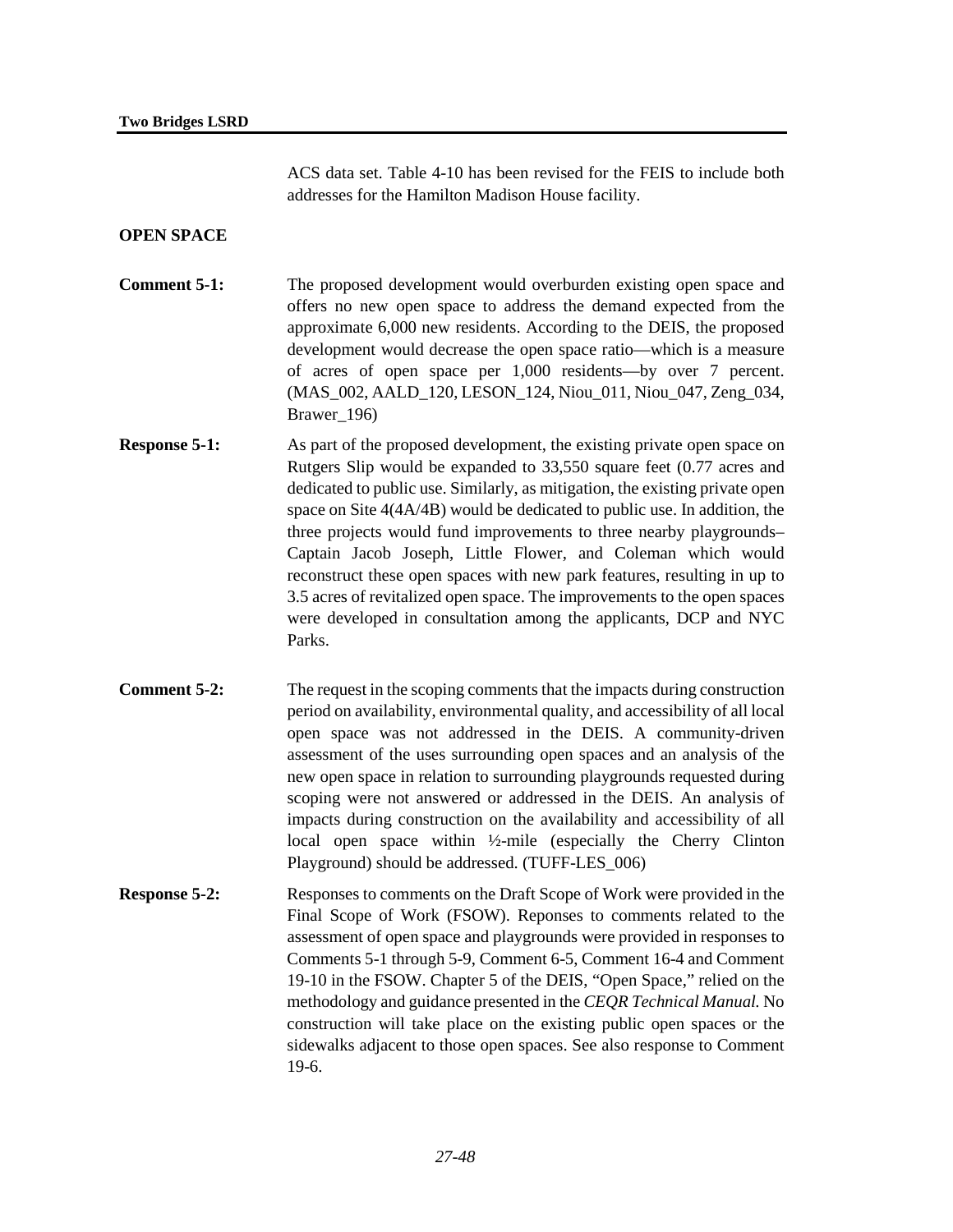ACS data set. Table 4-10 has been revised for the FEIS to include both addresses for the Hamilton Madison House facility.

### **OPEN SPACE**

- **Comment 5-1:** The proposed development would overburden existing open space and offers no new open space to address the demand expected from the approximate 6,000 new residents. According to the DEIS, the proposed development would decrease the open space ratio—which is a measure of acres of open space per 1,000 residents—by over 7 percent. (MAS\_002, AALD\_120, LESON\_124, Niou\_011, Niou\_047, Zeng\_034, Brawer 196)
- **Response 5-1:** As part of the proposed development, the existing private open space on Rutgers Slip would be expanded to 33,550 square feet (0.77 acres and dedicated to public use. Similarly, as mitigation, the existing private open space on Site 4(4A/4B) would be dedicated to public use. In addition, the three projects would fund improvements to three nearby playgrounds– Captain Jacob Joseph, Little Flower, and Coleman which would reconstruct these open spaces with new park features, resulting in up to 3.5 acres of revitalized open space. The improvements to the open spaces were developed in consultation among the applicants, DCP and NYC Parks.
- **Comment 5-2:** The request in the scoping comments that the impacts during construction period on availability, environmental quality, and accessibility of all local open space was not addressed in the DEIS. A community-driven assessment of the uses surrounding open spaces and an analysis of the new open space in relation to surrounding playgrounds requested during scoping were not answered or addressed in the DEIS. An analysis of impacts during construction on the availability and accessibility of all local open space within ½-mile (especially the Cherry Clinton Playground) should be addressed. (TUFF-LES\_006)
- **Response 5-2:** Responses to comments on the Draft Scope of Work were provided in the Final Scope of Work (FSOW). Reponses to comments related to the assessment of open space and playgrounds were provided in responses to Comments 5-1 through 5-9, Comment 6-5, Comment 16-4 and Comment 19-10 in the FSOW. Chapter 5 of the DEIS, "Open Space," relied on the methodology and guidance presented in the *CEQR Technical Manual.* No construction will take place on the existing public open spaces or the sidewalks adjacent to those open spaces. See also response to Comment 19-6.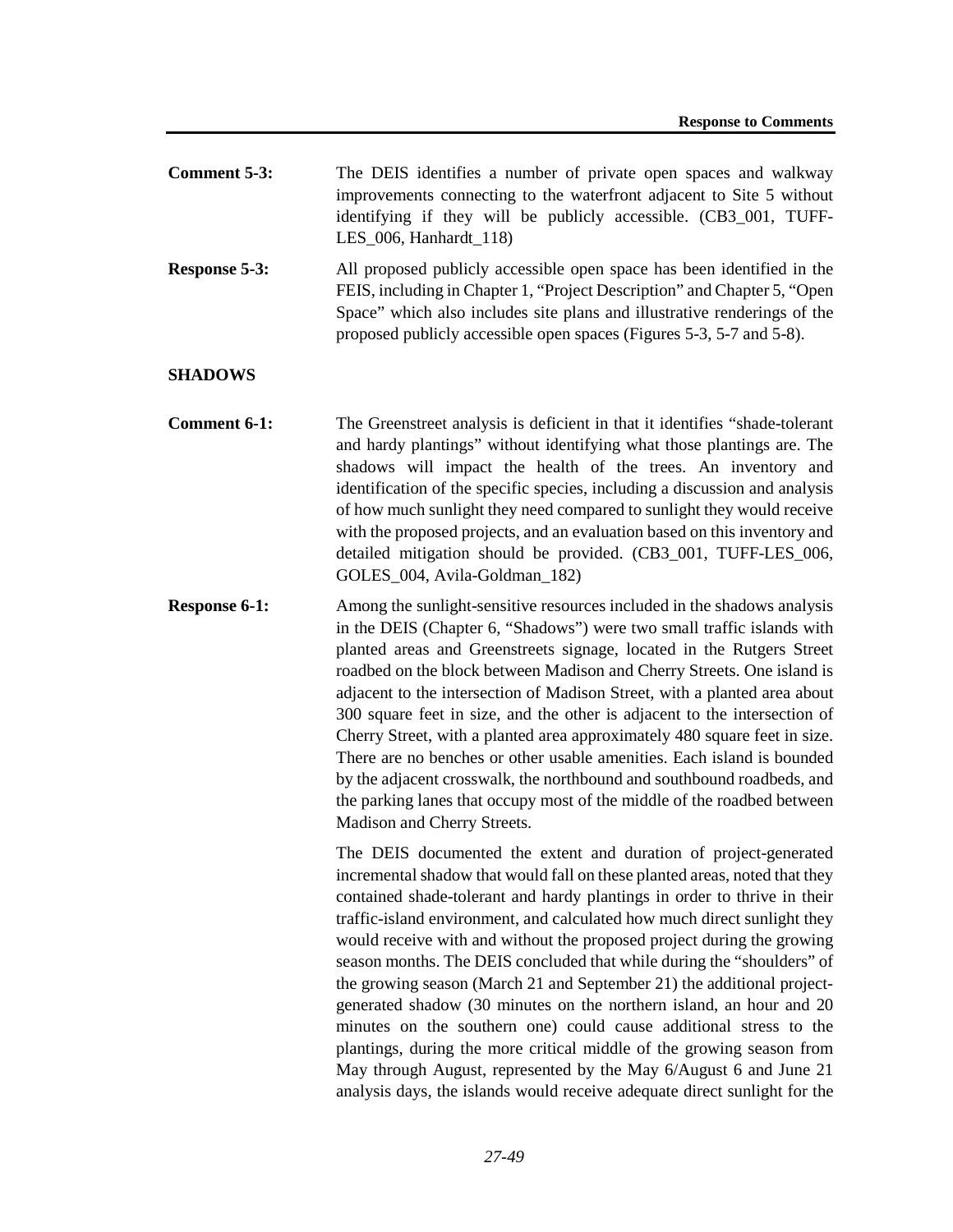| <b>Comment 5-3:</b> | The DEIS identifies a number of private open spaces and walkway      |
|---------------------|----------------------------------------------------------------------|
|                     | improvements connecting to the waterfront adjacent to Site 5 without |
|                     | identifying if they will be publicly accessible. (CB3_001, TUFF-     |
|                     | LES $006$ , Hanhardt 118)                                            |

**Response 5-3:** All proposed publicly accessible open space has been identified in the FEIS, including in Chapter 1, "Project Description" and Chapter 5, "Open Space" which also includes site plans and illustrative renderings of the proposed publicly accessible open spaces (Figures 5-3, 5-7 and 5-8).

## **SHADOWS**

- **Comment 6-1:** The Greenstreet analysis is deficient in that it identifies "shade-tolerant" and hardy plantings" without identifying what those plantings are. The shadows will impact the health of the trees. An inventory and identification of the specific species, including a discussion and analysis of how much sunlight they need compared to sunlight they would receive with the proposed projects, and an evaluation based on this inventory and detailed mitigation should be provided. (CB3\_001, TUFF-LES\_006, GOLES 004, Avila-Goldman 182)
- **Response 6-1:** Among the sunlight-sensitive resources included in the shadows analysis in the DEIS (Chapter 6, "Shadows") were two small traffic islands with planted areas and Greenstreets signage, located in the Rutgers Street roadbed on the block between Madison and Cherry Streets. One island is adjacent to the intersection of Madison Street, with a planted area about 300 square feet in size, and the other is adjacent to the intersection of Cherry Street, with a planted area approximately 480 square feet in size. There are no benches or other usable amenities. Each island is bounded by the adjacent crosswalk, the northbound and southbound roadbeds, and the parking lanes that occupy most of the middle of the roadbed between Madison and Cherry Streets.

The DEIS documented the extent and duration of project-generated incremental shadow that would fall on these planted areas, noted that they contained shade-tolerant and hardy plantings in order to thrive in their traffic-island environment, and calculated how much direct sunlight they would receive with and without the proposed project during the growing season months. The DEIS concluded that while during the "shoulders" of the growing season (March 21 and September 21) the additional projectgenerated shadow (30 minutes on the northern island, an hour and 20 minutes on the southern one) could cause additional stress to the plantings, during the more critical middle of the growing season from May through August, represented by the May 6/August 6 and June 21 analysis days, the islands would receive adequate direct sunlight for the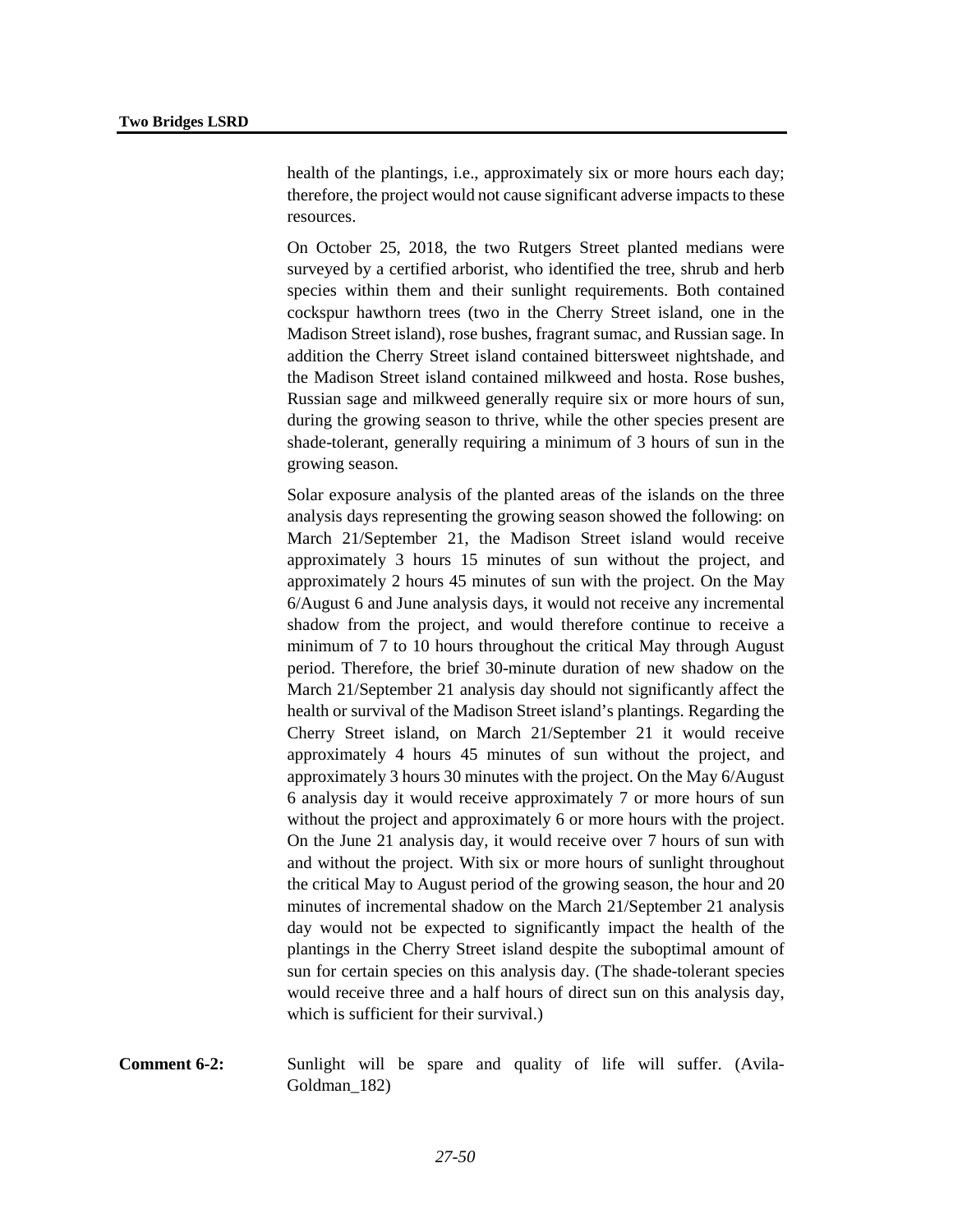health of the plantings, i.e., approximately six or more hours each day; therefore, the project would not cause significant adverse impacts to these resources.

On October 25, 2018, the two Rutgers Street planted medians were surveyed by a certified arborist, who identified the tree, shrub and herb species within them and their sunlight requirements. Both contained cockspur hawthorn trees (two in the Cherry Street island, one in the Madison Street island), rose bushes, fragrant sumac, and Russian sage. In addition the Cherry Street island contained bittersweet nightshade, and the Madison Street island contained milkweed and hosta. Rose bushes, Russian sage and milkweed generally require six or more hours of sun, during the growing season to thrive, while the other species present are shade-tolerant, generally requiring a minimum of 3 hours of sun in the growing season.

Solar exposure analysis of the planted areas of the islands on the three analysis days representing the growing season showed the following: on March 21/September 21, the Madison Street island would receive approximately 3 hours 15 minutes of sun without the project, and approximately 2 hours 45 minutes of sun with the project. On the May 6/August 6 and June analysis days, it would not receive any incremental shadow from the project, and would therefore continue to receive a minimum of 7 to 10 hours throughout the critical May through August period. Therefore, the brief 30-minute duration of new shadow on the March 21/September 21 analysis day should not significantly affect the health or survival of the Madison Street island's plantings. Regarding the Cherry Street island, on March 21/September 21 it would receive approximately 4 hours 45 minutes of sun without the project, and approximately 3 hours 30 minutes with the project. On the May 6/August 6 analysis day it would receive approximately 7 or more hours of sun without the project and approximately 6 or more hours with the project. On the June 21 analysis day, it would receive over 7 hours of sun with and without the project. With six or more hours of sunlight throughout the critical May to August period of the growing season, the hour and 20 minutes of incremental shadow on the March 21/September 21 analysis day would not be expected to significantly impact the health of the plantings in the Cherry Street island despite the suboptimal amount of sun for certain species on this analysis day. (The shade-tolerant species would receive three and a half hours of direct sun on this analysis day, which is sufficient for their survival.)

**Comment 6-2:** Sunlight will be spare and quality of life will suffer. (Avila-Goldman\_182)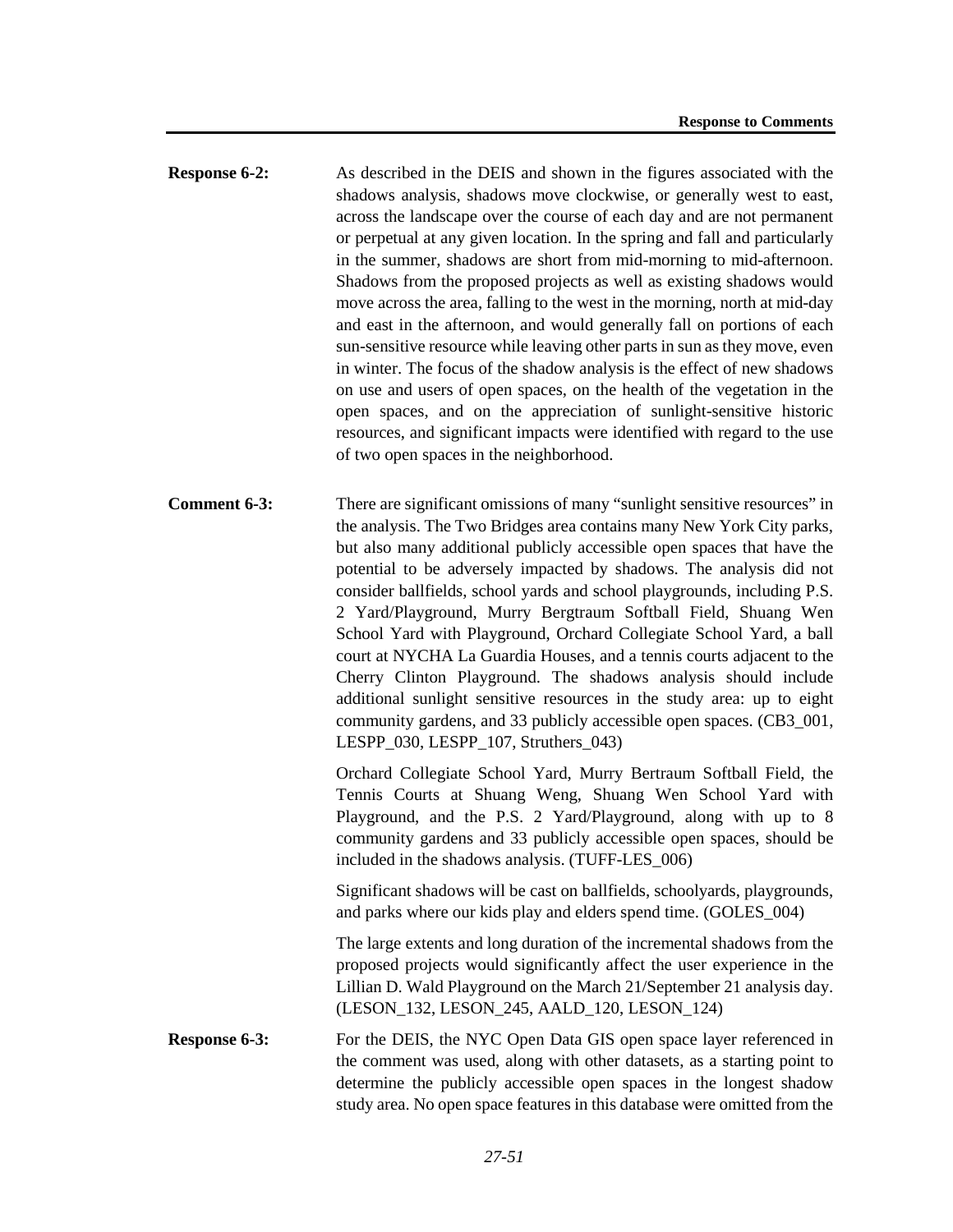- **Response 6-2:** As described in the DEIS and shown in the figures associated with the shadows analysis, shadows move clockwise, or generally west to east, across the landscape over the course of each day and are not permanent or perpetual at any given location. In the spring and fall and particularly in the summer, shadows are short from mid-morning to mid-afternoon. Shadows from the proposed projects as well as existing shadows would move across the area, falling to the west in the morning, north at mid-day and east in the afternoon, and would generally fall on portions of each sun-sensitive resource while leaving other parts in sun as they move, even in winter. The focus of the shadow analysis is the effect of new shadows on use and users of open spaces, on the health of the vegetation in the open spaces, and on the appreciation of sunlight-sensitive historic resources, and significant impacts were identified with regard to the use of two open spaces in the neighborhood.
- **Comment 6-3:** There are significant omissions of many "sunlight sensitive resources" in the analysis. The Two Bridges area contains many New York City parks, but also many additional publicly accessible open spaces that have the potential to be adversely impacted by shadows. The analysis did not consider ballfields, school yards and school playgrounds, including P.S. 2 Yard/Playground, Murry Bergtraum Softball Field, Shuang Wen School Yard with Playground, Orchard Collegiate School Yard, a ball court at NYCHA La Guardia Houses, and a tennis courts adjacent to the Cherry Clinton Playground. The shadows analysis should include additional sunlight sensitive resources in the study area: up to eight community gardens, and 33 publicly accessible open spaces. (CB3\_001, LESPP  $030$ , LESPP  $107$ , Struthers  $043$ )

Orchard Collegiate School Yard, Murry Bertraum Softball Field, the Tennis Courts at Shuang Weng, Shuang Wen School Yard with Playground, and the P.S. 2 Yard/Playground, along with up to 8 community gardens and 33 publicly accessible open spaces, should be included in the shadows analysis. (TUFF-LES\_006)

Significant shadows will be cast on ballfields, schoolyards, playgrounds, and parks where our kids play and elders spend time. (GOLES\_004)

The large extents and long duration of the incremental shadows from the proposed projects would significantly affect the user experience in the Lillian D. Wald Playground on the March 21/September 21 analysis day. (LESON\_132, LESON\_245, AALD\_120, LESON\_124)

**Response 6-3:** For the DEIS, the NYC Open Data GIS open space layer referenced in the comment was used, along with other datasets, as a starting point to determine the publicly accessible open spaces in the longest shadow study area. No open space features in this database were omitted from the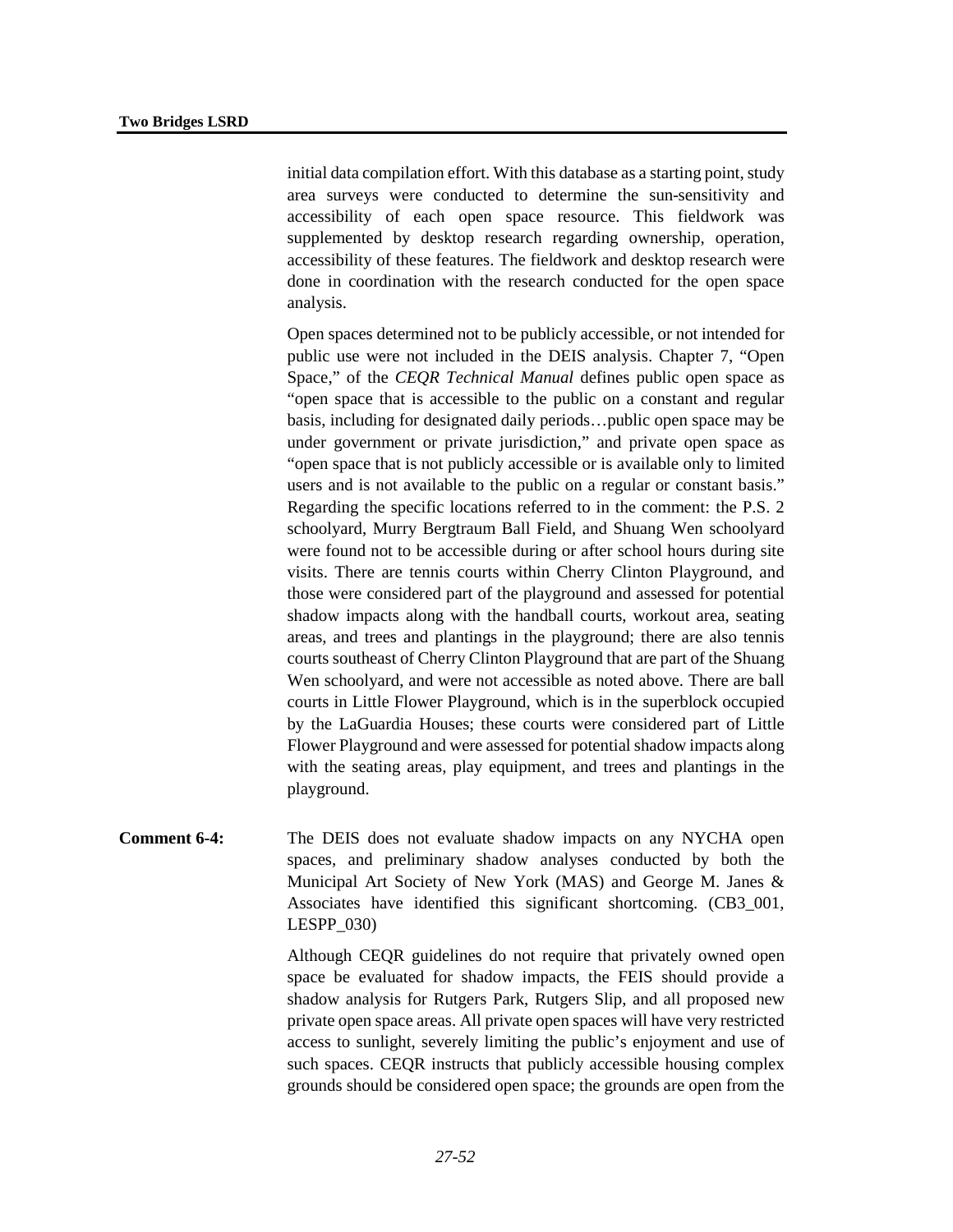initial data compilation effort. With this database as a starting point, study area surveys were conducted to determine the sun-sensitivity and accessibility of each open space resource. This fieldwork was supplemented by desktop research regarding ownership, operation, accessibility of these features. The fieldwork and desktop research were done in coordination with the research conducted for the open space analysis.

Open spaces determined not to be publicly accessible, or not intended for public use were not included in the DEIS analysis. Chapter 7, "Open Space," of the *CEQR Technical Manual* defines public open space as "open space that is accessible to the public on a constant and regular basis, including for designated daily periods…public open space may be under government or private jurisdiction," and private open space as "open space that is not publicly accessible or is available only to limited users and is not available to the public on a regular or constant basis." Regarding the specific locations referred to in the comment: the P.S. 2 schoolyard, Murry Bergtraum Ball Field, and Shuang Wen schoolyard were found not to be accessible during or after school hours during site visits. There are tennis courts within Cherry Clinton Playground, and those were considered part of the playground and assessed for potential shadow impacts along with the handball courts, workout area, seating areas, and trees and plantings in the playground; there are also tennis courts southeast of Cherry Clinton Playground that are part of the Shuang Wen schoolyard, and were not accessible as noted above. There are ball courts in Little Flower Playground, which is in the superblock occupied by the LaGuardia Houses; these courts were considered part of Little Flower Playground and were assessed for potential shadow impacts along with the seating areas, play equipment, and trees and plantings in the playground.

**Comment 6-4:** The DEIS does not evaluate shadow impacts on any NYCHA open spaces, and preliminary shadow analyses conducted by both the Municipal Art Society of New York (MAS) and George M. Janes & Associates have identified this significant shortcoming. (CB3\_001, LESPP\_030)

> Although CEQR guidelines do not require that privately owned open space be evaluated for shadow impacts, the FEIS should provide a shadow analysis for Rutgers Park, Rutgers Slip, and all proposed new private open space areas. All private open spaces will have very restricted access to sunlight, severely limiting the public's enjoyment and use of such spaces. CEQR instructs that publicly accessible housing complex grounds should be considered open space; the grounds are open from the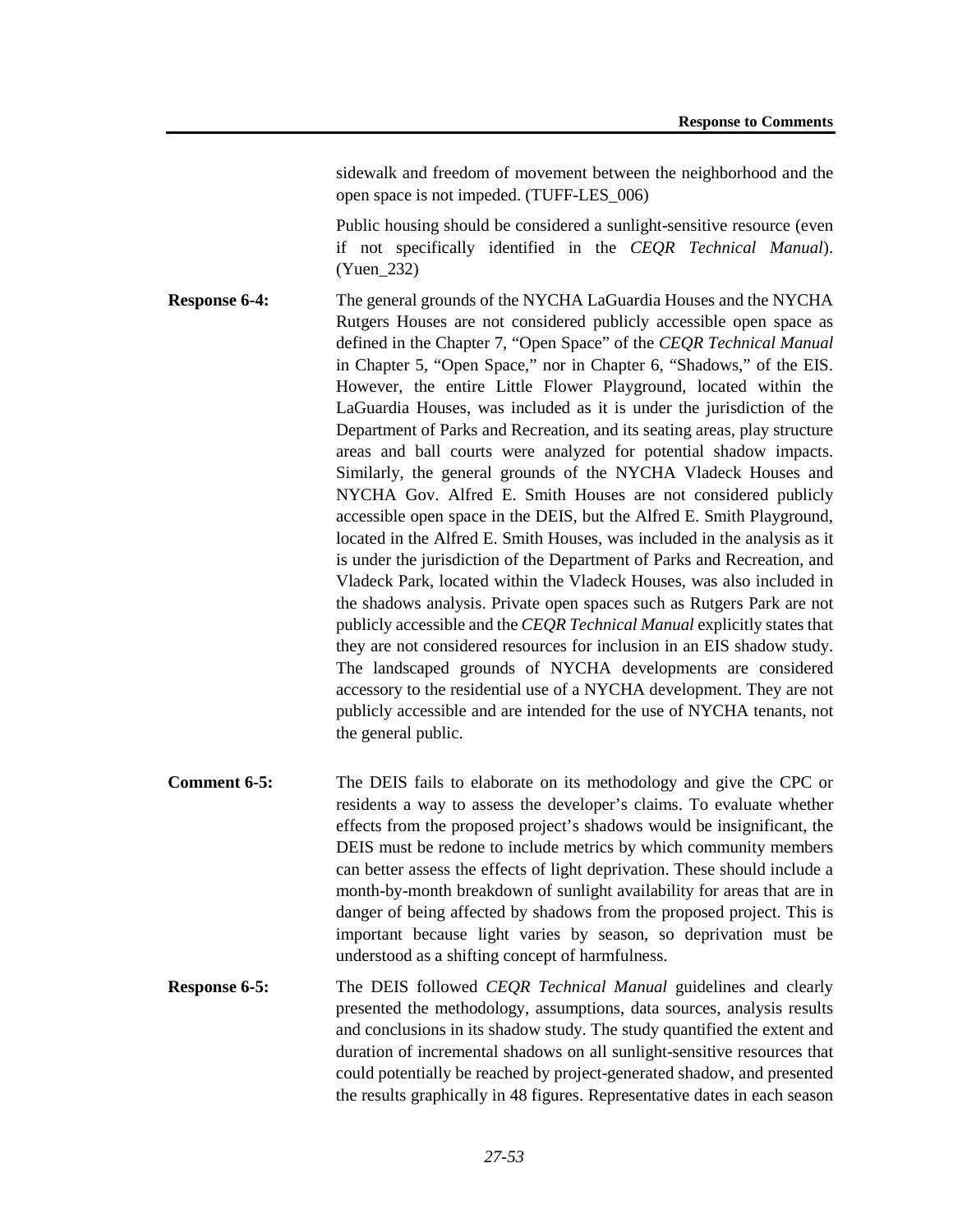sidewalk and freedom of movement between the neighborhood and the open space is not impeded. (TUFF-LES\_006)

Public housing should be considered a sunlight-sensitive resource (even if not specifically identified in the *CEQR Technical Manual*). (Yuen\_232)

- **Response 6-4:** The general grounds of the NYCHA LaGuardia Houses and the NYCHA Rutgers Houses are not considered publicly accessible open space as defined in the Chapter 7, "Open Space" of the *CEQR Technical Manual* in Chapter 5, "Open Space," nor in Chapter 6, "Shadows," of the EIS. However, the entire Little Flower Playground, located within the LaGuardia Houses, was included as it is under the jurisdiction of the Department of Parks and Recreation, and its seating areas, play structure areas and ball courts were analyzed for potential shadow impacts. Similarly, the general grounds of the NYCHA Vladeck Houses and NYCHA Gov. Alfred E. Smith Houses are not considered publicly accessible open space in the DEIS, but the Alfred E. Smith Playground, located in the Alfred E. Smith Houses, was included in the analysis as it is under the jurisdiction of the Department of Parks and Recreation, and Vladeck Park, located within the Vladeck Houses, was also included in the shadows analysis. Private open spaces such as Rutgers Park are not publicly accessible and the *CEQR Technical Manual* explicitly states that they are not considered resources for inclusion in an EIS shadow study. The landscaped grounds of NYCHA developments are considered accessory to the residential use of a NYCHA development. They are not publicly accessible and are intended for the use of NYCHA tenants, not the general public.
- **Comment 6-5:** The DEIS fails to elaborate on its methodology and give the CPC or residents a way to assess the developer's claims. To evaluate whether effects from the proposed project's shadows would be insignificant, the DEIS must be redone to include metrics by which community members can better assess the effects of light deprivation. These should include a month-by-month breakdown of sunlight availability for areas that are in danger of being affected by shadows from the proposed project. This is important because light varies by season, so deprivation must be understood as a shifting concept of harmfulness.
- **Response 6-5:** The DEIS followed *CEQR Technical Manual* guidelines and clearly presented the methodology, assumptions, data sources, analysis results and conclusions in its shadow study. The study quantified the extent and duration of incremental shadows on all sunlight-sensitive resources that could potentially be reached by project-generated shadow, and presented the results graphically in 48 figures. Representative dates in each season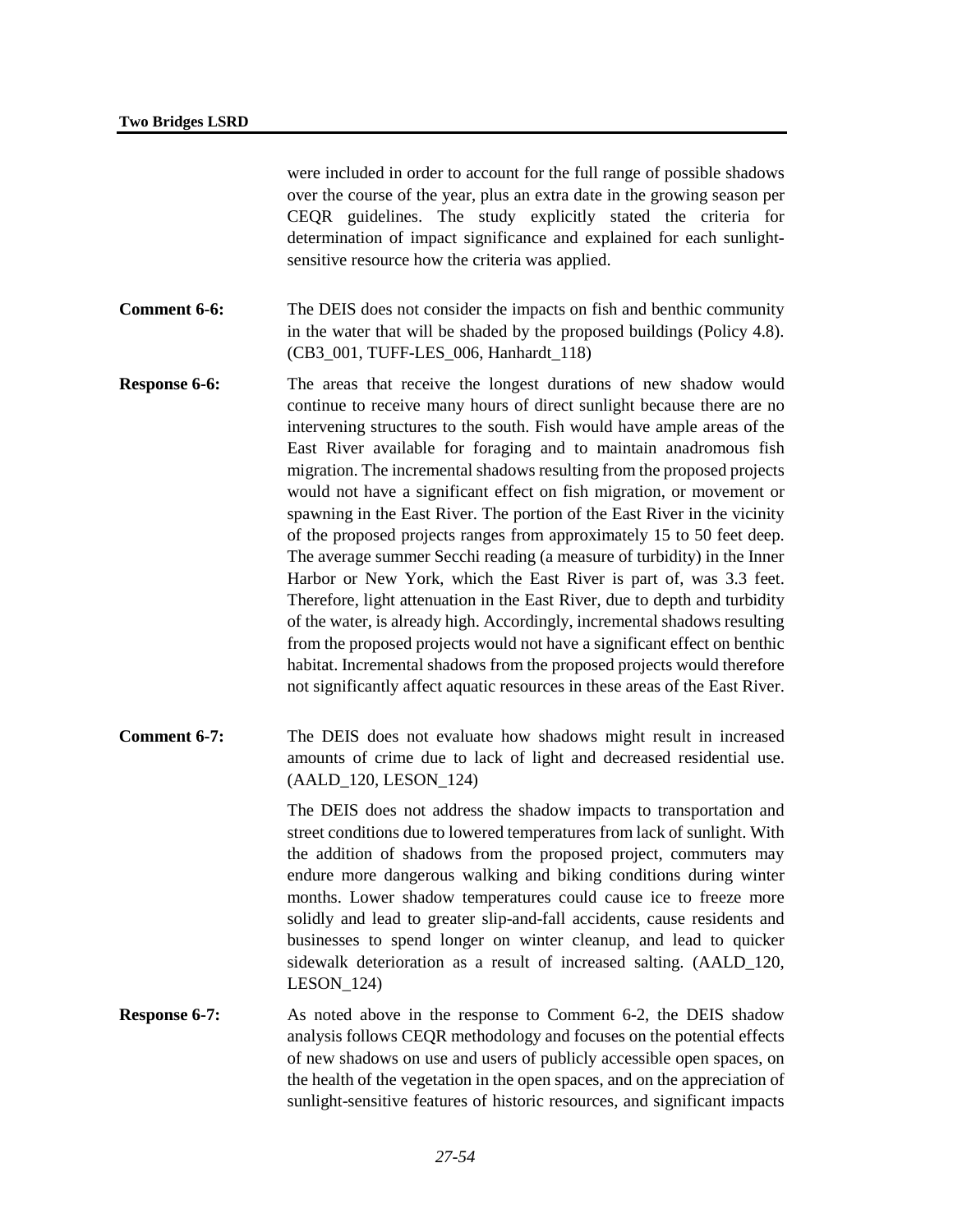were included in order to account for the full range of possible shadows over the course of the year, plus an extra date in the growing season per CEQR guidelines. The study explicitly stated the criteria for determination of impact significance and explained for each sunlightsensitive resource how the criteria was applied.

**Comment 6-6:** The DEIS does not consider the impacts on fish and benthic community in the water that will be shaded by the proposed buildings (Policy 4.8). (CB3\_001, TUFF-LES\_006, Hanhardt\_118)

- **Response 6-6:** The areas that receive the longest durations of new shadow would continue to receive many hours of direct sunlight because there are no intervening structures to the south. Fish would have ample areas of the East River available for foraging and to maintain anadromous fish migration. The incremental shadows resulting from the proposed projects would not have a significant effect on fish migration, or movement or spawning in the East River. The portion of the East River in the vicinity of the proposed projects ranges from approximately 15 to 50 feet deep. The average summer Secchi reading (a measure of turbidity) in the Inner Harbor or New York, which the East River is part of, was 3.3 feet. Therefore, light attenuation in the East River, due to depth and turbidity of the water, is already high. Accordingly, incremental shadows resulting from the proposed projects would not have a significant effect on benthic habitat. Incremental shadows from the proposed projects would therefore not significantly affect aquatic resources in these areas of the East River.
- **Comment 6-7:** The DEIS does not evaluate how shadows might result in increased amounts of crime due to lack of light and decreased residential use. (AALD\_120, LESON\_124)

The DEIS does not address the shadow impacts to transportation and street conditions due to lowered temperatures from lack of sunlight. With the addition of shadows from the proposed project, commuters may endure more dangerous walking and biking conditions during winter months. Lower shadow temperatures could cause ice to freeze more solidly and lead to greater slip-and-fall accidents, cause residents and businesses to spend longer on winter cleanup, and lead to quicker sidewalk deterioration as a result of increased salting. (AALD\_120, LESON\_124)

**Response 6-7:** As noted above in the response to Comment 6-2, the DEIS shadow analysis follows CEQR methodology and focuses on the potential effects of new shadows on use and users of publicly accessible open spaces, on the health of the vegetation in the open spaces, and on the appreciation of sunlight-sensitive features of historic resources, and significant impacts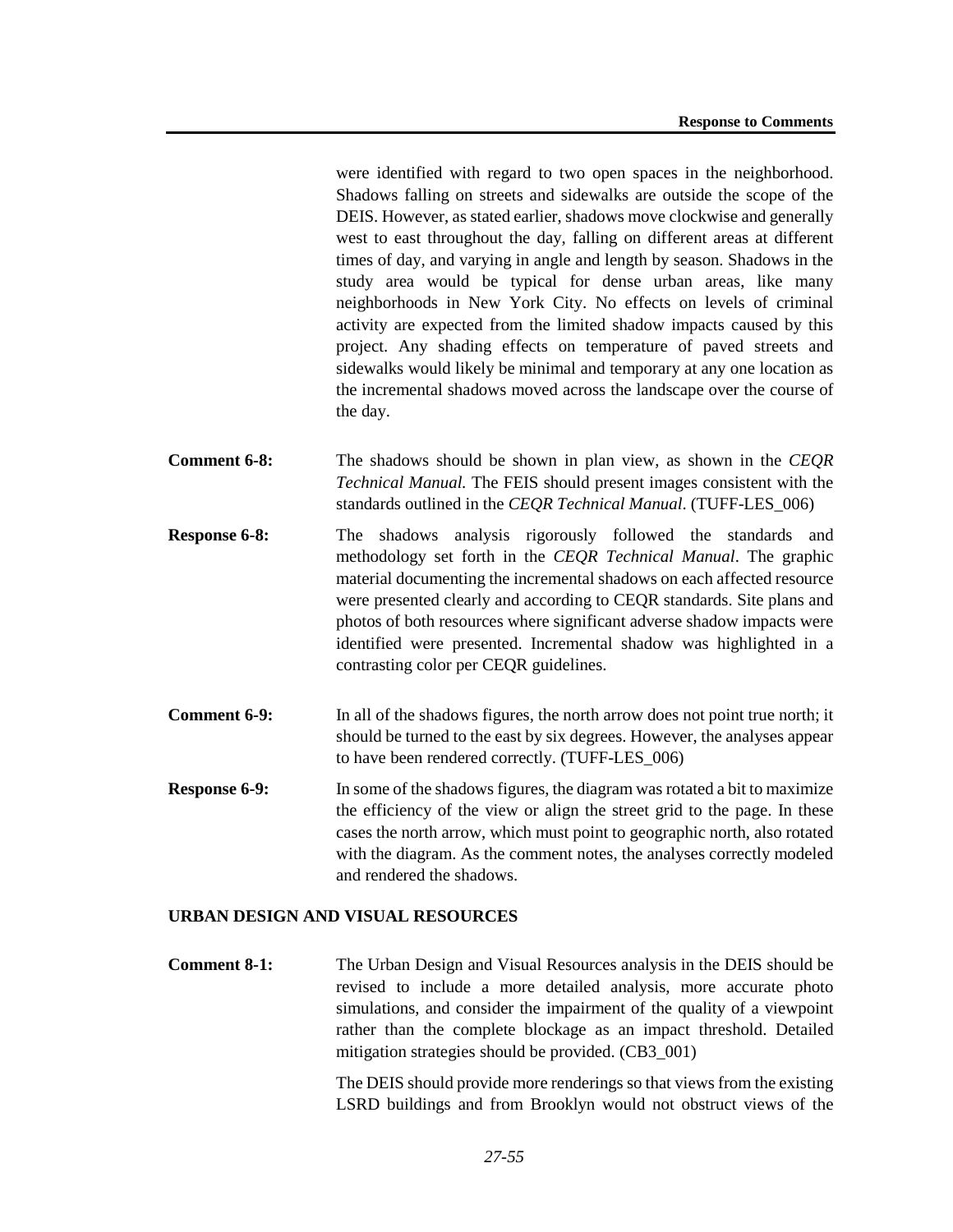were identified with regard to two open spaces in the neighborhood. Shadows falling on streets and sidewalks are outside the scope of the DEIS. However, as stated earlier, shadows move clockwise and generally west to east throughout the day, falling on different areas at different times of day, and varying in angle and length by season. Shadows in the study area would be typical for dense urban areas, like many neighborhoods in New York City. No effects on levels of criminal activity are expected from the limited shadow impacts caused by this project. Any shading effects on temperature of paved streets and sidewalks would likely be minimal and temporary at any one location as the incremental shadows moved across the landscape over the course of the day.

- **Comment 6-8:** The shadows should be shown in plan view, as shown in the *CEQR Technical Manual.* The FEIS should present images consistent with the standards outlined in the *CEQR Technical Manual*. (TUFF-LES\_006)
- **Response 6-8:** The shadows analysis rigorously followed the standards and methodology set forth in the *CEQR Technical Manual*. The graphic material documenting the incremental shadows on each affected resource were presented clearly and according to CEQR standards. Site plans and photos of both resources where significant adverse shadow impacts were identified were presented. Incremental shadow was highlighted in a contrasting color per CEQR guidelines.
- **Comment 6-9:** In all of the shadows figures, the north arrow does not point true north; it should be turned to the east by six degrees. However, the analyses appear to have been rendered correctly. (TUFF-LES\_006)
- **Response 6-9:** In some of the shadows figures, the diagram was rotated a bit to maximize the efficiency of the view or align the street grid to the page. In these cases the north arrow, which must point to geographic north, also rotated with the diagram. As the comment notes, the analyses correctly modeled and rendered the shadows.

# **URBAN DESIGN AND VISUAL RESOURCES**

**Comment 8-1:** The Urban Design and Visual Resources analysis in the DEIS should be revised to include a more detailed analysis, more accurate photo simulations, and consider the impairment of the quality of a viewpoint rather than the complete blockage as an impact threshold. Detailed mitigation strategies should be provided. (CB3\_001)

> The DEIS should provide more renderings so that views from the existing LSRD buildings and from Brooklyn would not obstruct views of the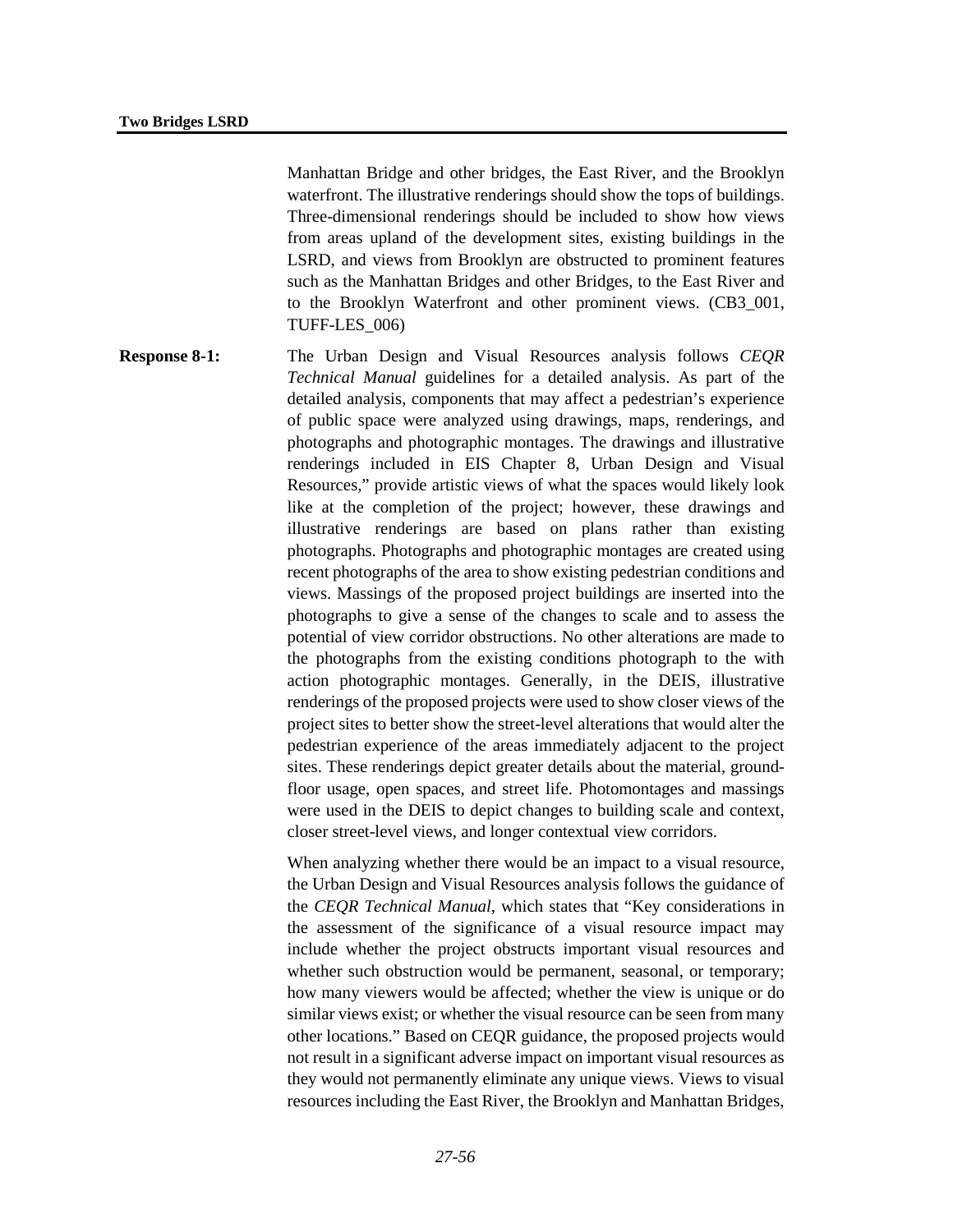Manhattan Bridge and other bridges, the East River, and the Brooklyn waterfront. The illustrative renderings should show the tops of buildings. Three-dimensional renderings should be included to show how views from areas upland of the development sites, existing buildings in the LSRD, and views from Brooklyn are obstructed to prominent features such as the Manhattan Bridges and other Bridges, to the East River and to the Brooklyn Waterfront and other prominent views. (CB3\_001, TUFF-LES\_006)

**Response 8-1:** The Urban Design and Visual Resources analysis follows *CEQR Technical Manual* guidelines for a detailed analysis. As part of the detailed analysis, components that may affect a pedestrian's experience of public space were analyzed using drawings, maps, renderings, and photographs and photographic montages. The drawings and illustrative renderings included in EIS Chapter 8, Urban Design and Visual Resources," provide artistic views of what the spaces would likely look like at the completion of the project; however, these drawings and illustrative renderings are based on plans rather than existing photographs. Photographs and photographic montages are created using recent photographs of the area to show existing pedestrian conditions and views. Massings of the proposed project buildings are inserted into the photographs to give a sense of the changes to scale and to assess the potential of view corridor obstructions. No other alterations are made to the photographs from the existing conditions photograph to the with action photographic montages. Generally, in the DEIS, illustrative renderings of the proposed projects were used to show closer views of the project sites to better show the street-level alterations that would alter the pedestrian experience of the areas immediately adjacent to the project sites. These renderings depict greater details about the material, groundfloor usage, open spaces, and street life. Photomontages and massings were used in the DEIS to depict changes to building scale and context, closer street-level views, and longer contextual view corridors.

> When analyzing whether there would be an impact to a visual resource, the Urban Design and Visual Resources analysis follows the guidance of the *CEQR Technical Manual*, which states that "Key considerations in the assessment of the significance of a visual resource impact may include whether the project obstructs important visual resources and whether such obstruction would be permanent, seasonal, or temporary; how many viewers would be affected; whether the view is unique or do similar views exist; or whether the visual resource can be seen from many other locations." Based on CEQR guidance, the proposed projects would not result in a significant adverse impact on important visual resources as they would not permanently eliminate any unique views. Views to visual resources including the East River, the Brooklyn and Manhattan Bridges,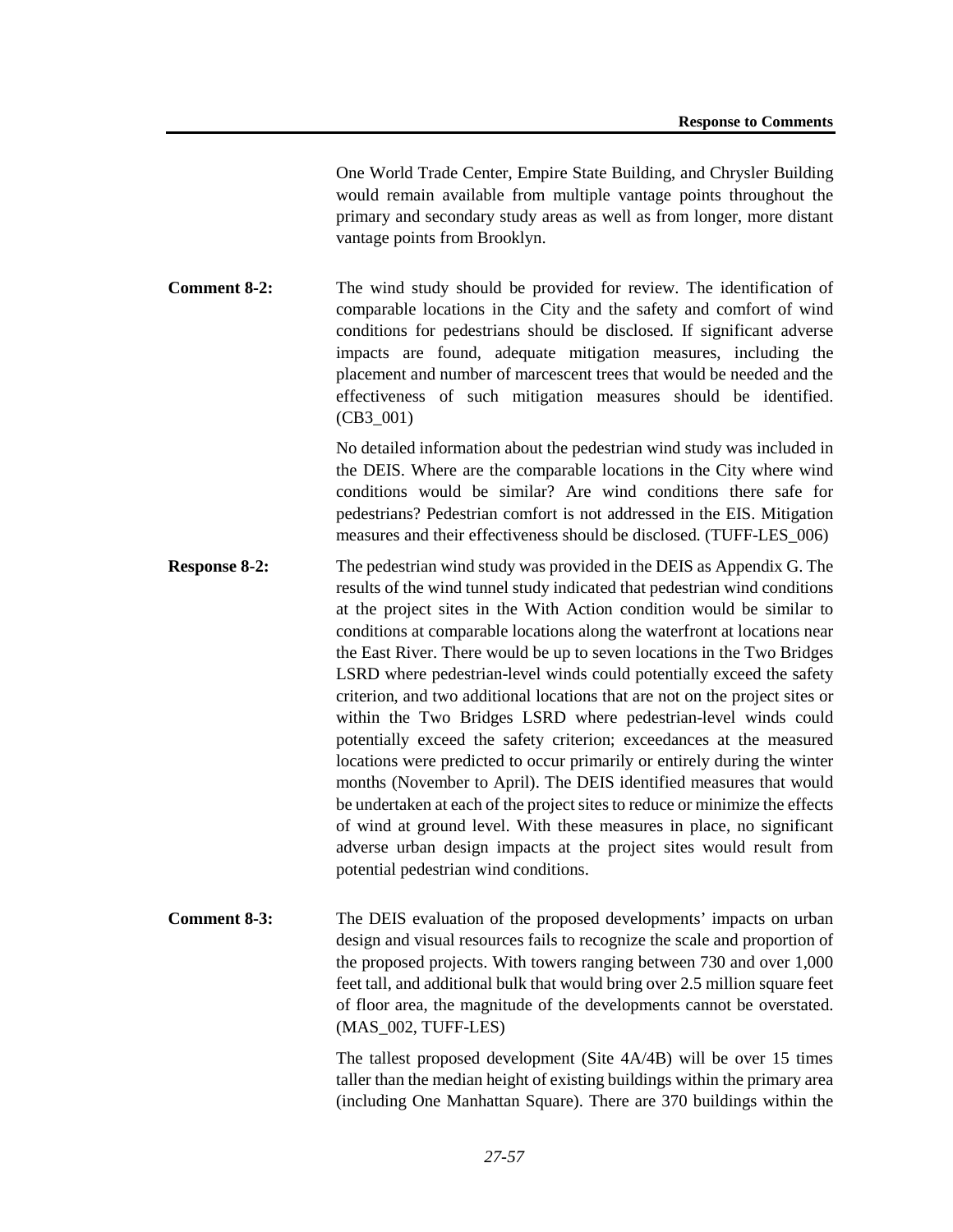One World Trade Center, Empire State Building, and Chrysler Building would remain available from multiple vantage points throughout the primary and secondary study areas as well as from longer, more distant vantage points from Brooklyn.

**Comment 8-2:** The wind study should be provided for review. The identification of comparable locations in the City and the safety and comfort of wind conditions for pedestrians should be disclosed. If significant adverse impacts are found, adequate mitigation measures, including the placement and number of marcescent trees that would be needed and the effectiveness of such mitigation measures should be identified. (CB3\_001)

> No detailed information about the pedestrian wind study was included in the DEIS. Where are the comparable locations in the City where wind conditions would be similar? Are wind conditions there safe for pedestrians? Pedestrian comfort is not addressed in the EIS. Mitigation measures and their effectiveness should be disclosed. (TUFF-LES\_006)

**Response 8-2:** The pedestrian wind study was provided in the DEIS as Appendix G. The results of the wind tunnel study indicated that pedestrian wind conditions at the project sites in the With Action condition would be similar to conditions at comparable locations along the waterfront at locations near the East River. There would be up to seven locations in the Two Bridges LSRD where pedestrian-level winds could potentially exceed the safety criterion, and two additional locations that are not on the project sites or within the Two Bridges LSRD where pedestrian-level winds could potentially exceed the safety criterion; exceedances at the measured locations were predicted to occur primarily or entirely during the winter months (November to April). The DEIS identified measures that would be undertaken at each of the project sites to reduce or minimize the effects of wind at ground level. With these measures in place, no significant adverse urban design impacts at the project sites would result from potential pedestrian wind conditions.

**Comment 8-3:** The DEIS evaluation of the proposed developments' impacts on urban design and visual resources fails to recognize the scale and proportion of the proposed projects. With towers ranging between 730 and over 1,000 feet tall, and additional bulk that would bring over 2.5 million square feet of floor area, the magnitude of the developments cannot be overstated. (MAS\_002, TUFF-LES)

> The tallest proposed development (Site 4A/4B) will be over 15 times taller than the median height of existing buildings within the primary area (including One Manhattan Square). There are 370 buildings within the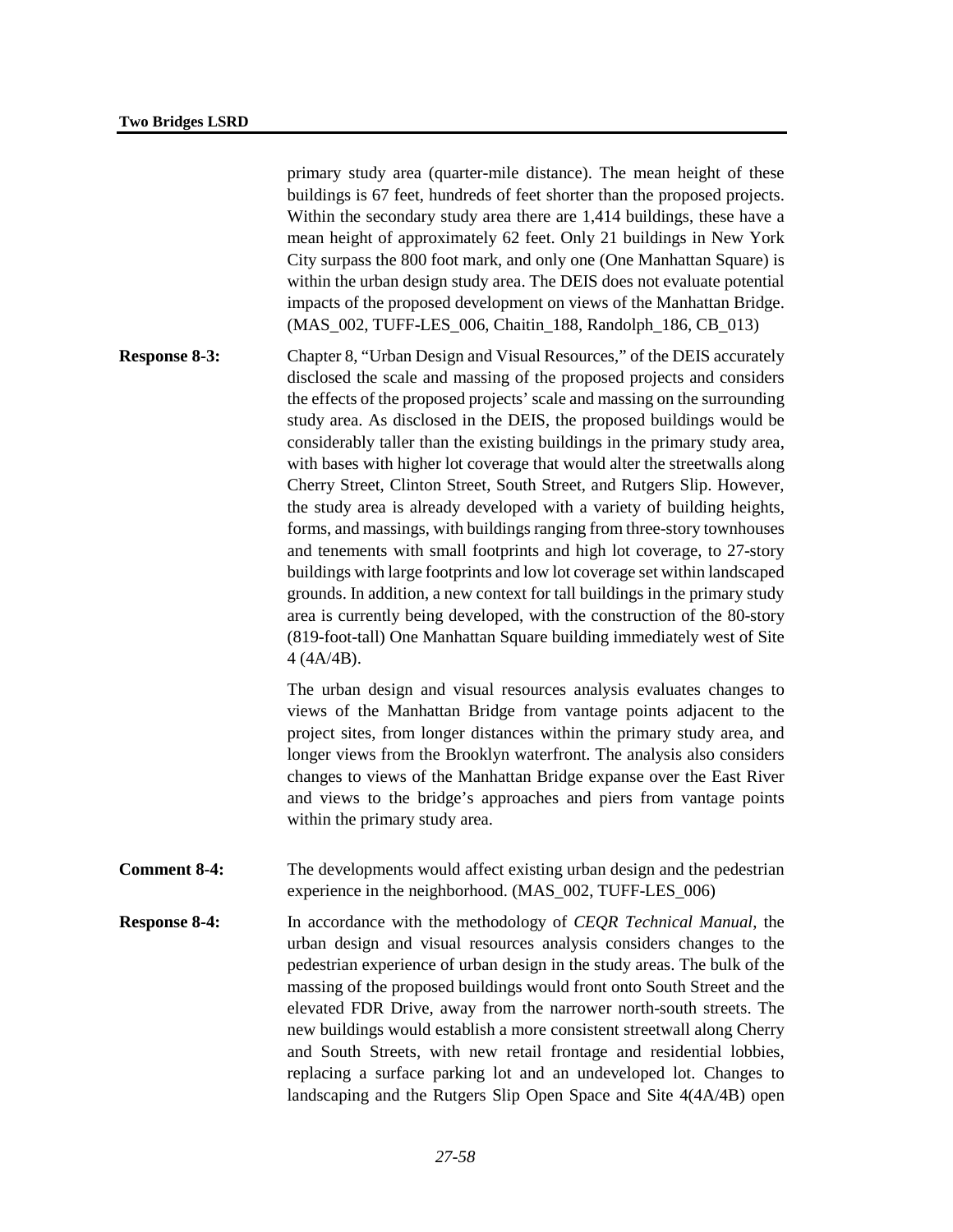primary study area (quarter-mile distance). The mean height of these buildings is 67 feet, hundreds of feet shorter than the proposed projects. Within the secondary study area there are 1,414 buildings, these have a mean height of approximately 62 feet. Only 21 buildings in New York City surpass the 800 foot mark, and only one (One Manhattan Square) is within the urban design study area. The DEIS does not evaluate potential impacts of the proposed development on views of the Manhattan Bridge. (MAS\_002, TUFF-LES\_006, Chaitin\_188, Randolph\_186, CB\_013)

**Response 8-3:** Chapter 8, "Urban Design and Visual Resources," of the DEIS accurately disclosed the scale and massing of the proposed projects and considers the effects of the proposed projects' scale and massing on the surrounding study area. As disclosed in the DEIS, the proposed buildings would be considerably taller than the existing buildings in the primary study area, with bases with higher lot coverage that would alter the streetwalls along Cherry Street, Clinton Street, South Street, and Rutgers Slip. However, the study area is already developed with a variety of building heights, forms, and massings, with buildings ranging from three-story townhouses and tenements with small footprints and high lot coverage, to 27-story buildings with large footprints and low lot coverage set within landscaped grounds. In addition, a new context for tall buildings in the primary study area is currently being developed, with the construction of the 80-story (819-foot-tall) One Manhattan Square building immediately west of Site 4 (4A/4B).

> The urban design and visual resources analysis evaluates changes to views of the Manhattan Bridge from vantage points adjacent to the project sites, from longer distances within the primary study area, and longer views from the Brooklyn waterfront. The analysis also considers changes to views of the Manhattan Bridge expanse over the East River and views to the bridge's approaches and piers from vantage points within the primary study area.

- **Comment 8-4:** The developments would affect existing urban design and the pedestrian experience in the neighborhood. (MAS\_002, TUFF-LES\_006)
- **Response 8-4:** In accordance with the methodology of *CEQR Technical Manual*, the urban design and visual resources analysis considers changes to the pedestrian experience of urban design in the study areas. The bulk of the massing of the proposed buildings would front onto South Street and the elevated FDR Drive, away from the narrower north-south streets. The new buildings would establish a more consistent streetwall along Cherry and South Streets, with new retail frontage and residential lobbies, replacing a surface parking lot and an undeveloped lot. Changes to landscaping and the Rutgers Slip Open Space and Site 4(4A/4B) open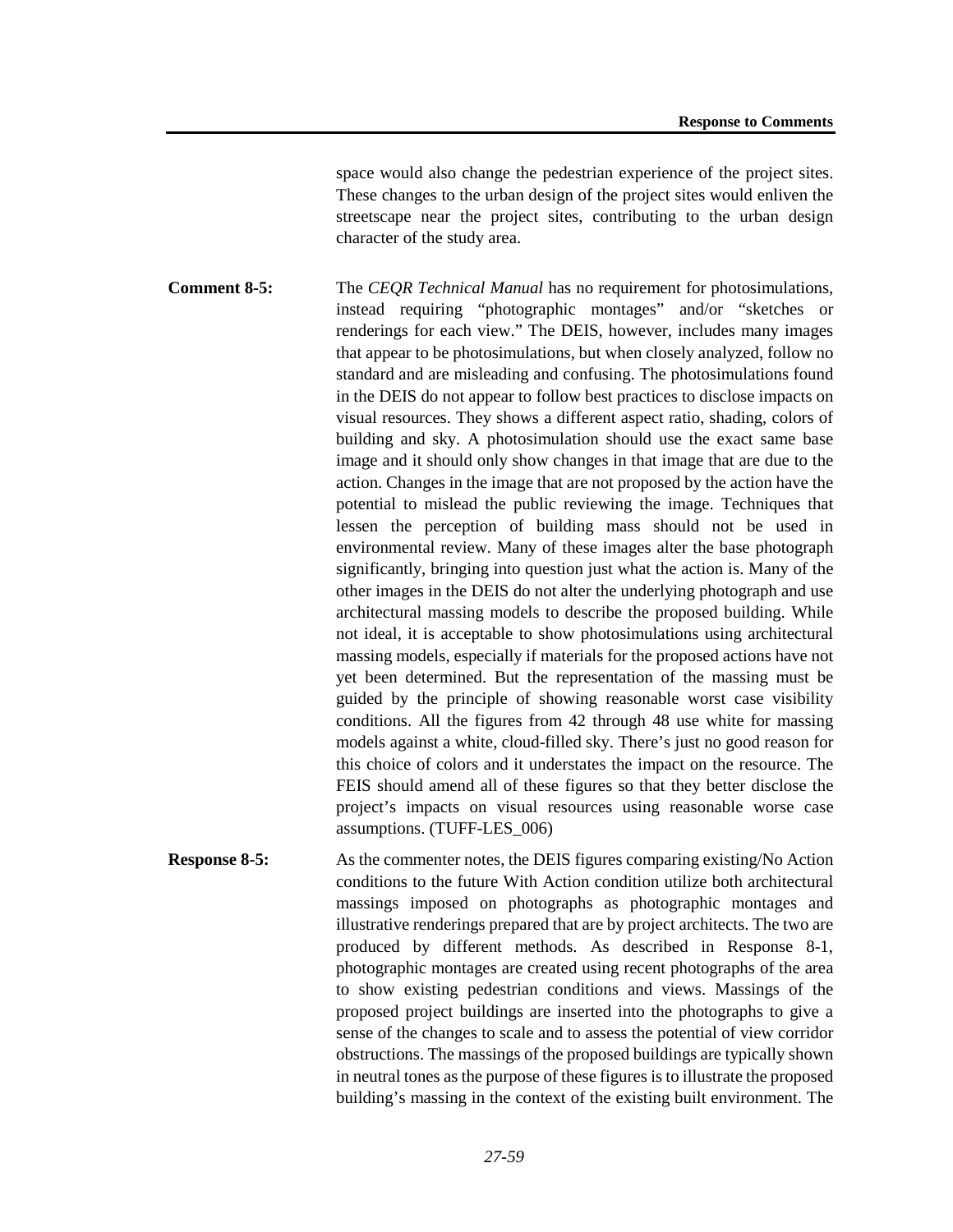space would also change the pedestrian experience of the project sites. These changes to the urban design of the project sites would enliven the streetscape near the project sites, contributing to the urban design character of the study area.

**Comment 8-5:** The *CEQR Technical Manual* has no requirement for photosimulations, instead requiring "photographic montages" and/or "sketches or renderings for each view." The DEIS, however, includes many images that appear to be photosimulations, but when closely analyzed, follow no standard and are misleading and confusing. The photosimulations found in the DEIS do not appear to follow best practices to disclose impacts on visual resources. They shows a different aspect ratio, shading, colors of building and sky. A photosimulation should use the exact same base image and it should only show changes in that image that are due to the action. Changes in the image that are not proposed by the action have the potential to mislead the public reviewing the image. Techniques that lessen the perception of building mass should not be used in environmental review. Many of these images alter the base photograph significantly, bringing into question just what the action is. Many of the other images in the DEIS do not alter the underlying photograph and use architectural massing models to describe the proposed building. While not ideal, it is acceptable to show photosimulations using architectural massing models, especially if materials for the proposed actions have not yet been determined. But the representation of the massing must be guided by the principle of showing reasonable worst case visibility conditions. All the figures from 42 through 48 use white for massing models against a white, cloud-filled sky. There's just no good reason for this choice of colors and it understates the impact on the resource. The FEIS should amend all of these figures so that they better disclose the project's impacts on visual resources using reasonable worse case assumptions. (TUFF-LES\_006)

**Response 8-5:** As the commenter notes, the DEIS figures comparing existing/No Action conditions to the future With Action condition utilize both architectural massings imposed on photographs as photographic montages and illustrative renderings prepared that are by project architects. The two are produced by different methods. As described in Response 8-1, photographic montages are created using recent photographs of the area to show existing pedestrian conditions and views. Massings of the proposed project buildings are inserted into the photographs to give a sense of the changes to scale and to assess the potential of view corridor obstructions. The massings of the proposed buildings are typically shown in neutral tones as the purpose of these figures is to illustrate the proposed building's massing in the context of the existing built environment. The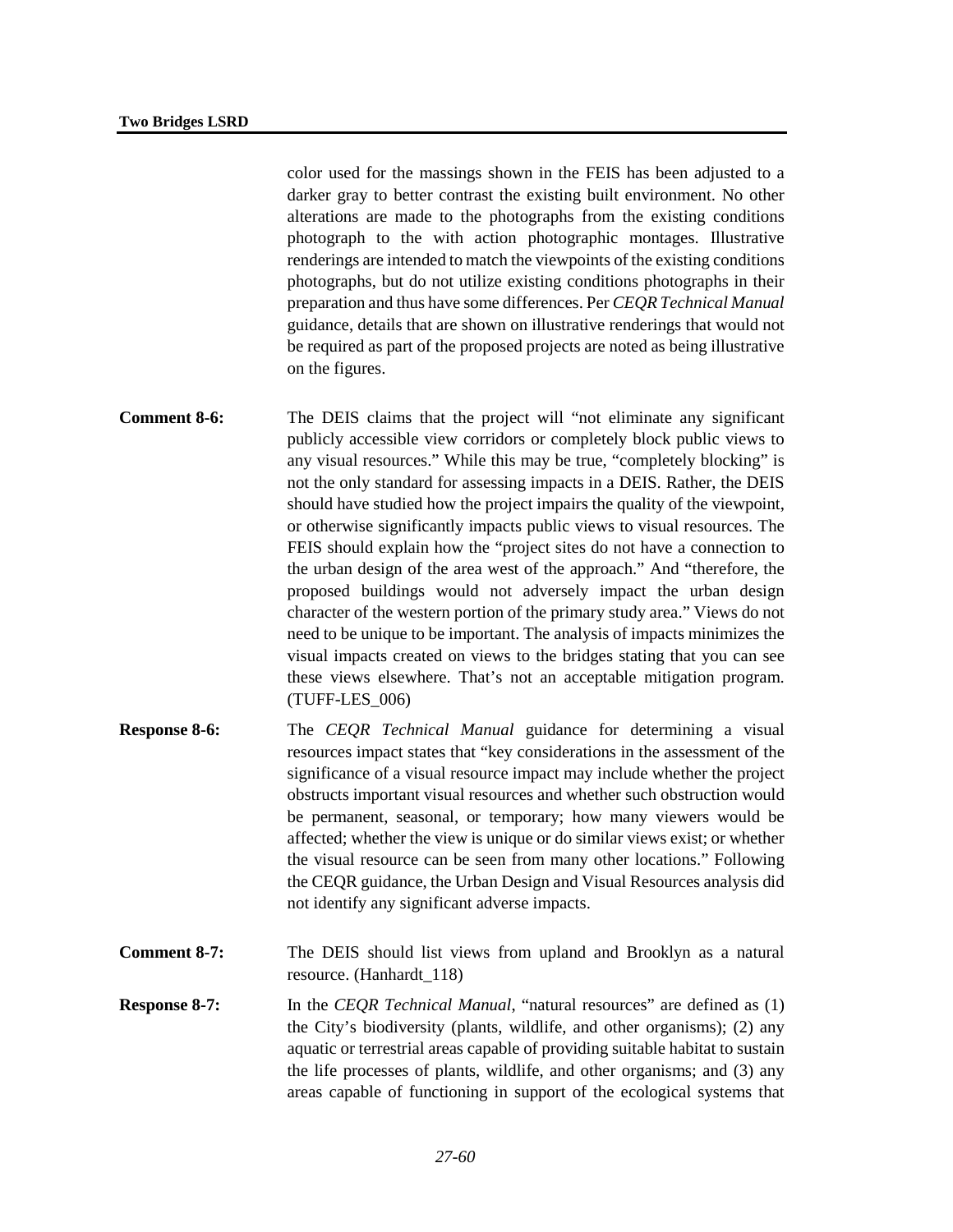color used for the massings shown in the FEIS has been adjusted to a darker gray to better contrast the existing built environment. No other alterations are made to the photographs from the existing conditions photograph to the with action photographic montages. Illustrative renderings are intended to match the viewpoints of the existing conditions photographs, but do not utilize existing conditions photographs in their preparation and thus have some differences. Per *CEQR Technical Manual* guidance, details that are shown on illustrative renderings that would not be required as part of the proposed projects are noted as being illustrative on the figures.

- **Comment 8-6:** The DEIS claims that the project will "not eliminate any significant publicly accessible view corridors or completely block public views to any visual resources." While this may be true, "completely blocking" is not the only standard for assessing impacts in a DEIS. Rather, the DEIS should have studied how the project impairs the quality of the viewpoint, or otherwise significantly impacts public views to visual resources. The FEIS should explain how the "project sites do not have a connection to the urban design of the area west of the approach." And "therefore, the proposed buildings would not adversely impact the urban design character of the western portion of the primary study area." Views do not need to be unique to be important. The analysis of impacts minimizes the visual impacts created on views to the bridges stating that you can see these views elsewhere. That's not an acceptable mitigation program. (TUFF-LES\_006)
- **Response 8-6:** The *CEQR Technical Manual* guidance for determining a visual resources impact states that "key considerations in the assessment of the significance of a visual resource impact may include whether the project obstructs important visual resources and whether such obstruction would be permanent, seasonal, or temporary; how many viewers would be affected; whether the view is unique or do similar views exist; or whether the visual resource can be seen from many other locations." Following the CEQR guidance, the Urban Design and Visual Resources analysis did not identify any significant adverse impacts.
- **Comment 8-7:** The DEIS should list views from upland and Brooklyn as a natural resource. (Hanhardt\_118)
- **Response 8-7:** In the *CEQR Technical Manual*, "natural resources" are defined as (1) the City's biodiversity (plants, wildlife, and other organisms); (2) any aquatic or terrestrial areas capable of providing suitable habitat to sustain the life processes of plants, wildlife, and other organisms; and (3) any areas capable of functioning in support of the ecological systems that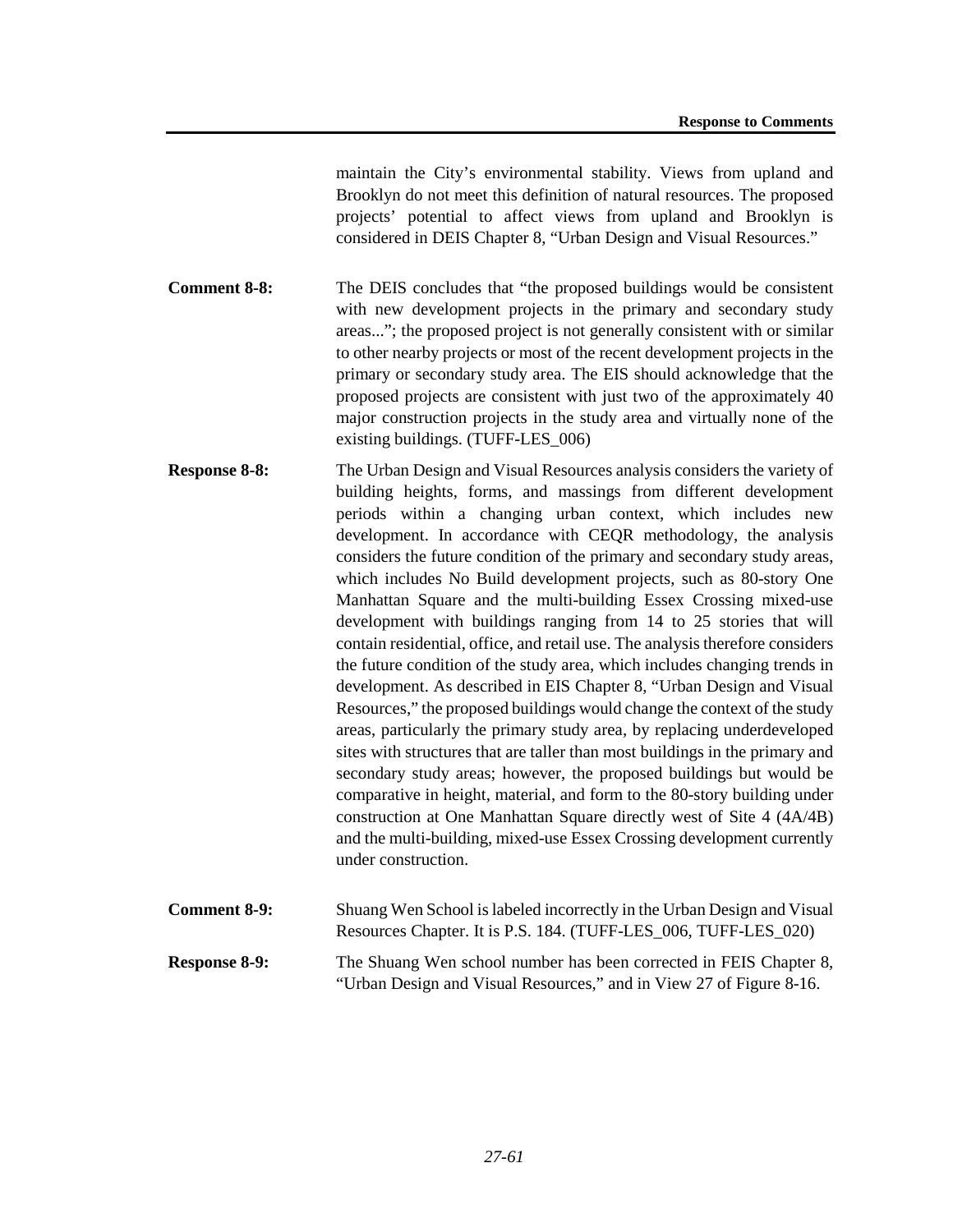maintain the City's environmental stability. Views from upland and Brooklyn do not meet this definition of natural resources. The proposed projects' potential to affect views from upland and Brooklyn is considered in DEIS Chapter 8, "Urban Design and Visual Resources."

**Comment 8-8:** The DEIS concludes that "the proposed buildings would be consistent with new development projects in the primary and secondary study areas..."; the proposed project is not generally consistent with or similar to other nearby projects or most of the recent development projects in the primary or secondary study area. The EIS should acknowledge that the proposed projects are consistent with just two of the approximately 40 major construction projects in the study area and virtually none of the existing buildings. (TUFF-LES\_006)

- **Response 8-8:** The Urban Design and Visual Resources analysis considers the variety of building heights, forms, and massings from different development periods within a changing urban context, which includes new development. In accordance with CEQR methodology, the analysis considers the future condition of the primary and secondary study areas, which includes No Build development projects, such as 80-story One Manhattan Square and the multi-building Essex Crossing mixed-use development with buildings ranging from 14 to 25 stories that will contain residential, office, and retail use. The analysis therefore considers the future condition of the study area, which includes changing trends in development. As described in EIS Chapter 8, "Urban Design and Visual Resources," the proposed buildings would change the context of the study areas, particularly the primary study area, by replacing underdeveloped sites with structures that are taller than most buildings in the primary and secondary study areas; however, the proposed buildings but would be comparative in height, material, and form to the 80-story building under construction at One Manhattan Square directly west of Site 4 (4A/4B) and the multi-building, mixed-use Essex Crossing development currently under construction.
- **Comment 8-9:** Shuang Wen School is labeled incorrectly in the Urban Design and Visual Resources Chapter. It is P.S. 184. (TUFF-LES\_006, TUFF-LES\_020) **Response 8-9:** The Shuang Wen school number has been corrected in FEIS Chapter 8, "Urban Design and Visual Resources," and in View 27 of Figure 8-16.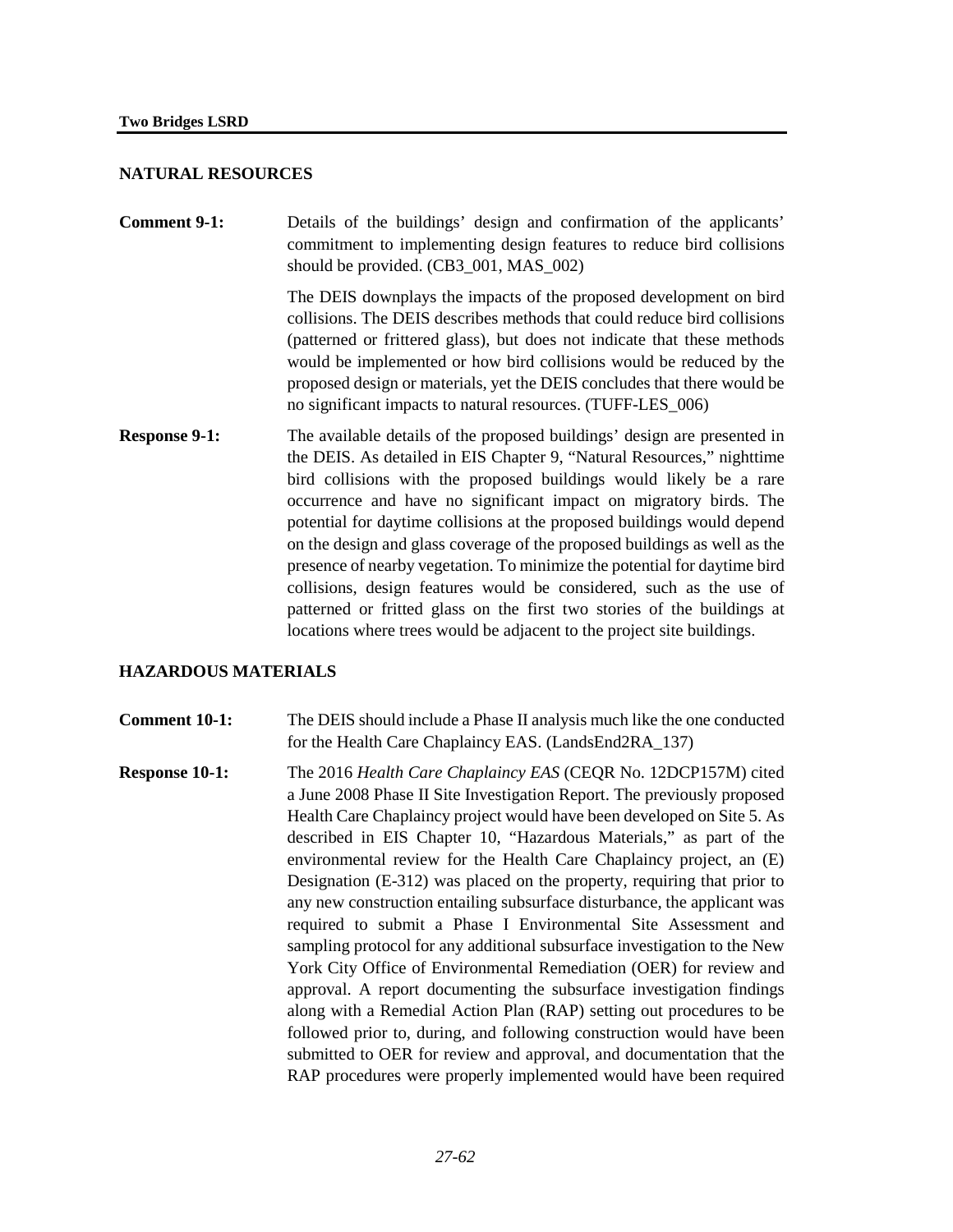### **NATURAL RESOURCES**

**Comment 9-1:** Details of the buildings' design and confirmation of the applicants' commitment to implementing design features to reduce bird collisions should be provided. (CB3\_001, MAS\_002)

> The DEIS downplays the impacts of the proposed development on bird collisions. The DEIS describes methods that could reduce bird collisions (patterned or frittered glass), but does not indicate that these methods would be implemented or how bird collisions would be reduced by the proposed design or materials, yet the DEIS concludes that there would be no significant impacts to natural resources. (TUFF-LES\_006)

**Response 9-1:** The available details of the proposed buildings' design are presented in the DEIS. As detailed in EIS Chapter 9, "Natural Resources," nighttime bird collisions with the proposed buildings would likely be a rare occurrence and have no significant impact on migratory birds. The potential for daytime collisions at the proposed buildings would depend on the design and glass coverage of the proposed buildings as well as the presence of nearby vegetation. To minimize the potential for daytime bird collisions, design features would be considered, such as the use of patterned or fritted glass on the first two stories of the buildings at locations where trees would be adjacent to the project site buildings.

#### **HAZARDOUS MATERIALS**

**Comment 10-1:** The DEIS should include a Phase II analysis much like the one conducted for the Health Care Chaplaincy EAS. (LandsEnd2RA\_137)

**Response 10-1:** The 2016 *Health Care Chaplaincy EAS* (CEQR No. 12DCP157M) cited a June 2008 Phase II Site Investigation Report. The previously proposed Health Care Chaplaincy project would have been developed on Site 5. As described in EIS Chapter 10, "Hazardous Materials," as part of the environmental review for the Health Care Chaplaincy project, an (E) Designation (E-312) was placed on the property, requiring that prior to any new construction entailing subsurface disturbance, the applicant was required to submit a Phase I Environmental Site Assessment and sampling protocol for any additional subsurface investigation to the New York City Office of Environmental Remediation (OER) for review and approval. A report documenting the subsurface investigation findings along with a Remedial Action Plan (RAP) setting out procedures to be followed prior to, during, and following construction would have been submitted to OER for review and approval, and documentation that the RAP procedures were properly implemented would have been required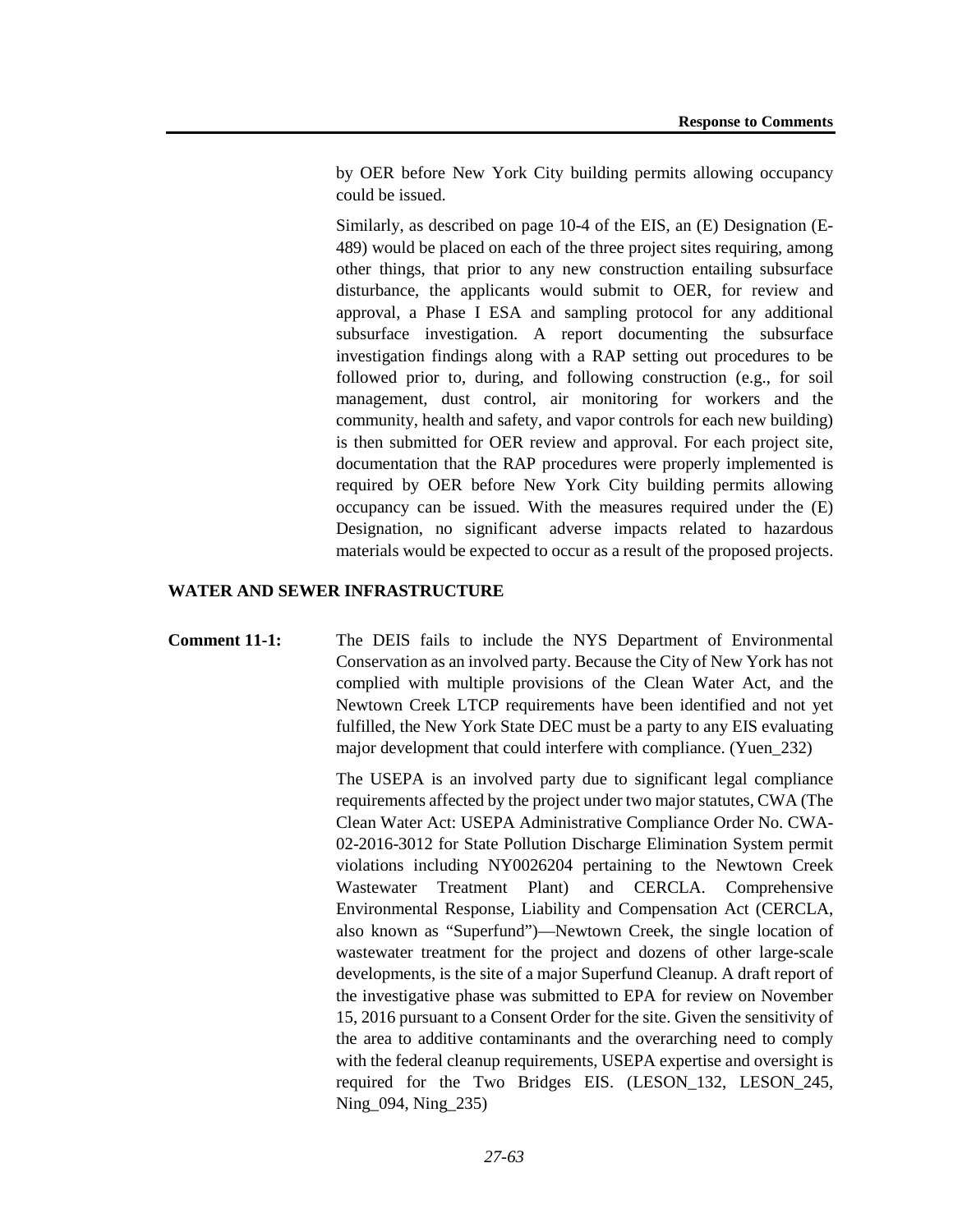by OER before New York City building permits allowing occupancy could be issued.

Similarly, as described on page 10-4 of the EIS, an (E) Designation (E-489) would be placed on each of the three project sites requiring, among other things, that prior to any new construction entailing subsurface disturbance, the applicants would submit to OER, for review and approval, a Phase I ESA and sampling protocol for any additional subsurface investigation. A report documenting the subsurface investigation findings along with a RAP setting out procedures to be followed prior to, during, and following construction (e.g., for soil management, dust control, air monitoring for workers and the community, health and safety, and vapor controls for each new building) is then submitted for OER review and approval. For each project site, documentation that the RAP procedures were properly implemented is required by OER before New York City building permits allowing occupancy can be issued. With the measures required under the (E) Designation, no significant adverse impacts related to hazardous materials would be expected to occur as a result of the proposed projects.

### **WATER AND SEWER INFRASTRUCTURE**

**Comment 11-1:** The DEIS fails to include the NYS Department of Environmental Conservation as an involved party. Because the City of New York has not complied with multiple provisions of the Clean Water Act, and the Newtown Creek LTCP requirements have been identified and not yet fulfilled, the New York State DEC must be a party to any EIS evaluating major development that could interfere with compliance. (Yuen\_232)

> The USEPA is an involved party due to significant legal compliance requirements affected by the project under two major statutes, CWA (The Clean Water Act: USEPA Administrative Compliance Order No. CWA-02-2016-3012 for State Pollution Discharge Elimination System permit violations including NY0026204 pertaining to the Newtown Creek Wastewater Treatment Plant) and CERCLA. Comprehensive Environmental Response, Liability and Compensation Act (CERCLA, also known as "Superfund")—Newtown Creek, the single location of wastewater treatment for the project and dozens of other large-scale developments, is the site of a major Superfund Cleanup. A draft report of the investigative phase was submitted to EPA for review on November 15, 2016 pursuant to a Consent Order for the site. Given the sensitivity of the area to additive contaminants and the overarching need to comply with the federal cleanup requirements, USEPA expertise and oversight is required for the Two Bridges EIS. (LESON\_132, LESON\_245, Ning\_094, Ning\_235)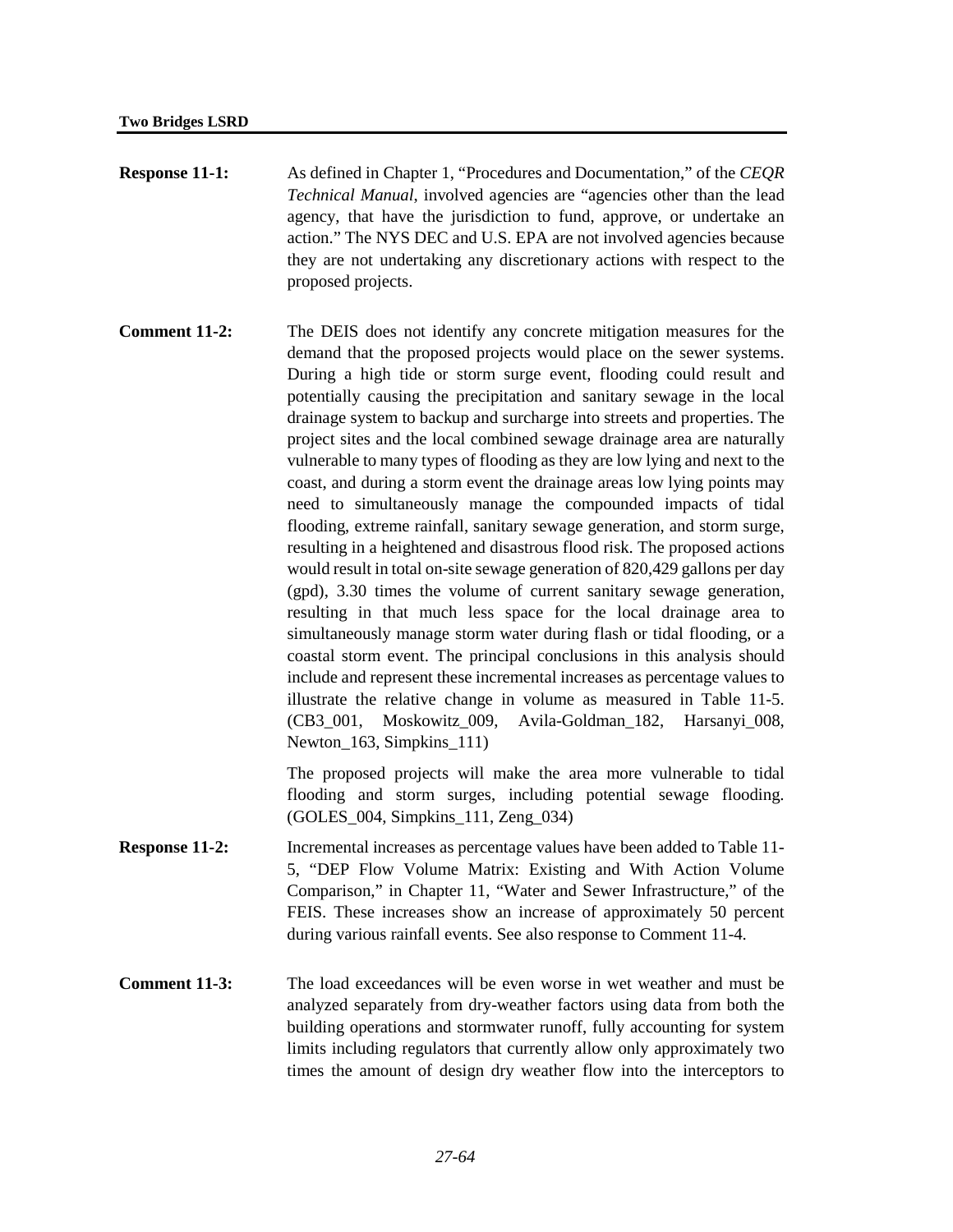- **Response 11-1:** As defined in Chapter 1, "Procedures and Documentation," of the *CEQR Technical Manual*, involved agencies are "agencies other than the lead agency, that have the jurisdiction to fund, approve, or undertake an action." The NYS DEC and U.S. EPA are not involved agencies because they are not undertaking any discretionary actions with respect to the proposed projects.
- **Comment 11-2:** The DEIS does not identify any concrete mitigation measures for the demand that the proposed projects would place on the sewer systems. During a high tide or storm surge event, flooding could result and potentially causing the precipitation and sanitary sewage in the local drainage system to backup and surcharge into streets and properties. The project sites and the local combined sewage drainage area are naturally vulnerable to many types of flooding as they are low lying and next to the coast, and during a storm event the drainage areas low lying points may need to simultaneously manage the compounded impacts of tidal flooding, extreme rainfall, sanitary sewage generation, and storm surge, resulting in a heightened and disastrous flood risk. The proposed actions would result in total on-site sewage generation of 820,429 gallons per day (gpd), 3.30 times the volume of current sanitary sewage generation, resulting in that much less space for the local drainage area to simultaneously manage storm water during flash or tidal flooding, or a coastal storm event. The principal conclusions in this analysis should include and represent these incremental increases as percentage values to illustrate the relative change in volume as measured in Table 11-5. (CB3\_001, Moskowitz\_009, Avila-Goldman\_182, Harsanyi\_008, Newton 163, Simpkins 111)

The proposed projects will make the area more vulnerable to tidal flooding and storm surges, including potential sewage flooding. (GOLES\_004, Simpkins\_111, Zeng\_034)

- **Response 11-2:** Incremental increases as percentage values have been added to Table 11-5, "DEP Flow Volume Matrix: Existing and With Action Volume Comparison," in Chapter 11, "Water and Sewer Infrastructure," of the FEIS. These increases show an increase of approximately 50 percent during various rainfall events. See also response to Comment 11-4.
- **Comment 11-3:** The load exceedances will be even worse in wet weather and must be analyzed separately from dry-weather factors using data from both the building operations and stormwater runoff, fully accounting for system limits including regulators that currently allow only approximately two times the amount of design dry weather flow into the interceptors to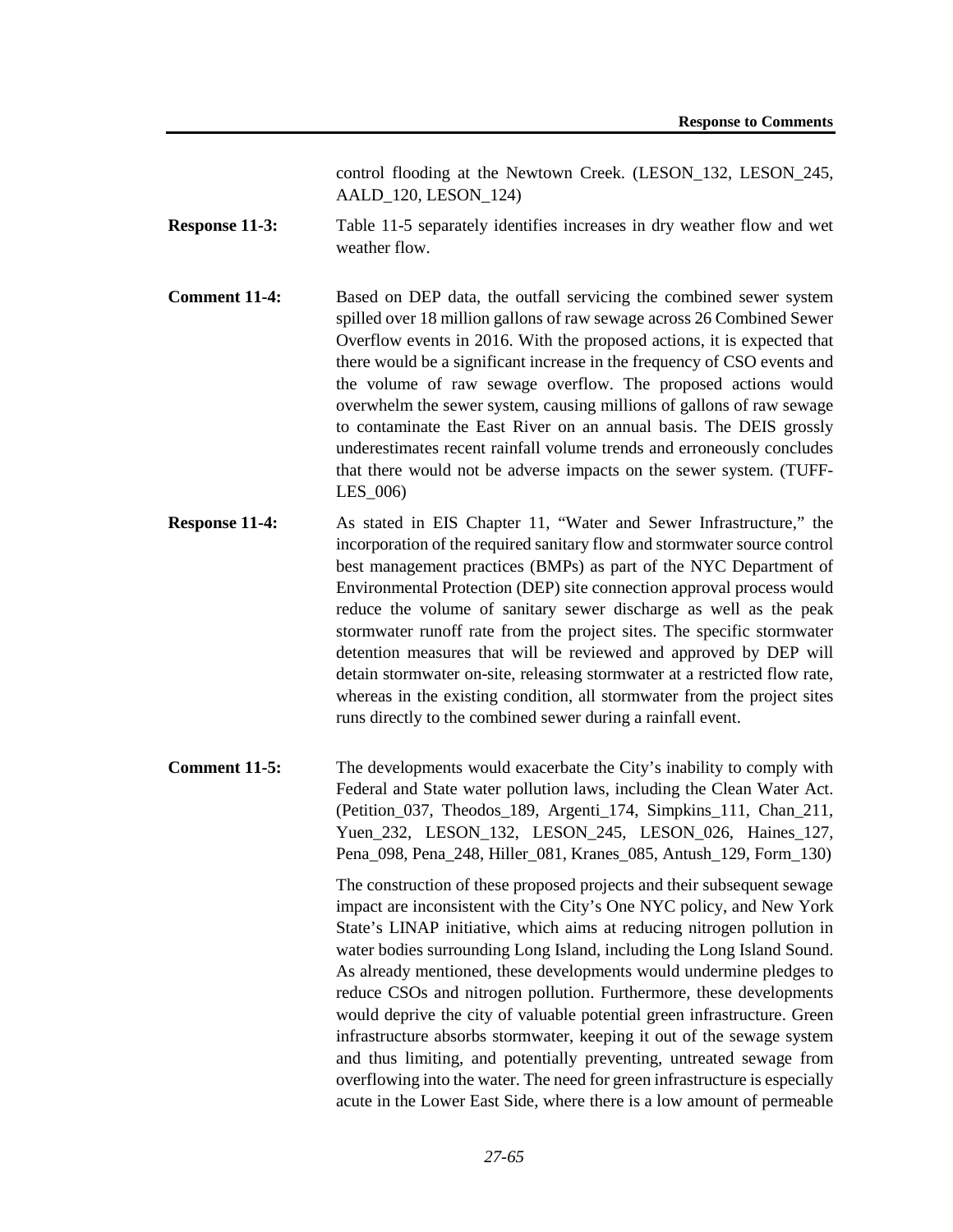control flooding at the Newtown Creek. (LESON\_132, LESON\_245, AALD\_120, LESON\_124)

- **Response 11-3:** Table 11-5 separately identifies increases in dry weather flow and wet weather flow.
- **Comment 11-4:** Based on DEP data, the outfall servicing the combined sewer system spilled over 18 million gallons of raw sewage across 26 Combined Sewer Overflow events in 2016. With the proposed actions, it is expected that there would be a significant increase in the frequency of CSO events and the volume of raw sewage overflow. The proposed actions would overwhelm the sewer system, causing millions of gallons of raw sewage to contaminate the East River on an annual basis. The DEIS grossly underestimates recent rainfall volume trends and erroneously concludes that there would not be adverse impacts on the sewer system. (TUFF-LES\_006)
- **Response 11-4:** As stated in EIS Chapter 11, "Water and Sewer Infrastructure," the incorporation of the required sanitary flow and stormwater source control best management practices (BMPs) as part of the NYC Department of Environmental Protection (DEP) site connection approval process would reduce the volume of sanitary sewer discharge as well as the peak stormwater runoff rate from the project sites. The specific stormwater detention measures that will be reviewed and approved by DEP will detain stormwater on-site, releasing stormwater at a restricted flow rate, whereas in the existing condition, all stormwater from the project sites runs directly to the combined sewer during a rainfall event.
- **Comment 11-5:** The developments would exacerbate the City's inability to comply with Federal and State water pollution laws, including the Clean Water Act. (Petition\_037, Theodos\_189, Argenti\_174, Simpkins\_111, Chan\_211, Yuen 232, LESON 132, LESON 245, LESON 026, Haines 127, Pena\_098, Pena\_248, Hiller\_081, Kranes\_085, Antush\_129, Form\_130)

The construction of these proposed projects and their subsequent sewage impact are inconsistent with the City's One NYC policy, and New York State's LINAP initiative, which aims at reducing nitrogen pollution in water bodies surrounding Long Island, including the Long Island Sound. As already mentioned, these developments would undermine pledges to reduce CSOs and nitrogen pollution. Furthermore, these developments would deprive the city of valuable potential green infrastructure. Green infrastructure absorbs stormwater, keeping it out of the sewage system and thus limiting, and potentially preventing, untreated sewage from overflowing into the water. The need for green infrastructure is especially acute in the Lower East Side, where there is a low amount of permeable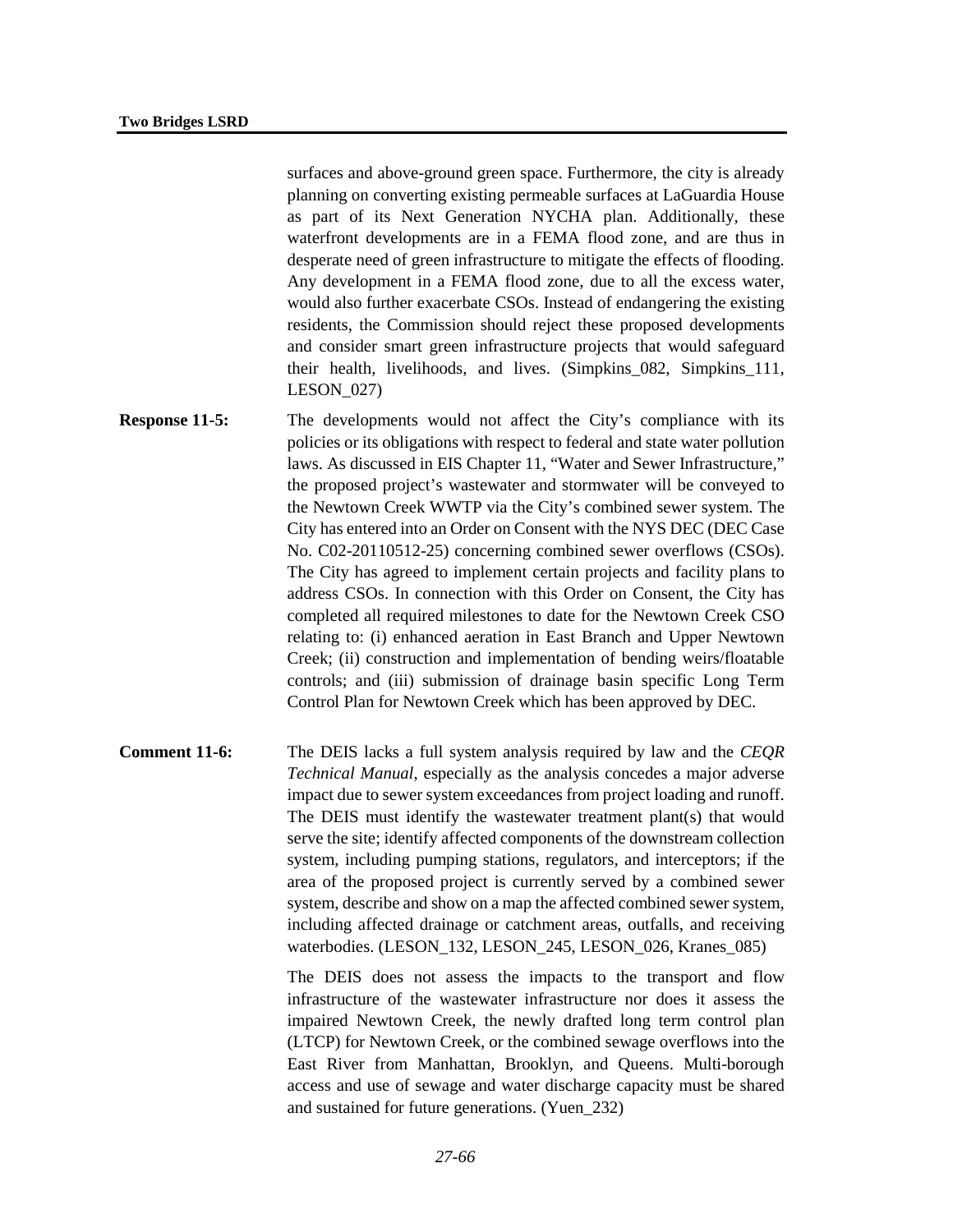surfaces and above-ground green space. Furthermore, the city is already planning on converting existing permeable surfaces at LaGuardia House as part of its Next Generation NYCHA plan. Additionally, these waterfront developments are in a FEMA flood zone, and are thus in desperate need of green infrastructure to mitigate the effects of flooding. Any development in a FEMA flood zone, due to all the excess water, would also further exacerbate CSOs. Instead of endangering the existing residents, the Commission should reject these proposed developments and consider smart green infrastructure projects that would safeguard their health, livelihoods, and lives. (Simpkins\_082, Simpkins\_111, LESON\_027)

- **Response 11-5:** The developments would not affect the City's compliance with its policies or its obligations with respect to federal and state water pollution laws. As discussed in EIS Chapter 11, "Water and Sewer Infrastructure," the proposed project's wastewater and stormwater will be conveyed to the Newtown Creek WWTP via the City's combined sewer system. The City has entered into an Order on Consent with the NYS DEC (DEC Case No. C02-20110512-25) concerning combined sewer overflows (CSOs). The City has agreed to implement certain projects and facility plans to address CSOs. In connection with this Order on Consent, the City has completed all required milestones to date for the Newtown Creek CSO relating to: (i) enhanced aeration in East Branch and Upper Newtown Creek; (ii) construction and implementation of bending weirs/floatable controls; and (iii) submission of drainage basin specific Long Term Control Plan for Newtown Creek which has been approved by DEC.
- **Comment 11-6:** The DEIS lacks a full system analysis required by law and the *CEQR Technical Manual*, especially as the analysis concedes a major adverse impact due to sewer system exceedances from project loading and runoff. The DEIS must identify the wastewater treatment plant(s) that would serve the site; identify affected components of the downstream collection system, including pumping stations, regulators, and interceptors; if the area of the proposed project is currently served by a combined sewer system, describe and show on a map the affected combined sewer system, including affected drainage or catchment areas, outfalls, and receiving waterbodies. (LESON\_132, LESON\_245, LESON\_026, Kranes\_085)

The DEIS does not assess the impacts to the transport and flow infrastructure of the wastewater infrastructure nor does it assess the impaired Newtown Creek, the newly drafted long term control plan (LTCP) for Newtown Creek, or the combined sewage overflows into the East River from Manhattan, Brooklyn, and Queens. Multi-borough access and use of sewage and water discharge capacity must be shared and sustained for future generations. (Yuen\_232)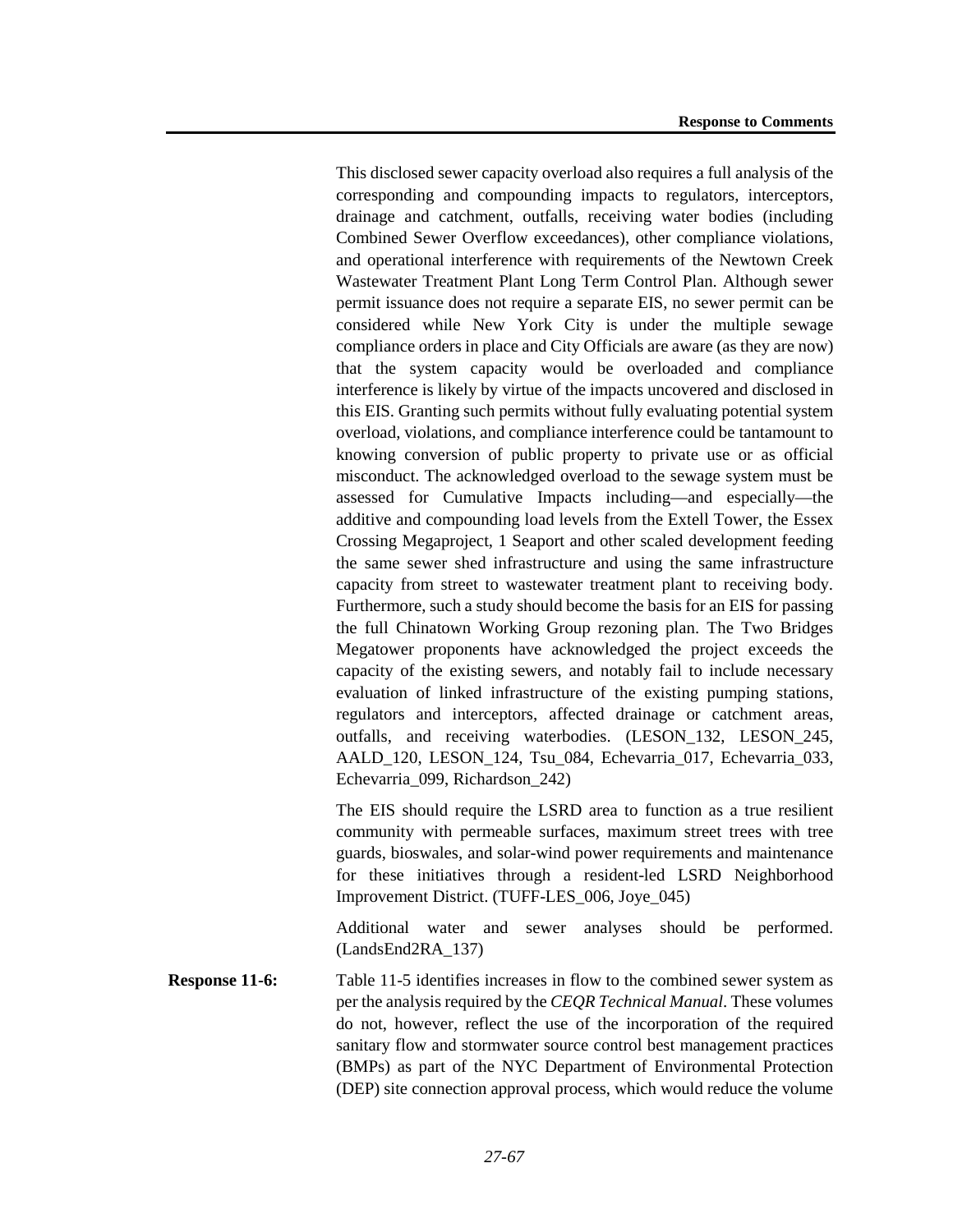This disclosed sewer capacity overload also requires a full analysis of the corresponding and compounding impacts to regulators, interceptors, drainage and catchment, outfalls, receiving water bodies (including Combined Sewer Overflow exceedances), other compliance violations, and operational interference with requirements of the Newtown Creek Wastewater Treatment Plant Long Term Control Plan. Although sewer permit issuance does not require a separate EIS, no sewer permit can be considered while New York City is under the multiple sewage compliance orders in place and City Officials are aware (as they are now) that the system capacity would be overloaded and compliance interference is likely by virtue of the impacts uncovered and disclosed in this EIS. Granting such permits without fully evaluating potential system overload, violations, and compliance interference could be tantamount to knowing conversion of public property to private use or as official misconduct. The acknowledged overload to the sewage system must be assessed for Cumulative Impacts including—and especially—the additive and compounding load levels from the Extell Tower, the Essex Crossing Megaproject, 1 Seaport and other scaled development feeding the same sewer shed infrastructure and using the same infrastructure capacity from street to wastewater treatment plant to receiving body. Furthermore, such a study should become the basis for an EIS for passing the full Chinatown Working Group rezoning plan. The Two Bridges Megatower proponents have acknowledged the project exceeds the capacity of the existing sewers, and notably fail to include necessary evaluation of linked infrastructure of the existing pumping stations, regulators and interceptors, affected drainage or catchment areas, outfalls, and receiving waterbodies. (LESON\_132, LESON\_245, AALD\_120, LESON\_124, Tsu\_084, Echevarria\_017, Echevarria\_033, Echevarria\_099, Richardson\_242)

The EIS should require the LSRD area to function as a true resilient community with permeable surfaces, maximum street trees with tree guards, bioswales, and solar-wind power requirements and maintenance for these initiatives through a resident-led LSRD Neighborhood Improvement District. (TUFF-LES\_006, Joye\_045)

Additional water and sewer analyses should be performed. (LandsEnd2RA\_137)

**Response 11-6:** Table 11-5 identifies increases in flow to the combined sewer system as per the analysis required by the *CEQR Technical Manual*. These volumes do not, however, reflect the use of the incorporation of the required sanitary flow and stormwater source control best management practices (BMPs) as part of the NYC Department of Environmental Protection (DEP) site connection approval process, which would reduce the volume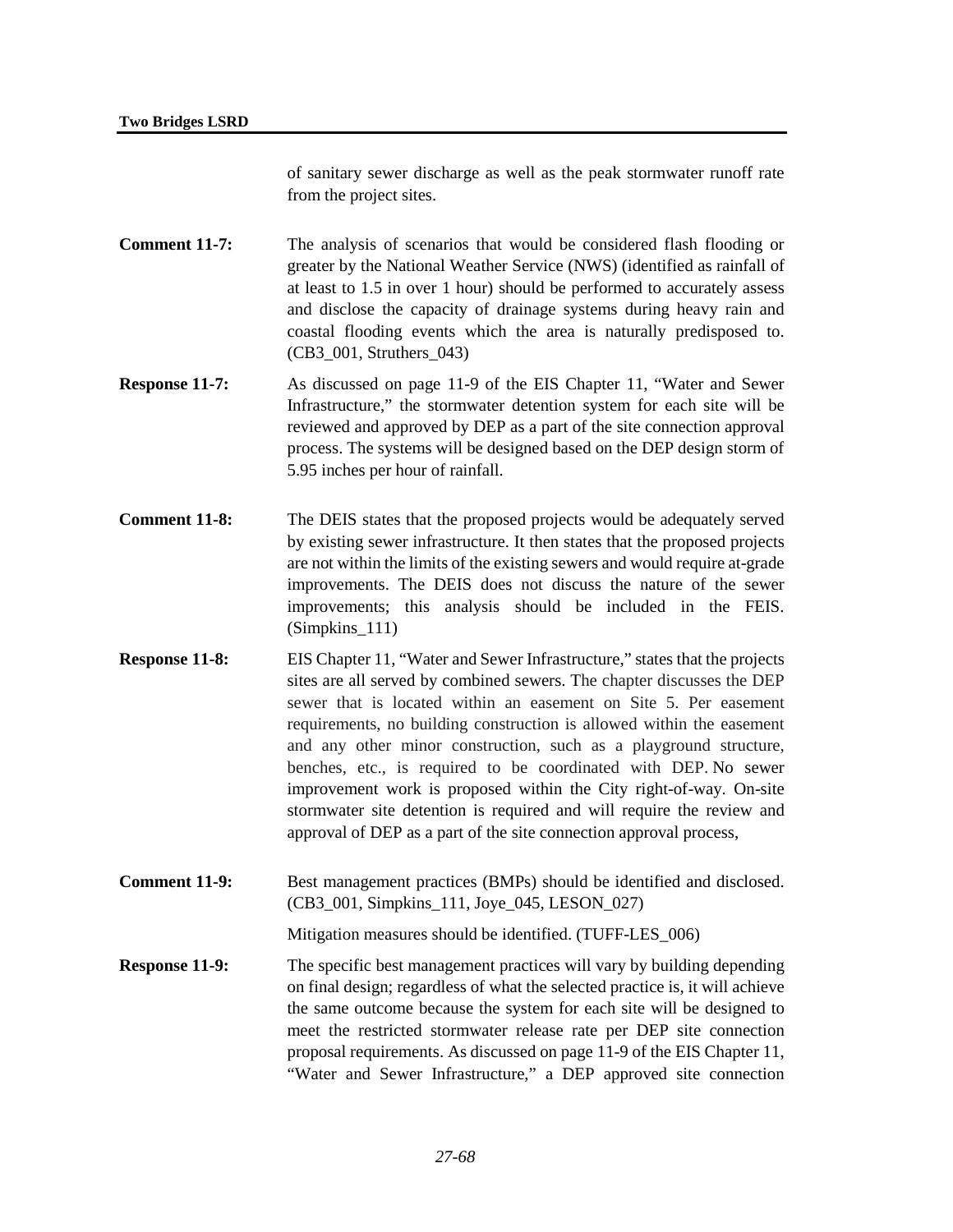of sanitary sewer discharge as well as the peak stormwater runoff rate from the project sites.

**Comment 11-7:** The analysis of scenarios that would be considered flash flooding or greater by the National Weather Service (NWS) (identified as rainfall of at least to 1.5 in over 1 hour) should be performed to accurately assess and disclose the capacity of drainage systems during heavy rain and coastal flooding events which the area is naturally predisposed to. (CB3\_001, Struthers\_043)

- **Response 11-7:** As discussed on page 11-9 of the EIS Chapter 11, "Water and Sewer Infrastructure," the stormwater detention system for each site will be reviewed and approved by DEP as a part of the site connection approval process. The systems will be designed based on the DEP design storm of 5.95 inches per hour of rainfall.
- **Comment 11-8:** The DEIS states that the proposed projects would be adequately served by existing sewer infrastructure. It then states that the proposed projects are not within the limits of the existing sewers and would require at-grade improvements. The DEIS does not discuss the nature of the sewer improvements; this analysis should be included in the FEIS. (Simpkins\_111)
- **Response 11-8:** EIS Chapter 11, "Water and Sewer Infrastructure," states that the projects sites are all served by combined sewers. The chapter discusses the DEP sewer that is located within an easement on Site 5. Per easement requirements, no building construction is allowed within the easement and any other minor construction, such as a playground structure, benches, etc., is required to be coordinated with DEP. No sewer improvement work is proposed within the City right-of-way. On-site stormwater site detention is required and will require the review and approval of DEP as a part of the site connection approval process,
- **Comment 11-9:** Best management practices (BMPs) should be identified and disclosed. (CB3\_001, Simpkins\_111, Joye\_045, LESON\_027)

Mitigation measures should be identified. (TUFF-LES\_006)

**Response 11-9:** The specific best management practices will vary by building depending on final design; regardless of what the selected practice is, it will achieve the same outcome because the system for each site will be designed to meet the restricted stormwater release rate per DEP site connection proposal requirements. As discussed on page 11-9 of the EIS Chapter 11, "Water and Sewer Infrastructure," a DEP approved site connection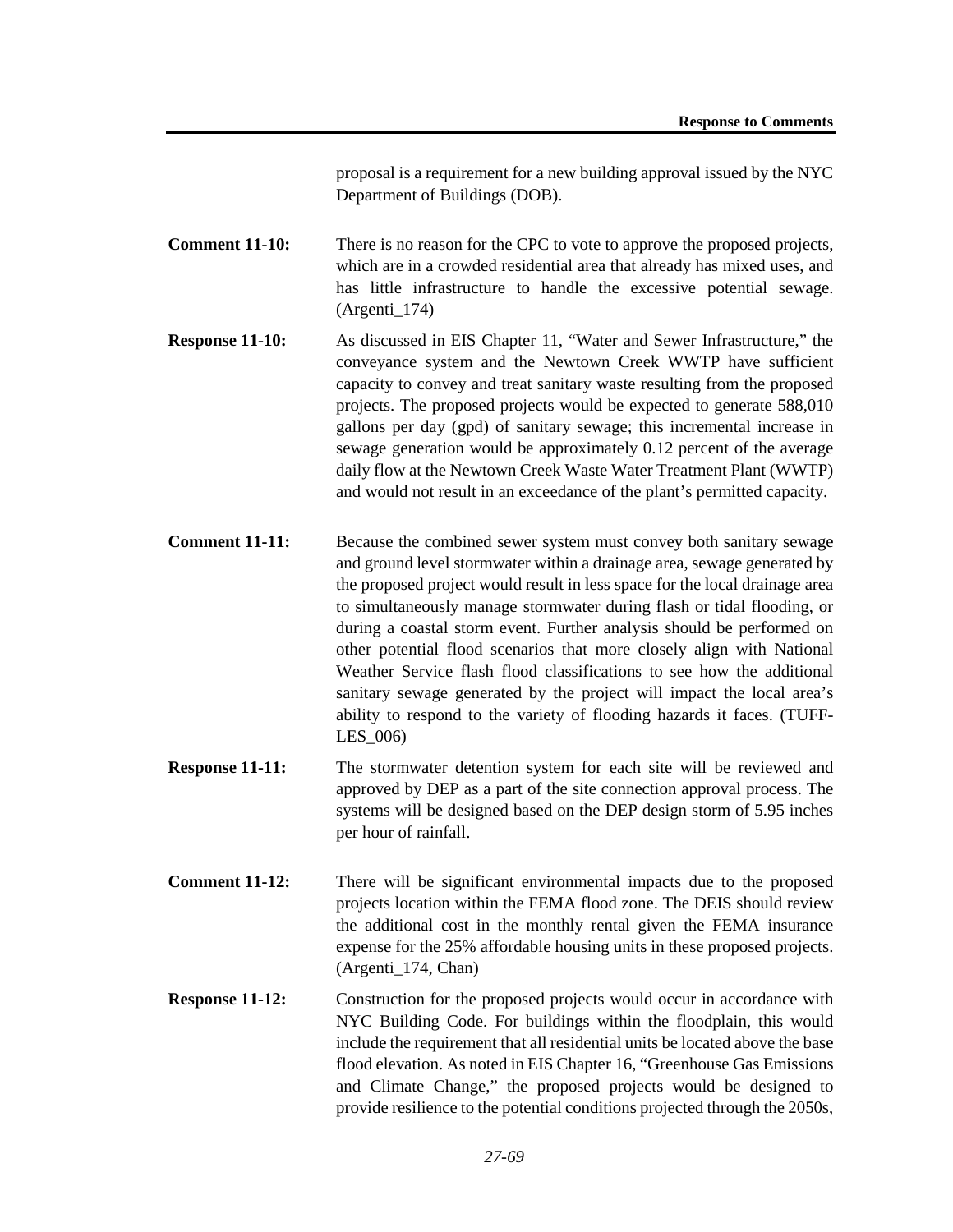proposal is a requirement for a new building approval issued by the NYC Department of Buildings (DOB).

**Comment 11-10:** There is no reason for the CPC to vote to approve the proposed projects, which are in a crowded residential area that already has mixed uses, and has little infrastructure to handle the excessive potential sewage. (Argenti\_174)

- **Response 11-10:** As discussed in EIS Chapter 11, "Water and Sewer Infrastructure," the conveyance system and the Newtown Creek WWTP have sufficient capacity to convey and treat sanitary waste resulting from the proposed projects. The proposed projects would be expected to generate 588,010 gallons per day (gpd) of sanitary sewage; this incremental increase in sewage generation would be approximately 0.12 percent of the average daily flow at the Newtown Creek Waste Water Treatment Plant (WWTP) and would not result in an exceedance of the plant's permitted capacity.
- **Comment 11-11:** Because the combined sewer system must convey both sanitary sewage and ground level stormwater within a drainage area, sewage generated by the proposed project would result in less space for the local drainage area to simultaneously manage stormwater during flash or tidal flooding, or during a coastal storm event. Further analysis should be performed on other potential flood scenarios that more closely align with National Weather Service flash flood classifications to see how the additional sanitary sewage generated by the project will impact the local area's ability to respond to the variety of flooding hazards it faces. (TUFF-LES\_006)
- **Response 11-11:** The stormwater detention system for each site will be reviewed and approved by DEP as a part of the site connection approval process. The systems will be designed based on the DEP design storm of 5.95 inches per hour of rainfall.
- **Comment 11-12:** There will be significant environmental impacts due to the proposed projects location within the FEMA flood zone. The DEIS should review the additional cost in the monthly rental given the FEMA insurance expense for the 25% affordable housing units in these proposed projects. (Argenti\_174, Chan)
- **Response 11-12:** Construction for the proposed projects would occur in accordance with NYC Building Code. For buildings within the floodplain, this would include the requirement that all residential units be located above the base flood elevation. As noted in EIS Chapter 16, "Greenhouse Gas Emissions and Climate Change," the proposed projects would be designed to provide resilience to the potential conditions projected through the 2050s,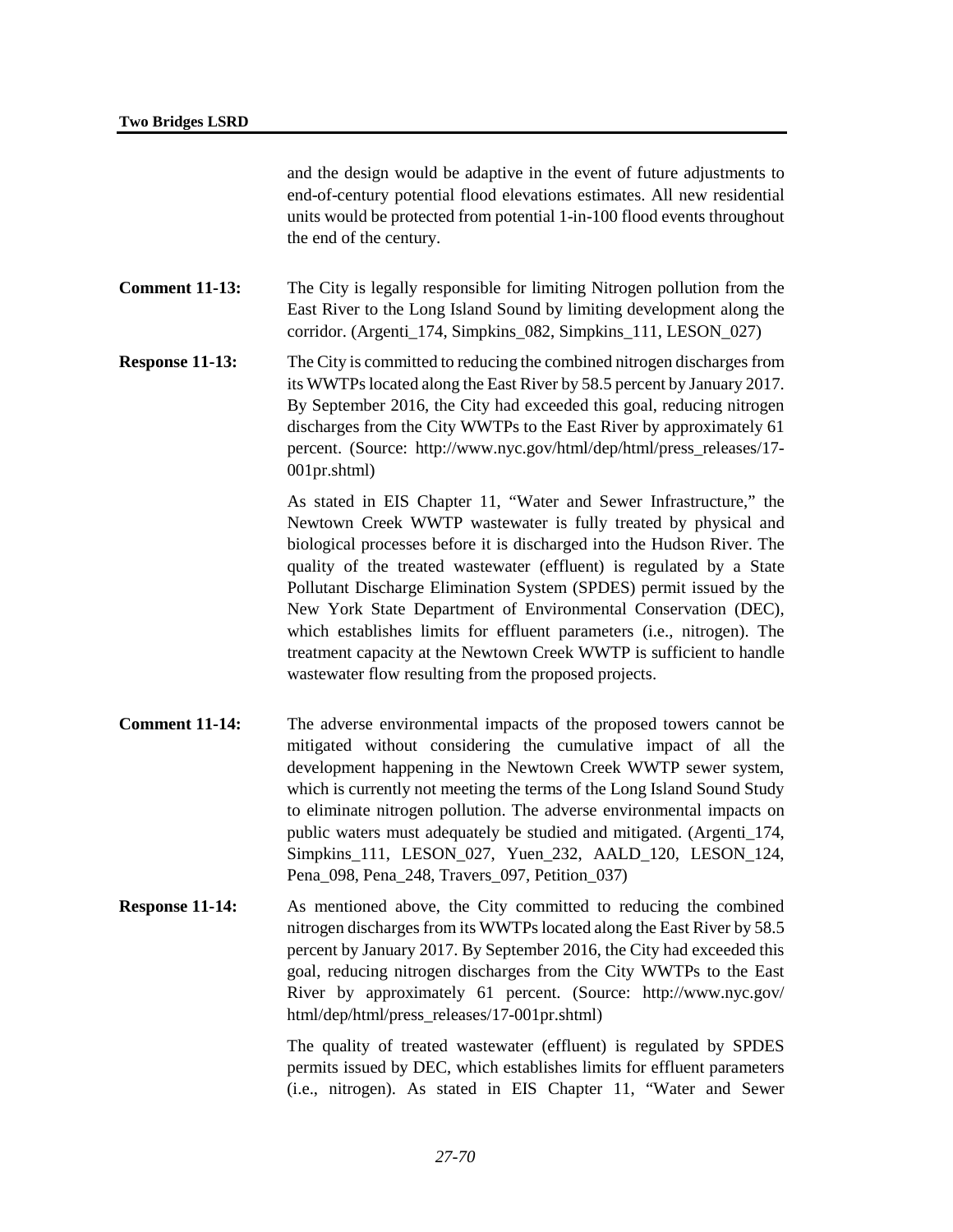and the design would be adaptive in the event of future adjustments to end-of-century potential flood elevations estimates. All new residential units would be protected from potential 1-in-100 flood events throughout the end of the century.

**Comment 11-13:** The City is legally responsible for limiting Nitrogen pollution from the East River to the Long Island Sound by limiting development along the corridor. (Argenti\_174, Simpkins\_082, Simpkins\_111, LESON\_027)

**Response 11-13:** The City is committed to reducing the combined nitrogen discharges from its WWTPs located along the East River by 58.5 percent by January 2017. By September 2016, the City had exceeded this goal, reducing nitrogen discharges from the City WWTPs to the East River by approximately 61 percent. (Source: http://www.nyc.gov/html/dep/html/press\_releases/17- 001pr.shtml)

> As stated in EIS Chapter 11, "Water and Sewer Infrastructure," the Newtown Creek WWTP wastewater is fully treated by physical and biological processes before it is discharged into the Hudson River. The quality of the treated wastewater (effluent) is regulated by a State Pollutant Discharge Elimination System (SPDES) permit issued by the New York State Department of Environmental Conservation (DEC), which establishes limits for effluent parameters (i.e., nitrogen). The treatment capacity at the Newtown Creek WWTP is sufficient to handle wastewater flow resulting from the proposed projects.

- **Comment 11-14:** The adverse environmental impacts of the proposed towers cannot be mitigated without considering the cumulative impact of all the development happening in the Newtown Creek WWTP sewer system, which is currently not meeting the terms of the Long Island Sound Study to eliminate nitrogen pollution. The adverse environmental impacts on public waters must adequately be studied and mitigated. (Argenti\_174, Simpkins\_111, LESON\_027, Yuen\_232, AALD\_120, LESON\_124, Pena\_098, Pena\_248, Travers\_097, Petition\_037)
- **Response 11-14:** As mentioned above, the City committed to reducing the combined nitrogen discharges from its WWTPs located along the East River by 58.5 percent by January 2017. By September 2016, the City had exceeded this goal, reducing nitrogen discharges from the City WWTPs to the East River by approximately 61 percent. (Source: http://www.nyc.gov/ html/dep/html/press\_releases/17-001pr.shtml)

The quality of treated wastewater (effluent) is regulated by SPDES permits issued by DEC, which establishes limits for effluent parameters (i.e., nitrogen). As stated in EIS Chapter 11, "Water and Sewer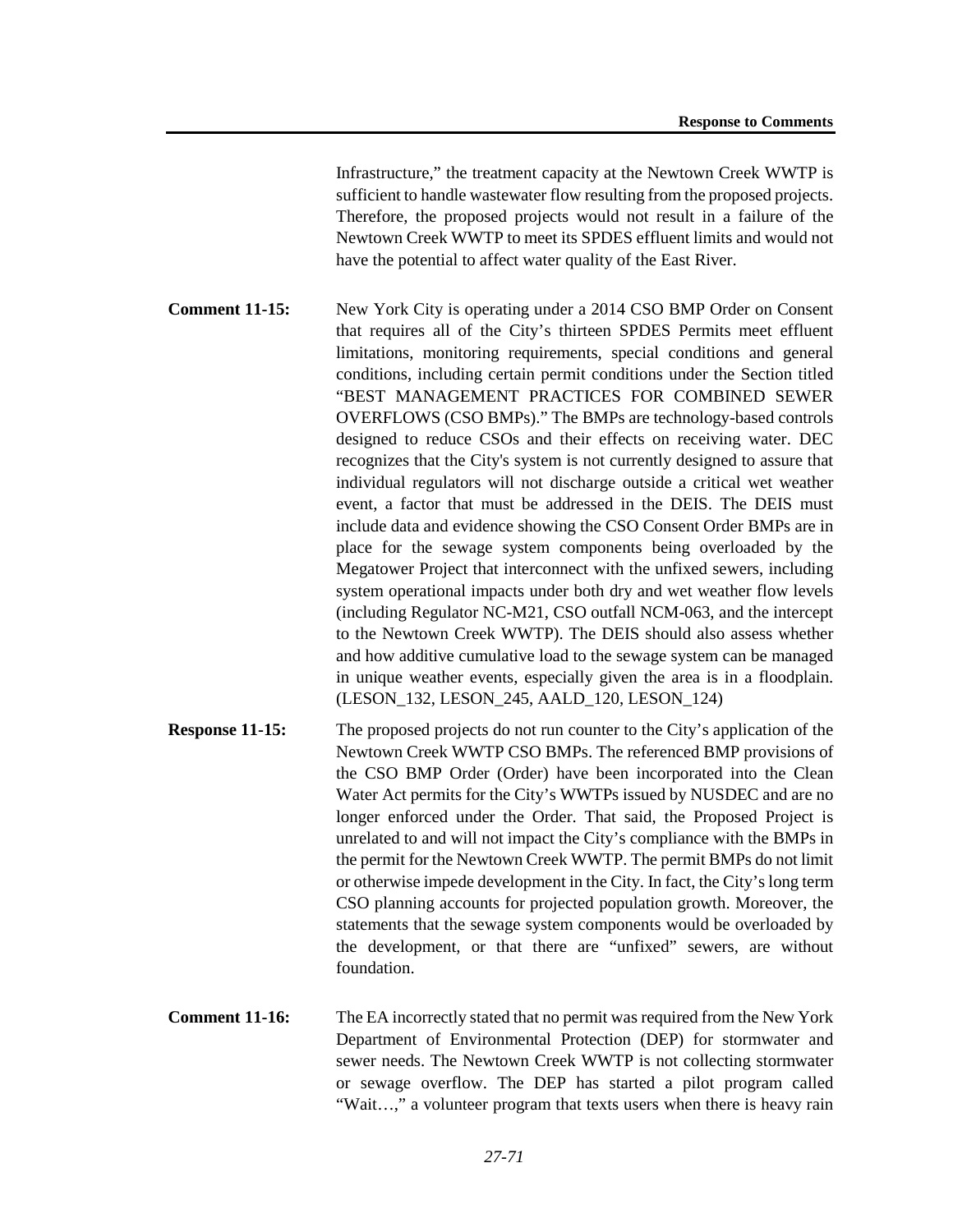Infrastructure," the treatment capacity at the Newtown Creek WWTP is sufficient to handle wastewater flow resulting from the proposed projects. Therefore, the proposed projects would not result in a failure of the Newtown Creek WWTP to meet its SPDES effluent limits and would not have the potential to affect water quality of the East River.

**Comment 11-15:** New York City is operating under a 2014 CSO BMP Order on Consent that requires all of the City's thirteen SPDES Permits meet effluent limitations, monitoring requirements, special conditions and general conditions, including certain permit conditions under the Section titled "BEST MANAGEMENT PRACTICES FOR COMBINED SEWER OVERFLOWS (CSO BMPs)." The BMPs are technology-based controls designed to reduce CSOs and their effects on receiving water. DEC recognizes that the City's system is not currently designed to assure that individual regulators will not discharge outside a critical wet weather event, a factor that must be addressed in the DEIS. The DEIS must include data and evidence showing the CSO Consent Order BMPs are in place for the sewage system components being overloaded by the Megatower Project that interconnect with the unfixed sewers, including system operational impacts under both dry and wet weather flow levels (including Regulator NC-M21, CSO outfall NCM-063, and the intercept to the Newtown Creek WWTP). The DEIS should also assess whether and how additive cumulative load to the sewage system can be managed in unique weather events, especially given the area is in a floodplain. (LESON\_132, LESON\_245, AALD\_120, LESON\_124)

- **Response 11-15:** The proposed projects do not run counter to the City's application of the Newtown Creek WWTP CSO BMPs. The referenced BMP provisions of the CSO BMP Order (Order) have been incorporated into the Clean Water Act permits for the City's WWTPs issued by NUSDEC and are no longer enforced under the Order. That said, the Proposed Project is unrelated to and will not impact the City's compliance with the BMPs in the permit for the Newtown Creek WWTP. The permit BMPs do not limit or otherwise impede development in the City. In fact, the City's long term CSO planning accounts for projected population growth. Moreover, the statements that the sewage system components would be overloaded by the development, or that there are "unfixed" sewers, are without foundation.
- **Comment 11-16:** The EA incorrectly stated that no permit was required from the New York Department of Environmental Protection (DEP) for stormwater and sewer needs. The Newtown Creek WWTP is not collecting stormwater or sewage overflow. The DEP has started a pilot program called "Wait…," a volunteer program that texts users when there is heavy rain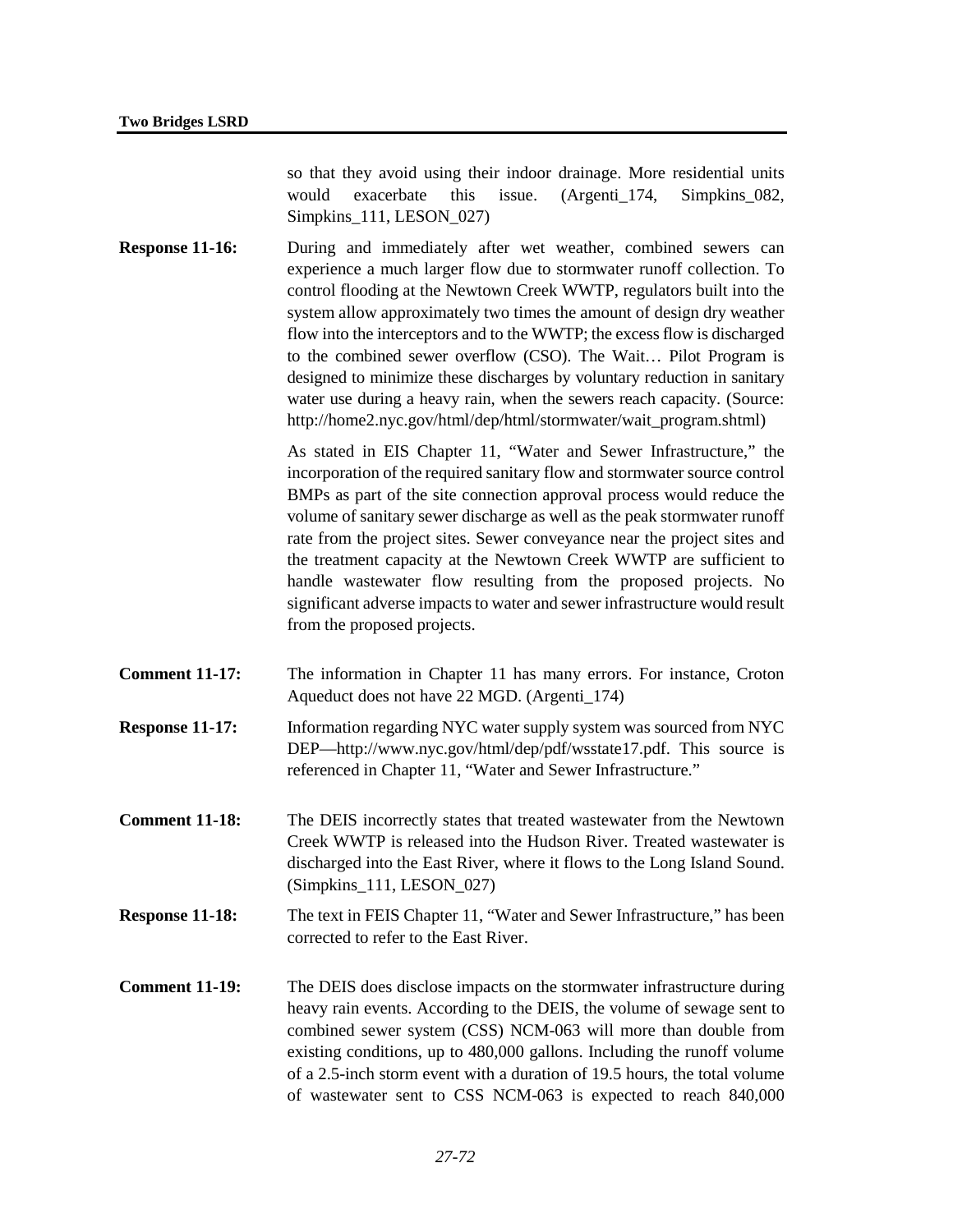so that they avoid using their indoor drainage. More residential units would exacerbate this issue. (Argenti\_174, Simpkins\_082, Simpkins 111, LESON 027)

**Response 11-16:** During and immediately after wet weather, combined sewers can experience a much larger flow due to stormwater runoff collection. To control flooding at the Newtown Creek WWTP, regulators built into the system allow approximately two times the amount of design dry weather flow into the interceptors and to the WWTP; the excess flow is discharged to the combined sewer overflow (CSO). The Wait… Pilot Program is designed to minimize these discharges by voluntary reduction in sanitary water use during a heavy rain, when the sewers reach capacity. (Source: http://home2.nyc.gov/html/dep/html/stormwater/wait\_program.shtml)

> As stated in EIS Chapter 11, "Water and Sewer Infrastructure," the incorporation of the required sanitary flow and stormwater source control BMPs as part of the site connection approval process would reduce the volume of sanitary sewer discharge as well as the peak stormwater runoff rate from the project sites. Sewer conveyance near the project sites and the treatment capacity at the Newtown Creek WWTP are sufficient to handle wastewater flow resulting from the proposed projects. No significant adverse impacts to water and sewer infrastructure would result from the proposed projects.

- **Comment 11-17:** The information in Chapter 11 has many errors. For instance, Croton Aqueduct does not have 22 MGD. (Argenti\_174)
- **Response 11-17:** Information regarding NYC water supply system was sourced from NYC DEP—http://www.nyc.gov/html/dep/pdf/wsstate17.pdf. This source is referenced in Chapter 11, "Water and Sewer Infrastructure."
- **Comment 11-18:** The DEIS incorrectly states that treated wastewater from the Newtown Creek WWTP is released into the Hudson River. Treated wastewater is discharged into the East River, where it flows to the Long Island Sound. (Simpkins\_111, LESON\_027)
- **Response 11-18:** The text in FEIS Chapter 11, "Water and Sewer Infrastructure," has been corrected to refer to the East River.
- **Comment 11-19:** The DEIS does disclose impacts on the stormwater infrastructure during heavy rain events. According to the DEIS, the volume of sewage sent to combined sewer system (CSS) NCM-063 will more than double from existing conditions, up to 480,000 gallons. Including the runoff volume of a 2.5-inch storm event with a duration of 19.5 hours, the total volume of wastewater sent to CSS NCM-063 is expected to reach 840,000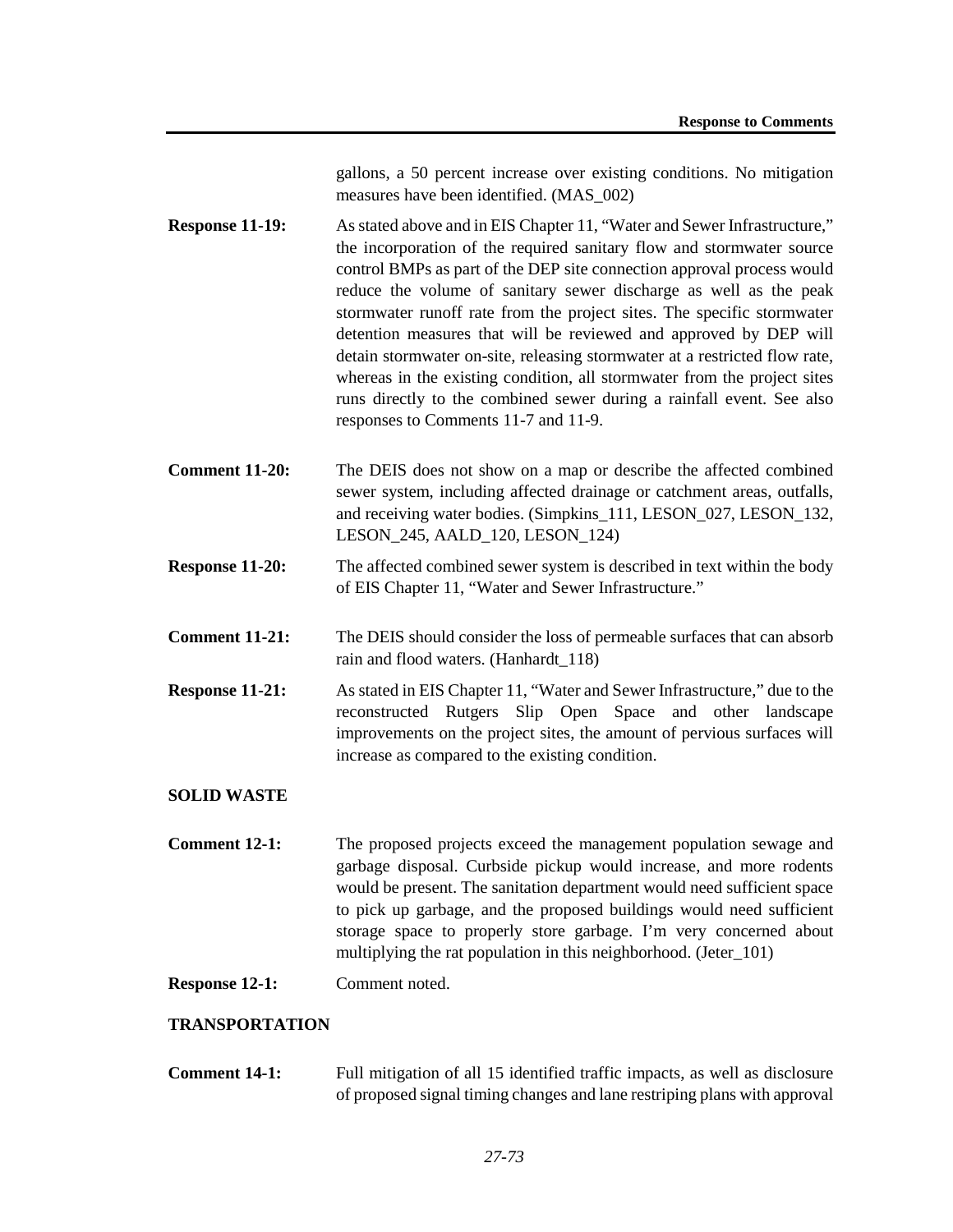gallons, a 50 percent increase over existing conditions. No mitigation measures have been identified. (MAS\_002)

- **Response 11-19:** As stated above and in EIS Chapter 11, "Water and Sewer Infrastructure," the incorporation of the required sanitary flow and stormwater source control BMPs as part of the DEP site connection approval process would reduce the volume of sanitary sewer discharge as well as the peak stormwater runoff rate from the project sites. The specific stormwater detention measures that will be reviewed and approved by DEP will detain stormwater on-site, releasing stormwater at a restricted flow rate, whereas in the existing condition, all stormwater from the project sites runs directly to the combined sewer during a rainfall event. See also responses to Comments 11-7 and 11-9.
- **Comment 11-20:** The DEIS does not show on a map or describe the affected combined sewer system, including affected drainage or catchment areas, outfalls, and receiving water bodies. (Simpkins\_111, LESON\_027, LESON\_132, LESON\_245, AALD\_120, LESON\_124)
- **Response 11-20:** The affected combined sewer system is described in text within the body of EIS Chapter 11, "Water and Sewer Infrastructure."
- **Comment 11-21:** The DEIS should consider the loss of permeable surfaces that can absorb rain and flood waters. (Hanhardt\_118)
- **Response 11-21:** As stated in EIS Chapter 11, "Water and Sewer Infrastructure," due to the reconstructed Rutgers Slip Open Space and other landscape improvements on the project sites, the amount of pervious surfaces will increase as compared to the existing condition.

# **SOLID WASTE**

- **Comment 12-1:** The proposed projects exceed the management population sewage and garbage disposal. Curbside pickup would increase, and more rodents would be present. The sanitation department would need sufficient space to pick up garbage, and the proposed buildings would need sufficient storage space to properly store garbage. I'm very concerned about multiplying the rat population in this neighborhood. (Jeter\_101)
- **Response 12-1:** Comment noted.

# **TRANSPORTATION**

**Comment 14-1:** Full mitigation of all 15 identified traffic impacts, as well as disclosure of proposed signal timing changes and lane restriping plans with approval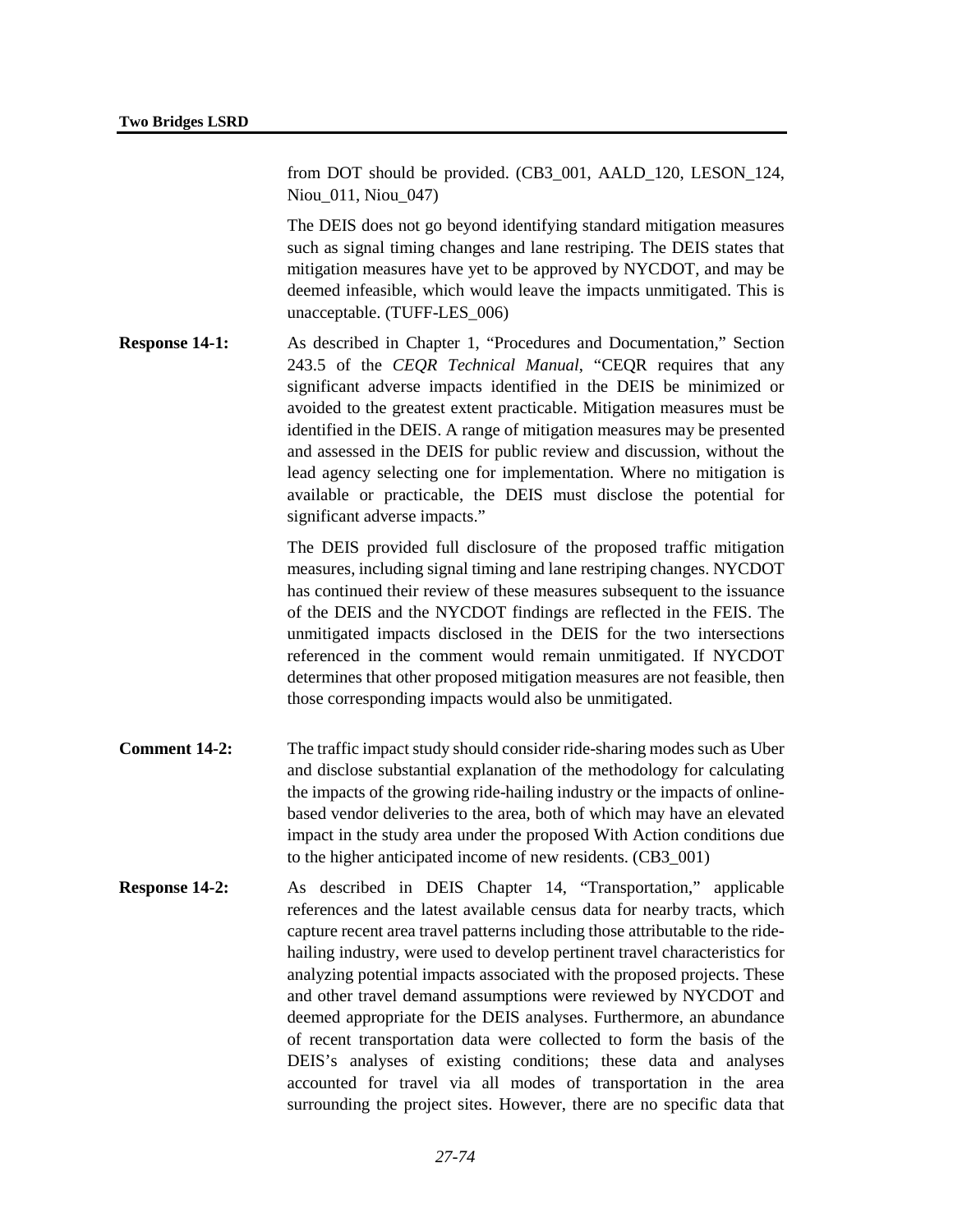from DOT should be provided. (CB3\_001, AALD\_120, LESON\_124, Niou\_011, Niou\_047)

The DEIS does not go beyond identifying standard mitigation measures such as signal timing changes and lane restriping. The DEIS states that mitigation measures have yet to be approved by NYCDOT, and may be deemed infeasible, which would leave the impacts unmitigated. This is unacceptable. (TUFF-LES\_006)

**Response 14-1:** As described in Chapter 1, "Procedures and Documentation," Section 243.5 of the *CEQR Technical Manual*, "CEQR requires that any significant adverse impacts identified in the DEIS be minimized or avoided to the greatest extent practicable. Mitigation measures must be identified in the DEIS. A range of mitigation measures may be presented and assessed in the DEIS for public review and discussion, without the lead agency selecting one for implementation. Where no mitigation is available or practicable, the DEIS must disclose the potential for significant adverse impacts."

> The DEIS provided full disclosure of the proposed traffic mitigation measures, including signal timing and lane restriping changes. NYCDOT has continued their review of these measures subsequent to the issuance of the DEIS and the NYCDOT findings are reflected in the FEIS. The unmitigated impacts disclosed in the DEIS for the two intersections referenced in the comment would remain unmitigated. If NYCDOT determines that other proposed mitigation measures are not feasible, then those corresponding impacts would also be unmitigated.

- **Comment 14-2:** The traffic impact study should consider ride-sharing modes such as Uber and disclose substantial explanation of the methodology for calculating the impacts of the growing ride-hailing industry or the impacts of onlinebased vendor deliveries to the area, both of which may have an elevated impact in the study area under the proposed With Action conditions due to the higher anticipated income of new residents. (CB3\_001)
- **Response 14-2:** As described in DEIS Chapter 14, "Transportation," applicable references and the latest available census data for nearby tracts, which capture recent area travel patterns including those attributable to the ridehailing industry, were used to develop pertinent travel characteristics for analyzing potential impacts associated with the proposed projects. These and other travel demand assumptions were reviewed by NYCDOT and deemed appropriate for the DEIS analyses. Furthermore, an abundance of recent transportation data were collected to form the basis of the DEIS's analyses of existing conditions; these data and analyses accounted for travel via all modes of transportation in the area surrounding the project sites. However, there are no specific data that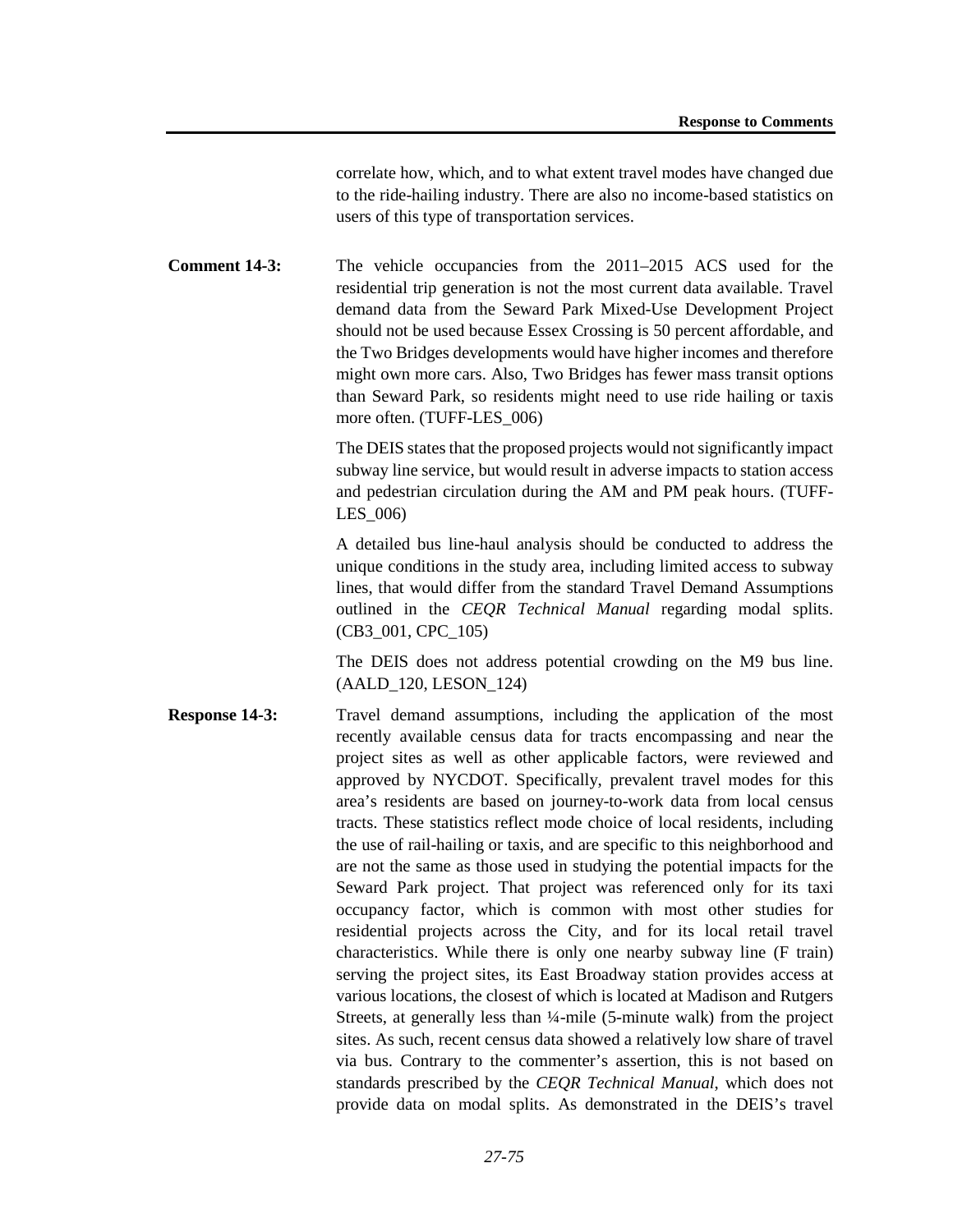correlate how, which, and to what extent travel modes have changed due to the ride-hailing industry. There are also no income-based statistics on users of this type of transportation services.

**Comment 14-3:** The vehicle occupancies from the 2011–2015 ACS used for the residential trip generation is not the most current data available. Travel demand data from the Seward Park Mixed-Use Development Project should not be used because Essex Crossing is 50 percent affordable, and the Two Bridges developments would have higher incomes and therefore might own more cars. Also, Two Bridges has fewer mass transit options than Seward Park, so residents might need to use ride hailing or taxis more often. (TUFF-LES\_006)

> The DEIS states that the proposed projects would not significantly impact subway line service, but would result in adverse impacts to station access and pedestrian circulation during the AM and PM peak hours. (TUFF-LES\_006)

> A detailed bus line-haul analysis should be conducted to address the unique conditions in the study area, including limited access to subway lines, that would differ from the standard Travel Demand Assumptions outlined in the *CEQR Technical Manual* regarding modal splits. (CB3\_001, CPC\_105)

> The DEIS does not address potential crowding on the M9 bus line. (AALD\_120, LESON\_124)

**Response 14-3:** Travel demand assumptions, including the application of the most recently available census data for tracts encompassing and near the project sites as well as other applicable factors, were reviewed and approved by NYCDOT. Specifically, prevalent travel modes for this area's residents are based on journey-to-work data from local census tracts. These statistics reflect mode choice of local residents, including the use of rail-hailing or taxis, and are specific to this neighborhood and are not the same as those used in studying the potential impacts for the Seward Park project. That project was referenced only for its taxi occupancy factor, which is common with most other studies for residential projects across the City, and for its local retail travel characteristics. While there is only one nearby subway line (F train) serving the project sites, its East Broadway station provides access at various locations, the closest of which is located at Madison and Rutgers Streets, at generally less than ¼-mile (5-minute walk) from the project sites. As such, recent census data showed a relatively low share of travel via bus. Contrary to the commenter's assertion, this is not based on standards prescribed by the *CEQR Technical Manual*, which does not provide data on modal splits. As demonstrated in the DEIS's travel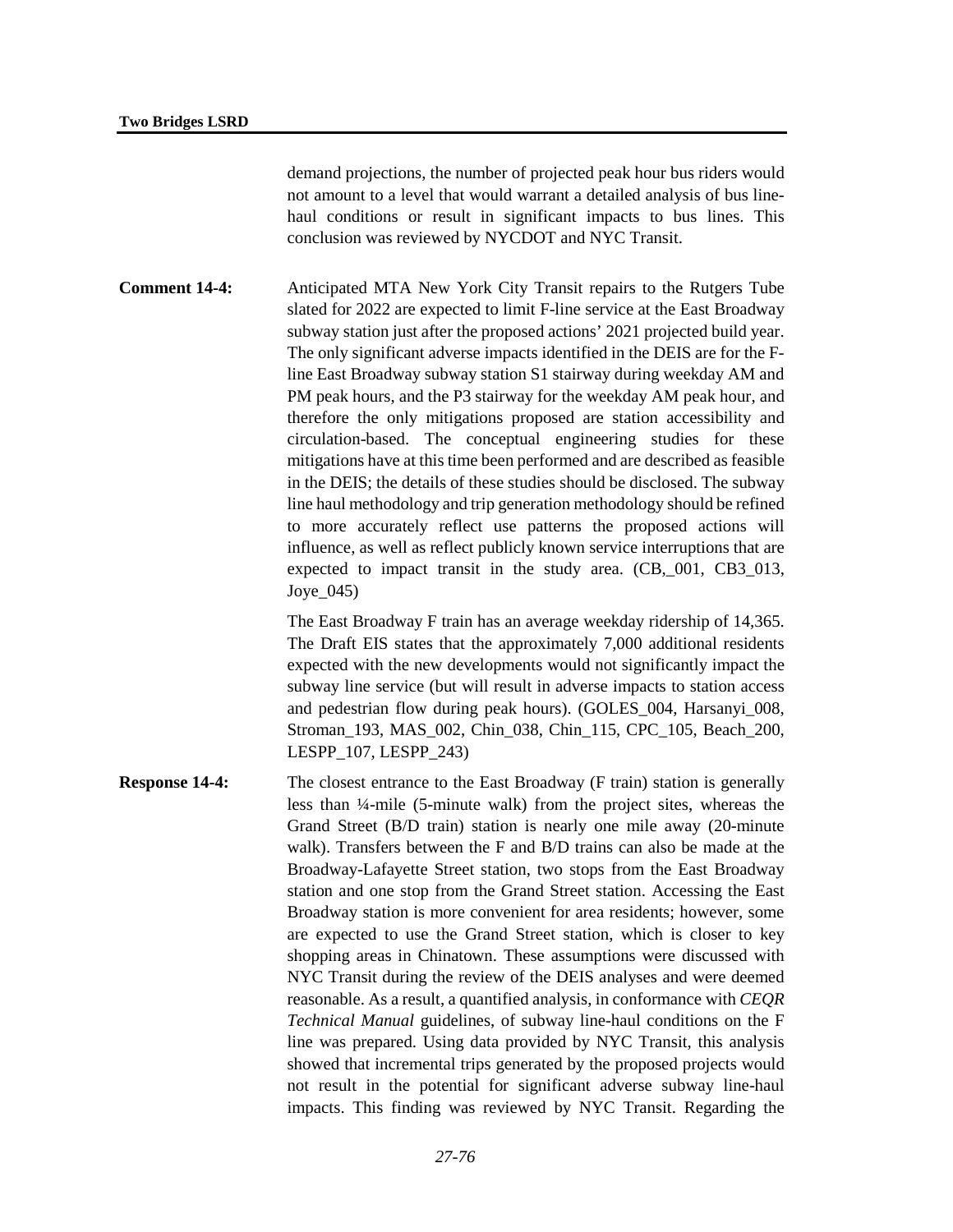demand projections, the number of projected peak hour bus riders would not amount to a level that would warrant a detailed analysis of bus linehaul conditions or result in significant impacts to bus lines. This conclusion was reviewed by NYCDOT and NYC Transit.

**Comment 14-4:** Anticipated MTA New York City Transit repairs to the Rutgers Tube slated for 2022 are expected to limit F-line service at the East Broadway subway station just after the proposed actions' 2021 projected build year. The only significant adverse impacts identified in the DEIS are for the Fline East Broadway subway station S1 stairway during weekday AM and PM peak hours, and the P3 stairway for the weekday AM peak hour, and therefore the only mitigations proposed are station accessibility and circulation-based. The conceptual engineering studies for these mitigations have at this time been performed and are described as feasible in the DEIS; the details of these studies should be disclosed. The subway line haul methodology and trip generation methodology should be refined to more accurately reflect use patterns the proposed actions will influence, as well as reflect publicly known service interruptions that are expected to impact transit in the study area. (CB,\_001, CB3\_013, Joye\_045)

> The East Broadway F train has an average weekday ridership of 14,365. The Draft EIS states that the approximately 7,000 additional residents expected with the new developments would not significantly impact the subway line service (but will result in adverse impacts to station access and pedestrian flow during peak hours). (GOLES\_004, Harsanyi\_008, Stroman 193, MAS 002, Chin 038, Chin 115, CPC 105, Beach 200, LESPP\_107, LESPP\_243)

**Response 14-4:** The closest entrance to the East Broadway (F train) station is generally less than ¼-mile (5-minute walk) from the project sites, whereas the Grand Street (B/D train) station is nearly one mile away (20-minute walk). Transfers between the F and B/D trains can also be made at the Broadway-Lafayette Street station, two stops from the East Broadway station and one stop from the Grand Street station. Accessing the East Broadway station is more convenient for area residents; however, some are expected to use the Grand Street station, which is closer to key shopping areas in Chinatown. These assumptions were discussed with NYC Transit during the review of the DEIS analyses and were deemed reasonable. As a result, a quantified analysis, in conformance with *CEQR Technical Manual* guidelines, of subway line-haul conditions on the F line was prepared. Using data provided by NYC Transit, this analysis showed that incremental trips generated by the proposed projects would not result in the potential for significant adverse subway line-haul impacts. This finding was reviewed by NYC Transit. Regarding the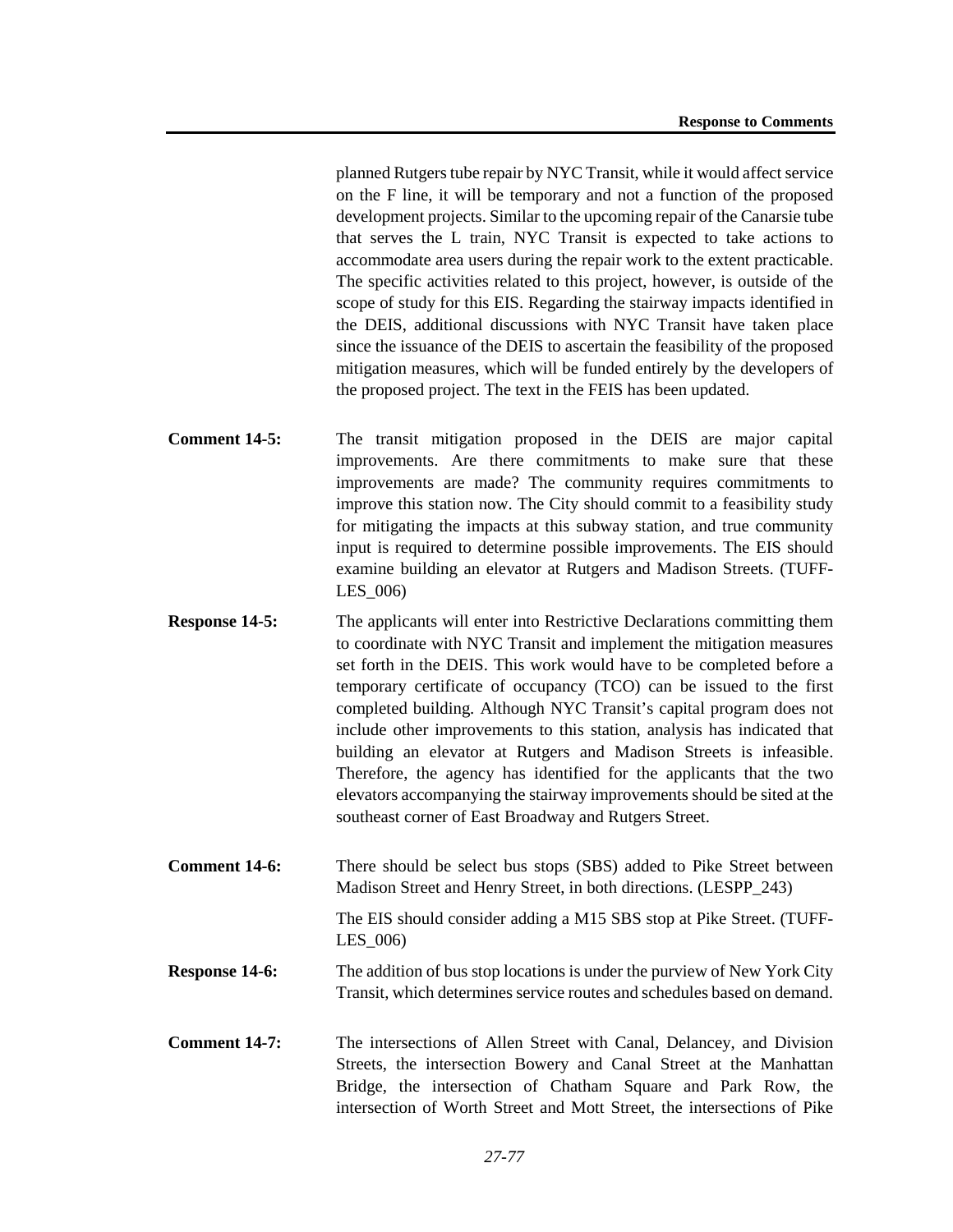planned Rutgers tube repair by NYC Transit, while it would affect service on the F line, it will be temporary and not a function of the proposed development projects. Similar to the upcoming repair of the Canarsie tube that serves the L train, NYC Transit is expected to take actions to accommodate area users during the repair work to the extent practicable. The specific activities related to this project, however, is outside of the scope of study for this EIS. Regarding the stairway impacts identified in the DEIS, additional discussions with NYC Transit have taken place since the issuance of the DEIS to ascertain the feasibility of the proposed mitigation measures, which will be funded entirely by the developers of the proposed project. The text in the FEIS has been updated.

- **Comment 14-5:** The transit mitigation proposed in the DEIS are major capital improvements. Are there commitments to make sure that these improvements are made? The community requires commitments to improve this station now. The City should commit to a feasibility study for mitigating the impacts at this subway station, and true community input is required to determine possible improvements. The EIS should examine building an elevator at Rutgers and Madison Streets. (TUFF-LES\_006)
- **Response 14-5:** The applicants will enter into Restrictive Declarations committing them to coordinate with NYC Transit and implement the mitigation measures set forth in the DEIS. This work would have to be completed before a temporary certificate of occupancy (TCO) can be issued to the first completed building. Although NYC Transit's capital program does not include other improvements to this station, analysis has indicated that building an elevator at Rutgers and Madison Streets is infeasible. Therefore, the agency has identified for the applicants that the two elevators accompanying the stairway improvements should be sited at the southeast corner of East Broadway and Rutgers Street.
- **Comment 14-6:** There should be select bus stops (SBS) added to Pike Street between Madison Street and Henry Street, in both directions. (LESPP\_243) The EIS should consider adding a M15 SBS stop at Pike Street. (TUFF-LES\_006)
- **Response 14-6:** The addition of bus stop locations is under the purview of New York City Transit, which determines service routes and schedules based on demand.
- **Comment 14-7:** The intersections of Allen Street with Canal, Delancey, and Division Streets, the intersection Bowery and Canal Street at the Manhattan Bridge, the intersection of Chatham Square and Park Row, the intersection of Worth Street and Mott Street, the intersections of Pike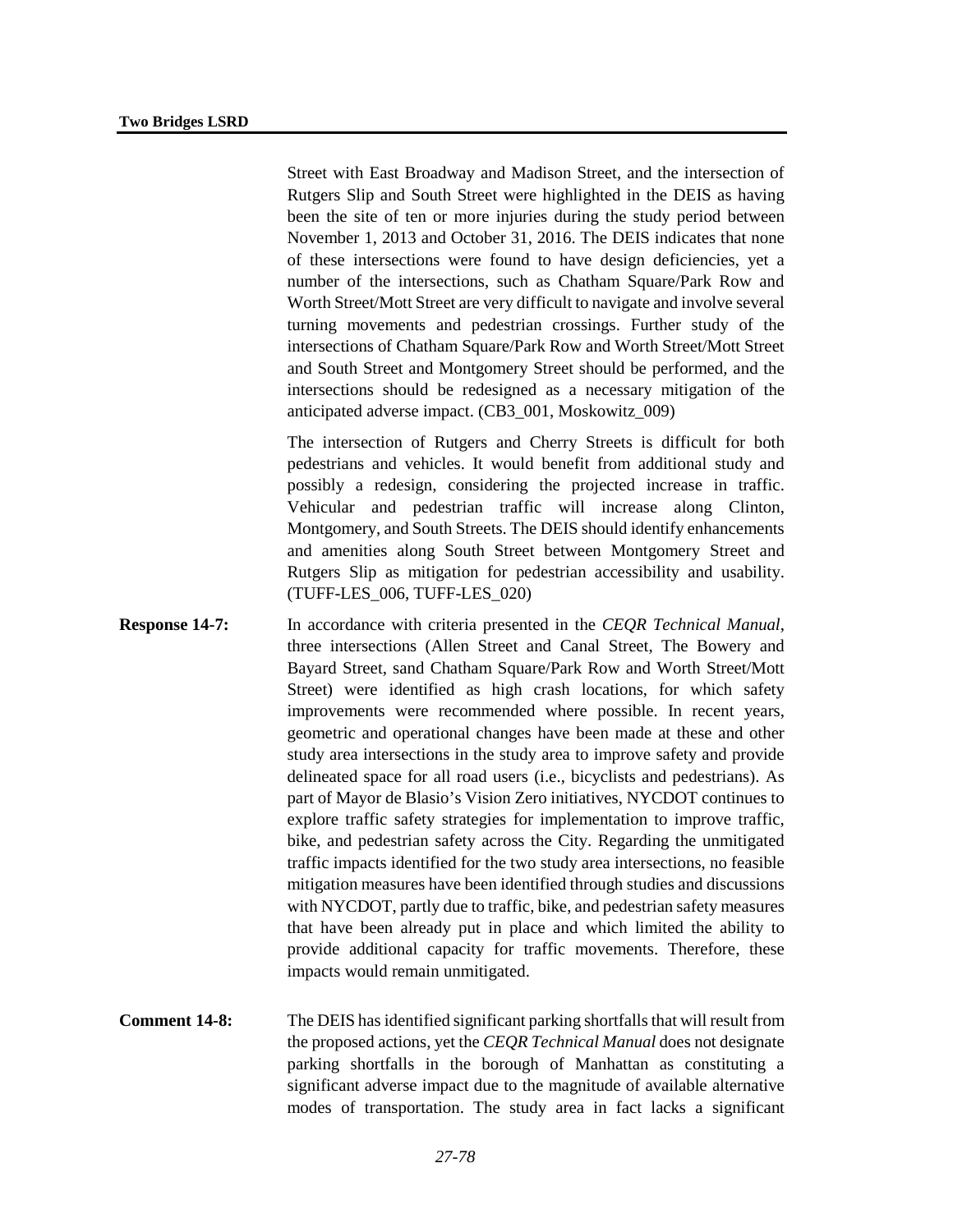Street with East Broadway and Madison Street, and the intersection of Rutgers Slip and South Street were highlighted in the DEIS as having been the site of ten or more injuries during the study period between November 1, 2013 and October 31, 2016. The DEIS indicates that none of these intersections were found to have design deficiencies, yet a number of the intersections, such as Chatham Square/Park Row and Worth Street/Mott Street are very difficult to navigate and involve several turning movements and pedestrian crossings. Further study of the intersections of Chatham Square/Park Row and Worth Street/Mott Street and South Street and Montgomery Street should be performed, and the intersections should be redesigned as a necessary mitigation of the anticipated adverse impact. (CB3\_001, Moskowitz\_009)

The intersection of Rutgers and Cherry Streets is difficult for both pedestrians and vehicles. It would benefit from additional study and possibly a redesign, considering the projected increase in traffic. Vehicular and pedestrian traffic will increase along Clinton, Montgomery, and South Streets. The DEIS should identify enhancements and amenities along South Street between Montgomery Street and Rutgers Slip as mitigation for pedestrian accessibility and usability. (TUFF-LES\_006, TUFF-LES\_020)

- **Response 14-7:** In accordance with criteria presented in the *CEQR Technical Manual*, three intersections (Allen Street and Canal Street, The Bowery and Bayard Street, sand Chatham Square/Park Row and Worth Street/Mott Street) were identified as high crash locations, for which safety improvements were recommended where possible. In recent years, geometric and operational changes have been made at these and other study area intersections in the study area to improve safety and provide delineated space for all road users (i.e., bicyclists and pedestrians). As part of Mayor de Blasio's Vision Zero initiatives, NYCDOT continues to explore traffic safety strategies for implementation to improve traffic, bike, and pedestrian safety across the City. Regarding the unmitigated traffic impacts identified for the two study area intersections, no feasible mitigation measures have been identified through studies and discussions with NYCDOT, partly due to traffic, bike, and pedestrian safety measures that have been already put in place and which limited the ability to provide additional capacity for traffic movements. Therefore, these impacts would remain unmitigated.
- **Comment 14-8:** The DEIS has identified significant parking shortfalls that will result from the proposed actions, yet the *CEQR Technical Manual* does not designate parking shortfalls in the borough of Manhattan as constituting a significant adverse impact due to the magnitude of available alternative modes of transportation. The study area in fact lacks a significant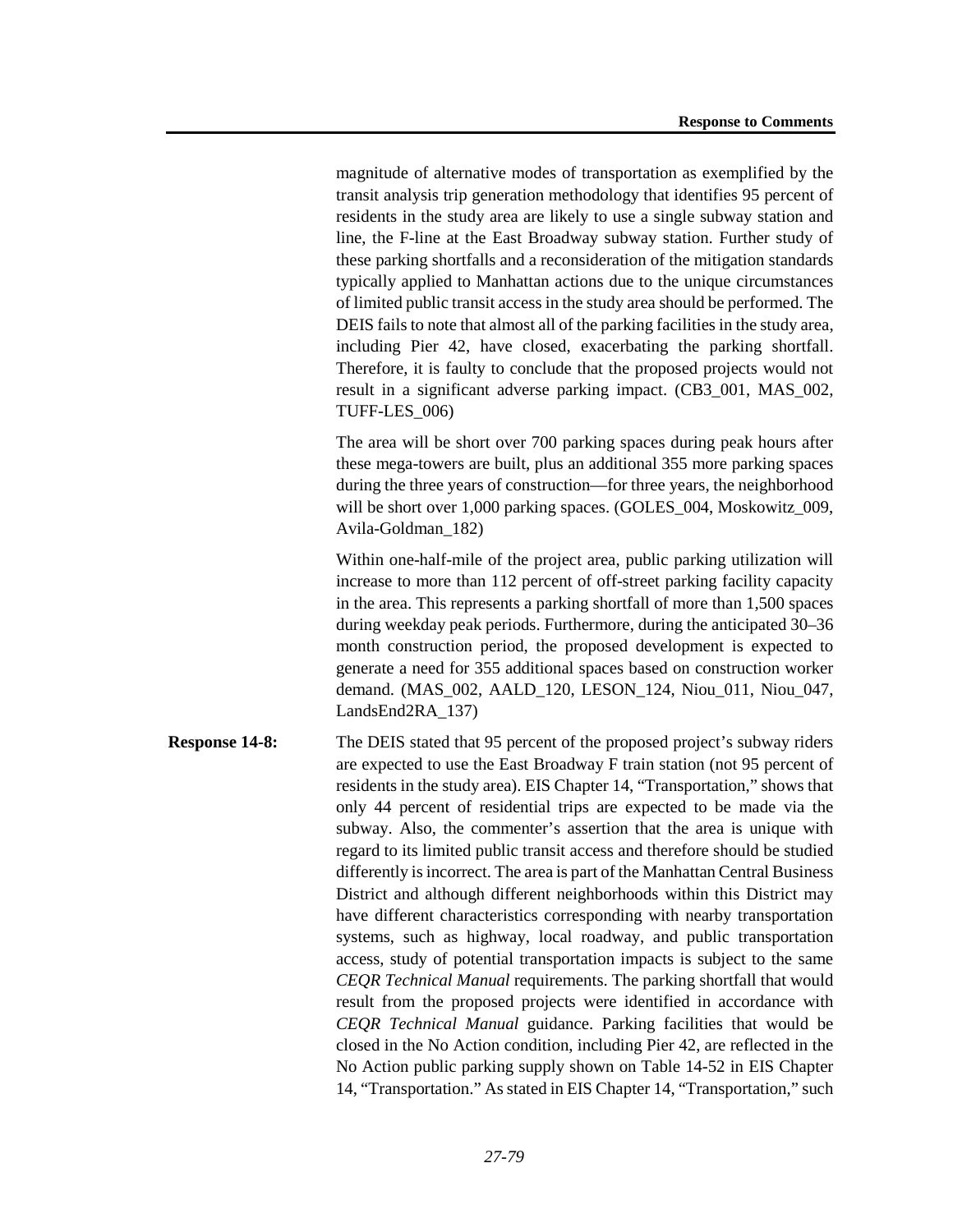magnitude of alternative modes of transportation as exemplified by the transit analysis trip generation methodology that identifies 95 percent of residents in the study area are likely to use a single subway station and line, the F-line at the East Broadway subway station. Further study of these parking shortfalls and a reconsideration of the mitigation standards typically applied to Manhattan actions due to the unique circumstances of limited public transit access in the study area should be performed. The DEIS fails to note that almost all of the parking facilities in the study area, including Pier 42, have closed, exacerbating the parking shortfall. Therefore, it is faulty to conclude that the proposed projects would not result in a significant adverse parking impact. (CB3\_001, MAS\_002, TUFF-LES\_006)

The area will be short over 700 parking spaces during peak hours after these mega-towers are built, plus an additional 355 more parking spaces during the three years of construction—for three years, the neighborhood will be short over 1,000 parking spaces. (GOLES\_004, Moskowitz\_009, Avila-Goldman\_182)

Within one-half-mile of the project area, public parking utilization will increase to more than 112 percent of off-street parking facility capacity in the area. This represents a parking shortfall of more than 1,500 spaces during weekday peak periods. Furthermore, during the anticipated 30–36 month construction period, the proposed development is expected to generate a need for 355 additional spaces based on construction worker demand. (MAS\_002, AALD\_120, LESON\_124, Niou\_011, Niou\_047, LandsEnd2RA\_137)

**Response 14-8:** The DEIS stated that 95 percent of the proposed project's subway riders are expected to use the East Broadway F train station (not 95 percent of residents in the study area). EIS Chapter 14, "Transportation," shows that only 44 percent of residential trips are expected to be made via the subway. Also, the commenter's assertion that the area is unique with regard to its limited public transit access and therefore should be studied differently is incorrect. The area is part of the Manhattan Central Business District and although different neighborhoods within this District may have different characteristics corresponding with nearby transportation systems, such as highway, local roadway, and public transportation access, study of potential transportation impacts is subject to the same *CEQR Technical Manual* requirements. The parking shortfall that would result from the proposed projects were identified in accordance with *CEQR Technical Manual* guidance. Parking facilities that would be closed in the No Action condition, including Pier 42, are reflected in the No Action public parking supply shown on Table 14-52 in EIS Chapter 14, "Transportation." As stated in EIS Chapter 14, "Transportation," such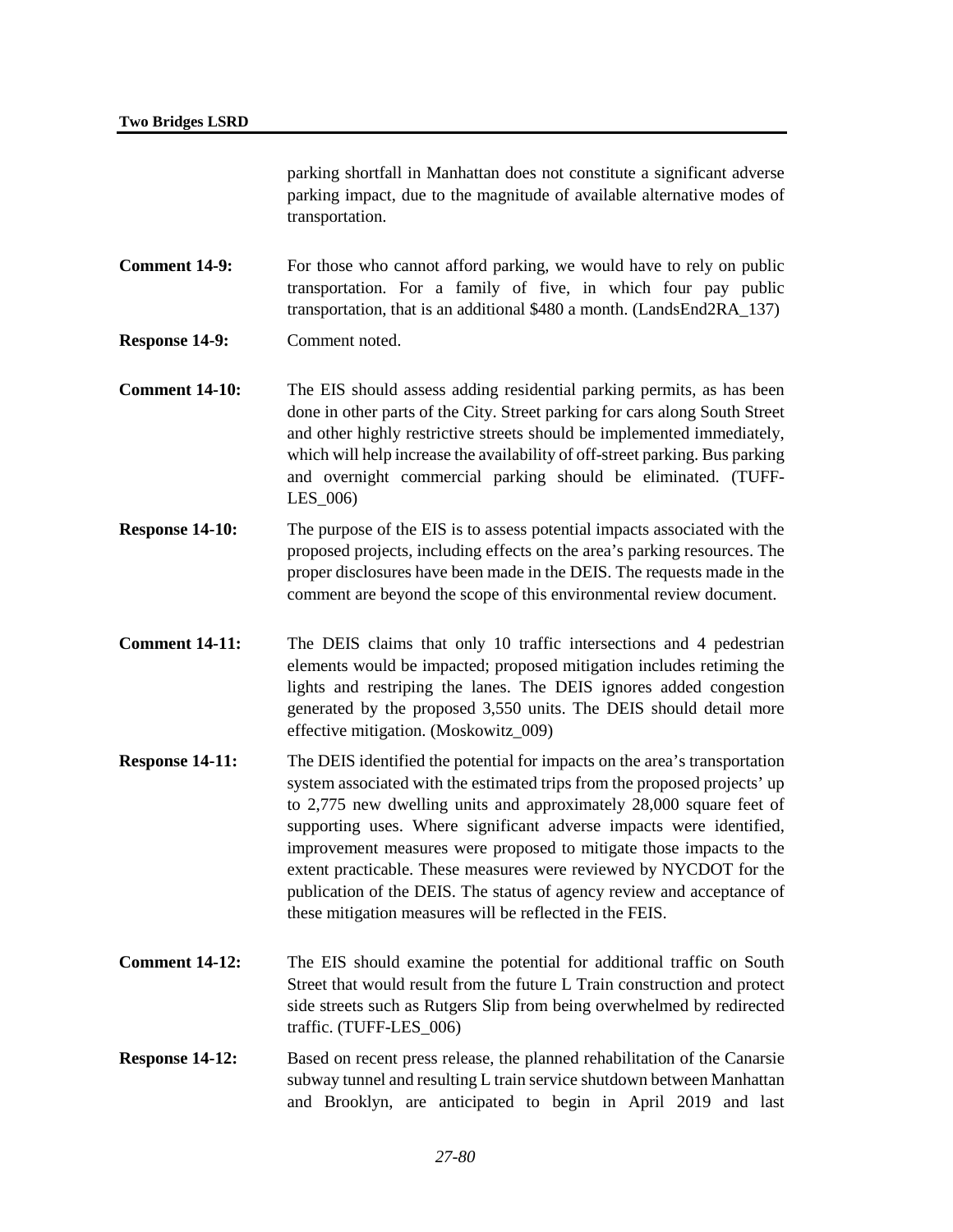parking shortfall in Manhattan does not constitute a significant adverse parking impact, due to the magnitude of available alternative modes of transportation.

**Comment 14-9:** For those who cannot afford parking, we would have to rely on public transportation. For a family of five, in which four pay public transportation, that is an additional \$480 a month. (LandsEnd2RA\_137)

- **Response 14-9:** Comment noted.
- **Comment 14-10:** The EIS should assess adding residential parking permits, as has been done in other parts of the City. Street parking for cars along South Street and other highly restrictive streets should be implemented immediately, which will help increase the availability of off-street parking. Bus parking and overnight commercial parking should be eliminated. (TUFF-LES\_006)
- **Response 14-10:** The purpose of the EIS is to assess potential impacts associated with the proposed projects, including effects on the area's parking resources. The proper disclosures have been made in the DEIS. The requests made in the comment are beyond the scope of this environmental review document.
- **Comment 14-11:** The DEIS claims that only 10 traffic intersections and 4 pedestrian elements would be impacted; proposed mitigation includes retiming the lights and restriping the lanes. The DEIS ignores added congestion generated by the proposed 3,550 units. The DEIS should detail more effective mitigation. (Moskowitz\_009)
- **Response 14-11:** The DEIS identified the potential for impacts on the area's transportation system associated with the estimated trips from the proposed projects' up to 2,775 new dwelling units and approximately 28,000 square feet of supporting uses. Where significant adverse impacts were identified, improvement measures were proposed to mitigate those impacts to the extent practicable. These measures were reviewed by NYCDOT for the publication of the DEIS. The status of agency review and acceptance of these mitigation measures will be reflected in the FEIS.
- **Comment 14-12:** The EIS should examine the potential for additional traffic on South Street that would result from the future L Train construction and protect side streets such as Rutgers Slip from being overwhelmed by redirected traffic. (TUFF-LES\_006)
- **Response 14-12:** Based on recent press release, the planned rehabilitation of the Canarsie subway tunnel and resulting L train service shutdown between Manhattan and Brooklyn, are anticipated to begin in April 2019 and last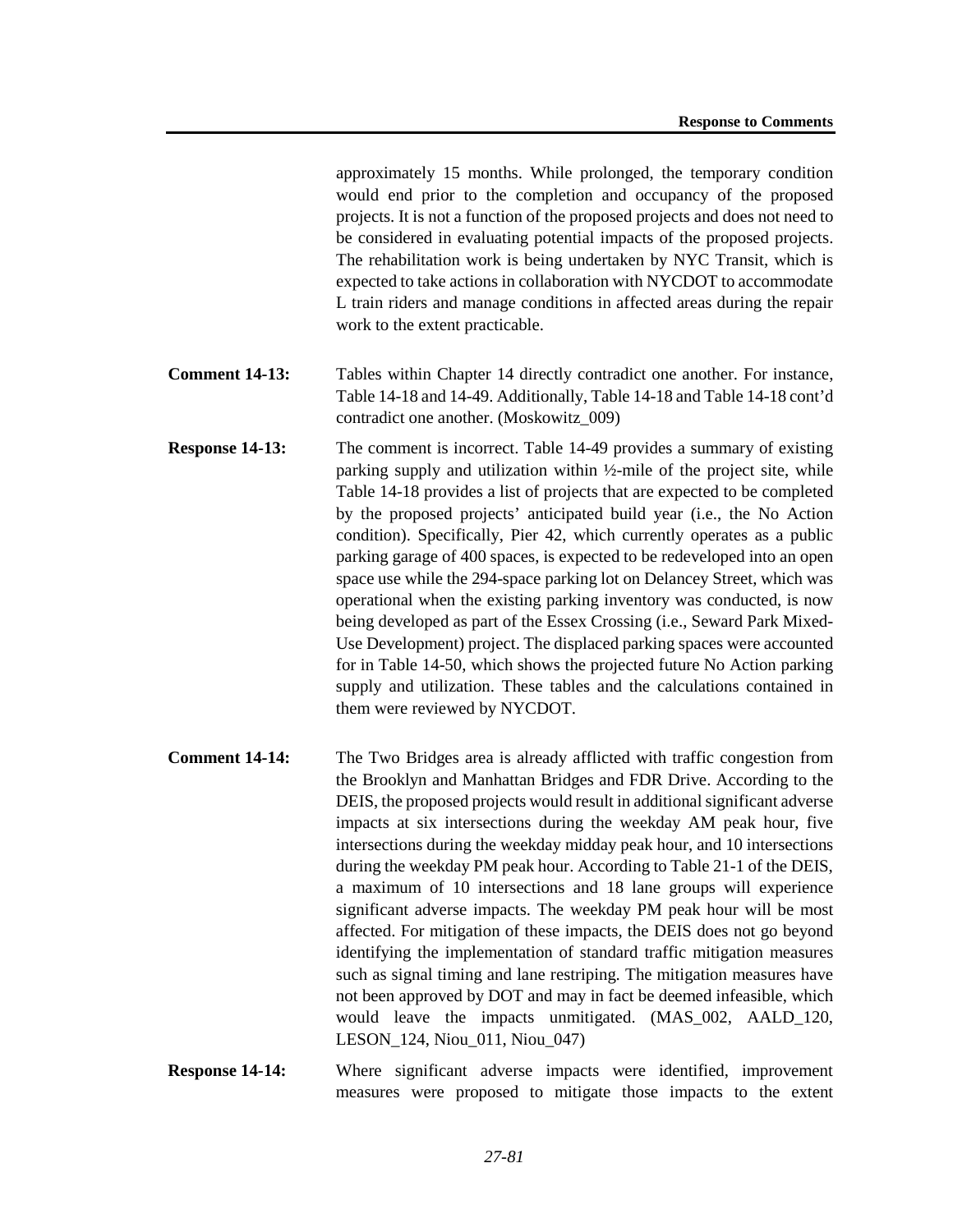approximately 15 months. While prolonged, the temporary condition would end prior to the completion and occupancy of the proposed projects. It is not a function of the proposed projects and does not need to be considered in evaluating potential impacts of the proposed projects. The rehabilitation work is being undertaken by NYC Transit, which is expected to take actions in collaboration with NYCDOT to accommodate L train riders and manage conditions in affected areas during the repair work to the extent practicable.

- **Comment 14-13:** Tables within Chapter 14 directly contradict one another. For instance, Table 14-18 and 14-49. Additionally, Table 14-18 and Table 14-18 cont'd contradict one another. (Moskowitz\_009)
- **Response 14-13:** The comment is incorrect. Table 14-49 provides a summary of existing parking supply and utilization within ½-mile of the project site, while Table 14-18 provides a list of projects that are expected to be completed by the proposed projects' anticipated build year (i.e., the No Action condition). Specifically, Pier 42, which currently operates as a public parking garage of 400 spaces, is expected to be redeveloped into an open space use while the 294-space parking lot on Delancey Street, which was operational when the existing parking inventory was conducted, is now being developed as part of the Essex Crossing (i.e., Seward Park Mixed-Use Development) project. The displaced parking spaces were accounted for in Table 14-50, which shows the projected future No Action parking supply and utilization. These tables and the calculations contained in them were reviewed by NYCDOT.
- **Comment 14-14:** The Two Bridges area is already afflicted with traffic congestion from the Brooklyn and Manhattan Bridges and FDR Drive. According to the DEIS, the proposed projects would result in additional significant adverse impacts at six intersections during the weekday AM peak hour, five intersections during the weekday midday peak hour, and 10 intersections during the weekday PM peak hour. According to Table 21-1 of the DEIS, a maximum of 10 intersections and 18 lane groups will experience significant adverse impacts. The weekday PM peak hour will be most affected. For mitigation of these impacts, the DEIS does not go beyond identifying the implementation of standard traffic mitigation measures such as signal timing and lane restriping. The mitigation measures have not been approved by DOT and may in fact be deemed infeasible, which would leave the impacts unmitigated. (MAS\_002, AALD\_120, LESON\_124, Niou\_011, Niou\_047)
- **Response 14-14:** Where significant adverse impacts were identified, improvement measures were proposed to mitigate those impacts to the extent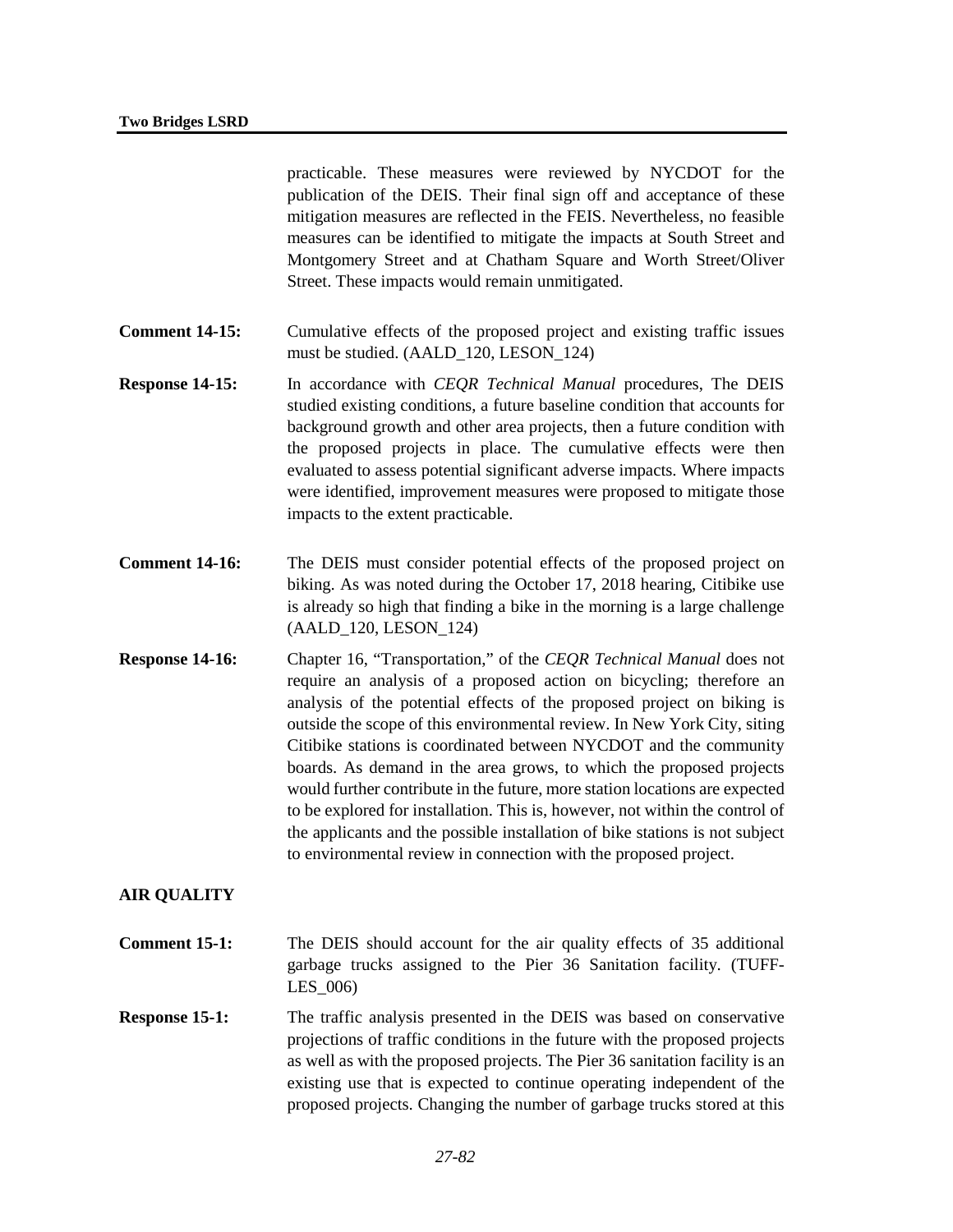practicable. These measures were reviewed by NYCDOT for the publication of the DEIS. Their final sign off and acceptance of these mitigation measures are reflected in the FEIS. Nevertheless, no feasible measures can be identified to mitigate the impacts at South Street and Montgomery Street and at Chatham Square and Worth Street/Oliver Street. These impacts would remain unmitigated.

- **Comment 14-15:** Cumulative effects of the proposed project and existing traffic issues must be studied. (AALD\_120, LESON\_124)
- **Response 14-15:** In accordance with *CEQR Technical Manual* procedures, The DEIS studied existing conditions, a future baseline condition that accounts for background growth and other area projects, then a future condition with the proposed projects in place. The cumulative effects were then evaluated to assess potential significant adverse impacts. Where impacts were identified, improvement measures were proposed to mitigate those impacts to the extent practicable.
- **Comment 14-16:** The DEIS must consider potential effects of the proposed project on biking. As was noted during the October 17, 2018 hearing, Citibike use is already so high that finding a bike in the morning is a large challenge (AALD\_120, LESON\_124)
- **Response 14-16:** Chapter 16, "Transportation," of the *CEQR Technical Manual* does not require an analysis of a proposed action on bicycling; therefore an analysis of the potential effects of the proposed project on biking is outside the scope of this environmental review. In New York City, siting Citibike stations is coordinated between NYCDOT and the community boards. As demand in the area grows, to which the proposed projects would further contribute in the future, more station locations are expected to be explored for installation. This is, however, not within the control of the applicants and the possible installation of bike stations is not subject to environmental review in connection with the proposed project.

# **AIR QUALITY**

- **Comment 15-1:** The DEIS should account for the air quality effects of 35 additional garbage trucks assigned to the Pier 36 Sanitation facility. (TUFF-LES\_006)
- **Response 15-1:** The traffic analysis presented in the DEIS was based on conservative projections of traffic conditions in the future with the proposed projects as well as with the proposed projects. The Pier 36 sanitation facility is an existing use that is expected to continue operating independent of the proposed projects. Changing the number of garbage trucks stored at this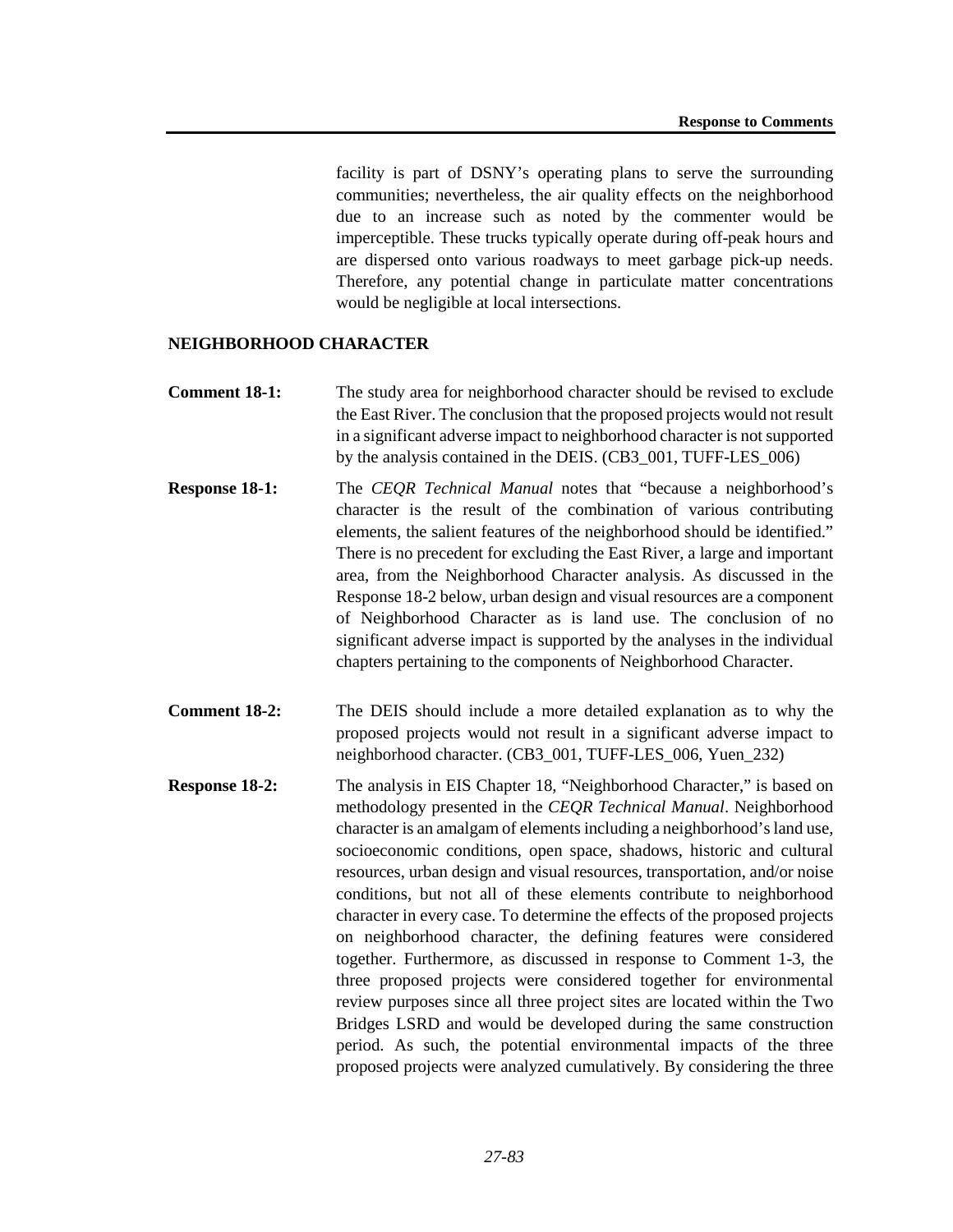facility is part of DSNY's operating plans to serve the surrounding communities; nevertheless, the air quality effects on the neighborhood due to an increase such as noted by the commenter would be imperceptible. These trucks typically operate during off-peak hours and are dispersed onto various roadways to meet garbage pick-up needs. Therefore, any potential change in particulate matter concentrations would be negligible at local intersections.

#### **NEIGHBORHOOD CHARACTER**

- **Comment 18-1:** The study area for neighborhood character should be revised to exclude the East River. The conclusion that the proposed projects would not result in a significant adverse impact to neighborhood character is not supported by the analysis contained in the DEIS. (CB3\_001, TUFF-LES\_006)
- **Response 18-1:** The *CEQR Technical Manual* notes that "because a neighborhood's character is the result of the combination of various contributing elements, the salient features of the neighborhood should be identified." There is no precedent for excluding the East River, a large and important area, from the Neighborhood Character analysis. As discussed in the Response 18-2 below, urban design and visual resources are a component of Neighborhood Character as is land use. The conclusion of no significant adverse impact is supported by the analyses in the individual chapters pertaining to the components of Neighborhood Character.
- **Comment 18-2:** The DEIS should include a more detailed explanation as to why the proposed projects would not result in a significant adverse impact to neighborhood character. (CB3\_001, TUFF-LES\_006, Yuen\_232)
- **Response 18-2:** The analysis in EIS Chapter 18, "Neighborhood Character," is based on methodology presented in the *CEQR Technical Manual*. Neighborhood character is an amalgam of elements including a neighborhood's land use, socioeconomic conditions, open space, shadows, historic and cultural resources, urban design and visual resources, transportation, and/or noise conditions, but not all of these elements contribute to neighborhood character in every case. To determine the effects of the proposed projects on neighborhood character, the defining features were considered together. Furthermore, as discussed in response to Comment 1-3, the three proposed projects were considered together for environmental review purposes since all three project sites are located within the Two Bridges LSRD and would be developed during the same construction period. As such, the potential environmental impacts of the three proposed projects were analyzed cumulatively. By considering the three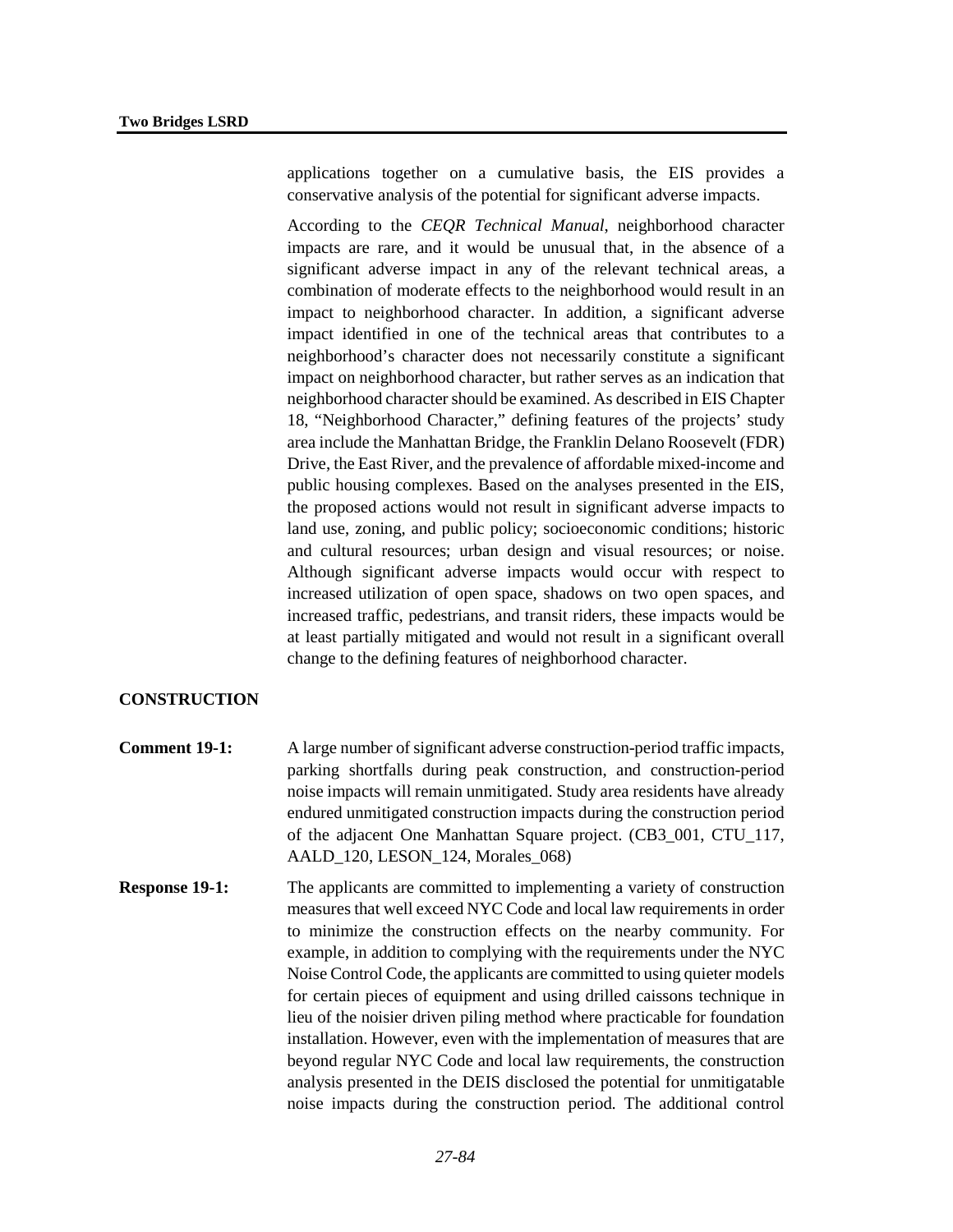applications together on a cumulative basis, the EIS provides a conservative analysis of the potential for significant adverse impacts.

According to the *CEQR Technical Manual*, neighborhood character impacts are rare, and it would be unusual that, in the absence of a significant adverse impact in any of the relevant technical areas, a combination of moderate effects to the neighborhood would result in an impact to neighborhood character. In addition, a significant adverse impact identified in one of the technical areas that contributes to a neighborhood's character does not necessarily constitute a significant impact on neighborhood character, but rather serves as an indication that neighborhood character should be examined. As described in EIS Chapter 18, "Neighborhood Character," defining features of the projects' study area include the Manhattan Bridge, the Franklin Delano Roosevelt (FDR) Drive, the East River, and the prevalence of affordable mixed-income and public housing complexes. Based on the analyses presented in the EIS, the proposed actions would not result in significant adverse impacts to land use, zoning, and public policy; socioeconomic conditions; historic and cultural resources; urban design and visual resources; or noise. Although significant adverse impacts would occur with respect to increased utilization of open space, shadows on two open spaces, and increased traffic, pedestrians, and transit riders, these impacts would be at least partially mitigated and would not result in a significant overall change to the defining features of neighborhood character.

# **CONSTRUCTION**

- **Comment 19-1:** A large number of significant adverse construction-period traffic impacts, parking shortfalls during peak construction, and construction-period noise impacts will remain unmitigated. Study area residents have already endured unmitigated construction impacts during the construction period of the adjacent One Manhattan Square project. (CB3\_001, CTU\_117, AALD\_120, LESON\_124, Morales\_068)
- **Response 19-1:** The applicants are committed to implementing a variety of construction measures that well exceed NYC Code and local law requirements in order to minimize the construction effects on the nearby community. For example, in addition to complying with the requirements under the NYC Noise Control Code, the applicants are committed to using quieter models for certain pieces of equipment and using drilled caissons technique in lieu of the noisier driven piling method where practicable for foundation installation. However, even with the implementation of measures that are beyond regular NYC Code and local law requirements, the construction analysis presented in the DEIS disclosed the potential for unmitigatable noise impacts during the construction period. The additional control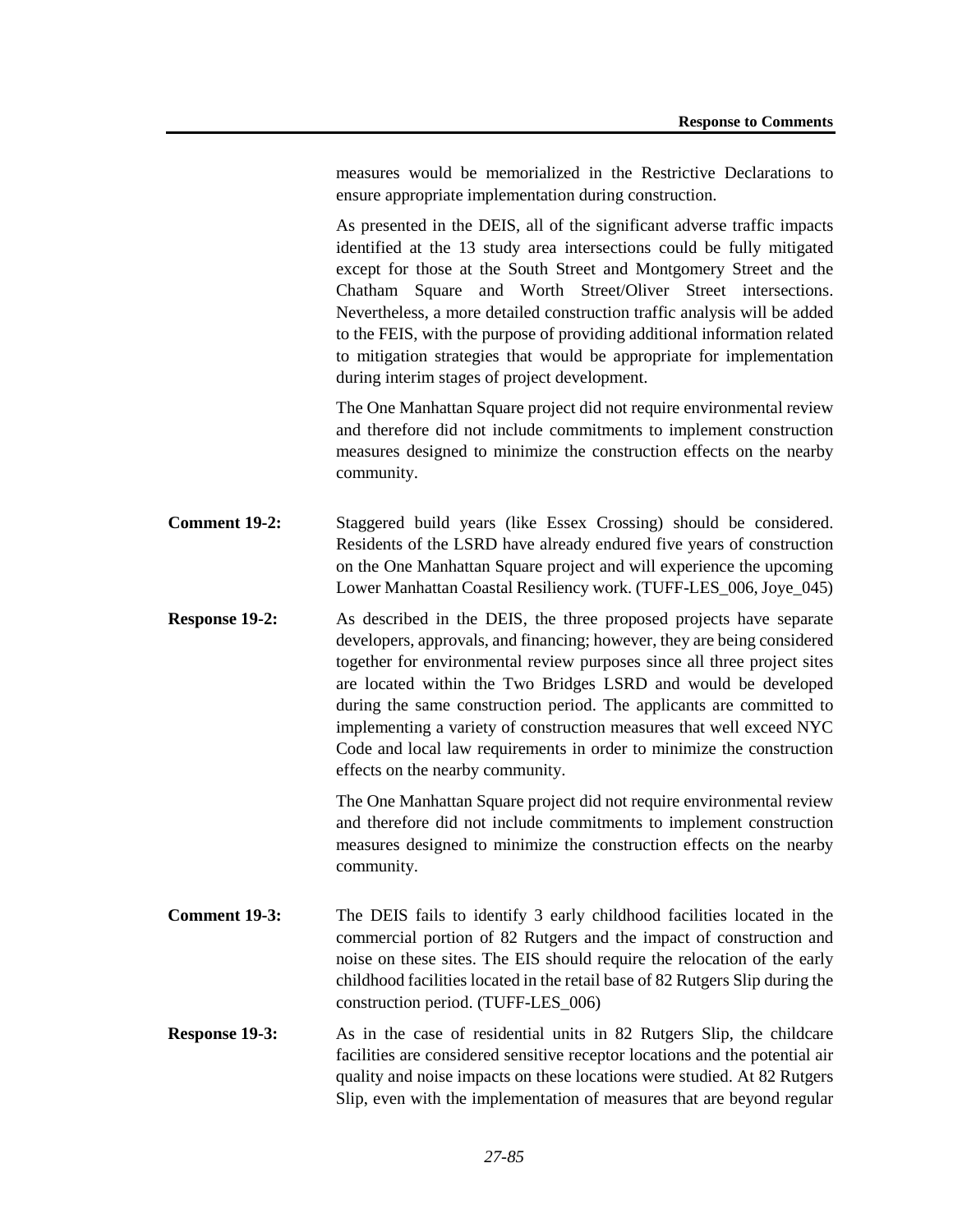measures would be memorialized in the Restrictive Declarations to ensure appropriate implementation during construction.

As presented in the DEIS, all of the significant adverse traffic impacts identified at the 13 study area intersections could be fully mitigated except for those at the South Street and Montgomery Street and the Chatham Square and Worth Street/Oliver Street intersections. Nevertheless, a more detailed construction traffic analysis will be added to the FEIS, with the purpose of providing additional information related to mitigation strategies that would be appropriate for implementation during interim stages of project development.

The One Manhattan Square project did not require environmental review and therefore did not include commitments to implement construction measures designed to minimize the construction effects on the nearby community.

- **Comment 19-2:** Staggered build years (like Essex Crossing) should be considered. Residents of the LSRD have already endured five years of construction on the One Manhattan Square project and will experience the upcoming Lower Manhattan Coastal Resiliency work. (TUFF-LES\_006, Joye\_045)
- **Response 19-2:** As described in the DEIS, the three proposed projects have separate developers, approvals, and financing; however, they are being considered together for environmental review purposes since all three project sites are located within the Two Bridges LSRD and would be developed during the same construction period. The applicants are committed to implementing a variety of construction measures that well exceed NYC Code and local law requirements in order to minimize the construction effects on the nearby community.

The One Manhattan Square project did not require environmental review and therefore did not include commitments to implement construction measures designed to minimize the construction effects on the nearby community.

- **Comment 19-3:** The DEIS fails to identify 3 early childhood facilities located in the commercial portion of 82 Rutgers and the impact of construction and noise on these sites. The EIS should require the relocation of the early childhood facilities located in the retail base of 82 Rutgers Slip during the construction period. (TUFF-LES\_006)
- **Response 19-3:** As in the case of residential units in 82 Rutgers Slip, the childcare facilities are considered sensitive receptor locations and the potential air quality and noise impacts on these locations were studied. At 82 Rutgers Slip, even with the implementation of measures that are beyond regular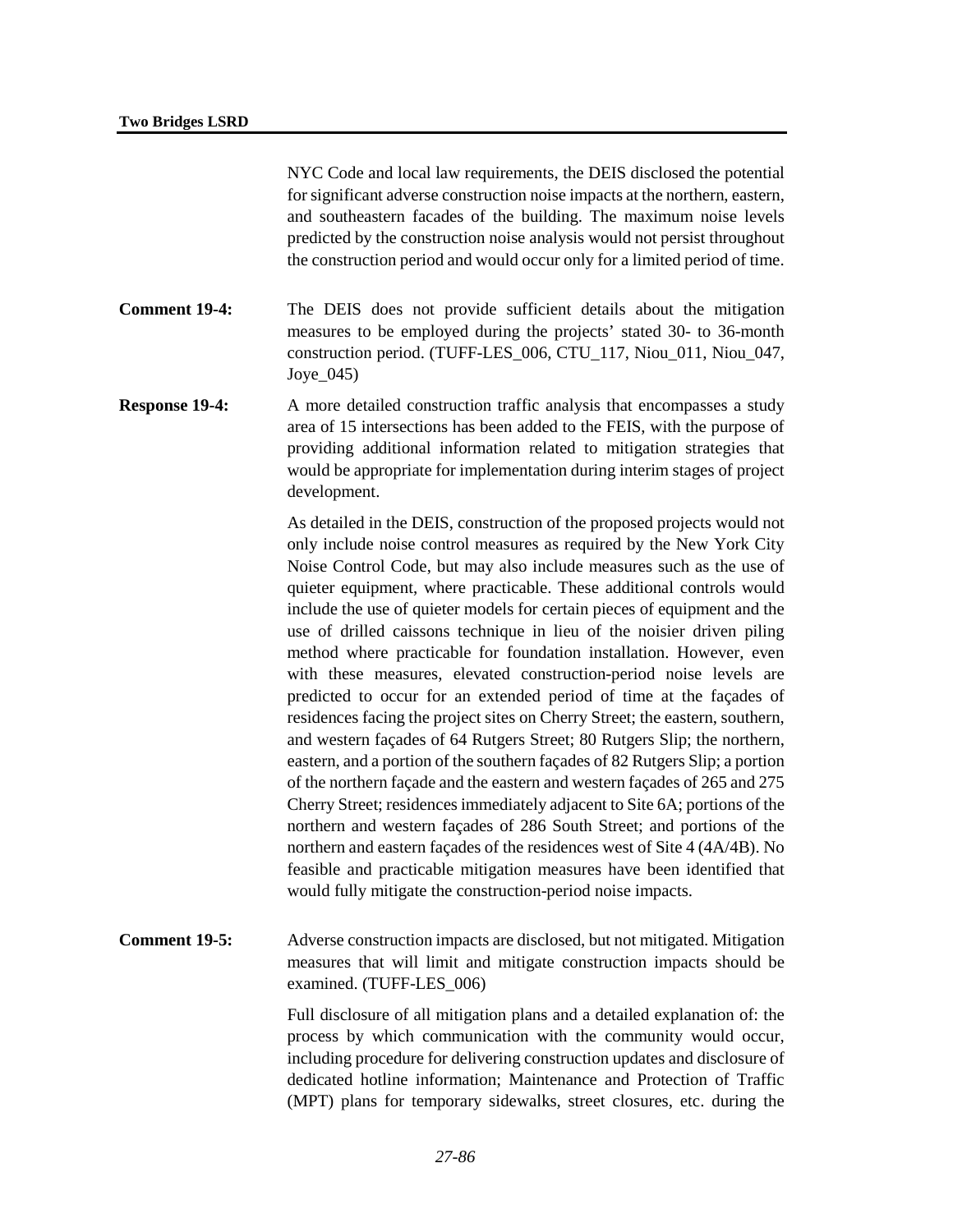NYC Code and local law requirements, the DEIS disclosed the potential for significant adverse construction noise impacts at the northern, eastern, and southeastern facades of the building. The maximum noise levels predicted by the construction noise analysis would not persist throughout the construction period and would occur only for a limited period of time.

- **Comment 19-4:** The DEIS does not provide sufficient details about the mitigation measures to be employed during the projects' stated 30- to 36-month construction period. (TUFF-LES\_006, CTU\_117, Niou\_011, Niou\_047, Joye  $045$ )
- **Response 19-4:** A more detailed construction traffic analysis that encompasses a study area of 15 intersections has been added to the FEIS, with the purpose of providing additional information related to mitigation strategies that would be appropriate for implementation during interim stages of project development.

As detailed in the DEIS, construction of the proposed projects would not only include noise control measures as required by the New York City Noise Control Code, but may also include measures such as the use of quieter equipment, where practicable. These additional controls would include the use of quieter models for certain pieces of equipment and the use of drilled caissons technique in lieu of the noisier driven piling method where practicable for foundation installation. However, even with these measures, elevated construction-period noise levels are predicted to occur for an extended period of time at the façades of residences facing the project sites on Cherry Street; the eastern, southern, and western façades of 64 Rutgers Street; 80 Rutgers Slip; the northern, eastern, and a portion of the southern façades of 82 Rutgers Slip; a portion of the northern façade and the eastern and western façades of 265 and 275 Cherry Street; residences immediately adjacent to Site 6A; portions of the northern and western façades of 286 South Street; and portions of the northern and eastern façades of the residences west of Site 4 (4A/4B). No feasible and practicable mitigation measures have been identified that would fully mitigate the construction-period noise impacts.

**Comment 19-5:** Adverse construction impacts are disclosed, but not mitigated. Mitigation measures that will limit and mitigate construction impacts should be examined. (TUFF-LES\_006)

> Full disclosure of all mitigation plans and a detailed explanation of: the process by which communication with the community would occur, including procedure for delivering construction updates and disclosure of dedicated hotline information; Maintenance and Protection of Traffic (MPT) plans for temporary sidewalks, street closures, etc. during the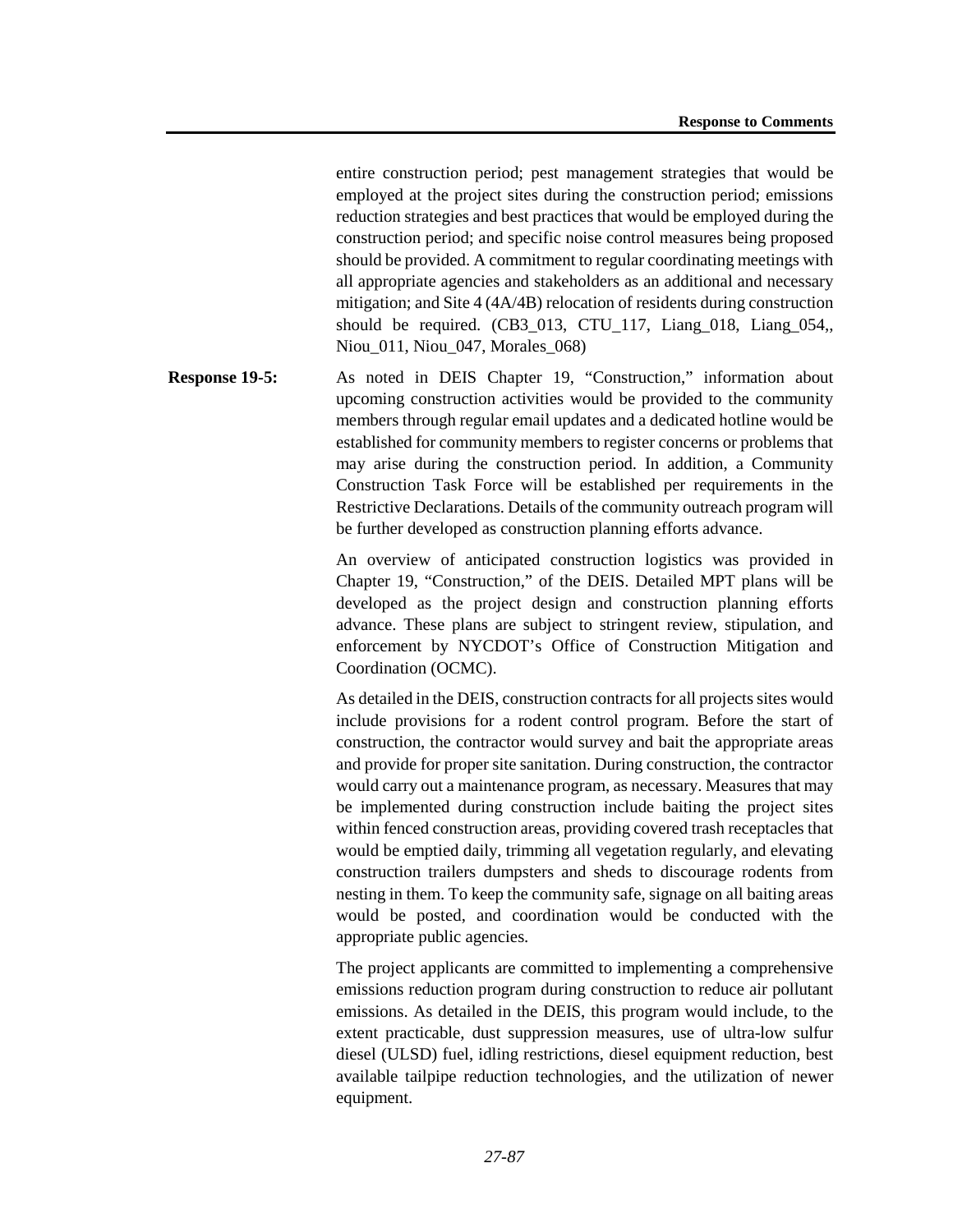entire construction period; pest management strategies that would be employed at the project sites during the construction period; emissions reduction strategies and best practices that would be employed during the construction period; and specific noise control measures being proposed should be provided. A commitment to regular coordinating meetings with all appropriate agencies and stakeholders as an additional and necessary mitigation; and Site 4 (4A/4B) relocation of residents during construction should be required. (CB3\_013, CTU\_117, Liang\_018, Liang\_054,, Niou 011, Niou 047, Morales 068)

**Response 19-5:** As noted in DEIS Chapter 19, "Construction," information about upcoming construction activities would be provided to the community members through regular email updates and a dedicated hotline would be established for community members to register concerns or problems that may arise during the construction period. In addition, a Community Construction Task Force will be established per requirements in the Restrictive Declarations. Details of the community outreach program will be further developed as construction planning efforts advance.

> An overview of anticipated construction logistics was provided in Chapter 19, "Construction," of the DEIS. Detailed MPT plans will be developed as the project design and construction planning efforts advance. These plans are subject to stringent review, stipulation, and enforcement by NYCDOT's Office of Construction Mitigation and Coordination (OCMC).

> As detailed in the DEIS, construction contracts for all projects sites would include provisions for a rodent control program. Before the start of construction, the contractor would survey and bait the appropriate areas and provide for proper site sanitation. During construction, the contractor would carry out a maintenance program, as necessary. Measures that may be implemented during construction include baiting the project sites within fenced construction areas, providing covered trash receptacles that would be emptied daily, trimming all vegetation regularly, and elevating construction trailers dumpsters and sheds to discourage rodents from nesting in them. To keep the community safe, signage on all baiting areas would be posted, and coordination would be conducted with the appropriate public agencies.

> The project applicants are committed to implementing a comprehensive emissions reduction program during construction to reduce air pollutant emissions. As detailed in the DEIS, this program would include, to the extent practicable, dust suppression measures, use of ultra-low sulfur diesel (ULSD) fuel, idling restrictions, diesel equipment reduction, best available tailpipe reduction technologies, and the utilization of newer equipment.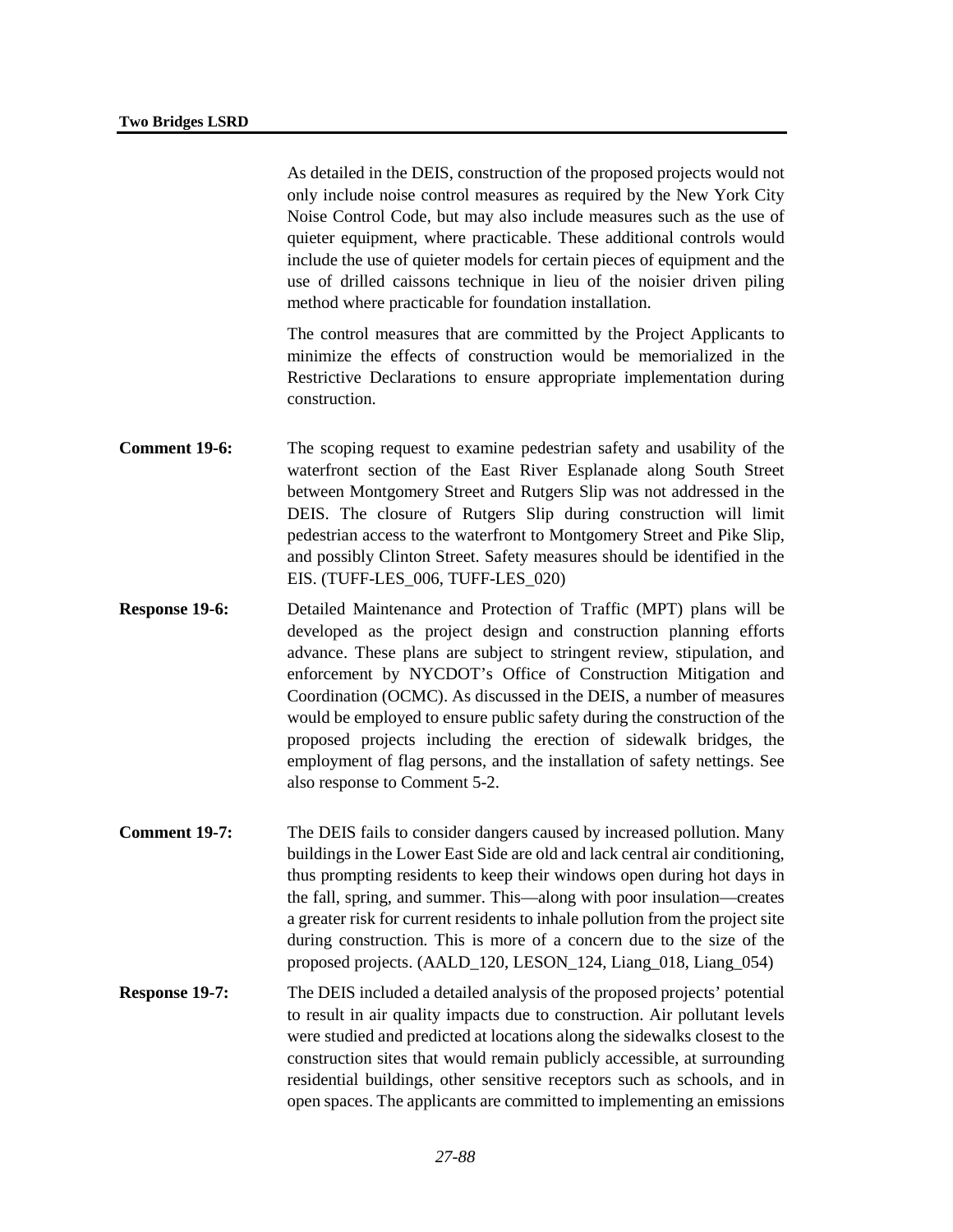As detailed in the DEIS, construction of the proposed projects would not only include noise control measures as required by the New York City Noise Control Code, but may also include measures such as the use of quieter equipment, where practicable. These additional controls would include the use of quieter models for certain pieces of equipment and the use of drilled caissons technique in lieu of the noisier driven piling method where practicable for foundation installation.

The control measures that are committed by the Project Applicants to minimize the effects of construction would be memorialized in the Restrictive Declarations to ensure appropriate implementation during construction.

- **Comment 19-6:** The scoping request to examine pedestrian safety and usability of the waterfront section of the East River Esplanade along South Street between Montgomery Street and Rutgers Slip was not addressed in the DEIS. The closure of Rutgers Slip during construction will limit pedestrian access to the waterfront to Montgomery Street and Pike Slip, and possibly Clinton Street. Safety measures should be identified in the EIS. (TUFF-LES\_006, TUFF-LES\_020)
- **Response 19-6:** Detailed Maintenance and Protection of Traffic (MPT) plans will be developed as the project design and construction planning efforts advance. These plans are subject to stringent review, stipulation, and enforcement by NYCDOT's Office of Construction Mitigation and Coordination (OCMC). As discussed in the DEIS, a number of measures would be employed to ensure public safety during the construction of the proposed projects including the erection of sidewalk bridges, the employment of flag persons, and the installation of safety nettings. See also response to Comment 5-2.
- **Comment 19-7:** The DEIS fails to consider dangers caused by increased pollution. Many buildings in the Lower East Side are old and lack central air conditioning, thus prompting residents to keep their windows open during hot days in the fall, spring, and summer. This—along with poor insulation—creates a greater risk for current residents to inhale pollution from the project site during construction. This is more of a concern due to the size of the proposed projects. (AALD\_120, LESON\_124, Liang\_018, Liang\_054)
- **Response 19-7:** The DEIS included a detailed analysis of the proposed projects' potential to result in air quality impacts due to construction. Air pollutant levels were studied and predicted at locations along the sidewalks closest to the construction sites that would remain publicly accessible, at surrounding residential buildings, other sensitive receptors such as schools, and in open spaces. The applicants are committed to implementing an emissions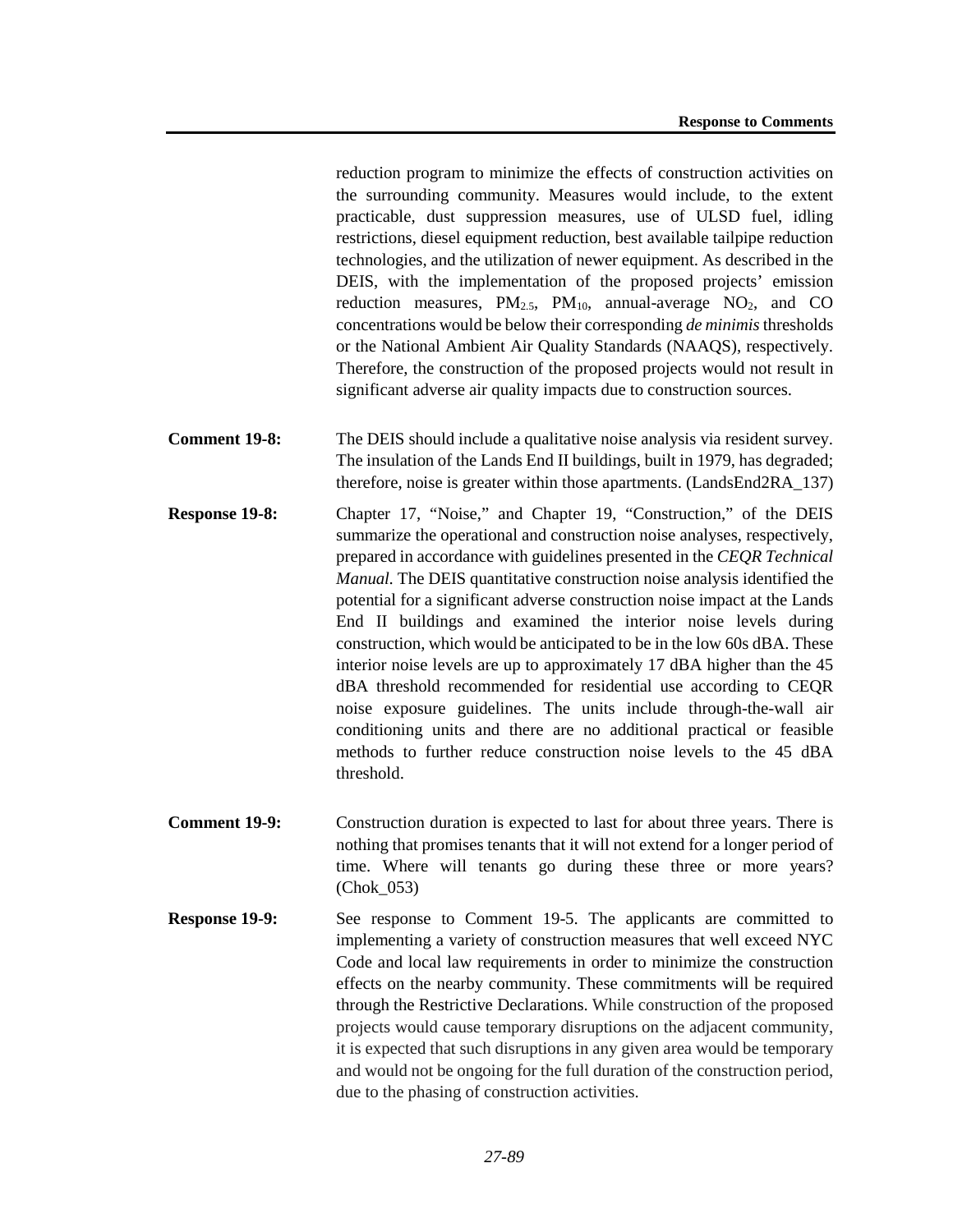reduction program to minimize the effects of construction activities on the surrounding community. Measures would include, to the extent practicable, dust suppression measures, use of ULSD fuel, idling restrictions, diesel equipment reduction, best available tailpipe reduction technologies, and the utilization of newer equipment. As described in the DEIS, with the implementation of the proposed projects' emission reduction measures,  $PM_{2.5}$ ,  $PM_{10}$ , annual-average  $NO_2$ , and  $CO$ concentrations would be below their corresponding *de minimis* thresholds or the National Ambient Air Quality Standards (NAAQS), respectively. Therefore, the construction of the proposed projects would not result in significant adverse air quality impacts due to construction sources.

- **Comment 19-8:** The DEIS should include a qualitative noise analysis via resident survey. The insulation of the Lands End II buildings, built in 1979, has degraded; therefore, noise is greater within those apartments. (LandsEnd2RA\_137)
- **Response 19-8:** Chapter 17, "Noise," and Chapter 19, "Construction," of the DEIS summarize the operational and construction noise analyses, respectively, prepared in accordance with guidelines presented in the *CEQR Technical Manual.* The DEIS quantitative construction noise analysis identified the potential for a significant adverse construction noise impact at the Lands End II buildings and examined the interior noise levels during construction, which would be anticipated to be in the low 60s dBA. These interior noise levels are up to approximately 17 dBA higher than the 45 dBA threshold recommended for residential use according to CEQR noise exposure guidelines. The units include through-the-wall air conditioning units and there are no additional practical or feasible methods to further reduce construction noise levels to the 45 dBA threshold.
- **Comment 19-9:** Construction duration is expected to last for about three years. There is nothing that promises tenants that it will not extend for a longer period of time. Where will tenants go during these three or more years? (Chok\_053)
- **Response 19-9:** See response to Comment 19-5. The applicants are committed to implementing a variety of construction measures that well exceed NYC Code and local law requirements in order to minimize the construction effects on the nearby community. These commitments will be required through the Restrictive Declarations. While construction of the proposed projects would cause temporary disruptions on the adjacent community, it is expected that such disruptions in any given area would be temporary and would not be ongoing for the full duration of the construction period, due to the phasing of construction activities.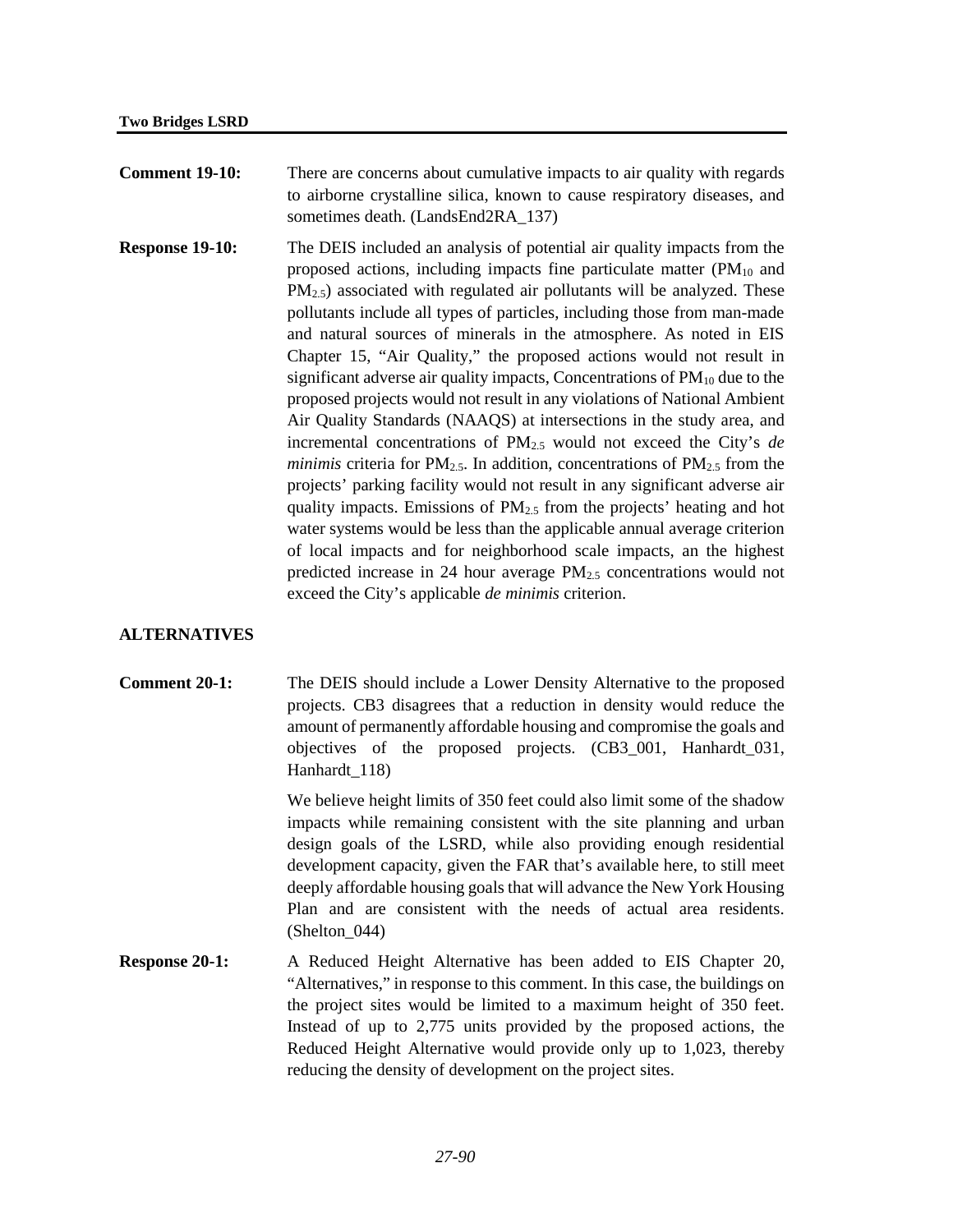- **Comment 19-10:** There are concerns about cumulative impacts to air quality with regards to airborne crystalline silica, known to cause respiratory diseases, and sometimes death. (LandsEnd2RA 137)
- **Response 19-10:** The DEIS included an analysis of potential air quality impacts from the proposed actions, including impacts fine particulate matter  $(PM_{10}$  and PM<sub>2.5</sub>) associated with regulated air pollutants will be analyzed. These pollutants include all types of particles, including those from man-made and natural sources of minerals in the atmosphere. As noted in EIS Chapter 15, "Air Quality," the proposed actions would not result in significant adverse air quality impacts, Concentrations of PM<sub>10</sub> due to the proposed projects would not result in any violations of National Ambient Air Quality Standards (NAAQS) at intersections in the study area, and incremental concentrations of PM2.5 would not exceed the City's *de minimis* criteria for  $PM_{2.5}$ . In addition, concentrations of  $PM_{2.5}$  from the projects' parking facility would not result in any significant adverse air quality impacts. Emissions of  $PM_{2,5}$  from the projects' heating and hot water systems would be less than the applicable annual average criterion of local impacts and for neighborhood scale impacts, an the highest predicted increase in 24 hour average PM2.5 concentrations would not exceed the City's applicable *de minimis* criterion.

# **ALTERNATIVES**

**Comment 20-1:** The DEIS should include a Lower Density Alternative to the proposed projects. CB3 disagrees that a reduction in density would reduce the amount of permanently affordable housing and compromise the goals and objectives of the proposed projects. (CB3\_001, Hanhardt\_031, Hanhardt\_118)

> We believe height limits of 350 feet could also limit some of the shadow impacts while remaining consistent with the site planning and urban design goals of the LSRD, while also providing enough residential development capacity, given the FAR that's available here, to still meet deeply affordable housing goals that will advance the New York Housing Plan and are consistent with the needs of actual area residents. (Shelton\_044)

**Response 20-1:** A Reduced Height Alternative has been added to EIS Chapter 20, "Alternatives," in response to this comment. In this case, the buildings on the project sites would be limited to a maximum height of 350 feet. Instead of up to 2,775 units provided by the proposed actions, the Reduced Height Alternative would provide only up to 1,023, thereby reducing the density of development on the project sites.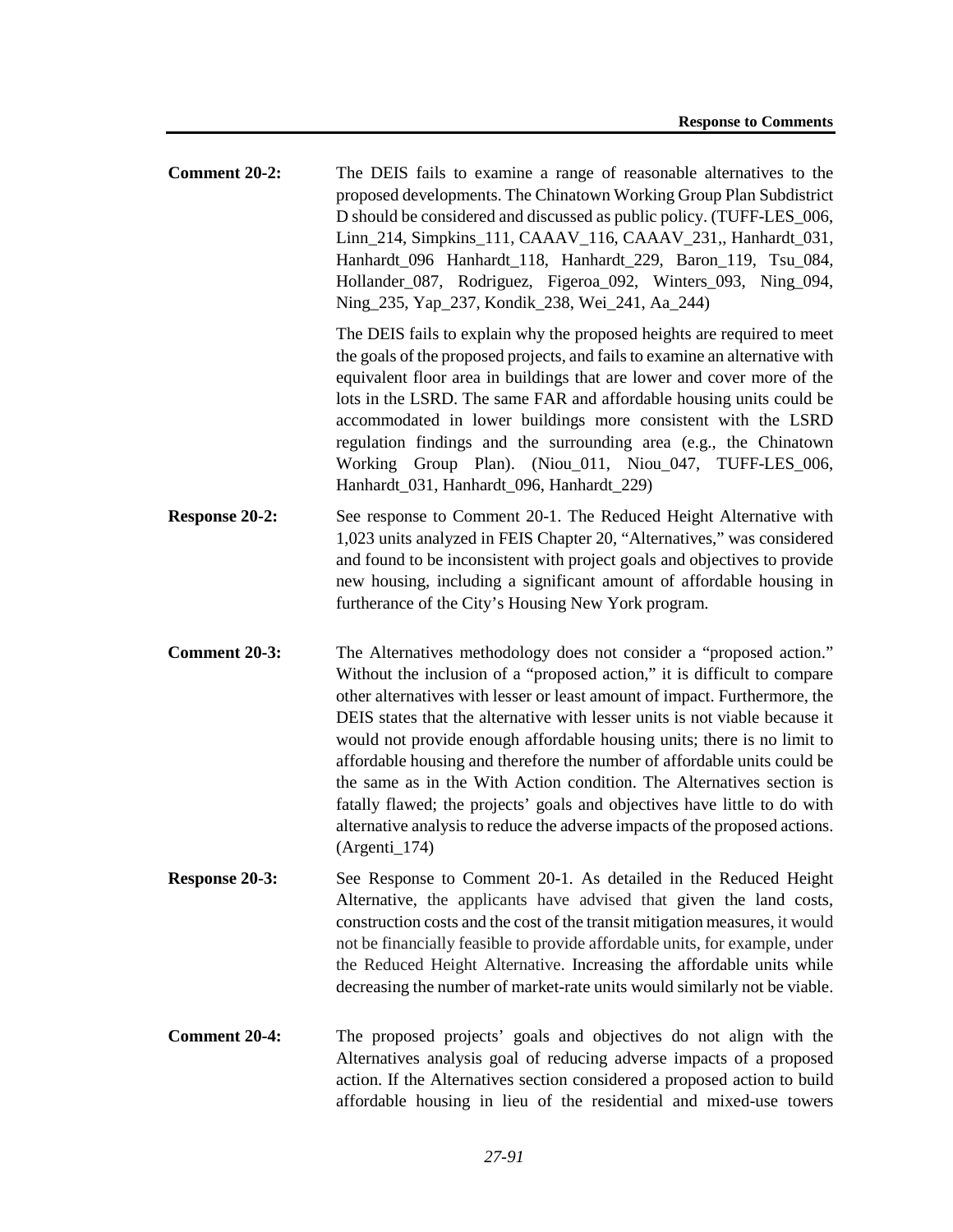**Comment 20-2:** The DEIS fails to examine a range of reasonable alternatives to the proposed developments. The Chinatown Working Group Plan Subdistrict D should be considered and discussed as public policy. (TUFF-LES\_006, Linn\_214, Simpkins\_111, CAAAV\_116, CAAAV\_231,, Hanhardt\_031, Hanhardt\_096 Hanhardt\_118, Hanhardt\_229, Baron\_119, Tsu\_084, Hollander\_087, Rodriguez, Figeroa\_092, Winters\_093, Ning\_094, Ning\_235, Yap\_237, Kondik\_238, Wei\_241, Aa\_244)

> The DEIS fails to explain why the proposed heights are required to meet the goals of the proposed projects, and fails to examine an alternative with equivalent floor area in buildings that are lower and cover more of the lots in the LSRD. The same FAR and affordable housing units could be accommodated in lower buildings more consistent with the LSRD regulation findings and the surrounding area (e.g., the Chinatown Working Group Plan). (Niou 011, Niou 047, TUFF-LES 006, Hanhardt\_031, Hanhardt\_096, Hanhardt\_229)

- **Response 20-2:** See response to Comment 20-1. The Reduced Height Alternative with 1,023 units analyzed in FEIS Chapter 20, "Alternatives," was considered and found to be inconsistent with project goals and objectives to provide new housing, including a significant amount of affordable housing in furtherance of the City's Housing New York program.
- **Comment 20-3:** The Alternatives methodology does not consider a "proposed action." Without the inclusion of a "proposed action," it is difficult to compare other alternatives with lesser or least amount of impact. Furthermore, the DEIS states that the alternative with lesser units is not viable because it would not provide enough affordable housing units; there is no limit to affordable housing and therefore the number of affordable units could be the same as in the With Action condition. The Alternatives section is fatally flawed; the projects' goals and objectives have little to do with alternative analysis to reduce the adverse impacts of the proposed actions. (Argenti\_174)
- **Response 20-3:** See Response to Comment 20-1. As detailed in the Reduced Height Alternative, the applicants have advised that given the land costs, construction costs and the cost of the transit mitigation measures, it would not be financially feasible to provide affordable units, for example, under the Reduced Height Alternative. Increasing the affordable units while decreasing the number of market-rate units would similarly not be viable.
- **Comment 20-4:** The proposed projects' goals and objectives do not align with the Alternatives analysis goal of reducing adverse impacts of a proposed action. If the Alternatives section considered a proposed action to build affordable housing in lieu of the residential and mixed-use towers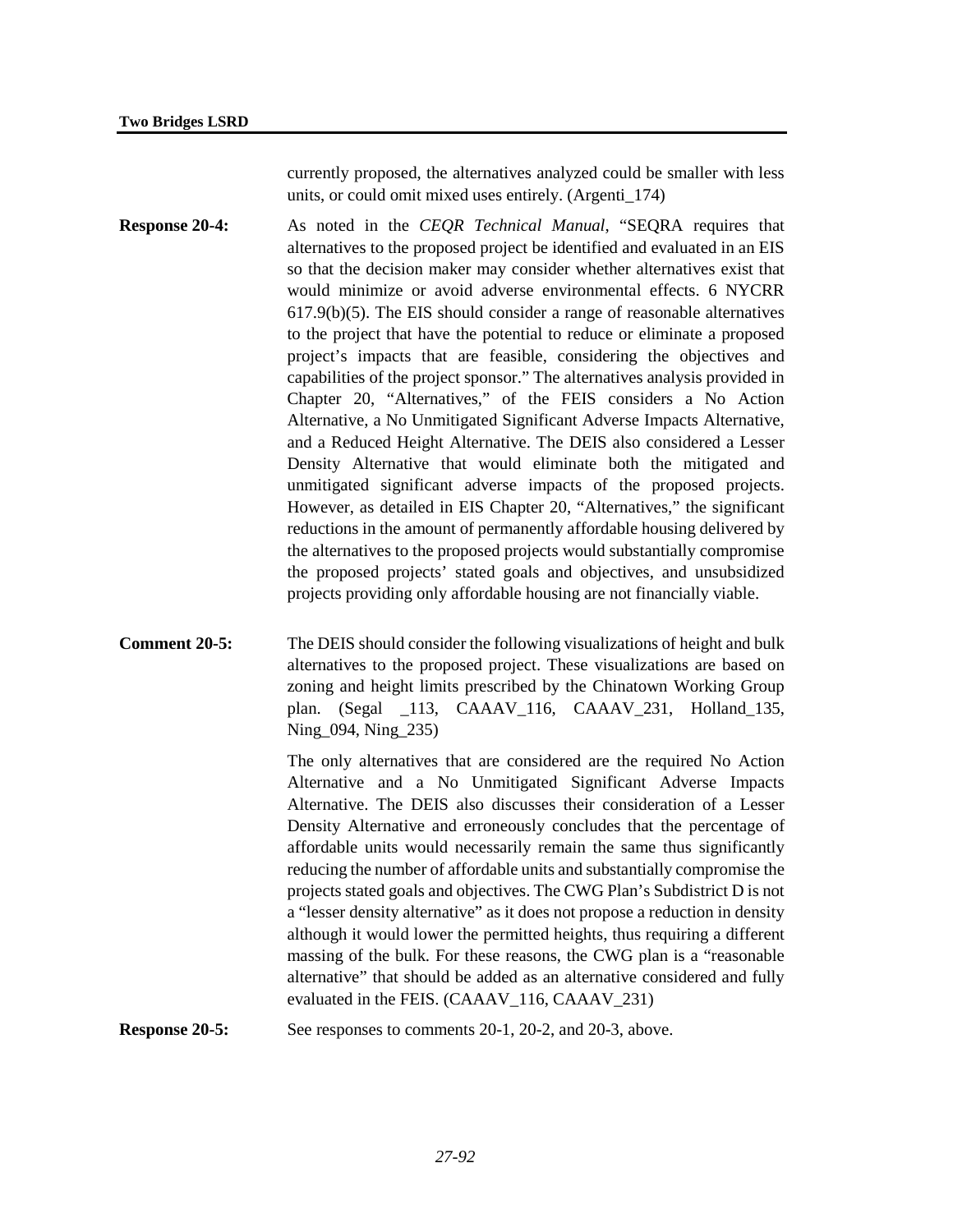currently proposed, the alternatives analyzed could be smaller with less units, or could omit mixed uses entirely. (Argenti\_174)

**Response 20-4:** As noted in the *CEOR Technical Manual*, "SEORA requires that alternatives to the proposed project be identified and evaluated in an EIS so that the decision maker may consider whether alternatives exist that would minimize or avoid adverse environmental effects. 6 NYCRR 617.9(b)(5). The EIS should consider a range of reasonable alternatives to the project that have the potential to reduce or eliminate a proposed project's impacts that are feasible, considering the objectives and capabilities of the project sponsor." The alternatives analysis provided in Chapter 20, "Alternatives," of the FEIS considers a No Action Alternative, a No Unmitigated Significant Adverse Impacts Alternative, and a Reduced Height Alternative. The DEIS also considered a Lesser Density Alternative that would eliminate both the mitigated and unmitigated significant adverse impacts of the proposed projects. However, as detailed in EIS Chapter 20, "Alternatives," the significant reductions in the amount of permanently affordable housing delivered by the alternatives to the proposed projects would substantially compromise the proposed projects' stated goals and objectives, and unsubsidized projects providing only affordable housing are not financially viable.

**Comment 20-5:** The DEIS should consider the following visualizations of height and bulk alternatives to the proposed project. These visualizations are based on zoning and height limits prescribed by the Chinatown Working Group plan. (Segal \_113, CAAAV\_116, CAAAV\_231, Holland\_135, Ning\_094, Ning\_235)

> The only alternatives that are considered are the required No Action Alternative and a No Unmitigated Significant Adverse Impacts Alternative. The DEIS also discusses their consideration of a Lesser Density Alternative and erroneously concludes that the percentage of affordable units would necessarily remain the same thus significantly reducing the number of affordable units and substantially compromise the projects stated goals and objectives. The CWG Plan's Subdistrict D is not a "lesser density alternative" as it does not propose a reduction in density although it would lower the permitted heights, thus requiring a different massing of the bulk. For these reasons, the CWG plan is a "reasonable alternative" that should be added as an alternative considered and fully evaluated in the FEIS. (CAAAV\_116, CAAAV\_231)

**Response 20-5:** See responses to comments 20-1, 20-2, and 20-3, above.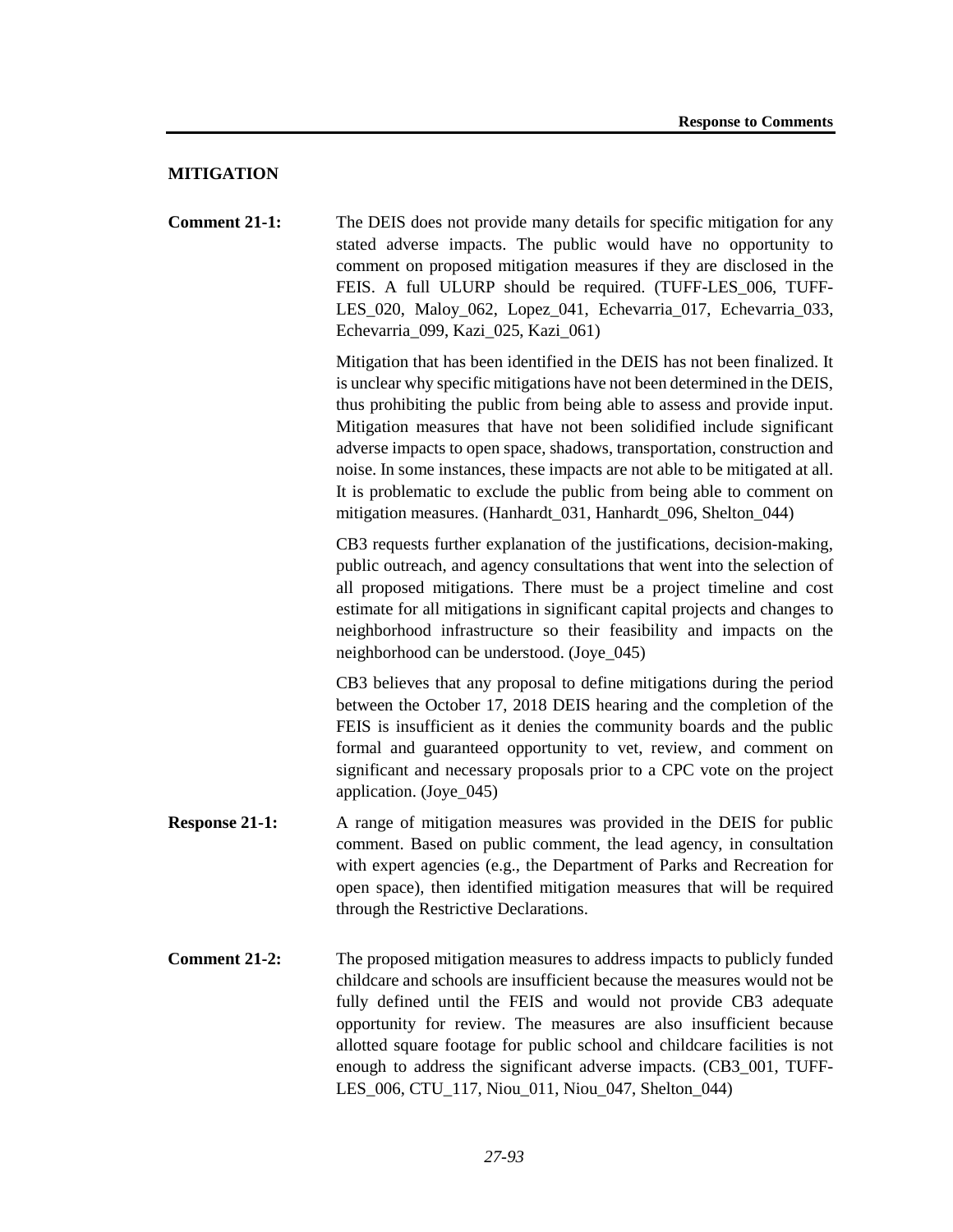## **MITIGATION**

**Comment 21-1:** The DEIS does not provide many details for specific mitigation for any stated adverse impacts. The public would have no opportunity to comment on proposed mitigation measures if they are disclosed in the FEIS. A full ULURP should be required. (TUFF-LES\_006, TUFF-LES 020, Maloy 062, Lopez 041, Echevarria 017, Echevarria 033, Echevarria\_099, Kazi\_025, Kazi\_061)

> Mitigation that has been identified in the DEIS has not been finalized. It is unclear why specific mitigations have not been determined in the DEIS, thus prohibiting the public from being able to assess and provide input. Mitigation measures that have not been solidified include significant adverse impacts to open space, shadows, transportation, construction and noise. In some instances, these impacts are not able to be mitigated at all. It is problematic to exclude the public from being able to comment on mitigation measures. (Hanhardt\_031, Hanhardt\_096, Shelton\_044)

> CB3 requests further explanation of the justifications, decision-making, public outreach, and agency consultations that went into the selection of all proposed mitigations. There must be a project timeline and cost estimate for all mitigations in significant capital projects and changes to neighborhood infrastructure so their feasibility and impacts on the neighborhood can be understood. (Joye\_045)

> CB3 believes that any proposal to define mitigations during the period between the October 17, 2018 DEIS hearing and the completion of the FEIS is insufficient as it denies the community boards and the public formal and guaranteed opportunity to vet, review, and comment on significant and necessary proposals prior to a CPC vote on the project application. (Joye\_045)

- **Response 21-1:** A range of mitigation measures was provided in the DEIS for public comment. Based on public comment, the lead agency, in consultation with expert agencies (e.g., the Department of Parks and Recreation for open space), then identified mitigation measures that will be required through the Restrictive Declarations.
- **Comment 21-2:** The proposed mitigation measures to address impacts to publicly funded childcare and schools are insufficient because the measures would not be fully defined until the FEIS and would not provide CB3 adequate opportunity for review. The measures are also insufficient because allotted square footage for public school and childcare facilities is not enough to address the significant adverse impacts. (CB3\_001, TUFF-LES 006, CTU 117, Niou 011, Niou 047, Shelton 044)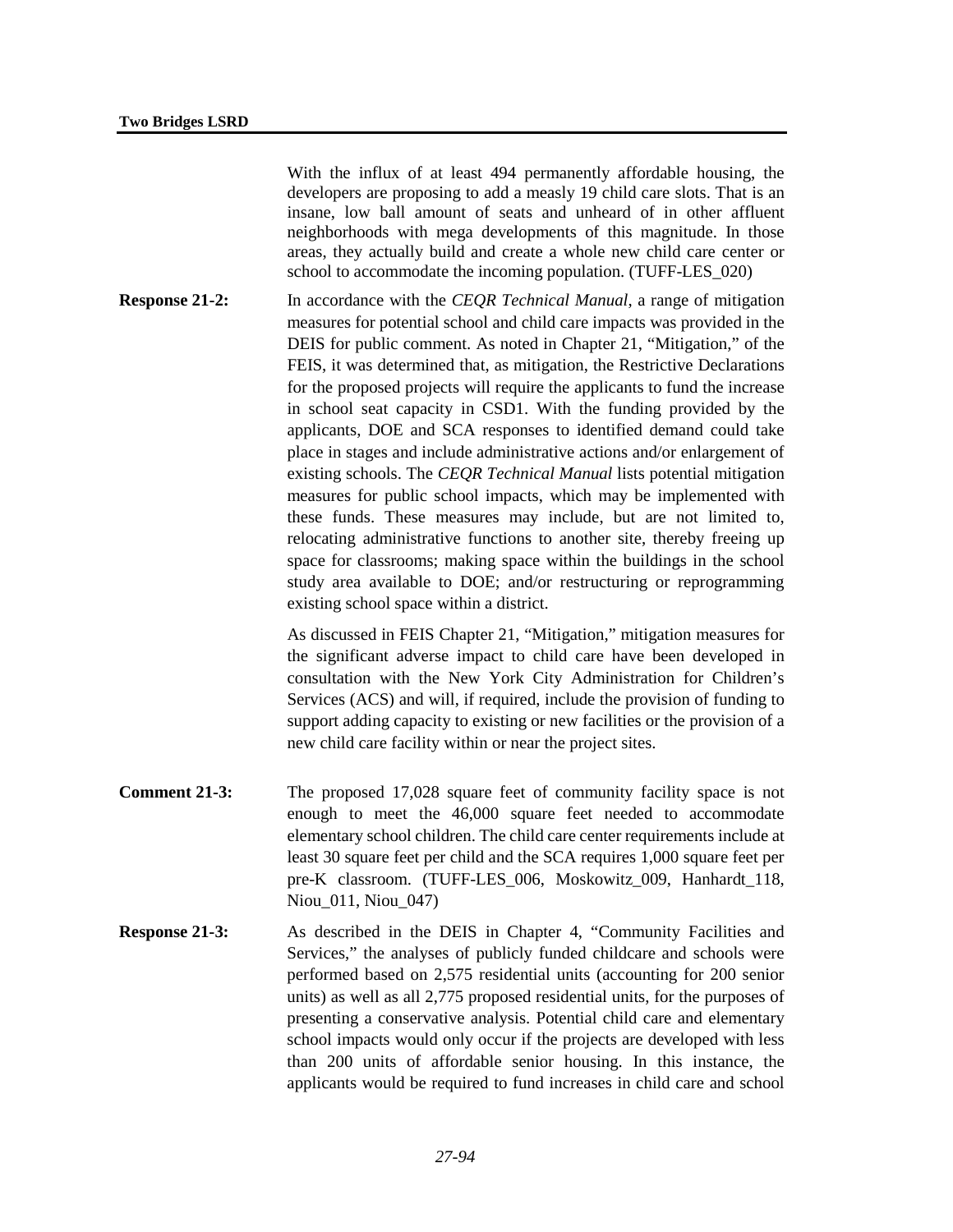With the influx of at least 494 permanently affordable housing, the developers are proposing to add a measly 19 child care slots. That is an insane, low ball amount of seats and unheard of in other affluent neighborhoods with mega developments of this magnitude. In those areas, they actually build and create a whole new child care center or school to accommodate the incoming population. (TUFF-LES\_020)

**Response 21-2:** In accordance with the *CEOR Technical Manual*, a range of mitigation measures for potential school and child care impacts was provided in the DEIS for public comment. As noted in Chapter 21, "Mitigation," of the FEIS, it was determined that, as mitigation, the Restrictive Declarations for the proposed projects will require the applicants to fund the increase in school seat capacity in CSD1. With the funding provided by the applicants, DOE and SCA responses to identified demand could take place in stages and include administrative actions and/or enlargement of existing schools. The *CEQR Technical Manual* lists potential mitigation measures for public school impacts, which may be implemented with these funds. These measures may include, but are not limited to, relocating administrative functions to another site, thereby freeing up space for classrooms; making space within the buildings in the school study area available to DOE; and/or restructuring or reprogramming existing school space within a district.

> As discussed in FEIS Chapter 21, "Mitigation," mitigation measures for the significant adverse impact to child care have been developed in consultation with the New York City Administration for Children's Services (ACS) and will, if required, include the provision of funding to support adding capacity to existing or new facilities or the provision of a new child care facility within or near the project sites.

- **Comment 21-3:** The proposed 17,028 square feet of community facility space is not enough to meet the 46,000 square feet needed to accommodate elementary school children. The child care center requirements include at least 30 square feet per child and the SCA requires 1,000 square feet per pre-K classroom. (TUFF-LES\_006, Moskowitz\_009, Hanhardt\_118, Niou\_011, Niou\_047)
- **Response 21-3:** As described in the DEIS in Chapter 4, "Community Facilities and Services," the analyses of publicly funded childcare and schools were performed based on 2,575 residential units (accounting for 200 senior units) as well as all 2,775 proposed residential units, for the purposes of presenting a conservative analysis. Potential child care and elementary school impacts would only occur if the projects are developed with less than 200 units of affordable senior housing. In this instance, the applicants would be required to fund increases in child care and school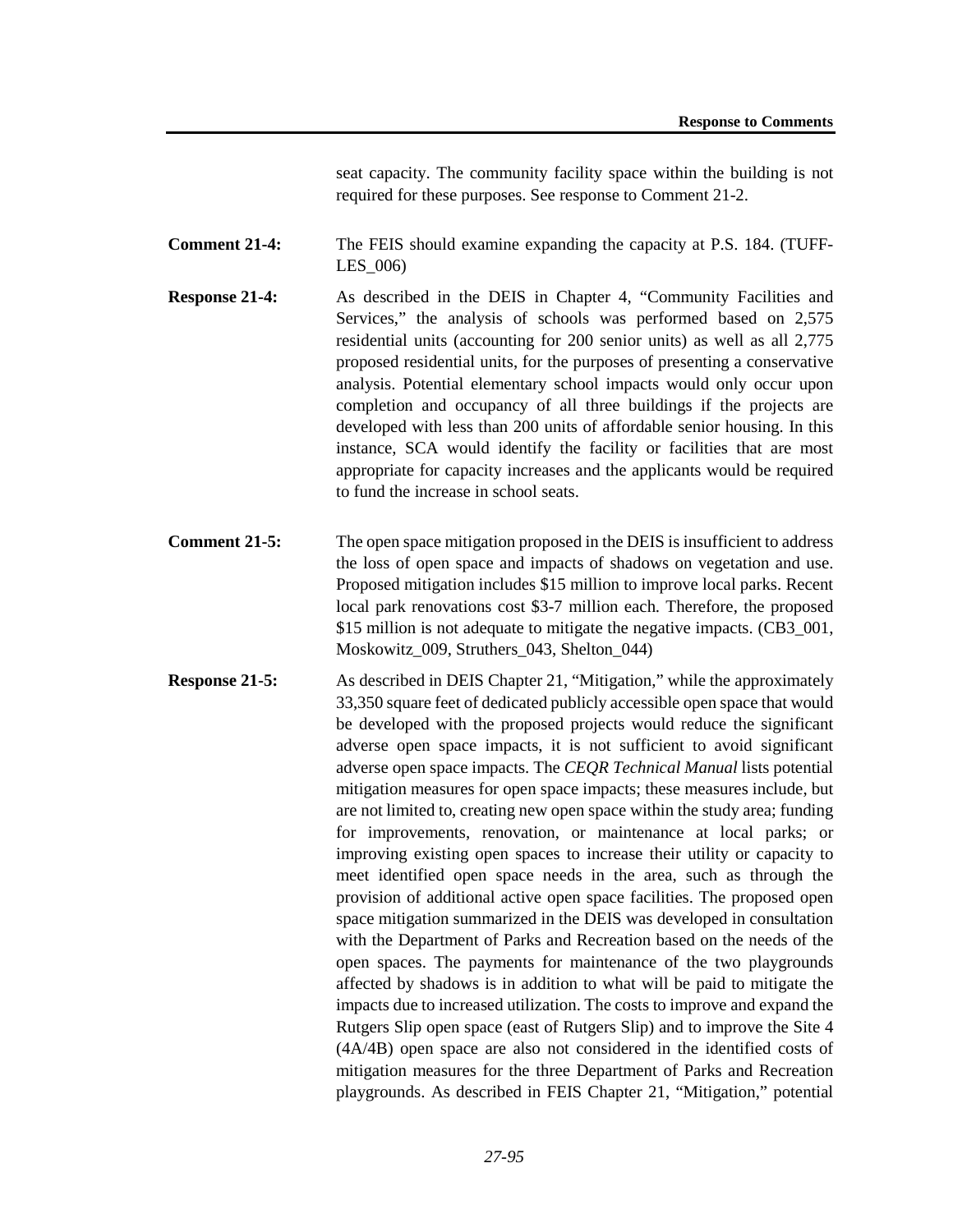seat capacity. The community facility space within the building is not required for these purposes. See response to Comment 21-2.

**Comment 21-4:** The FEIS should examine expanding the capacity at P.S. 184. (TUFF-LES\_006)

- **Response 21-4:** As described in the DEIS in Chapter 4, "Community Facilities and Services," the analysis of schools was performed based on 2,575 residential units (accounting for 200 senior units) as well as all 2,775 proposed residential units, for the purposes of presenting a conservative analysis. Potential elementary school impacts would only occur upon completion and occupancy of all three buildings if the projects are developed with less than 200 units of affordable senior housing. In this instance, SCA would identify the facility or facilities that are most appropriate for capacity increases and the applicants would be required to fund the increase in school seats.
- **Comment 21-5:** The open space mitigation proposed in the DEIS is insufficient to address the loss of open space and impacts of shadows on vegetation and use. Proposed mitigation includes \$15 million to improve local parks. Recent local park renovations cost \$3-7 million each. Therefore, the proposed \$15 million is not adequate to mitigate the negative impacts. (CB3 001, Moskowitz\_009, Struthers\_043, Shelton\_044)
- **Response 21-5:** As described in DEIS Chapter 21, "Mitigation," while the approximately 33,350 square feet of dedicated publicly accessible open space that would be developed with the proposed projects would reduce the significant adverse open space impacts, it is not sufficient to avoid significant adverse open space impacts. The *CEQR Technical Manual* lists potential mitigation measures for open space impacts; these measures include, but are not limited to, creating new open space within the study area; funding for improvements, renovation, or maintenance at local parks; or improving existing open spaces to increase their utility or capacity to meet identified open space needs in the area, such as through the provision of additional active open space facilities. The proposed open space mitigation summarized in the DEIS was developed in consultation with the Department of Parks and Recreation based on the needs of the open spaces. The payments for maintenance of the two playgrounds affected by shadows is in addition to what will be paid to mitigate the impacts due to increased utilization. The costs to improve and expand the Rutgers Slip open space (east of Rutgers Slip) and to improve the Site 4 (4A/4B) open space are also not considered in the identified costs of mitigation measures for the three Department of Parks and Recreation playgrounds. As described in FEIS Chapter 21, "Mitigation," potential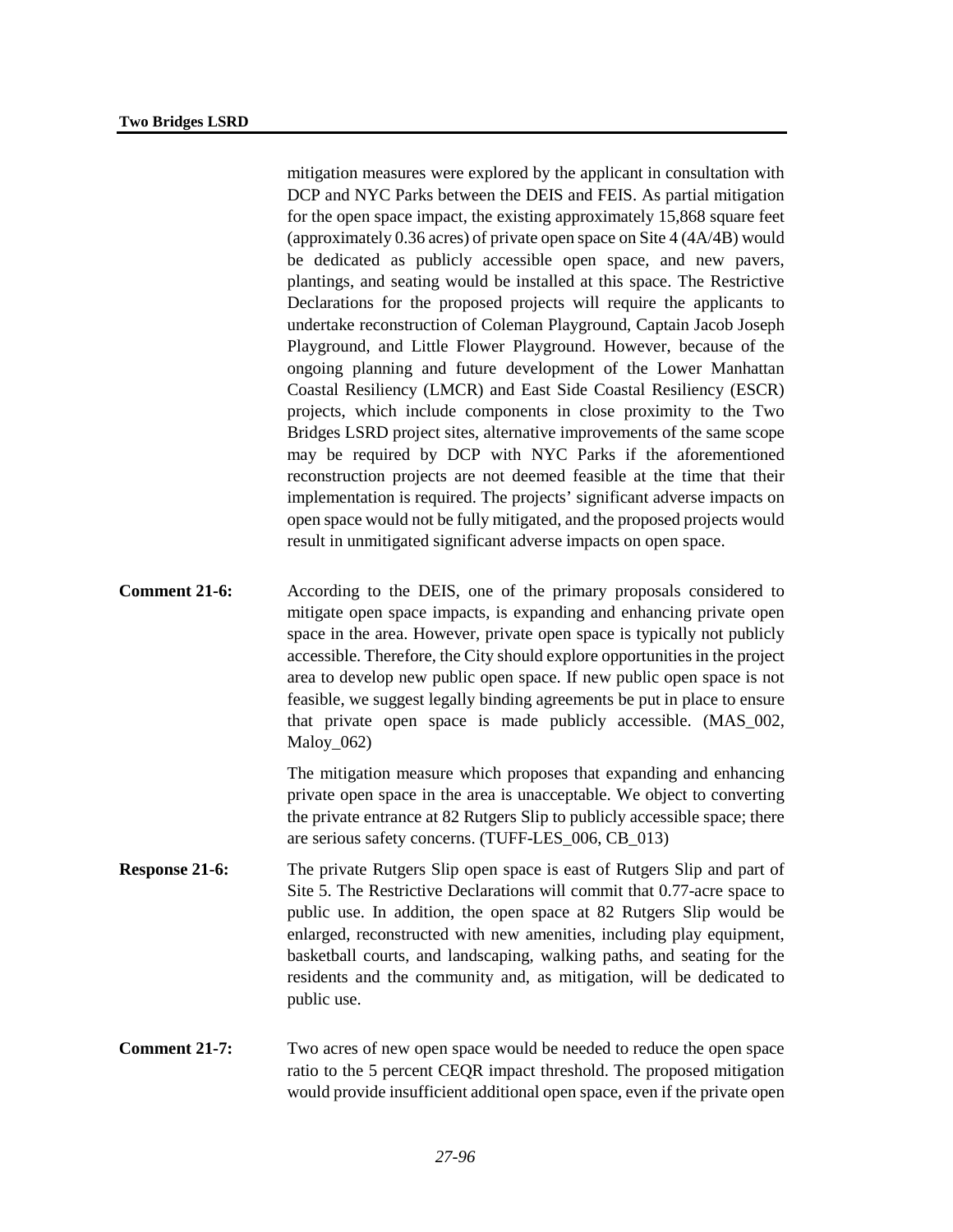mitigation measures were explored by the applicant in consultation with DCP and NYC Parks between the DEIS and FEIS. As partial mitigation for the open space impact, the existing approximately 15,868 square feet (approximately 0.36 acres) of private open space on Site 4 (4A/4B) would be dedicated as publicly accessible open space, and new pavers, plantings, and seating would be installed at this space. The Restrictive Declarations for the proposed projects will require the applicants to undertake reconstruction of Coleman Playground, Captain Jacob Joseph Playground, and Little Flower Playground. However, because of the ongoing planning and future development of the Lower Manhattan Coastal Resiliency (LMCR) and East Side Coastal Resiliency (ESCR) projects, which include components in close proximity to the Two Bridges LSRD project sites, alternative improvements of the same scope may be required by DCP with NYC Parks if the aforementioned reconstruction projects are not deemed feasible at the time that their implementation is required. The projects' significant adverse impacts on open space would not be fully mitigated, and the proposed projects would result in unmitigated significant adverse impacts on open space.

**Comment 21-6:** According to the DEIS, one of the primary proposals considered to mitigate open space impacts, is expanding and enhancing private open space in the area. However, private open space is typically not publicly accessible. Therefore, the City should explore opportunities in the project area to develop new public open space. If new public open space is not feasible, we suggest legally binding agreements be put in place to ensure that private open space is made publicly accessible. (MAS\_002, Maloy 062)

> The mitigation measure which proposes that expanding and enhancing private open space in the area is unacceptable. We object to converting the private entrance at 82 Rutgers Slip to publicly accessible space; there are serious safety concerns. (TUFF-LES\_006, CB\_013)

- **Response 21-6:** The private Rutgers Slip open space is east of Rutgers Slip and part of Site 5. The Restrictive Declarations will commit that 0.77-acre space to public use. In addition, the open space at 82 Rutgers Slip would be enlarged, reconstructed with new amenities, including play equipment, basketball courts, and landscaping, walking paths, and seating for the residents and the community and, as mitigation, will be dedicated to public use.
- **Comment 21-7:** Two acres of new open space would be needed to reduce the open space ratio to the 5 percent CEQR impact threshold. The proposed mitigation would provide insufficient additional open space, even if the private open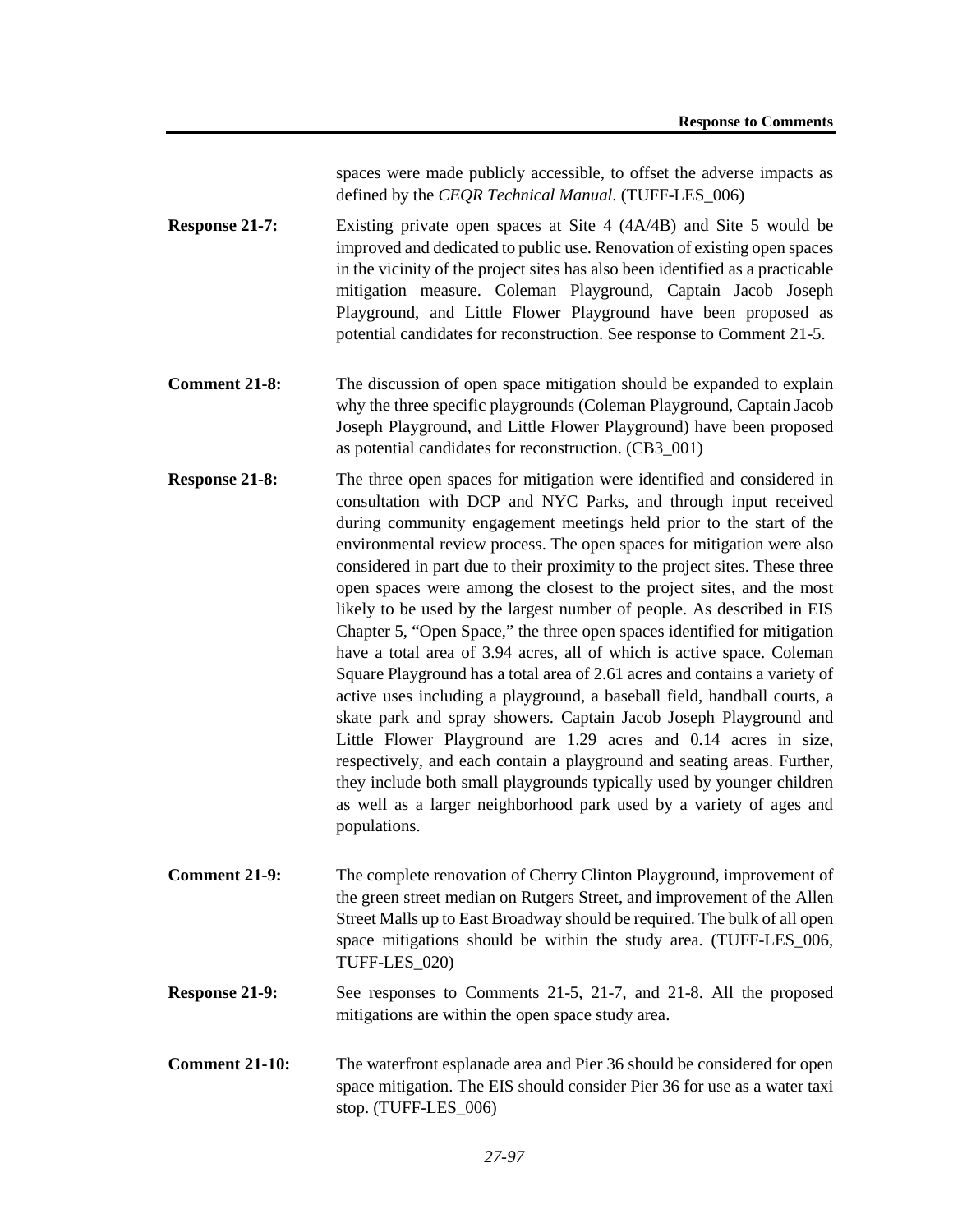spaces were made publicly accessible, to offset the adverse impacts as defined by the *CEQR Technical Manual*. (TUFF-LES\_006)

- **Response 21-7:** Existing private open spaces at Site 4 (4A/4B) and Site 5 would be improved and dedicated to public use. Renovation of existing open spaces in the vicinity of the project sites has also been identified as a practicable mitigation measure. Coleman Playground, Captain Jacob Joseph Playground, and Little Flower Playground have been proposed as potential candidates for reconstruction. See response to Comment 21-5.
- **Comment 21-8:** The discussion of open space mitigation should be expanded to explain why the three specific playgrounds (Coleman Playground, Captain Jacob Joseph Playground, and Little Flower Playground) have been proposed as potential candidates for reconstruction. (CB3\_001)
- **Response 21-8:** The three open spaces for mitigation were identified and considered in consultation with DCP and NYC Parks, and through input received during community engagement meetings held prior to the start of the environmental review process. The open spaces for mitigation were also considered in part due to their proximity to the project sites. These three open spaces were among the closest to the project sites, and the most likely to be used by the largest number of people. As described in EIS Chapter 5, "Open Space," the three open spaces identified for mitigation have a total area of 3.94 acres, all of which is active space. Coleman Square Playground has a total area of 2.61 acres and contains a variety of active uses including a playground, a baseball field, handball courts, a skate park and spray showers. Captain Jacob Joseph Playground and Little Flower Playground are 1.29 acres and 0.14 acres in size, respectively, and each contain a playground and seating areas. Further, they include both small playgrounds typically used by younger children as well as a larger neighborhood park used by a variety of ages and populations.
- **Comment 21-9:** The complete renovation of Cherry Clinton Playground, improvement of the green street median on Rutgers Street, and improvement of the Allen Street Malls up to East Broadway should be required. The bulk of all open space mitigations should be within the study area. (TUFF-LES\_006, TUFF-LES\_020)
- **Response 21-9:** See responses to Comments 21-5, 21-7, and 21-8. All the proposed mitigations are within the open space study area.
- **Comment 21-10:** The waterfront esplanade area and Pier 36 should be considered for open space mitigation. The EIS should consider Pier 36 for use as a water taxi stop. (TUFF-LES\_006)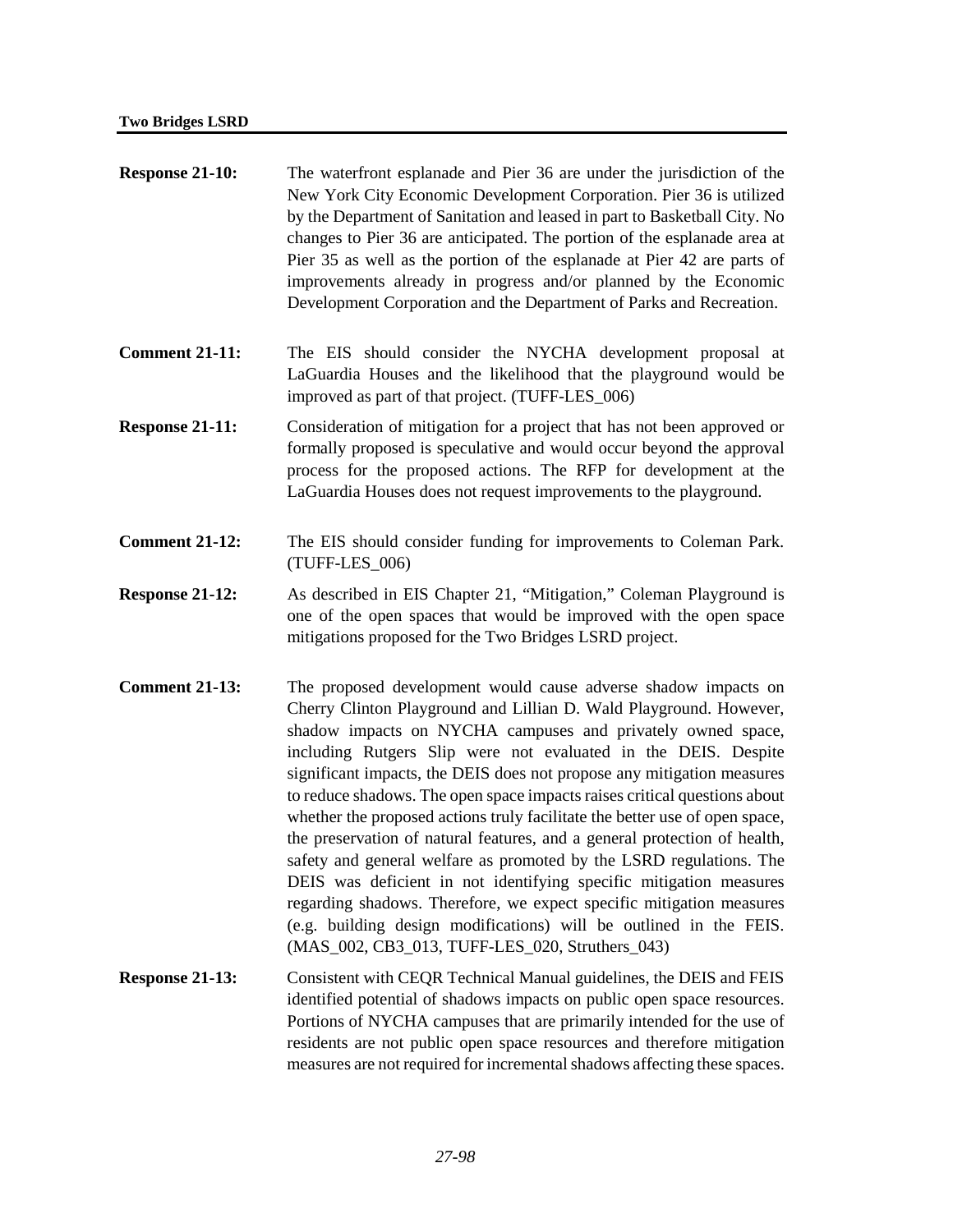| Response 21-10:        | The waterfront esplanade and Pier 36 are under the jurisdiction of the<br>New York City Economic Development Corporation. Pier 36 is utilized<br>by the Department of Sanitation and leased in part to Basketball City. No<br>changes to Pier 36 are anticipated. The portion of the esplanade area at<br>Pier 35 as well as the portion of the esplanade at Pier 42 are parts of<br>improvements already in progress and/or planned by the Economic<br>Development Corporation and the Department of Parks and Recreation.                                                                                                                                                                                                                                                                                                                                                                                                            |
|------------------------|----------------------------------------------------------------------------------------------------------------------------------------------------------------------------------------------------------------------------------------------------------------------------------------------------------------------------------------------------------------------------------------------------------------------------------------------------------------------------------------------------------------------------------------------------------------------------------------------------------------------------------------------------------------------------------------------------------------------------------------------------------------------------------------------------------------------------------------------------------------------------------------------------------------------------------------|
| <b>Comment 21-11:</b>  | The EIS should consider the NYCHA development proposal at<br>LaGuardia Houses and the likelihood that the playground would be<br>improved as part of that project. (TUFF-LES_006)                                                                                                                                                                                                                                                                                                                                                                                                                                                                                                                                                                                                                                                                                                                                                      |
| Response 21-11:        | Consideration of mitigation for a project that has not been approved or<br>formally proposed is speculative and would occur beyond the approval<br>process for the proposed actions. The RFP for development at the<br>LaGuardia Houses does not request improvements to the playground.                                                                                                                                                                                                                                                                                                                                                                                                                                                                                                                                                                                                                                               |
| <b>Comment 21-12:</b>  | The EIS should consider funding for improvements to Coleman Park.<br>(TUFF-LES_006)                                                                                                                                                                                                                                                                                                                                                                                                                                                                                                                                                                                                                                                                                                                                                                                                                                                    |
| <b>Response 21-12:</b> | As described in EIS Chapter 21, "Mitigation," Coleman Playground is<br>one of the open spaces that would be improved with the open space<br>mitigations proposed for the Two Bridges LSRD project.                                                                                                                                                                                                                                                                                                                                                                                                                                                                                                                                                                                                                                                                                                                                     |
| <b>Comment 21-13:</b>  | The proposed development would cause adverse shadow impacts on<br>Cherry Clinton Playground and Lillian D. Wald Playground. However,<br>shadow impacts on NYCHA campuses and privately owned space,<br>including Rutgers Slip were not evaluated in the DEIS. Despite<br>significant impacts, the DEIS does not propose any mitigation measures<br>to reduce shadows. The open space impacts raises critical questions about<br>whether the proposed actions truly facilitate the better use of open space,<br>the preservation of natural features, and a general protection of health,<br>safety and general welfare as promoted by the LSRD regulations. The<br>DEIS was deficient in not identifying specific mitigation measures<br>regarding shadows. Therefore, we expect specific mitigation measures<br>(e.g. building design modifications) will be outlined in the FEIS.<br>(MAS_002, CB3_013, TUFF-LES_020, Struthers_043) |
| Response 21-13:        | Consistent with CEQR Technical Manual guidelines, the DEIS and FEIS<br>identified potential of shadows impacts on public open space resources.                                                                                                                                                                                                                                                                                                                                                                                                                                                                                                                                                                                                                                                                                                                                                                                         |

identified potential of shadows impacts on public open space resources. Portions of NYCHA campuses that are primarily intended for the use of residents are not public open space resources and therefore mitigation measures are not required for incremental shadows affecting these spaces.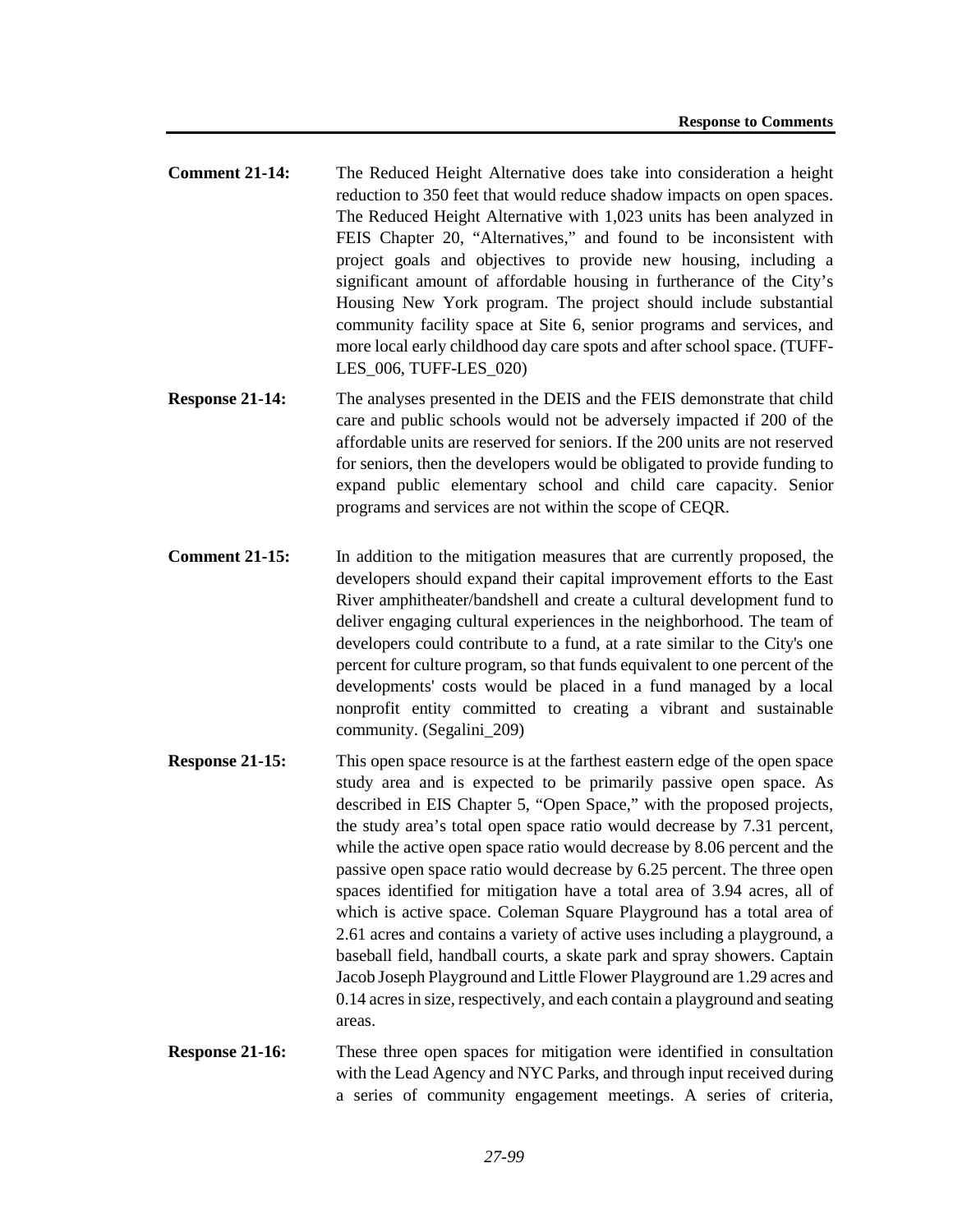- **Comment 21-14:** The Reduced Height Alternative does take into consideration a height reduction to 350 feet that would reduce shadow impacts on open spaces. The Reduced Height Alternative with 1,023 units has been analyzed in FEIS Chapter 20, "Alternatives," and found to be inconsistent with project goals and objectives to provide new housing, including a significant amount of affordable housing in furtherance of the City's Housing New York program. The project should include substantial community facility space at Site 6, senior programs and services, and more local early childhood day care spots and after school space. (TUFF-LES\_006, TUFF-LES\_020)
- **Response 21-14:** The analyses presented in the DEIS and the FEIS demonstrate that child care and public schools would not be adversely impacted if 200 of the affordable units are reserved for seniors. If the 200 units are not reserved for seniors, then the developers would be obligated to provide funding to expand public elementary school and child care capacity. Senior programs and services are not within the scope of CEQR.
- **Comment 21-15:** In addition to the mitigation measures that are currently proposed, the developers should expand their capital improvement efforts to the East River amphitheater/bandshell and create a cultural development fund to deliver engaging cultural experiences in the neighborhood. The team of developers could contribute to a fund, at a rate similar to the City's one percent for culture program, so that funds equivalent to one percent of the developments' costs would be placed in a fund managed by a local nonprofit entity committed to creating a vibrant and sustainable community. (Segalini\_209)
- **Response 21-15:** This open space resource is at the farthest eastern edge of the open space study area and is expected to be primarily passive open space. As described in EIS Chapter 5, "Open Space," with the proposed projects, the study area's total open space ratio would decrease by 7.31 percent, while the active open space ratio would decrease by 8.06 percent and the passive open space ratio would decrease by 6.25 percent. The three open spaces identified for mitigation have a total area of 3.94 acres, all of which is active space. Coleman Square Playground has a total area of 2.61 acres and contains a variety of active uses including a playground, a baseball field, handball courts, a skate park and spray showers. Captain Jacob Joseph Playground and Little Flower Playground are 1.29 acres and 0.14 acres in size, respectively, and each contain a playground and seating areas.
- **Response 21-16:** These three open spaces for mitigation were identified in consultation with the Lead Agency and NYC Parks, and through input received during a series of community engagement meetings. A series of criteria,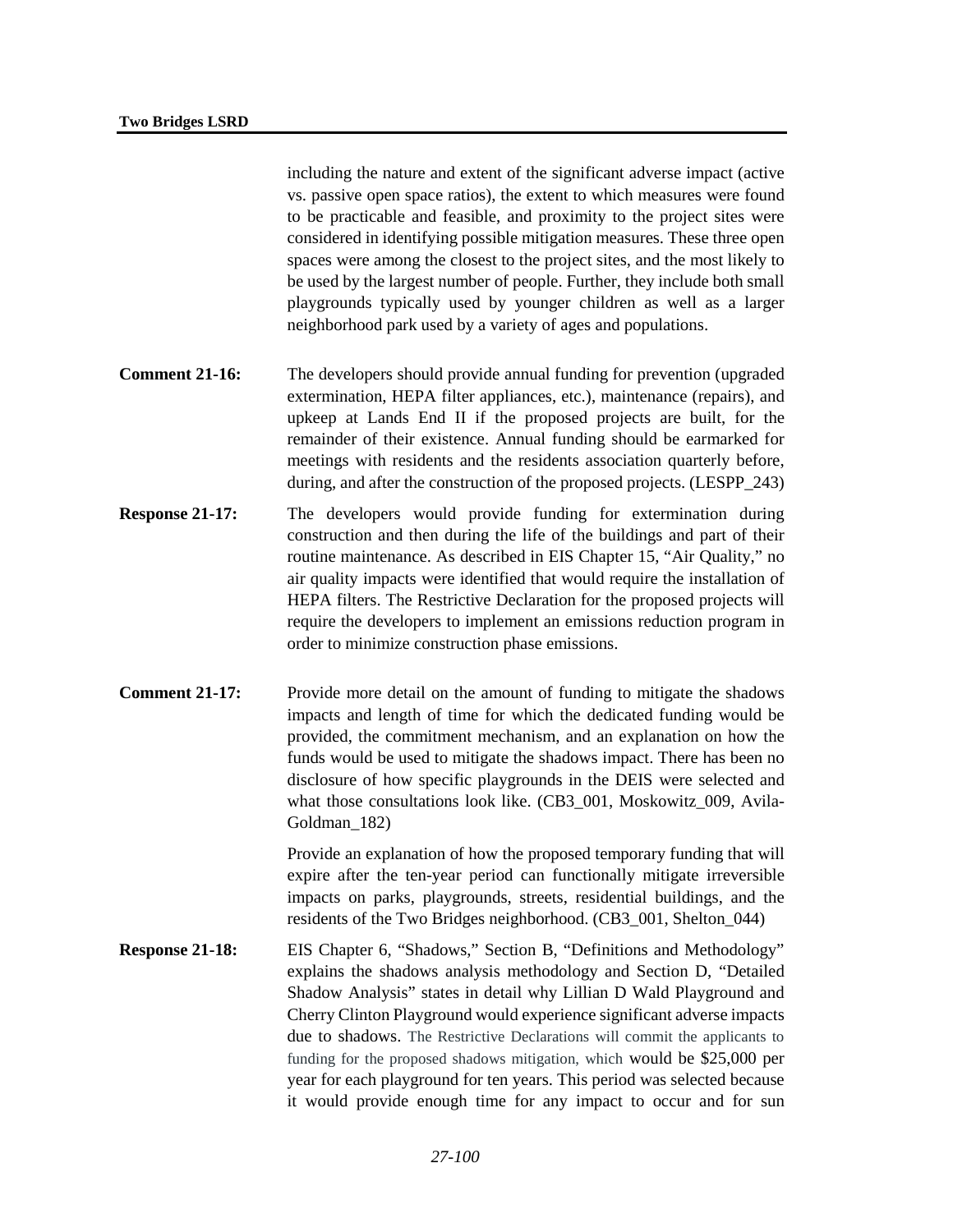including the nature and extent of the significant adverse impact (active vs. passive open space ratios), the extent to which measures were found to be practicable and feasible, and proximity to the project sites were considered in identifying possible mitigation measures. These three open spaces were among the closest to the project sites, and the most likely to be used by the largest number of people. Further, they include both small playgrounds typically used by younger children as well as a larger neighborhood park used by a variety of ages and populations.

- **Comment 21-16:** The developers should provide annual funding for prevention (upgraded) extermination, HEPA filter appliances, etc.), maintenance (repairs), and upkeep at Lands End II if the proposed projects are built, for the remainder of their existence. Annual funding should be earmarked for meetings with residents and the residents association quarterly before, during, and after the construction of the proposed projects. (LESPP\_243)
- **Response 21-17:** The developers would provide funding for extermination during construction and then during the life of the buildings and part of their routine maintenance. As described in EIS Chapter 15, "Air Quality," no air quality impacts were identified that would require the installation of HEPA filters. The Restrictive Declaration for the proposed projects will require the developers to implement an emissions reduction program in order to minimize construction phase emissions.
- **Comment 21-17:** Provide more detail on the amount of funding to mitigate the shadows impacts and length of time for which the dedicated funding would be provided, the commitment mechanism, and an explanation on how the funds would be used to mitigate the shadows impact. There has been no disclosure of how specific playgrounds in the DEIS were selected and what those consultations look like. (CB3\_001, Moskowitz\_009, Avila-Goldman\_182)

Provide an explanation of how the proposed temporary funding that will expire after the ten-year period can functionally mitigate irreversible impacts on parks, playgrounds, streets, residential buildings, and the residents of the Two Bridges neighborhood. (CB3\_001, Shelton\_044)

**Response 21-18:** EIS Chapter 6, "Shadows," Section B, "Definitions and Methodology" explains the shadows analysis methodology and Section D, "Detailed Shadow Analysis" states in detail why Lillian D Wald Playground and Cherry Clinton Playground would experience significant adverse impacts due to shadows. The Restrictive Declarations will commit the applicants to funding for the proposed shadows mitigation, which would be \$25,000 per year for each playground for ten years. This period was selected because it would provide enough time for any impact to occur and for sun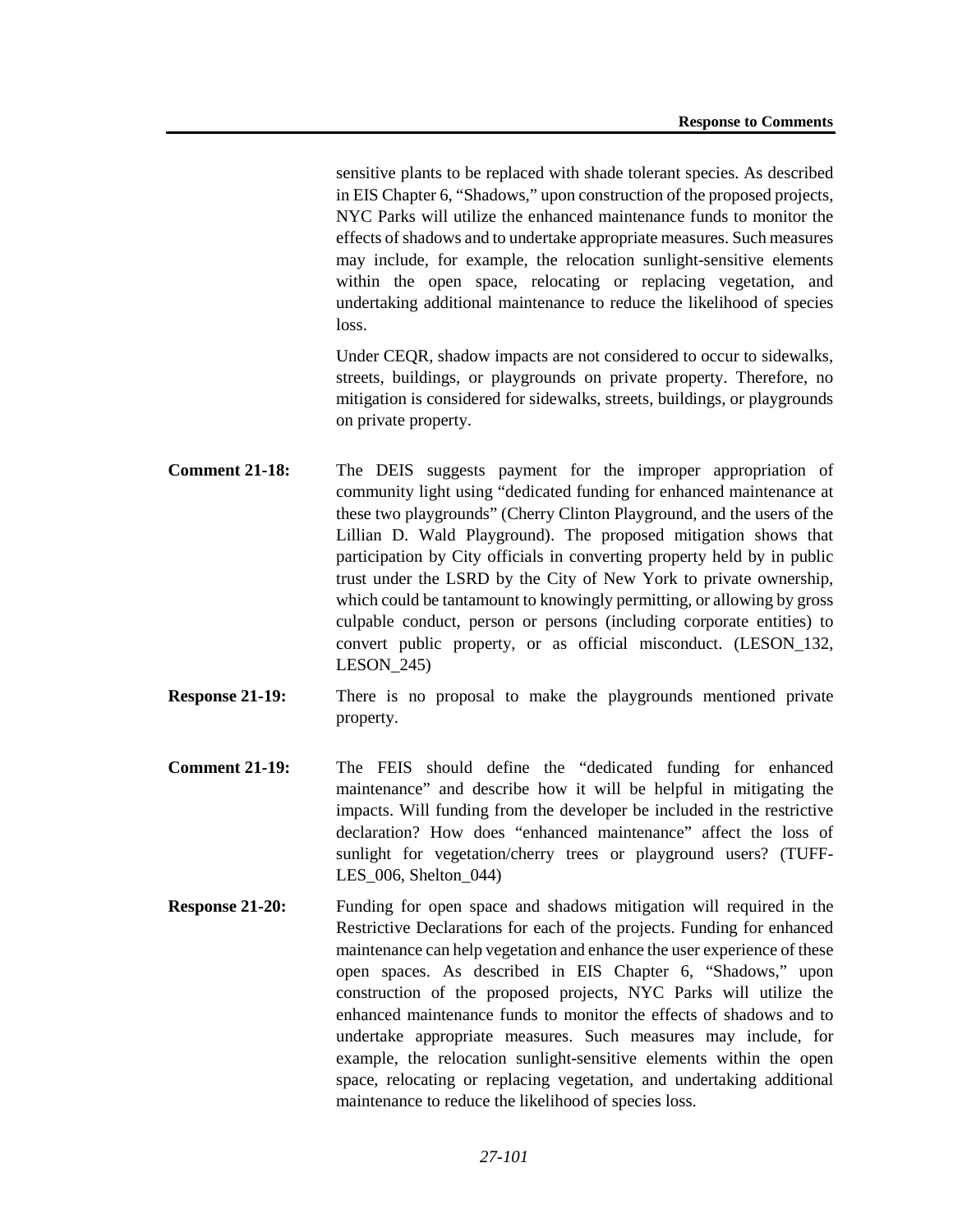sensitive plants to be replaced with shade tolerant species. As described in EIS Chapter 6, "Shadows," upon construction of the proposed projects, NYC Parks will utilize the enhanced maintenance funds to monitor the effects of shadows and to undertake appropriate measures. Such measures may include, for example, the relocation sunlight-sensitive elements within the open space, relocating or replacing vegetation, and undertaking additional maintenance to reduce the likelihood of species loss.

Under CEQR, shadow impacts are not considered to occur to sidewalks, streets, buildings, or playgrounds on private property. Therefore, no mitigation is considered for sidewalks, streets, buildings, or playgrounds on private property.

- **Comment 21-18:** The DEIS suggests payment for the improper appropriation of community light using "dedicated funding for enhanced maintenance at these two playgrounds" (Cherry Clinton Playground, and the users of the Lillian D. Wald Playground). The proposed mitigation shows that participation by City officials in converting property held by in public trust under the LSRD by the City of New York to private ownership, which could be tantamount to knowingly permitting, or allowing by gross culpable conduct, person or persons (including corporate entities) to convert public property, or as official misconduct. (LESON\_132, LESON\_245)
- **Response 21-19:** There is no proposal to make the playgrounds mentioned private property.
- **Comment 21-19:** The FEIS should define the "dedicated funding for enhanced maintenance" and describe how it will be helpful in mitigating the impacts. Will funding from the developer be included in the restrictive declaration? How does "enhanced maintenance" affect the loss of sunlight for vegetation/cherry trees or playground users? (TUFF-LES\_006, Shelton\_044)
- **Response 21-20:** Funding for open space and shadows mitigation will required in the Restrictive Declarations for each of the projects. Funding for enhanced maintenance can help vegetation and enhance the user experience of these open spaces. As described in EIS Chapter 6, "Shadows," upon construction of the proposed projects, NYC Parks will utilize the enhanced maintenance funds to monitor the effects of shadows and to undertake appropriate measures. Such measures may include, for example, the relocation sunlight-sensitive elements within the open space, relocating or replacing vegetation, and undertaking additional maintenance to reduce the likelihood of species loss.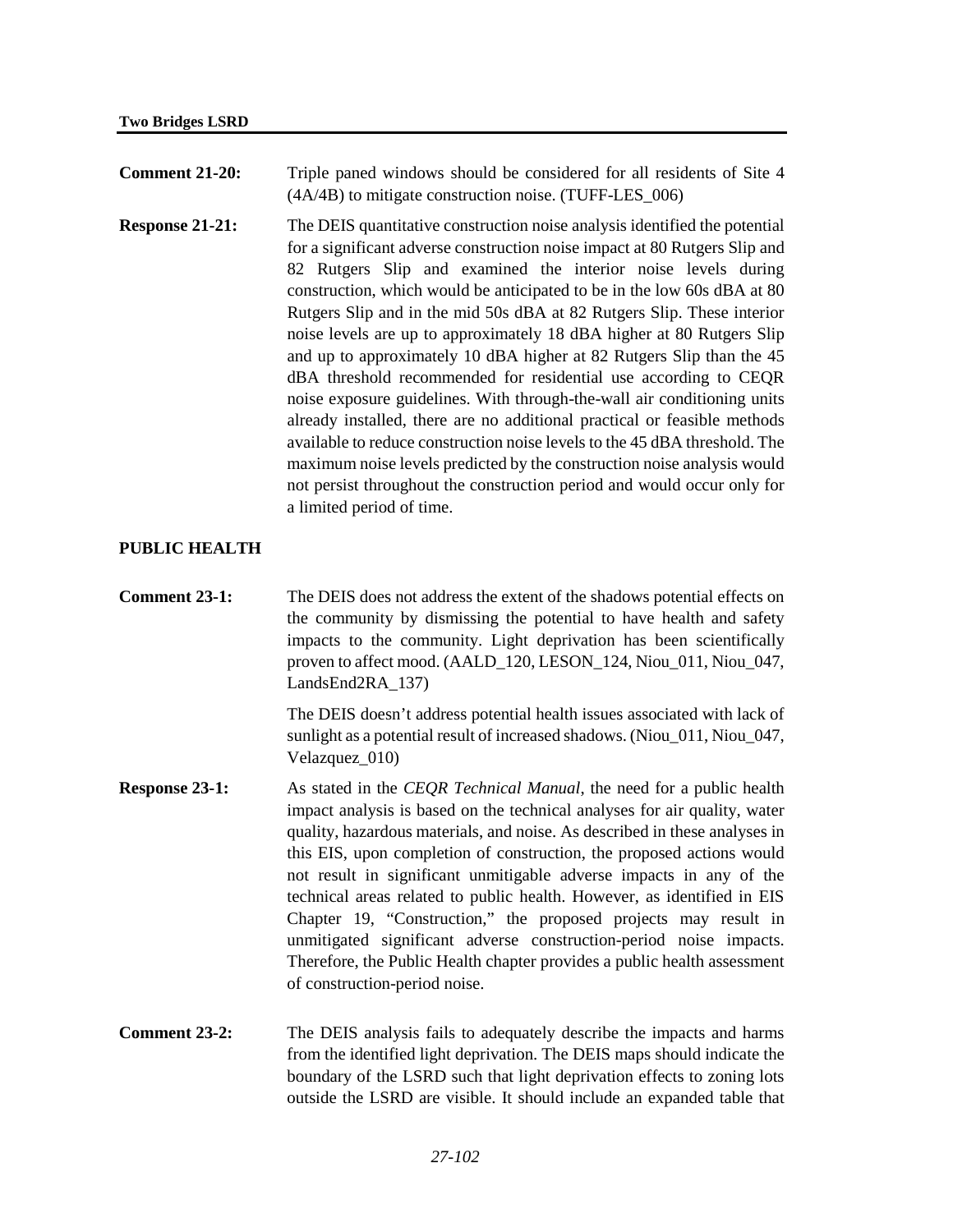| <b>Comment 21-20:</b> | Triple paned windows should be considered for all residents of Site 4 |
|-----------------------|-----------------------------------------------------------------------|
|                       | $(4A/4B)$ to mitigate construction noise. (TUFF-LES $_006$ )          |

**Response 21-21:** The DEIS quantitative construction noise analysis identified the potential for a significant adverse construction noise impact at 80 Rutgers Slip and 82 Rutgers Slip and examined the interior noise levels during construction, which would be anticipated to be in the low 60s dBA at 80 Rutgers Slip and in the mid 50s dBA at 82 Rutgers Slip. These interior noise levels are up to approximately 18 dBA higher at 80 Rutgers Slip and up to approximately 10 dBA higher at 82 Rutgers Slip than the 45 dBA threshold recommended for residential use according to CEQR noise exposure guidelines. With through-the-wall air conditioning units already installed, there are no additional practical or feasible methods available to reduce construction noise levels to the 45 dBA threshold. The maximum noise levels predicted by the construction noise analysis would not persist throughout the construction period and would occur only for a limited period of time.

# **PUBLIC HEALTH**

**Comment 23-1:** The DEIS does not address the extent of the shadows potential effects on the community by dismissing the potential to have health and safety impacts to the community. Light deprivation has been scientifically proven to affect mood. (AALD\_120, LESON\_124, Niou\_011, Niou\_047, LandsEnd2RA\_137)

> The DEIS doesn't address potential health issues associated with lack of sunlight as a potential result of increased shadows. (Niou\_011, Niou\_047, Velazquez\_010)

- **Response 23-1:** As stated in the *CEQR Technical Manual*, the need for a public health impact analysis is based on the technical analyses for air quality, water quality, hazardous materials, and noise. As described in these analyses in this EIS, upon completion of construction, the proposed actions would not result in significant unmitigable adverse impacts in any of the technical areas related to public health. However, as identified in EIS Chapter 19, "Construction," the proposed projects may result in unmitigated significant adverse construction-period noise impacts. Therefore, the Public Health chapter provides a public health assessment of construction-period noise.
- **Comment 23-2:** The DEIS analysis fails to adequately describe the impacts and harms from the identified light deprivation. The DEIS maps should indicate the boundary of the LSRD such that light deprivation effects to zoning lots outside the LSRD are visible. It should include an expanded table that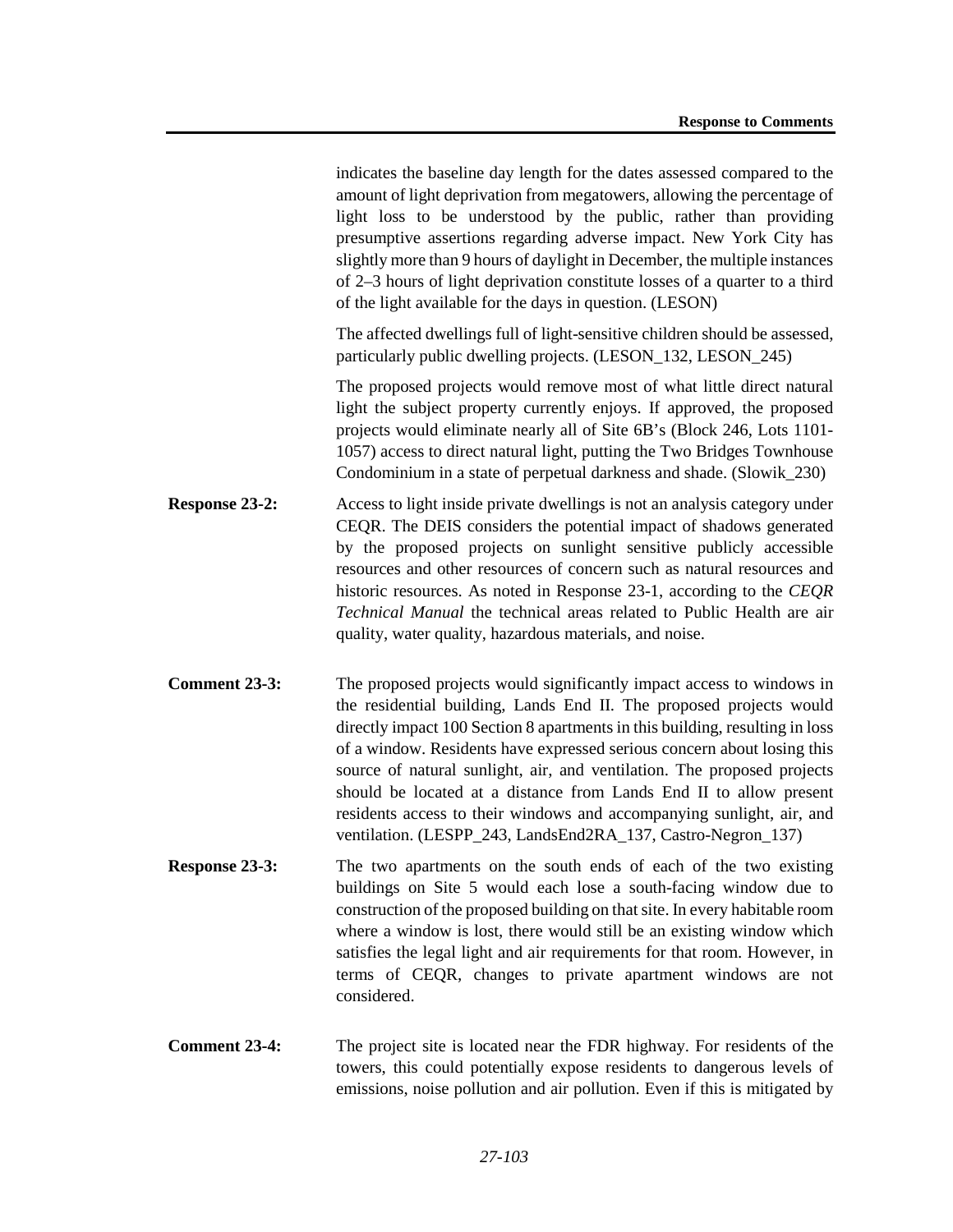indicates the baseline day length for the dates assessed compared to the amount of light deprivation from megatowers, allowing the percentage of light loss to be understood by the public, rather than providing presumptive assertions regarding adverse impact. New York City has slightly more than 9 hours of daylight in December, the multiple instances of 2–3 hours of light deprivation constitute losses of a quarter to a third of the light available for the days in question. (LESON)

The affected dwellings full of light-sensitive children should be assessed, particularly public dwelling projects. (LESON\_132, LESON\_245)

The proposed projects would remove most of what little direct natural light the subject property currently enjoys. If approved, the proposed projects would eliminate nearly all of Site 6B's (Block 246, Lots 1101- 1057) access to direct natural light, putting the Two Bridges Townhouse Condominium in a state of perpetual darkness and shade. (Slowik\_230)

- **Response 23-2:** Access to light inside private dwellings is not an analysis category under CEQR. The DEIS considers the potential impact of shadows generated by the proposed projects on sunlight sensitive publicly accessible resources and other resources of concern such as natural resources and historic resources. As noted in Response 23-1, according to the *CEQR Technical Manual* the technical areas related to Public Health are air quality, water quality, hazardous materials, and noise.
- **Comment 23-3:** The proposed projects would significantly impact access to windows in the residential building, Lands End II. The proposed projects would directly impact 100 Section 8 apartments in this building, resulting in loss of a window. Residents have expressed serious concern about losing this source of natural sunlight, air, and ventilation. The proposed projects should be located at a distance from Lands End II to allow present residents access to their windows and accompanying sunlight, air, and ventilation. (LESPP\_243, LandsEnd2RA\_137, Castro-Negron\_137)
- **Response 23-3:** The two apartments on the south ends of each of the two existing buildings on Site 5 would each lose a south-facing window due to construction of the proposed building on that site. In every habitable room where a window is lost, there would still be an existing window which satisfies the legal light and air requirements for that room. However, in terms of CEQR, changes to private apartment windows are not considered.
- **Comment 23-4:** The project site is located near the FDR highway. For residents of the towers, this could potentially expose residents to dangerous levels of emissions, noise pollution and air pollution. Even if this is mitigated by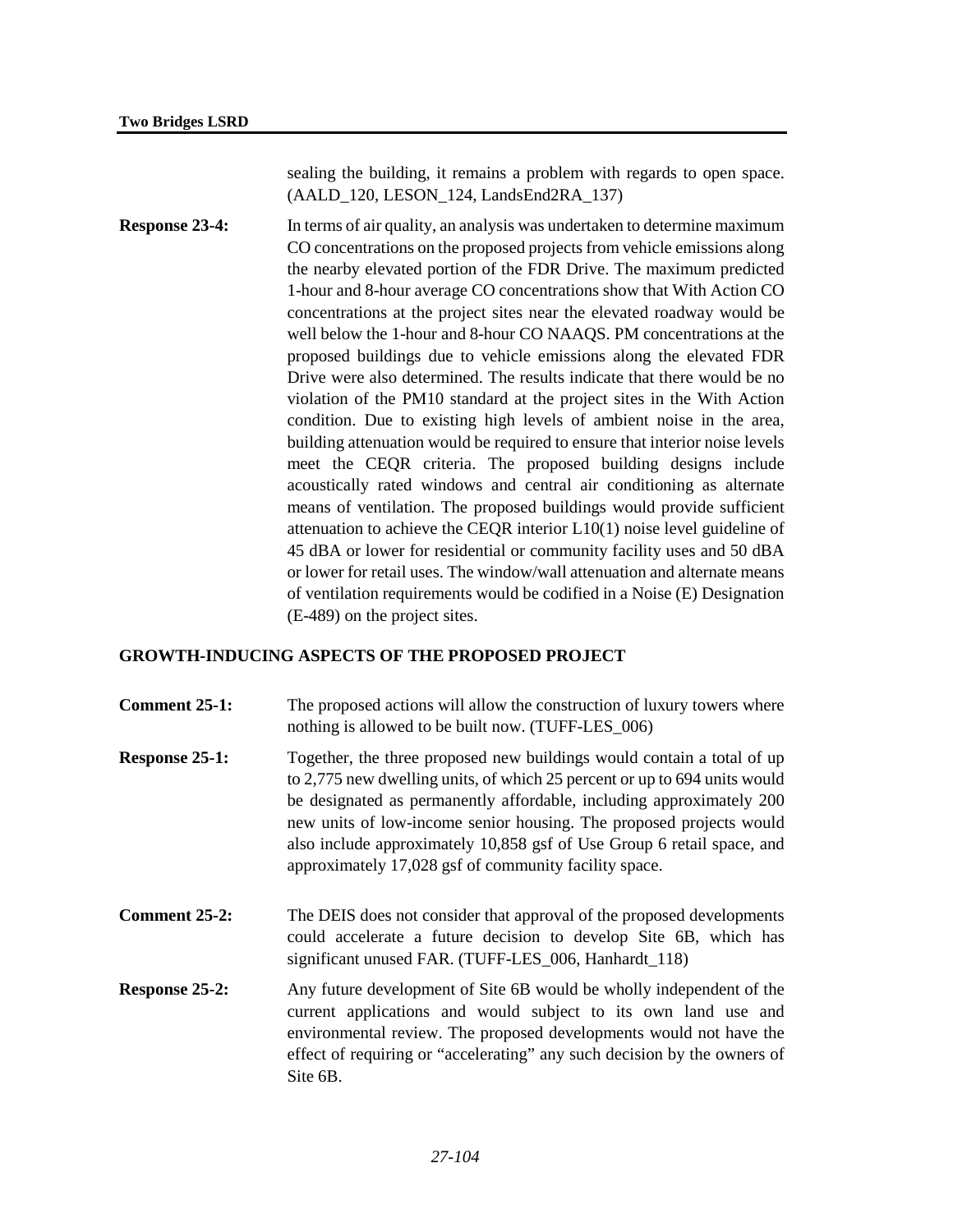sealing the building, it remains a problem with regards to open space. (AALD\_120, LESON\_124, LandsEnd2RA\_137)

**Response 23-4:** In terms of air quality, an analysis was undertaken to determine maximum CO concentrations on the proposed projects from vehicle emissions along the nearby elevated portion of the FDR Drive. The maximum predicted 1-hour and 8-hour average CO concentrations show that With Action CO concentrations at the project sites near the elevated roadway would be well below the 1-hour and 8-hour CO NAAQS. PM concentrations at the proposed buildings due to vehicle emissions along the elevated FDR Drive were also determined. The results indicate that there would be no violation of the PM10 standard at the project sites in the With Action condition. Due to existing high levels of ambient noise in the area, building attenuation would be required to ensure that interior noise levels meet the CEQR criteria. The proposed building designs include acoustically rated windows and central air conditioning as alternate means of ventilation. The proposed buildings would provide sufficient attenuation to achieve the CEQR interior L10(1) noise level guideline of 45 dBA or lower for residential or community facility uses and 50 dBA or lower for retail uses. The window/wall attenuation and alternate means of ventilation requirements would be codified in a Noise (E) Designation (E-489) on the project sites.

# **GROWTH-INDUCING ASPECTS OF THE PROPOSED PROJECT**

- **Comment 25-1:** The proposed actions will allow the construction of luxury towers where nothing is allowed to be built now. (TUFF-LES\_006)
- **Response 25-1:** Together, the three proposed new buildings would contain a total of up to 2,775 new dwelling units, of which 25 percent or up to 694 units would be designated as permanently affordable, including approximately 200 new units of low-income senior housing. The proposed projects would also include approximately 10,858 gsf of Use Group 6 retail space, and approximately 17,028 gsf of community facility space.
- **Comment 25-2:** The DEIS does not consider that approval of the proposed developments could accelerate a future decision to develop Site 6B, which has significant unused FAR. (TUFF-LES\_006, Hanhardt\_118)
- **Response 25-2:** Any future development of Site 6B would be wholly independent of the current applications and would subject to its own land use and environmental review. The proposed developments would not have the effect of requiring or "accelerating" any such decision by the owners of Site 6B.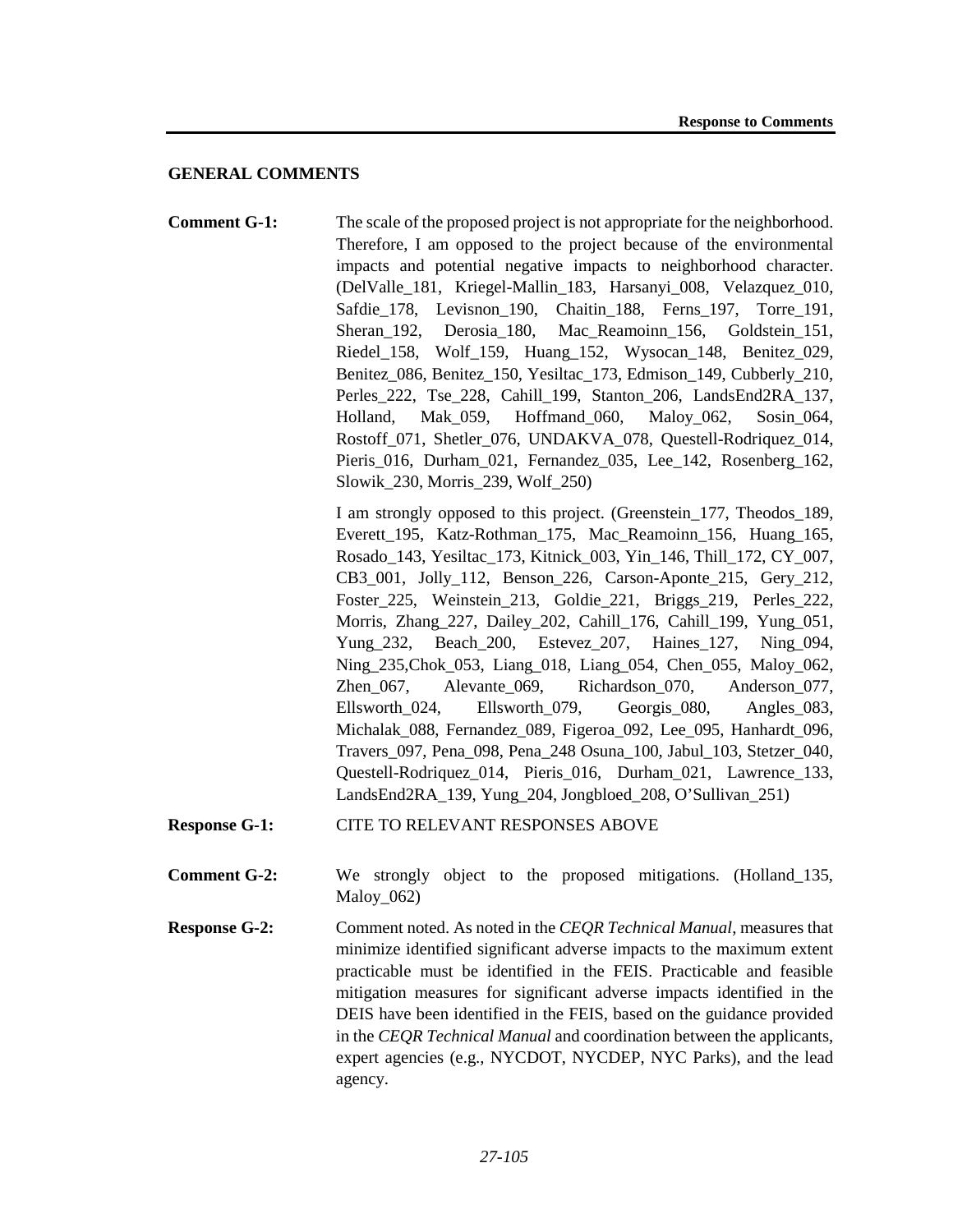## **GENERAL COMMENTS**

**Comment G-1:** The scale of the proposed project is not appropriate for the neighborhood. Therefore, I am opposed to the project because of the environmental impacts and potential negative impacts to neighborhood character. (DelValle\_181, Kriegel-Mallin\_183, Harsanyi\_008, Velazquez\_010, Safdie 178, Levisnon 190, Chaitin 188, Ferns 197, Torre 191, Sheran\_192, Derosia\_180, Mac\_Reamoinn\_156, Goldstein\_151, Riedel\_158, Wolf\_159, Huang\_152, Wysocan\_148, Benitez\_029, Benitez\_086, Benitez\_150, Yesiltac\_173, Edmison\_149, Cubberly\_210, Perles 222, Tse 228, Cahill 199, Stanton 206, LandsEnd2RA 137, Holland, Mak\_059, Hoffmand\_060, Maloy\_062, Sosin\_064, Rostoff 071, Shetler 076, UNDAKVA 078, Questell-Rodriquez 014, Pieris\_016, Durham\_021, Fernandez\_035, Lee\_142, Rosenberg\_162, Slowik\_230, Morris\_239, Wolf\_250)

> I am strongly opposed to this project. (Greenstein\_177, Theodos\_189, Everett\_195, Katz-Rothman\_175, Mac\_Reamoinn\_156, Huang\_165, Rosado\_143, Yesiltac\_173, Kitnick\_003, Yin\_146, Thill\_172, CY\_007, CB3\_001, Jolly\_112, Benson\_226, Carson-Aponte\_215, Gery\_212, Foster\_225, Weinstein\_213, Goldie\_221, Briggs\_219, Perles\_222, Morris, Zhang\_227, Dailey\_202, Cahill\_176, Cahill\_199, Yung\_051, Yung 232, Beach 200, Estevez 207, Haines 127, Ning 094, Ning\_235,Chok\_053, Liang\_018, Liang\_054, Chen\_055, Maloy\_062, Zhen 067, Alevante 069, Richardson 070, Anderson 077, Ellsworth\_024, Ellsworth\_079, Georgis\_080, Angles\_083, Michalak\_088, Fernandez\_089, Figeroa\_092, Lee\_095, Hanhardt\_096, Travers\_097, Pena\_098, Pena\_248 Osuna\_100, Jabul\_103, Stetzer\_040, Questell-Rodriquez\_014, Pieris\_016, Durham\_021, Lawrence\_133, LandsEnd2RA\_139, Yung\_204, Jongbloed\_208, O'Sullivan\_251)

- **Response G-1:** CITE TO RELEVANT RESPONSES ABOVE
- **Comment G-2:** We strongly object to the proposed mitigations. (Holland 135, Maloy\_062)
- **Response G-2:** Comment noted. As noted in the *CEQR Technical Manual*, measures that minimize identified significant adverse impacts to the maximum extent practicable must be identified in the FEIS. Practicable and feasible mitigation measures for significant adverse impacts identified in the DEIS have been identified in the FEIS, based on the guidance provided in the *CEQR Technical Manual* and coordination between the applicants, expert agencies (e.g., NYCDOT, NYCDEP, NYC Parks), and the lead agency.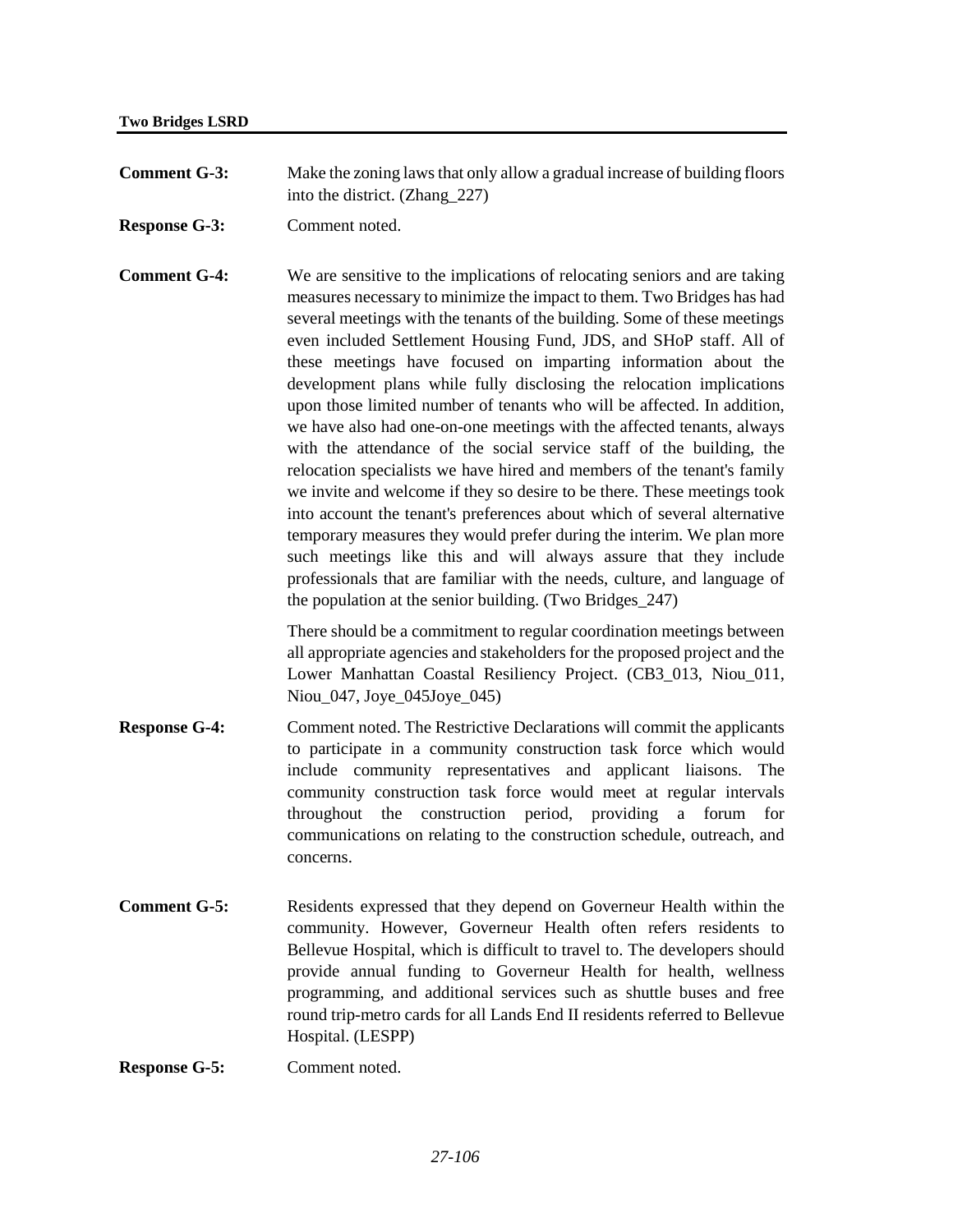**Comment G-3:** Make the zoning laws that only allow a gradual increase of building floors into the district. (Zhang\_227)

**Response G-3:** Comment noted.

**Comment G-4:** We are sensitive to the implications of relocating seniors and are taking measures necessary to minimize the impact to them. Two Bridges has had several meetings with the tenants of the building. Some of these meetings even included Settlement Housing Fund, JDS, and SHoP staff. All of these meetings have focused on imparting information about the development plans while fully disclosing the relocation implications upon those limited number of tenants who will be affected. In addition, we have also had one-on-one meetings with the affected tenants, always with the attendance of the social service staff of the building, the relocation specialists we have hired and members of the tenant's family we invite and welcome if they so desire to be there. These meetings took into account the tenant's preferences about which of several alternative temporary measures they would prefer during the interim. We plan more such meetings like this and will always assure that they include professionals that are familiar with the needs, culture, and language of the population at the senior building. (Two Bridges\_247)

> There should be a commitment to regular coordination meetings between all appropriate agencies and stakeholders for the proposed project and the Lower Manhattan Coastal Resiliency Project. (CB3\_013, Niou\_011, Niou 047, Joye 045Joye 045)

- **Response G-4:** Comment noted. The Restrictive Declarations will commit the applicants to participate in a community construction task force which would include community representatives and applicant liaisons. The community construction task force would meet at regular intervals throughout the construction period, providing a forum for communications on relating to the construction schedule, outreach, and concerns.
- **Comment G-5:** Residents expressed that they depend on Governeur Health within the community. However, Governeur Health often refers residents to Bellevue Hospital, which is difficult to travel to. The developers should provide annual funding to Governeur Health for health, wellness programming, and additional services such as shuttle buses and free round trip-metro cards for all Lands End II residents referred to Bellevue Hospital. (LESPP)

**Response G-5:** Comment noted.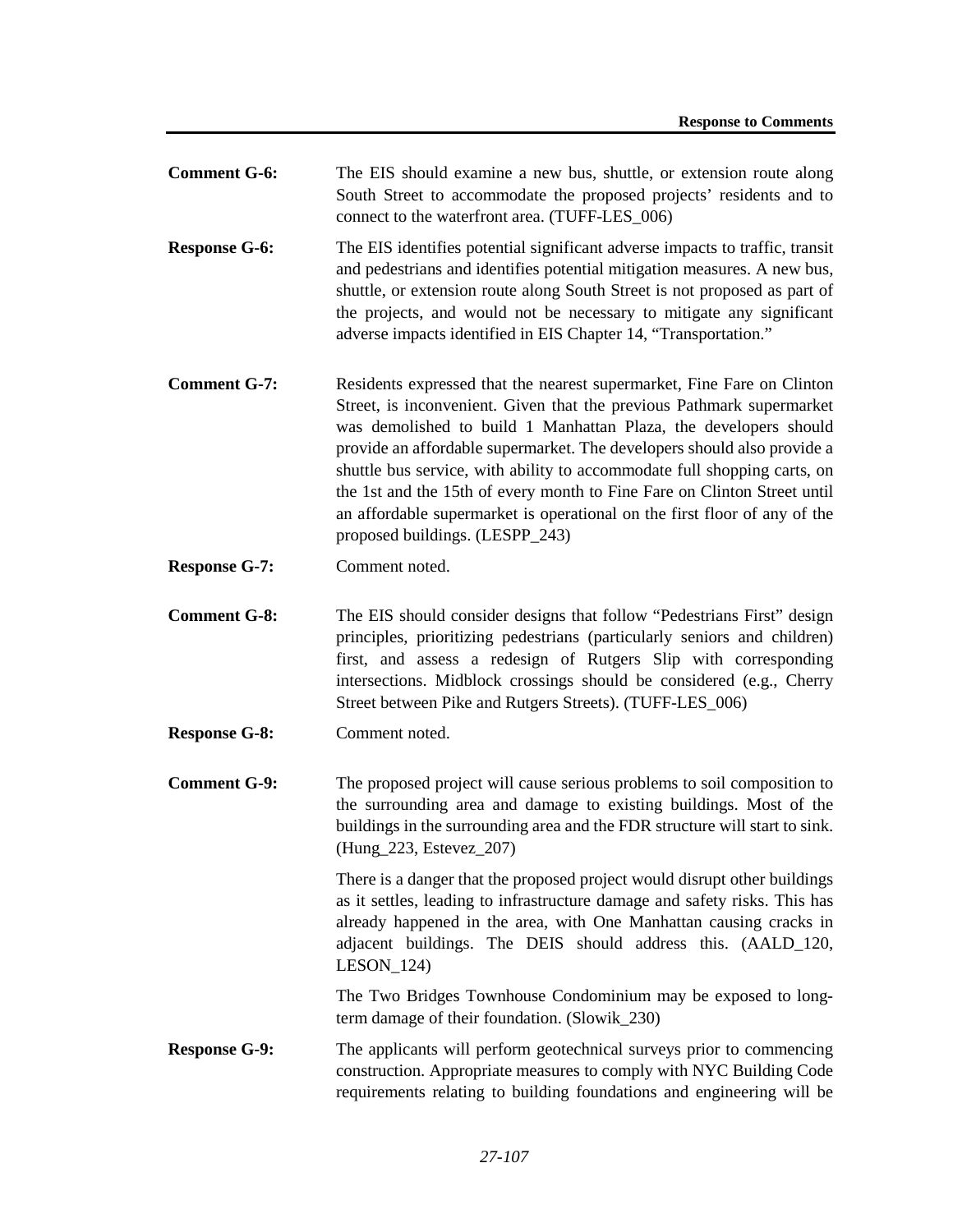| <b>Comment G-6:</b> | The EIS should examine a new bus, shuttle, or extension route along |
|---------------------|---------------------------------------------------------------------|
|                     | South Street to accommodate the proposed projects' residents and to |
|                     | connect to the waterfront area. (TUFF-LES 006)                      |
|                     |                                                                     |

- **Response G-6:** The EIS identifies potential significant adverse impacts to traffic, transit and pedestrians and identifies potential mitigation measures. A new bus, shuttle, or extension route along South Street is not proposed as part of the projects, and would not be necessary to mitigate any significant adverse impacts identified in EIS Chapter 14, "Transportation."
- **Comment G-7:** Residents expressed that the nearest supermarket, Fine Fare on Clinton Street, is inconvenient. Given that the previous Pathmark supermarket was demolished to build 1 Manhattan Plaza, the developers should provide an affordable supermarket. The developers should also provide a shuttle bus service, with ability to accommodate full shopping carts, on the 1st and the 15th of every month to Fine Fare on Clinton Street until an affordable supermarket is operational on the first floor of any of the proposed buildings. (LESPP\_243)
- **Response G-7:** Comment noted.
- **Comment G-8:** The EIS should consider designs that follow "Pedestrians First" design principles, prioritizing pedestrians (particularly seniors and children) first, and assess a redesign of Rutgers Slip with corresponding intersections. Midblock crossings should be considered (e.g., Cherry Street between Pike and Rutgers Streets). (TUFF-LES\_006)
- **Response G-8:** Comment noted.
- **Comment G-9:** The proposed project will cause serious problems to soil composition to the surrounding area and damage to existing buildings. Most of the buildings in the surrounding area and the FDR structure will start to sink. (Hung\_223, Estevez\_207)

There is a danger that the proposed project would disrupt other buildings as it settles, leading to infrastructure damage and safety risks. This has already happened in the area, with One Manhattan causing cracks in adjacent buildings. The DEIS should address this. (AALD\_120, LESON 124)

The Two Bridges Townhouse Condominium may be exposed to longterm damage of their foundation. (Slowik\_230)

**Response G-9:** The applicants will perform geotechnical surveys prior to commencing construction. Appropriate measures to comply with NYC Building Code requirements relating to building foundations and engineering will be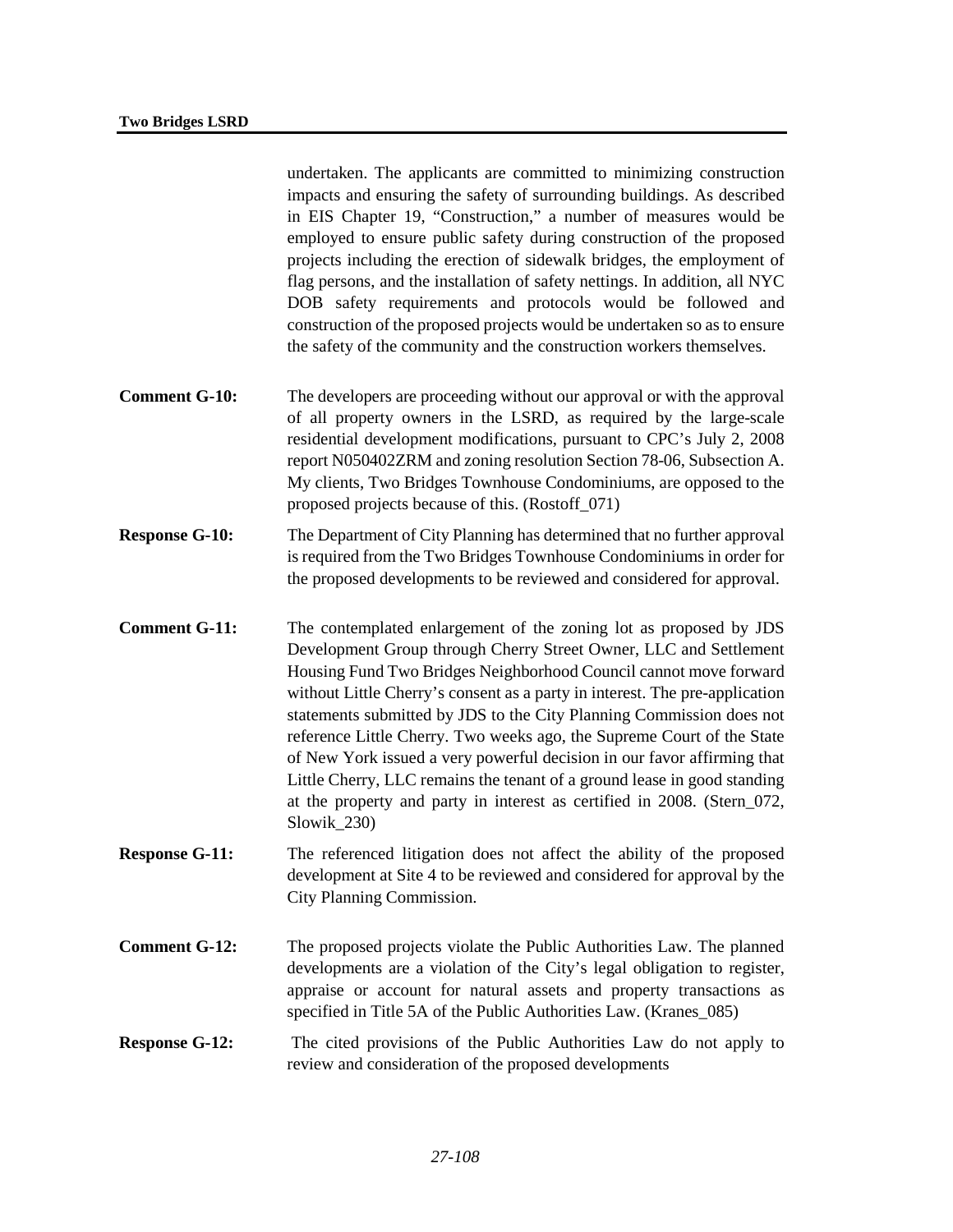undertaken. The applicants are committed to minimizing construction impacts and ensuring the safety of surrounding buildings. As described in EIS Chapter 19, "Construction," a number of measures would be employed to ensure public safety during construction of the proposed projects including the erection of sidewalk bridges, the employment of flag persons, and the installation of safety nettings. In addition, all NYC DOB safety requirements and protocols would be followed and construction of the proposed projects would be undertaken so as to ensure the safety of the community and the construction workers themselves.

- **Comment G-10:** The developers are proceeding without our approval or with the approval of all property owners in the LSRD, as required by the large-scale residential development modifications, pursuant to CPC's July 2, 2008 report N050402ZRM and zoning resolution Section 78-06, Subsection A. My clients, Two Bridges Townhouse Condominiums, are opposed to the proposed projects because of this. (Rostoff\_071)
- **Response G-10:** The Department of City Planning has determined that no further approval is required from the Two Bridges Townhouse Condominiums in order for the proposed developments to be reviewed and considered for approval.
- **Comment G-11:** The contemplated enlargement of the zoning lot as proposed by JDS Development Group through Cherry Street Owner, LLC and Settlement Housing Fund Two Bridges Neighborhood Council cannot move forward without Little Cherry's consent as a party in interest. The pre-application statements submitted by JDS to the City Planning Commission does not reference Little Cherry. Two weeks ago, the Supreme Court of the State of New York issued a very powerful decision in our favor affirming that Little Cherry, LLC remains the tenant of a ground lease in good standing at the property and party in interest as certified in 2008. (Stern\_072, Slowik 230)
- **Response G-11:** The referenced litigation does not affect the ability of the proposed development at Site 4 to be reviewed and considered for approval by the City Planning Commission.
- **Comment G-12:** The proposed projects violate the Public Authorities Law. The planned developments are a violation of the City's legal obligation to register, appraise or account for natural assets and property transactions as specified in Title 5A of the Public Authorities Law. (Kranes 085)
- **Response G-12:** The cited provisions of the Public Authorities Law do not apply to review and consideration of the proposed developments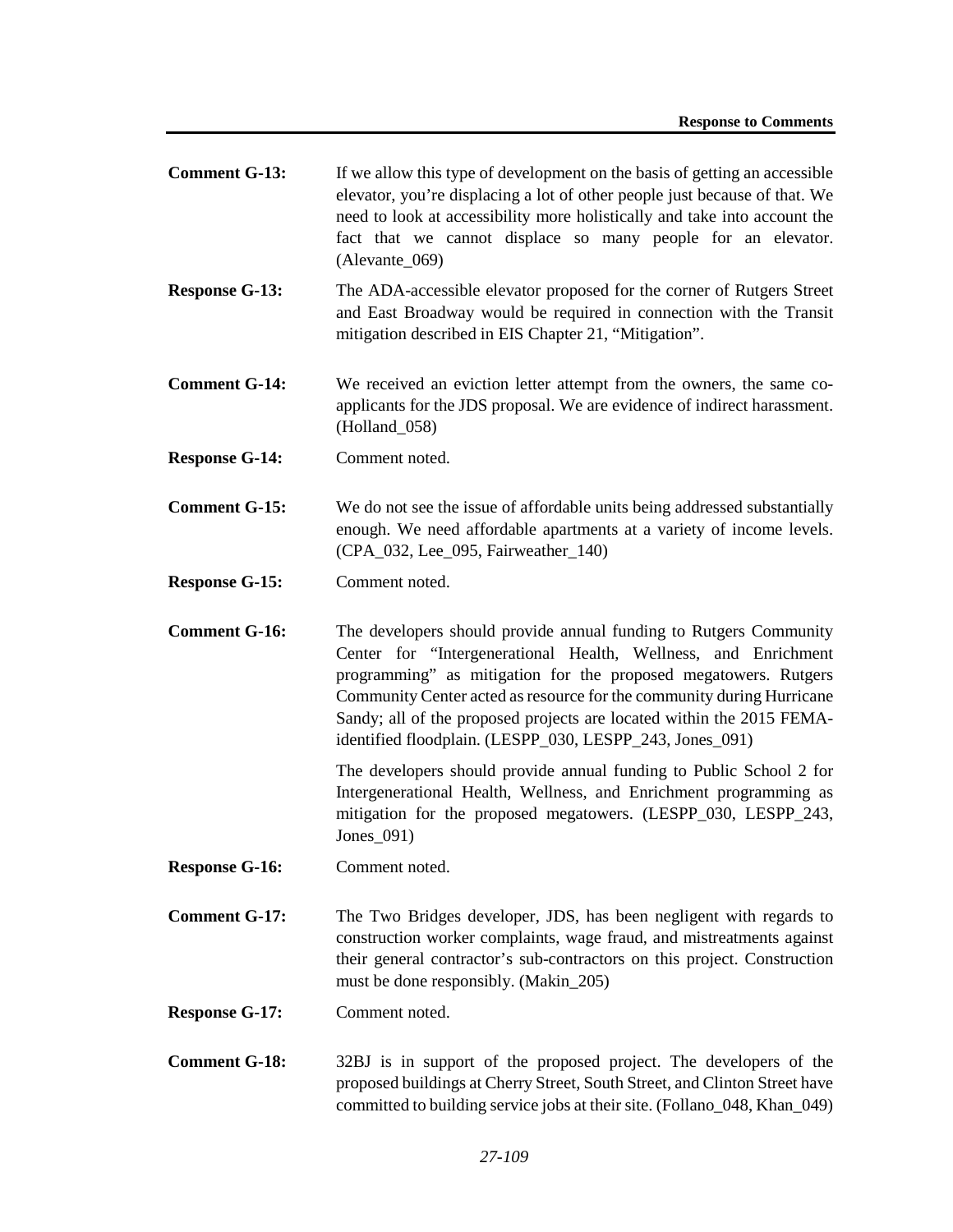- **Comment G-13:** If we allow this type of development on the basis of getting an accessible elevator, you're displacing a lot of other people just because of that. We need to look at accessibility more holistically and take into account the fact that we cannot displace so many people for an elevator. (Alevante\_069)
- **Response G-13:** The ADA-accessible elevator proposed for the corner of Rutgers Street and East Broadway would be required in connection with the Transit mitigation described in EIS Chapter 21, "Mitigation".
- **Comment G-14:** We received an eviction letter attempt from the owners, the same coapplicants for the JDS proposal. We are evidence of indirect harassment. (Holland\_058)
- **Response G-14:** Comment noted.
- **Comment G-15:** We do not see the issue of affordable units being addressed substantially enough. We need affordable apartments at a variety of income levels. (CPA\_032, Lee\_095, Fairweather\_140)
- **Response G-15:** Comment noted.
- **Comment G-16:** The developers should provide annual funding to Rutgers Community Center for "Intergenerational Health, Wellness, and Enrichment programming" as mitigation for the proposed megatowers. Rutgers Community Center acted as resource for the community during Hurricane Sandy; all of the proposed projects are located within the 2015 FEMAidentified floodplain. (LESPP\_030, LESPP\_243, Jones\_091)

The developers should provide annual funding to Public School 2 for Intergenerational Health, Wellness, and Enrichment programming as mitigation for the proposed megatowers. (LESPP\_030, LESPP\_243, Jones\_091)

- **Response G-16:** Comment noted.
- **Comment G-17:** The Two Bridges developer, JDS, has been negligent with regards to construction worker complaints, wage fraud, and mistreatments against their general contractor's sub-contractors on this project. Construction must be done responsibly. (Makin\_205)
- **Response G-17:** Comment noted.
- **Comment G-18:** 32BJ is in support of the proposed project. The developers of the proposed buildings at Cherry Street, South Street, and Clinton Street have committed to building service jobs at their site. (Follano\_048, Khan\_049)